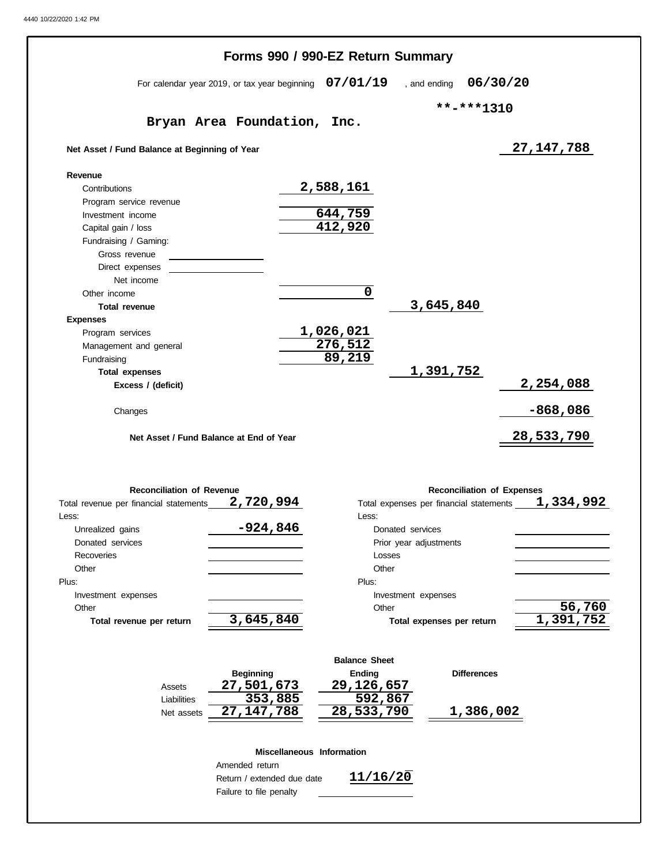| 07/01/19<br>06/30/20<br>, and ending                 |
|------------------------------------------------------|
|                                                      |
| **-***1310                                           |
| Inc.                                                 |
| 27, 147, 788                                         |
|                                                      |
| 2,588,161                                            |
|                                                      |
| $\frac{644,759}{412,920}$                            |
|                                                      |
|                                                      |
|                                                      |
|                                                      |
|                                                      |
| $\mathbf 0$                                          |
| 3,645,840                                            |
| 1,026,021                                            |
| 276, 512                                             |
| 89,219                                               |
| 1,391,752                                            |
| 2,254,088                                            |
|                                                      |
| $-868,086$                                           |
| 28,533,790                                           |
|                                                      |
| <b>Reconciliation of Expenses</b>                    |
| 1,334,992<br>Total expenses per financial statements |
| Less: <b>Example</b>                                 |
| Donated services                                     |
| Prior year adjustments                               |
| Losses                                               |
| Other                                                |
| Plus:                                                |
| Investment expenses<br>56,760<br>Other               |
| 1,391,752<br>Total expenses per return               |
|                                                      |
| <b>Balance Sheet</b>                                 |
| <b>Ending</b><br><b>Differences</b>                  |
| 29,126,657                                           |
| 592,867                                              |
|                                                      |
| 28,533,790<br><u>1,386,002</u>                       |
|                                                      |
| Miscellaneous Information                            |
|                                                      |

Failure to file penalty

 $\overline{\phantom{0}}$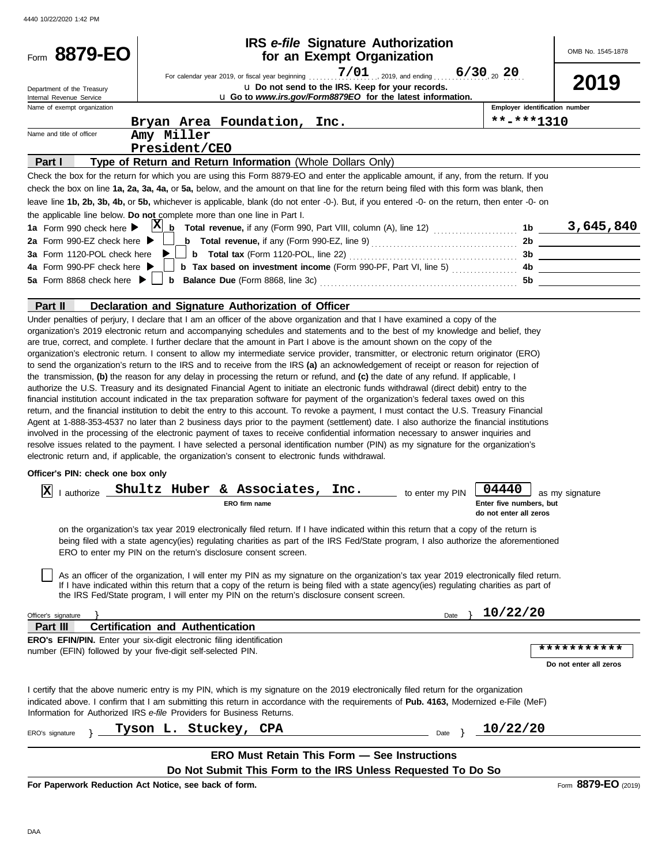| Form 8879-EO                                               | IRS e-file Signature Authorization<br>for an Exempt Organization                                                                                                                                                                                                                                                                                                                                                                                                                                                                                                                                                                                                                                                                                                                                                                                                                                                                                                                                                                                                                                                                                                                                                                                                                                                                                                                                                                                                                                                                                                                                                                                                                                                                                                                                                                                                                                                                                                                                                                                                                                                                                                                                                                                                                                                                                                                                                                                                                                                                                                                                                            | OMB No. 1545-1878                                                    |
|------------------------------------------------------------|-----------------------------------------------------------------------------------------------------------------------------------------------------------------------------------------------------------------------------------------------------------------------------------------------------------------------------------------------------------------------------------------------------------------------------------------------------------------------------------------------------------------------------------------------------------------------------------------------------------------------------------------------------------------------------------------------------------------------------------------------------------------------------------------------------------------------------------------------------------------------------------------------------------------------------------------------------------------------------------------------------------------------------------------------------------------------------------------------------------------------------------------------------------------------------------------------------------------------------------------------------------------------------------------------------------------------------------------------------------------------------------------------------------------------------------------------------------------------------------------------------------------------------------------------------------------------------------------------------------------------------------------------------------------------------------------------------------------------------------------------------------------------------------------------------------------------------------------------------------------------------------------------------------------------------------------------------------------------------------------------------------------------------------------------------------------------------------------------------------------------------------------------------------------------------------------------------------------------------------------------------------------------------------------------------------------------------------------------------------------------------------------------------------------------------------------------------------------------------------------------------------------------------------------------------------------------------------------------------------------------------|----------------------------------------------------------------------|
| Department of the Treasury                                 | For calendar year 2019, or fiscal year beginning $7/01$ , 2019, and ending<br>$6/30_{.20}$ 20<br>u Do not send to the IRS. Keep for your records.                                                                                                                                                                                                                                                                                                                                                                                                                                                                                                                                                                                                                                                                                                                                                                                                                                                                                                                                                                                                                                                                                                                                                                                                                                                                                                                                                                                                                                                                                                                                                                                                                                                                                                                                                                                                                                                                                                                                                                                                                                                                                                                                                                                                                                                                                                                                                                                                                                                                           | 2019                                                                 |
| Internal Revenue Service<br>Name of exempt organization    | u Go to www.irs.gov/Form8879EO for the latest information.                                                                                                                                                                                                                                                                                                                                                                                                                                                                                                                                                                                                                                                                                                                                                                                                                                                                                                                                                                                                                                                                                                                                                                                                                                                                                                                                                                                                                                                                                                                                                                                                                                                                                                                                                                                                                                                                                                                                                                                                                                                                                                                                                                                                                                                                                                                                                                                                                                                                                                                                                                  | Employer identification number                                       |
|                                                            | Bryan Area Foundation,<br>Inc.                                                                                                                                                                                                                                                                                                                                                                                                                                                                                                                                                                                                                                                                                                                                                                                                                                                                                                                                                                                                                                                                                                                                                                                                                                                                                                                                                                                                                                                                                                                                                                                                                                                                                                                                                                                                                                                                                                                                                                                                                                                                                                                                                                                                                                                                                                                                                                                                                                                                                                                                                                                              | $***$ -***1310                                                       |
| Name and title of officer                                  | Amy Miller                                                                                                                                                                                                                                                                                                                                                                                                                                                                                                                                                                                                                                                                                                                                                                                                                                                                                                                                                                                                                                                                                                                                                                                                                                                                                                                                                                                                                                                                                                                                                                                                                                                                                                                                                                                                                                                                                                                                                                                                                                                                                                                                                                                                                                                                                                                                                                                                                                                                                                                                                                                                                  |                                                                      |
|                                                            | President/CEO                                                                                                                                                                                                                                                                                                                                                                                                                                                                                                                                                                                                                                                                                                                                                                                                                                                                                                                                                                                                                                                                                                                                                                                                                                                                                                                                                                                                                                                                                                                                                                                                                                                                                                                                                                                                                                                                                                                                                                                                                                                                                                                                                                                                                                                                                                                                                                                                                                                                                                                                                                                                               |                                                                      |
| Part I                                                     | Type of Return and Return Information (Whole Dollars Only)                                                                                                                                                                                                                                                                                                                                                                                                                                                                                                                                                                                                                                                                                                                                                                                                                                                                                                                                                                                                                                                                                                                                                                                                                                                                                                                                                                                                                                                                                                                                                                                                                                                                                                                                                                                                                                                                                                                                                                                                                                                                                                                                                                                                                                                                                                                                                                                                                                                                                                                                                                  |                                                                      |
|                                                            | Check the box for the return for which you are using this Form 8879-EO and enter the applicable amount, if any, from the return. If you                                                                                                                                                                                                                                                                                                                                                                                                                                                                                                                                                                                                                                                                                                                                                                                                                                                                                                                                                                                                                                                                                                                                                                                                                                                                                                                                                                                                                                                                                                                                                                                                                                                                                                                                                                                                                                                                                                                                                                                                                                                                                                                                                                                                                                                                                                                                                                                                                                                                                     |                                                                      |
|                                                            | check the box on line 1a, 2a, 3a, 4a, or 5a, below, and the amount on that line for the return being filed with this form was blank, then                                                                                                                                                                                                                                                                                                                                                                                                                                                                                                                                                                                                                                                                                                                                                                                                                                                                                                                                                                                                                                                                                                                                                                                                                                                                                                                                                                                                                                                                                                                                                                                                                                                                                                                                                                                                                                                                                                                                                                                                                                                                                                                                                                                                                                                                                                                                                                                                                                                                                   |                                                                      |
|                                                            | leave line 1b, 2b, 3b, 4b, or 5b, whichever is applicable, blank (do not enter -0-). But, if you entered -0- on the return, then enter -0- on                                                                                                                                                                                                                                                                                                                                                                                                                                                                                                                                                                                                                                                                                                                                                                                                                                                                                                                                                                                                                                                                                                                                                                                                                                                                                                                                                                                                                                                                                                                                                                                                                                                                                                                                                                                                                                                                                                                                                                                                                                                                                                                                                                                                                                                                                                                                                                                                                                                                               |                                                                      |
|                                                            | the applicable line below. Do not complete more than one line in Part I.                                                                                                                                                                                                                                                                                                                                                                                                                                                                                                                                                                                                                                                                                                                                                                                                                                                                                                                                                                                                                                                                                                                                                                                                                                                                                                                                                                                                                                                                                                                                                                                                                                                                                                                                                                                                                                                                                                                                                                                                                                                                                                                                                                                                                                                                                                                                                                                                                                                                                                                                                    |                                                                      |
| 1a Form 990 check here $\blacktriangleright$               |                                                                                                                                                                                                                                                                                                                                                                                                                                                                                                                                                                                                                                                                                                                                                                                                                                                                                                                                                                                                                                                                                                                                                                                                                                                                                                                                                                                                                                                                                                                                                                                                                                                                                                                                                                                                                                                                                                                                                                                                                                                                                                                                                                                                                                                                                                                                                                                                                                                                                                                                                                                                                             |                                                                      |
| 2a Form 990-EZ check here $\blacktriangleright$            | <b>b</b> Total revenue, if any (Form 990-EZ, line 9) $\ldots$ $\ldots$ $\ldots$ $\ldots$ $\ldots$ $\ldots$                                                                                                                                                                                                                                                                                                                                                                                                                                                                                                                                                                                                                                                                                                                                                                                                                                                                                                                                                                                                                                                                                                                                                                                                                                                                                                                                                                                                                                                                                                                                                                                                                                                                                                                                                                                                                                                                                                                                                                                                                                                                                                                                                                                                                                                                                                                                                                                                                                                                                                                  | 2b                                                                   |
| 3a Form 1120-POL check here<br>4a Form 990-PF check here ▶ |                                                                                                                                                                                                                                                                                                                                                                                                                                                                                                                                                                                                                                                                                                                                                                                                                                                                                                                                                                                                                                                                                                                                                                                                                                                                                                                                                                                                                                                                                                                                                                                                                                                                                                                                                                                                                                                                                                                                                                                                                                                                                                                                                                                                                                                                                                                                                                                                                                                                                                                                                                                                                             |                                                                      |
| 5a Form 8868 check here $\blacktriangleright$              |                                                                                                                                                                                                                                                                                                                                                                                                                                                                                                                                                                                                                                                                                                                                                                                                                                                                                                                                                                                                                                                                                                                                                                                                                                                                                                                                                                                                                                                                                                                                                                                                                                                                                                                                                                                                                                                                                                                                                                                                                                                                                                                                                                                                                                                                                                                                                                                                                                                                                                                                                                                                                             |                                                                      |
|                                                            |                                                                                                                                                                                                                                                                                                                                                                                                                                                                                                                                                                                                                                                                                                                                                                                                                                                                                                                                                                                                                                                                                                                                                                                                                                                                                                                                                                                                                                                                                                                                                                                                                                                                                                                                                                                                                                                                                                                                                                                                                                                                                                                                                                                                                                                                                                                                                                                                                                                                                                                                                                                                                             |                                                                      |
| Part II                                                    | Declaration and Signature Authorization of Officer                                                                                                                                                                                                                                                                                                                                                                                                                                                                                                                                                                                                                                                                                                                                                                                                                                                                                                                                                                                                                                                                                                                                                                                                                                                                                                                                                                                                                                                                                                                                                                                                                                                                                                                                                                                                                                                                                                                                                                                                                                                                                                                                                                                                                                                                                                                                                                                                                                                                                                                                                                          |                                                                      |
| Officer's PIN: check one box only<br>IХ                    | Under penalties of perjury, I declare that I am an officer of the above organization and that I have examined a copy of the<br>organization's 2019 electronic return and accompanying schedules and statements and to the best of my knowledge and belief, they<br>are true, correct, and complete. I further declare that the amount in Part I above is the amount shown on the copy of the<br>organization's electronic return. I consent to allow my intermediate service provider, transmitter, or electronic return originator (ERO)<br>to send the organization's return to the IRS and to receive from the IRS (a) an acknowledgement of receipt or reason for rejection of<br>the transmission, (b) the reason for any delay in processing the return or refund, and (c) the date of any refund. If applicable, I<br>authorize the U.S. Treasury and its designated Financial Agent to initiate an electronic funds withdrawal (direct debit) entry to the<br>financial institution account indicated in the tax preparation software for payment of the organization's federal taxes owed on this<br>return, and the financial institution to debit the entry to this account. To revoke a payment, I must contact the U.S. Treasury Financial<br>Agent at 1-888-353-4537 no later than 2 business days prior to the payment (settlement) date. I also authorize the financial institutions<br>involved in the processing of the electronic payment of taxes to receive confidential information necessary to answer inquiries and<br>resolve issues related to the payment. I have selected a personal identification number (PIN) as my signature for the organization's<br>electronic return and, if applicable, the organization's consent to electronic funds withdrawal.<br>I authorize Shultz Huber & Associates,<br>04440<br>Inc.<br>to enter my PIN<br>ERO firm name<br>on the organization's tax year 2019 electronically filed return. If I have indicated within this return that a copy of the return is<br>being filed with a state agency(ies) regulating charities as part of the IRS Fed/State program, I also authorize the aforementioned<br>ERO to enter my PIN on the return's disclosure consent screen.<br>As an officer of the organization, I will enter my PIN as my signature on the organization's tax year 2019 electronically filed return.<br>If I have indicated within this return that a copy of the return is being filed with a state agency(ies) regulating charities as part of<br>the IRS Fed/State program, I will enter my PIN on the return's disclosure consent screen. | as my signature<br>Enter five numbers, but<br>do not enter all zeros |
|                                                            |                                                                                                                                                                                                                                                                                                                                                                                                                                                                                                                                                                                                                                                                                                                                                                                                                                                                                                                                                                                                                                                                                                                                                                                                                                                                                                                                                                                                                                                                                                                                                                                                                                                                                                                                                                                                                                                                                                                                                                                                                                                                                                                                                                                                                                                                                                                                                                                                                                                                                                                                                                                                                             |                                                                      |
| Officer's signature                                        | Date                                                                                                                                                                                                                                                                                                                                                                                                                                                                                                                                                                                                                                                                                                                                                                                                                                                                                                                                                                                                                                                                                                                                                                                                                                                                                                                                                                                                                                                                                                                                                                                                                                                                                                                                                                                                                                                                                                                                                                                                                                                                                                                                                                                                                                                                                                                                                                                                                                                                                                                                                                                                                        | 10/22/20                                                             |
| Part III                                                   | <b>Certification and Authentication</b><br>ERO's EFIN/PIN. Enter your six-digit electronic filing identification                                                                                                                                                                                                                                                                                                                                                                                                                                                                                                                                                                                                                                                                                                                                                                                                                                                                                                                                                                                                                                                                                                                                                                                                                                                                                                                                                                                                                                                                                                                                                                                                                                                                                                                                                                                                                                                                                                                                                                                                                                                                                                                                                                                                                                                                                                                                                                                                                                                                                                            |                                                                      |
|                                                            | number (EFIN) followed by your five-digit self-selected PIN.                                                                                                                                                                                                                                                                                                                                                                                                                                                                                                                                                                                                                                                                                                                                                                                                                                                                                                                                                                                                                                                                                                                                                                                                                                                                                                                                                                                                                                                                                                                                                                                                                                                                                                                                                                                                                                                                                                                                                                                                                                                                                                                                                                                                                                                                                                                                                                                                                                                                                                                                                                | ***********                                                          |
|                                                            |                                                                                                                                                                                                                                                                                                                                                                                                                                                                                                                                                                                                                                                                                                                                                                                                                                                                                                                                                                                                                                                                                                                                                                                                                                                                                                                                                                                                                                                                                                                                                                                                                                                                                                                                                                                                                                                                                                                                                                                                                                                                                                                                                                                                                                                                                                                                                                                                                                                                                                                                                                                                                             | Do not enter all zeros                                               |
|                                                            | I certify that the above numeric entry is my PIN, which is my signature on the 2019 electronically filed return for the organization<br>indicated above. I confirm that I am submitting this return in accordance with the requirements of Pub. 4163, Modernized e-File (MeF)<br>Information for Authorized IRS e-file Providers for Business Returns.<br>Tyson L. Stuckey, CPA<br>Date }                                                                                                                                                                                                                                                                                                                                                                                                                                                                                                                                                                                                                                                                                                                                                                                                                                                                                                                                                                                                                                                                                                                                                                                                                                                                                                                                                                                                                                                                                                                                                                                                                                                                                                                                                                                                                                                                                                                                                                                                                                                                                                                                                                                                                                   | 10/22/20                                                             |
| ERO's signature                                            |                                                                                                                                                                                                                                                                                                                                                                                                                                                                                                                                                                                                                                                                                                                                                                                                                                                                                                                                                                                                                                                                                                                                                                                                                                                                                                                                                                                                                                                                                                                                                                                                                                                                                                                                                                                                                                                                                                                                                                                                                                                                                                                                                                                                                                                                                                                                                                                                                                                                                                                                                                                                                             |                                                                      |
|                                                            | <b>ERO Must Retain This Form - See Instructions</b>                                                                                                                                                                                                                                                                                                                                                                                                                                                                                                                                                                                                                                                                                                                                                                                                                                                                                                                                                                                                                                                                                                                                                                                                                                                                                                                                                                                                                                                                                                                                                                                                                                                                                                                                                                                                                                                                                                                                                                                                                                                                                                                                                                                                                                                                                                                                                                                                                                                                                                                                                                         |                                                                      |
|                                                            | Do Not Submit This Form to the IRS Unless Requested To Do So                                                                                                                                                                                                                                                                                                                                                                                                                                                                                                                                                                                                                                                                                                                                                                                                                                                                                                                                                                                                                                                                                                                                                                                                                                                                                                                                                                                                                                                                                                                                                                                                                                                                                                                                                                                                                                                                                                                                                                                                                                                                                                                                                                                                                                                                                                                                                                                                                                                                                                                                                                |                                                                      |
|                                                            | For Paperwork Reduction Act Notice, see back of form.                                                                                                                                                                                                                                                                                                                                                                                                                                                                                                                                                                                                                                                                                                                                                                                                                                                                                                                                                                                                                                                                                                                                                                                                                                                                                                                                                                                                                                                                                                                                                                                                                                                                                                                                                                                                                                                                                                                                                                                                                                                                                                                                                                                                                                                                                                                                                                                                                                                                                                                                                                       | Form 8879-EO (2019)                                                  |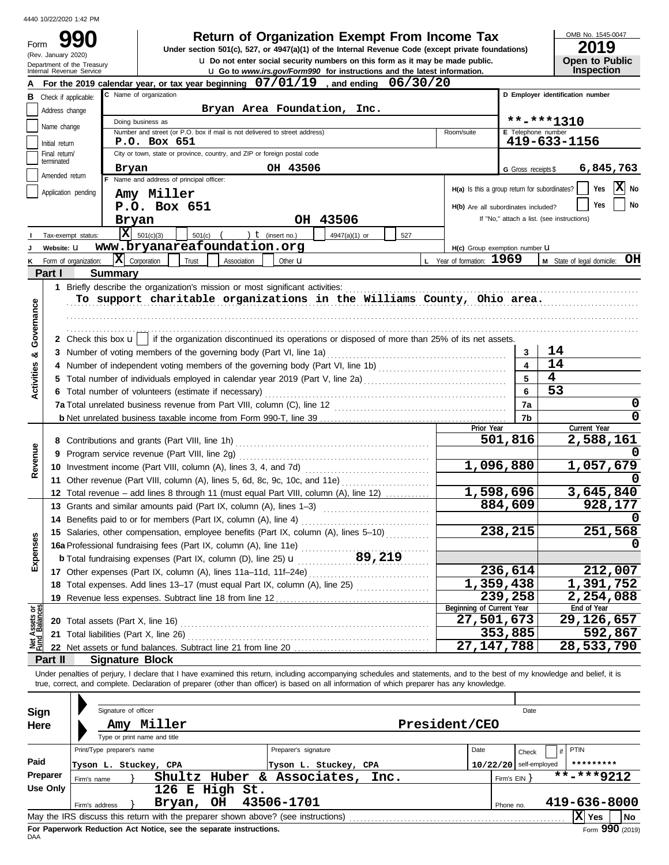(Rev. January 2020)

Form

# **990 a Return of Organization Exempt From Income Tax 1945-0 2019 2019**

u **Do not enter social security numbers on this form as it may be made public. Open to Public Under section 501(c), 527, or 4947(a)(1) of the Internal Revenue Code (except private foundations)**

OMB No. 1545-0047

|  | <b>Open to Public</b> |
|--|-----------------------|
|  | <b>Inspection</b>     |

|                                |                                                                                          | Department of the Treasury<br>Internal Revenue Service |                                              |                                          |        |                                                                                                                                                    |  |                      | <b>u</b> Go to www.irs.gov/Form990 for instructions and the latest information.                                                            |        |      |  |                           |            |                                               |    | אש ו שט ויש<br><b>Inspection</b>                                                                                                                                           |
|--------------------------------|------------------------------------------------------------------------------------------|--------------------------------------------------------|----------------------------------------------|------------------------------------------|--------|----------------------------------------------------------------------------------------------------------------------------------------------------|--|----------------------|--------------------------------------------------------------------------------------------------------------------------------------------|--------|------|--|---------------------------|------------|-----------------------------------------------|----|----------------------------------------------------------------------------------------------------------------------------------------------------------------------------|
|                                | $07/01/19$ , and ending<br>06/30/20<br>For the 2019 calendar year, or tax year beginning |                                                        |                                              |                                          |        |                                                                                                                                                    |  |                      |                                                                                                                                            |        |      |  |                           |            |                                               |    |                                                                                                                                                                            |
|                                | <b>B</b> Check if applicable:                                                            |                                                        |                                              | C Name of organization                   |        |                                                                                                                                                    |  |                      |                                                                                                                                            |        |      |  |                           |            |                                               |    | D Employer identification number                                                                                                                                           |
|                                | Address change                                                                           |                                                        |                                              |                                          |        |                                                                                                                                                    |  |                      | Bryan Area Foundation, Inc.                                                                                                                |        |      |  |                           |            |                                               |    |                                                                                                                                                                            |
|                                | Name change                                                                              |                                                        |                                              | Doing business as                        |        |                                                                                                                                                    |  |                      |                                                                                                                                            |        |      |  |                           |            | **-***1310                                    |    |                                                                                                                                                                            |
|                                |                                                                                          |                                                        |                                              |                                          |        | Number and street (or P.O. box if mail is not delivered to street address)                                                                         |  |                      |                                                                                                                                            |        |      |  | Room/suite                |            | E Telephone number                            |    |                                                                                                                                                                            |
|                                | Initial return                                                                           |                                                        |                                              | P.O. Box 651                             |        |                                                                                                                                                    |  |                      |                                                                                                                                            |        |      |  |                           |            |                                               |    | 419-633-1156                                                                                                                                                               |
|                                | Final return/<br>terminated                                                              |                                                        |                                              |                                          |        | City or town, state or province, country, and ZIP or foreign postal code                                                                           |  |                      |                                                                                                                                            |        |      |  |                           |            |                                               |    |                                                                                                                                                                            |
|                                | Amended return                                                                           |                                                        | Bryan                                        |                                          |        |                                                                                                                                                    |  | OH 43506             |                                                                                                                                            |        |      |  |                           |            | G Gross receipts \$                           |    | 6,845,763                                                                                                                                                                  |
|                                |                                                                                          |                                                        |                                              | F Name and address of principal officer: |        |                                                                                                                                                    |  |                      |                                                                                                                                            |        |      |  |                           |            | H(a) Is this a group return for subordinates? |    | X<br>Yes<br>No                                                                                                                                                             |
|                                |                                                                                          | Application pending                                    |                                              | Amy Miller                               |        |                                                                                                                                                    |  |                      |                                                                                                                                            |        |      |  |                           |            |                                               |    |                                                                                                                                                                            |
|                                |                                                                                          |                                                        |                                              | P.O. Box 651                             |        |                                                                                                                                                    |  |                      |                                                                                                                                            |        |      |  |                           |            | H(b) Are all subordinates included?           |    | No<br>Yes                                                                                                                                                                  |
|                                |                                                                                          |                                                        | Bryan                                        |                                          |        |                                                                                                                                                    |  |                      | OH 43506                                                                                                                                   |        |      |  |                           |            | If "No," attach a list. (see instructions)    |    |                                                                                                                                                                            |
|                                |                                                                                          | Tax-exempt status:                                     | ΙX                                           | 501(c)(3)                                | 501(c) |                                                                                                                                                    |  | ) $t$ (insert no.)   | 4947(a)(1) or                                                                                                                              |        | 527  |  |                           |            |                                               |    |                                                                                                                                                                            |
|                                | Website: U                                                                               |                                                        |                                              |                                          |        | www.bryanareafoundation.org                                                                                                                        |  |                      |                                                                                                                                            |        |      |  |                           |            | H(c) Group exemption number U                 |    |                                                                                                                                                                            |
|                                |                                                                                          | Form of organization:                                  | $ \mathbf{X} $ Corporation                   |                                          | Trust  | Association                                                                                                                                        |  | Other <b>u</b>       |                                                                                                                                            |        |      |  | L Year of formation: 1969 |            |                                               |    | M State of legal domicile: OH                                                                                                                                              |
|                                | Part I                                                                                   |                                                        | <b>Summary</b>                               |                                          |        |                                                                                                                                                    |  |                      |                                                                                                                                            |        |      |  |                           |            |                                               |    |                                                                                                                                                                            |
|                                |                                                                                          |                                                        |                                              |                                          |        | 1 Briefly describe the organization's mission or most significant activities:                                                                      |  |                      |                                                                                                                                            |        |      |  |                           |            |                                               |    |                                                                                                                                                                            |
|                                |                                                                                          |                                                        |                                              |                                          |        |                                                                                                                                                    |  |                      | To support charitable organizations in the Williams County, Ohio area.                                                                     |        |      |  |                           |            |                                               |    |                                                                                                                                                                            |
|                                |                                                                                          |                                                        |                                              |                                          |        |                                                                                                                                                    |  |                      |                                                                                                                                            |        |      |  |                           |            |                                               |    |                                                                                                                                                                            |
| Governance                     |                                                                                          |                                                        |                                              |                                          |        |                                                                                                                                                    |  |                      |                                                                                                                                            |        |      |  |                           |            |                                               |    |                                                                                                                                                                            |
|                                |                                                                                          |                                                        |                                              |                                          |        |                                                                                                                                                    |  |                      | 2 Check this box $\mathbf{u}$   if the organization discontinued its operations or disposed of more than 25% of its net assets.            |        |      |  |                           |            |                                               |    |                                                                                                                                                                            |
| ಯ                              |                                                                                          |                                                        |                                              |                                          |        | 3 Number of voting members of the governing body (Part VI, line 1a)                                                                                |  |                      |                                                                                                                                            |        |      |  |                           |            | 3                                             | 14 |                                                                                                                                                                            |
| <b>Activities</b>              | 4                                                                                        |                                                        |                                              |                                          |        |                                                                                                                                                    |  |                      | Number of independent voting members of the governing body (Part VI, line 1b) [11] [11] Number of independent voting                       |        |      |  |                           |            | $\overline{\mathbf{4}}$                       | 14 |                                                                                                                                                                            |
|                                | 5                                                                                        |                                                        |                                              |                                          |        |                                                                                                                                                    |  |                      | Total number of individuals employed in calendar year 2019 (Part V, line 2a) [[[[[[[[[[[[[[[[[[[[[[[[[[[[[[[[                              |        |      |  |                           |            | 5                                             | 4  |                                                                                                                                                                            |
|                                |                                                                                          |                                                        |                                              |                                          |        | 6 Total number of volunteers (estimate if necessary)                                                                                               |  |                      |                                                                                                                                            |        |      |  |                           |            | 6                                             | 53 |                                                                                                                                                                            |
|                                |                                                                                          |                                                        |                                              |                                          |        |                                                                                                                                                    |  |                      |                                                                                                                                            |        |      |  |                           |            | 7a                                            |    | 0                                                                                                                                                                          |
|                                |                                                                                          |                                                        |                                              |                                          |        |                                                                                                                                                    |  |                      |                                                                                                                                            |        |      |  |                           |            | 7b                                            |    | $\Omega$                                                                                                                                                                   |
|                                |                                                                                          |                                                        |                                              |                                          |        |                                                                                                                                                    |  |                      |                                                                                                                                            |        |      |  |                           | Prior Year | 501,816                                       |    | Current Year<br>2,588,161                                                                                                                                                  |
|                                |                                                                                          |                                                        |                                              |                                          |        |                                                                                                                                                    |  |                      |                                                                                                                                            |        |      |  |                           |            |                                               |    |                                                                                                                                                                            |
| Revenue                        | 9                                                                                        |                                                        | Program service revenue (Part VIII, line 2g) |                                          |        |                                                                                                                                                    |  |                      |                                                                                                                                            |        |      |  |                           | 1,057,679  |                                               |    |                                                                                                                                                                            |
|                                |                                                                                          |                                                        |                                              |                                          |        |                                                                                                                                                    |  |                      |                                                                                                                                            |        |      |  | 1,096,880                 |            |                                               |    |                                                                                                                                                                            |
|                                |                                                                                          |                                                        |                                              |                                          |        | 11 Other revenue (Part VIII, column (A), lines 5, 6d, 8c, 9c, 10c, and 11e)                                                                        |  |                      |                                                                                                                                            |        |      |  |                           |            | $\overline{1,598,696}$                        |    | 3,645,840                                                                                                                                                                  |
|                                |                                                                                          |                                                        |                                              |                                          |        |                                                                                                                                                    |  |                      | 12 Total revenue - add lines 8 through 11 (must equal Part VIII, column (A), line 12)                                                      |        |      |  |                           |            | 884,609                                       |    | 928,177                                                                                                                                                                    |
|                                |                                                                                          |                                                        |                                              |                                          |        | 13 Grants and similar amounts paid (Part IX, column (A), lines 1-3)                                                                                |  |                      |                                                                                                                                            |        |      |  |                           |            |                                               |    |                                                                                                                                                                            |
|                                |                                                                                          |                                                        |                                              |                                          |        | 14 Benefits paid to or for members (Part IX, column (A), line 4)                                                                                   |  |                      |                                                                                                                                            |        |      |  |                           |            | 238,215                                       |    | 251,568                                                                                                                                                                    |
| nses                           |                                                                                          |                                                        |                                              |                                          |        |                                                                                                                                                    |  |                      | 15 Salaries, other compensation, employee benefits (Part IX, column (A), lines 5-10)                                                       |        |      |  |                           |            |                                               |    | 0                                                                                                                                                                          |
|                                |                                                                                          |                                                        |                                              |                                          |        | 16a Professional fundraising fees (Part IX, column (A), line 11e)                                                                                  |  |                      |                                                                                                                                            | 89,219 |      |  |                           |            |                                               |    |                                                                                                                                                                            |
| Exper                          |                                                                                          |                                                        |                                              |                                          |        | <b>b</b> Total fundraising expenses (Part IX, column (D), line 25) $\mathbf{u}$<br>17 Other expenses (Part IX, column (A), lines 11a-11d, 11f-24e) |  |                      |                                                                                                                                            |        |      |  |                           |            | 236,614                                       |    | 212,007                                                                                                                                                                    |
|                                |                                                                                          |                                                        |                                              |                                          |        |                                                                                                                                                    |  |                      | 18 Total expenses. Add lines 13-17 (must equal Part IX, column (A), line 25)                                                               |        |      |  |                           |            | $\overline{1}$ , 359, 438                     |    | 1,391,752                                                                                                                                                                  |
|                                |                                                                                          |                                                        |                                              |                                          |        | 19 Revenue less expenses. Subtract line 18 from line 12                                                                                            |  |                      |                                                                                                                                            |        |      |  |                           |            | 239,258                                       |    | 2,254,088                                                                                                                                                                  |
|                                |                                                                                          |                                                        |                                              |                                          |        |                                                                                                                                                    |  |                      |                                                                                                                                            |        |      |  | Beginning of Current Year |            |                                               |    | End of Year                                                                                                                                                                |
| Net Assets or<br>Fund Balances |                                                                                          |                                                        |                                              | 20 Total assets (Part X, line 16)        |        |                                                                                                                                                    |  |                      |                                                                                                                                            |        |      |  |                           |            | 27,501,673                                    |    | 29,126,657                                                                                                                                                                 |
|                                |                                                                                          |                                                        |                                              | 21 Total liabilities (Part X, line 26)   |        |                                                                                                                                                    |  |                      |                                                                                                                                            |        |      |  |                           |            | 353,885                                       |    | 592,867                                                                                                                                                                    |
|                                |                                                                                          |                                                        |                                              |                                          |        | 22 Net assets or fund balances. Subtract line 21 from line 20.                                                                                     |  |                      |                                                                                                                                            |        |      |  |                           |            | 27, 147, 788                                  |    | 28,533,790                                                                                                                                                                 |
|                                | Part II                                                                                  |                                                        |                                              | <b>Signature Block</b>                   |        |                                                                                                                                                    |  |                      |                                                                                                                                            |        |      |  |                           |            |                                               |    |                                                                                                                                                                            |
|                                |                                                                                          |                                                        |                                              |                                          |        |                                                                                                                                                    |  |                      |                                                                                                                                            |        |      |  |                           |            |                                               |    | Under penalties of perjury, I declare that I have examined this return, including accompanying schedules and statements, and to the best of my knowledge and belief, it is |
|                                |                                                                                          |                                                        |                                              |                                          |        |                                                                                                                                                    |  |                      | true, correct, and complete. Declaration of preparer (other than officer) is based on all information of which preparer has any knowledge. |        |      |  |                           |            |                                               |    |                                                                                                                                                                            |
|                                |                                                                                          |                                                        |                                              |                                          |        |                                                                                                                                                    |  |                      |                                                                                                                                            |        |      |  |                           |            |                                               |    |                                                                                                                                                                            |
| <b>Sign</b>                    |                                                                                          |                                                        | Signature of officer                         |                                          |        |                                                                                                                                                    |  |                      |                                                                                                                                            |        |      |  |                           |            | Date                                          |    |                                                                                                                                                                            |
| Here                           |                                                                                          |                                                        |                                              | Amy Miller                               |        |                                                                                                                                                    |  |                      |                                                                                                                                            |        |      |  | President/CEO             |            |                                               |    |                                                                                                                                                                            |
|                                |                                                                                          |                                                        |                                              | Type or print name and title             |        |                                                                                                                                                    |  |                      |                                                                                                                                            |        |      |  |                           |            |                                               |    |                                                                                                                                                                            |
|                                |                                                                                          |                                                        | Print/Type preparer's name                   |                                          |        |                                                                                                                                                    |  | Preparer's signature |                                                                                                                                            |        |      |  | Date                      |            | Check                                         |    | PTIN                                                                                                                                                                       |
| Paid                           |                                                                                          |                                                        |                                              | Tyson L. Stuckey, CPA                    |        |                                                                                                                                                    |  |                      | Tyson L. Stuckey, CPA                                                                                                                      |        |      |  |                           |            | $10/22/20$ self-employed                      |    | *********                                                                                                                                                                  |
|                                | Preparer                                                                                 | Firm's name                                            |                                              |                                          |        | Shultz Huber & Associates,                                                                                                                         |  |                      |                                                                                                                                            |        | Inc. |  |                           |            | Firm's EIN                                    |    | $\overline{\text{***}}$ ****9212                                                                                                                                           |
|                                | <b>Use Only</b>                                                                          |                                                        |                                              |                                          |        | 126 E High St.                                                                                                                                     |  |                      |                                                                                                                                            |        |      |  |                           |            |                                               |    |                                                                                                                                                                            |
|                                |                                                                                          | Firm's address                                         |                                              |                                          | Bryan, | OH                                                                                                                                                 |  | 43506-1701           |                                                                                                                                            |        |      |  |                           |            | Phone no.                                     |    | 419-636-8000                                                                                                                                                               |
|                                |                                                                                          |                                                        |                                              |                                          |        | May the IRS discuss this return with the preparer shown above? (see instructions)                                                                  |  |                      |                                                                                                                                            |        |      |  |                           |            |                                               |    | $ \mathbf{\overline{X}} $ Yes<br>No                                                                                                                                        |

| Sign<br>Here     | Signature of officer<br>Miller<br>Amy<br>Type or print name and title |                                                                                                                         | Date<br>President/CEO                                                                             |
|------------------|-----------------------------------------------------------------------|-------------------------------------------------------------------------------------------------------------------------|---------------------------------------------------------------------------------------------------|
| Paid<br>Preparer | Print/Type preparer's name<br>Tyson L. Stuckey, CPA<br>Firm's name    | Preparer's signature<br>Tyson L. Stuckey, CPA<br>Shultz Huber & Associates,<br>Inc.                                     | <b>PTIN</b><br>Date<br>Check<br>*********<br>$10/22/20$ self-employed<br>**-***9212<br>Firm's EIN |
| Use Only         | Bryan,<br>Firm's address                                              | 126 E High St.<br>43506-1701<br>OH<br>May the IRS discuss this return with the preparer shown above? (see instructions) | 419-636-8000<br>Phone no.<br>ΙXΙ<br>No<br>Yes                                                     |
|                  | Fee Denomical, Deduction, Act Notice, and the concrete inctrustions   |                                                                                                                         | $000 \ldots$                                                                                      |

**For Paperwork Reduction Act Notice, see the separate instructions.**<br>DAA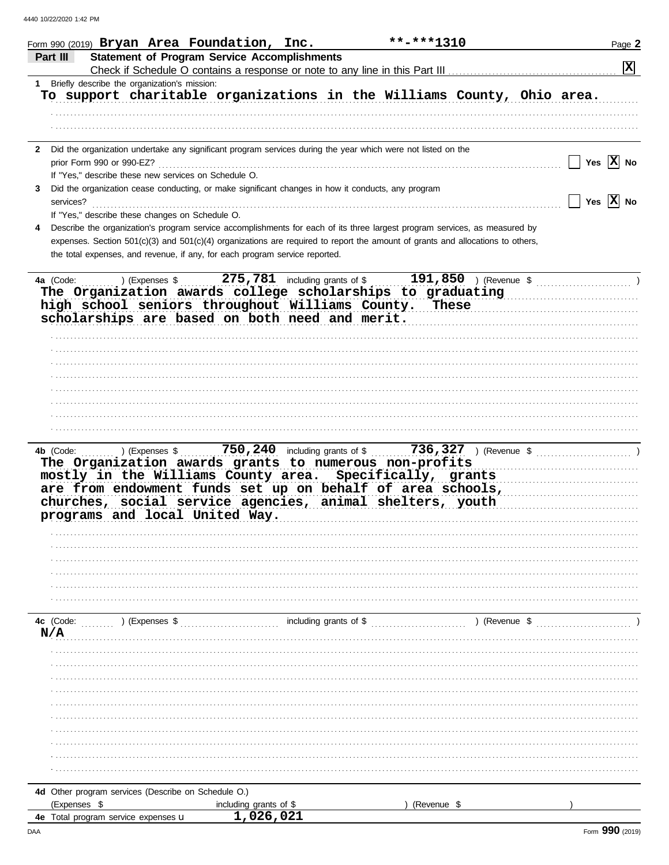|   | **-***1310<br>Form 990 (2019) $Bryan$ Area Foundation, Inc.                                                                    | Page 2                |
|---|--------------------------------------------------------------------------------------------------------------------------------|-----------------------|
|   | <b>Statement of Program Service Accomplishments</b><br>Part III                                                                |                       |
|   |                                                                                                                                | $\mathbf{x}$          |
|   | 1 Briefly describe the organization's mission:                                                                                 |                       |
|   | To support charitable organizations in the Williams County, Ohio area.                                                         |                       |
|   |                                                                                                                                |                       |
|   |                                                                                                                                |                       |
|   |                                                                                                                                |                       |
|   | 2 Did the organization undertake any significant program services during the year which were not listed on the                 |                       |
|   | prior Form 990 or 990-EZ?                                                                                                      | Yes $ \mathbf{X} $ No |
|   | If "Yes," describe these new services on Schedule O.                                                                           |                       |
| 3 | Did the organization cease conducting, or make significant changes in how it conducts, any program                             |                       |
|   | services?                                                                                                                      | Yes $ \mathbf{X} $ No |
|   | If "Yes," describe these changes on Schedule O.                                                                                |                       |
|   |                                                                                                                                |                       |
|   | Describe the organization's program service accomplishments for each of its three largest program services, as measured by     |                       |
|   | expenses. Section 501(c)(3) and 501(c)(4) organizations are required to report the amount of grants and allocations to others, |                       |
|   | the total expenses, and revenue, if any, for each program service reported.                                                    |                       |
|   |                                                                                                                                |                       |
|   | 4a (Code:                                                                                                                      |                       |
|   | The Organization awards college scholarships to graduating                                                                     |                       |
|   | high school seniors throughout Williams County. These                                                                          |                       |
|   | scholarships are based on both need and merit.                                                                                 |                       |
|   |                                                                                                                                |                       |
|   |                                                                                                                                |                       |
|   |                                                                                                                                |                       |
|   |                                                                                                                                |                       |
|   |                                                                                                                                |                       |
|   |                                                                                                                                |                       |
|   |                                                                                                                                |                       |
|   |                                                                                                                                |                       |
|   |                                                                                                                                |                       |
|   | Expenses \$ 750, 240 including grants of \$ 736, 327 ) (Revenue \$<br>4b (Code:                                                |                       |
|   | The Organization awards grants to numerous non-profits                                                                         |                       |
|   | mostly in the Williams County area. Specifically, grants                                                                       |                       |
|   | are from endowment funds set up on behalf of area schools,                                                                     |                       |
|   | churches, social service agencies, animal shelters, youth                                                                      |                       |
|   | .<br>programs and local United Way.                                                                                            |                       |
|   |                                                                                                                                |                       |
|   |                                                                                                                                |                       |
|   |                                                                                                                                |                       |
|   |                                                                                                                                |                       |
|   |                                                                                                                                |                       |
|   |                                                                                                                                |                       |
|   |                                                                                                                                |                       |
|   |                                                                                                                                |                       |
|   | including grants of \$<br>) (Revenue \$<br>4c (Code:<br>) (Expenses \$                                                         |                       |
|   | N/A                                                                                                                            |                       |
|   |                                                                                                                                |                       |
|   |                                                                                                                                |                       |
|   |                                                                                                                                |                       |
|   |                                                                                                                                |                       |
|   |                                                                                                                                |                       |
|   |                                                                                                                                |                       |
|   |                                                                                                                                |                       |
|   |                                                                                                                                |                       |
|   |                                                                                                                                |                       |
|   |                                                                                                                                |                       |
|   |                                                                                                                                |                       |
|   | 4d Other program services (Describe on Schedule O.)                                                                            |                       |
|   |                                                                                                                                |                       |
|   | (Expenses \$<br>including grants of \$<br>(Revenue \$<br>1,026,021                                                             |                       |
|   | 4e Total program service expenses u                                                                                            |                       |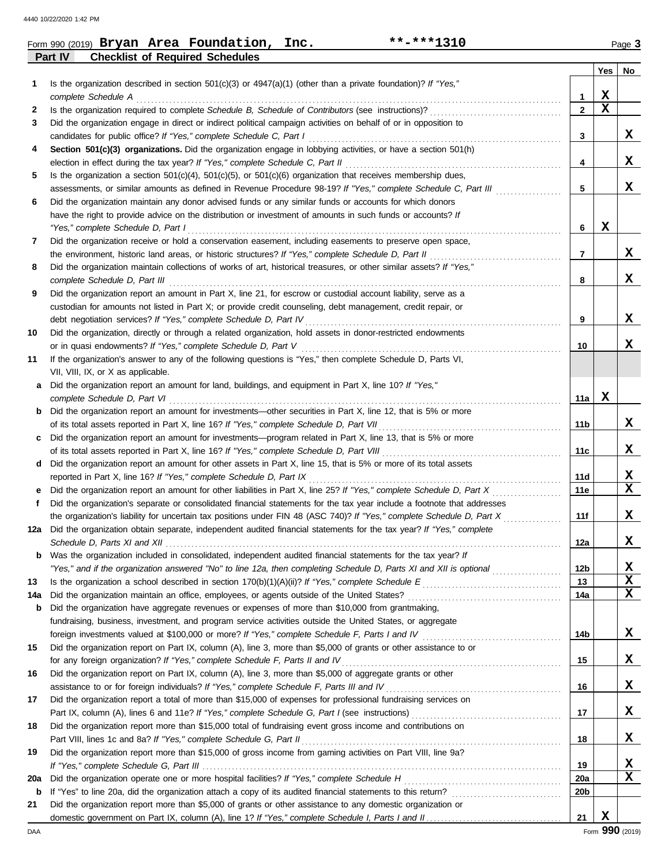|         |  | Form 990 (2019) $Bryan$ Area Foundation, | Inc. | **-***1310 |                             | Page 3 |
|---------|--|------------------------------------------|------|------------|-----------------------------|--------|
| Part IV |  | <b>Checklist of Required Schedules</b>   |      |            |                             |        |
|         |  |                                          |      |            | $\mathbf{v}$ . $\mathbf{v}$ |        |

|     |                                                                                                                                                   |                 | Yes         | No          |
|-----|---------------------------------------------------------------------------------------------------------------------------------------------------|-----------------|-------------|-------------|
| 1   | Is the organization described in section $501(c)(3)$ or $4947(a)(1)$ (other than a private foundation)? If "Yes,"                                 |                 |             |             |
|     | complete Schedule A                                                                                                                               | 1               | X           |             |
| 2   |                                                                                                                                                   | $\mathbf{2}$    | $\mathbf x$ |             |
| 3   | Did the organization engage in direct or indirect political campaign activities on behalf of or in opposition to                                  |                 |             |             |
|     | candidates for public office? If "Yes," complete Schedule C, Part I                                                                               | 3               |             | X           |
| 4   | Section 501(c)(3) organizations. Did the organization engage in lobbying activities, or have a section 501(h)                                     |                 |             |             |
|     | election in effect during the tax year? If "Yes," complete Schedule C, Part II                                                                    | 4               |             | x           |
| 5   | Is the organization a section $501(c)(4)$ , $501(c)(5)$ , or $501(c)(6)$ organization that receives membership dues,                              |                 |             | x           |
|     | assessments, or similar amounts as defined in Revenue Procedure 98-19? If "Yes," complete Schedule C, Part III                                    | 5               |             |             |
| 6   | Did the organization maintain any donor advised funds or any similar funds or accounts for which donors                                           |                 |             |             |
|     | have the right to provide advice on the distribution or investment of amounts in such funds or accounts? If<br>"Yes," complete Schedule D, Part I | 6               | X           |             |
| 7   | Did the organization receive or hold a conservation easement, including easements to preserve open space,                                         |                 |             |             |
|     | the environment, historic land areas, or historic structures? If "Yes," complete Schedule D, Part II                                              | $\overline{7}$  |             | x           |
| 8   | Did the organization maintain collections of works of art, historical treasures, or other similar assets? If "Yes,"                               |                 |             |             |
|     | complete Schedule D, Part III                                                                                                                     | 8               |             | x           |
| 9   | Did the organization report an amount in Part X, line 21, for escrow or custodial account liability, serve as a                                   |                 |             |             |
|     | custodian for amounts not listed in Part X; or provide credit counseling, debt management, credit repair, or                                      |                 |             |             |
|     |                                                                                                                                                   | 9               |             | X           |
| 10  | Did the organization, directly or through a related organization, hold assets in donor-restricted endowments                                      |                 |             |             |
|     | or in quasi endowments? If "Yes," complete Schedule D, Part V                                                                                     | 10              |             | x           |
| 11  | If the organization's answer to any of the following questions is "Yes," then complete Schedule D, Parts VI,                                      |                 |             |             |
|     | VII, VIII, IX, or X as applicable.                                                                                                                |                 |             |             |
| a   | Did the organization report an amount for land, buildings, and equipment in Part X, line 10? If "Yes,"                                            |                 |             |             |
|     | complete Schedule D, Part VI                                                                                                                      | 11a l           | х           |             |
|     | <b>b</b> Did the organization report an amount for investments—other securities in Part X, line 12, that is 5% or more                            |                 |             |             |
|     | of its total assets reported in Part X, line 16? If "Yes," complete Schedule D, Part VII                                                          | 11b             |             | X           |
| C   | Did the organization report an amount for investments—program related in Part X, line 13, that is 5% or more                                      |                 |             |             |
|     |                                                                                                                                                   | 11c             |             | x           |
| d   | Did the organization report an amount for other assets in Part X, line 15, that is 5% or more of its total assets                                 |                 |             |             |
|     | reported in Part X, line 16? If "Yes," complete Schedule D, Part IX                                                                               | 11d             |             | X           |
|     | Did the organization report an amount for other liabilities in Part X, line 25? If "Yes," complete Schedule D, Part X                             | 11e             |             | $\mathbf x$ |
| f   | Did the organization's separate or consolidated financial statements for the tax year include a footnote that addresses                           |                 |             |             |
|     | the organization's liability for uncertain tax positions under FIN 48 (ASC 740)? If "Yes," complete Schedule D, Part X                            | 11f             |             | X           |
| 12a | Did the organization obtain separate, independent audited financial statements for the tax year? If "Yes," complete                               |                 |             | X           |
|     | Was the organization included in consolidated, independent audited financial statements for the tax year? If                                      | 12a             |             |             |
|     | "Yes," and if the organization answered "No" to line 12a, then completing Schedule D, Parts XI and XII is optional                                | 12b             |             | X           |
| 13  |                                                                                                                                                   | 13              |             | X           |
| 14a |                                                                                                                                                   | 14a             |             | $\mathbf x$ |
| b   | Did the organization have aggregate revenues or expenses of more than \$10,000 from grantmaking,                                                  |                 |             |             |
|     | fundraising, business, investment, and program service activities outside the United States, or aggregate                                         |                 |             |             |
|     |                                                                                                                                                   | 14b             |             | X           |
| 15  | Did the organization report on Part IX, column (A), line 3, more than \$5,000 of grants or other assistance to or                                 |                 |             |             |
|     | for any foreign organization? If "Yes," complete Schedule F, Parts II and IV                                                                      | 15              |             | X           |
| 16  | Did the organization report on Part IX, column (A), line 3, more than \$5,000 of aggregate grants or other                                        |                 |             |             |
|     |                                                                                                                                                   | 16              |             | X           |
| 17  | Did the organization report a total of more than \$15,000 of expenses for professional fundraising services on                                    |                 |             |             |
|     |                                                                                                                                                   | 17              |             | X           |
| 18  | Did the organization report more than \$15,000 total of fundraising event gross income and contributions on                                       |                 |             |             |
|     |                                                                                                                                                   | 18              |             | X           |
| 19  | Did the organization report more than \$15,000 of gross income from gaming activities on Part VIII, line 9a?                                      |                 |             |             |
|     |                                                                                                                                                   | 19              |             | X           |
| 20a |                                                                                                                                                   | <b>20a</b>      |             | X           |
| b   |                                                                                                                                                   | 20 <sub>b</sub> |             |             |
| 21  | Did the organization report more than \$5,000 of grants or other assistance to any domestic organization or                                       |                 |             |             |
|     |                                                                                                                                                   | 21              | X           |             |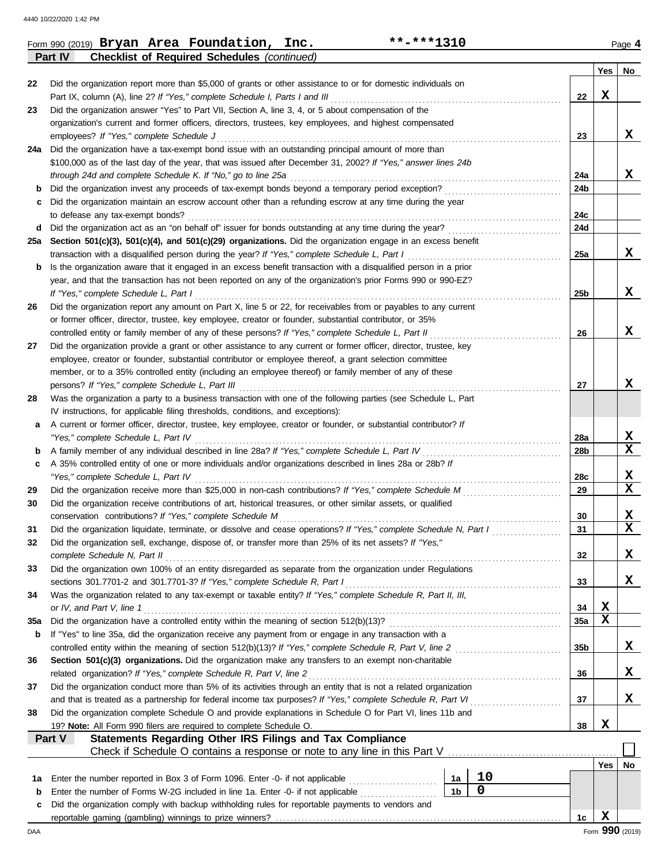|          | **-***1310<br>Form 990 (2019) Bryan Area Foundation, Inc.                                                                                                  |                 |                 | Page 4                  |
|----------|------------------------------------------------------------------------------------------------------------------------------------------------------------|-----------------|-----------------|-------------------------|
|          | <b>Checklist of Required Schedules (continued)</b><br>Part IV                                                                                              |                 |                 |                         |
|          |                                                                                                                                                            |                 | Yes             | No                      |
| 22       | Did the organization report more than \$5,000 of grants or other assistance to or for domestic individuals on                                              |                 |                 |                         |
|          | Part IX, column (A), line 2? If "Yes," complete Schedule I, Parts I and III                                                                                | 22              | X               |                         |
| 23       | Did the organization answer "Yes" to Part VII, Section A, line 3, 4, or 5 about compensation of the                                                        |                 |                 |                         |
|          | organization's current and former officers, directors, trustees, key employees, and highest compensated                                                    |                 |                 | X                       |
|          | employees? If "Yes," complete Schedule J<br>24a Did the organization have a tax-exempt bond issue with an outstanding principal amount of more than        | 23              |                 |                         |
|          | \$100,000 as of the last day of the year, that was issued after December 31, 2002? If "Yes," answer lines 24b                                              |                 |                 |                         |
|          | through 24d and complete Schedule K. If "No," go to line 25a                                                                                               | 24a             |                 | x                       |
| b        | Did the organization invest any proceeds of tax-exempt bonds beyond a temporary period exception?                                                          | 24b             |                 |                         |
| c        | Did the organization maintain an escrow account other than a refunding escrow at any time during the year                                                  |                 |                 |                         |
|          | to defease any tax-exempt bonds?                                                                                                                           | 24c             |                 |                         |
|          | d Did the organization act as an "on behalf of" issuer for bonds outstanding at any time during the year?                                                  | 24d             |                 |                         |
|          | 25a Section 501(c)(3), 501(c)(4), and 501(c)(29) organizations. Did the organization engage in an excess benefit                                           |                 |                 |                         |
|          | transaction with a disqualified person during the year? If "Yes," complete Schedule L, Part I                                                              | 25a             |                 | X                       |
| b        | Is the organization aware that it engaged in an excess benefit transaction with a disqualified person in a prior                                           |                 |                 |                         |
|          | year, and that the transaction has not been reported on any of the organization's prior Forms 990 or 990-EZ?                                               |                 |                 |                         |
|          | If "Yes," complete Schedule L, Part I                                                                                                                      | 25 <sub>b</sub> |                 | x                       |
| 26       | Did the organization report any amount on Part X, line 5 or 22, for receivables from or payables to any current                                            |                 |                 |                         |
|          | or former officer, director, trustee, key employee, creator or founder, substantial contributor, or 35%                                                    |                 |                 |                         |
|          | controlled entity or family member of any of these persons? If "Yes," complete Schedule L, Part II                                                         | 26              |                 | X                       |
| 27       | Did the organization provide a grant or other assistance to any current or former officer, director, trustee, key                                          |                 |                 |                         |
|          | employee, creator or founder, substantial contributor or employee thereof, a grant selection committee                                                     |                 |                 |                         |
|          | member, or to a 35% controlled entity (including an employee thereof) or family member of any of these                                                     |                 |                 |                         |
|          | persons? If "Yes," complete Schedule L, Part III                                                                                                           | 27              |                 | x                       |
| 28       | Was the organization a party to a business transaction with one of the following parties (see Schedule L, Part                                             |                 |                 |                         |
|          | IV instructions, for applicable filing thresholds, conditions, and exceptions):                                                                            |                 |                 |                         |
| а        | A current or former officer, director, trustee, key employee, creator or founder, or substantial contributor? If                                           |                 |                 |                         |
|          | "Yes," complete Schedule L, Part IV                                                                                                                        | 28a             |                 | X                       |
| b        | A family member of any individual described in line 28a? If "Yes," complete Schedule L, Part IV                                                            | 28b             |                 | $\mathbf{x}$            |
| c        | A 35% controlled entity of one or more individuals and/or organizations described in lines 28a or 28b? If                                                  |                 |                 |                         |
|          | "Yes," complete Schedule L, Part IV                                                                                                                        | 28c             |                 | X                       |
| 29       | Did the organization receive more than \$25,000 in non-cash contributions? If "Yes," complete Schedule M                                                   | 29              |                 | $\mathbf x$             |
| 30       | Did the organization receive contributions of art, historical treasures, or other similar assets, or qualified                                             |                 |                 |                         |
|          | conservation contributions? If "Yes," complete Schedule M                                                                                                  | 30              |                 | X                       |
| 31       | Did the organization liquidate, terminate, or dissolve and cease operations? If "Yes," complete Schedule N, Part I                                         | 31              |                 | $\overline{\mathbf{x}}$ |
| 32       | Did the organization sell, exchange, dispose of, or transfer more than 25% of its net assets? If "Yes,"                                                    |                 |                 |                         |
|          | complete Schedule N, Part II                                                                                                                               | 32              |                 | X                       |
| 33       | Did the organization own 100% of an entity disregarded as separate from the organization under Regulations                                                 |                 |                 |                         |
|          | sections 301.7701-2 and 301.7701-3? If "Yes," complete Schedule R, Part I                                                                                  | 33              |                 | x                       |
| 34       | Was the organization related to any tax-exempt or taxable entity? If "Yes," complete Schedule R, Part II, III,                                             |                 | X               |                         |
|          | or IV, and Part V, line 1<br>Did the organization have a controlled entity within the meaning of section 512(b)(13)?                                       | 34<br>35a       | X               |                         |
| 35a<br>b | If "Yes" to line 35a, did the organization receive any payment from or engage in any transaction with a                                                    |                 |                 |                         |
|          | controlled entity within the meaning of section 512(b)(13)? If "Yes," complete Schedule R, Part V, line 2                                                  | 35b             |                 | x                       |
| 36       | Section 501(c)(3) organizations. Did the organization make any transfers to an exempt non-charitable                                                       |                 |                 |                         |
|          | related organization? If "Yes," complete Schedule R, Part V, line 2                                                                                        | 36              |                 | X                       |
| 37       | Did the organization conduct more than 5% of its activities through an entity that is not a related organization                                           |                 |                 |                         |
|          | and that is treated as a partnership for federal income tax purposes? If "Yes," complete Schedule R, Part VI                                               | 37              |                 | X                       |
| 38       | Did the organization complete Schedule O and provide explanations in Schedule O for Part VI, lines 11b and                                                 |                 |                 |                         |
|          | 19? Note: All Form 990 filers are required to complete Schedule O.                                                                                         | 38              | X               |                         |
|          | Statements Regarding Other IRS Filings and Tax Compliance<br>Part V                                                                                        |                 |                 |                         |
|          | Check if Schedule O contains a response or note to any line in this Part V [11] Check if Schedule O contains a response or note to any line in this Part V |                 |                 |                         |
|          |                                                                                                                                                            |                 | Yes             | No                      |
| 1a       | 10<br>Enter the number reported in Box 3 of Form 1096. Enter -0- if not applicable<br>1a                                                                   |                 |                 |                         |
| b        | 0<br>1 <sub>b</sub><br>Enter the number of Forms W-2G included in line 1a. Enter -0- if not applicable                                                     |                 |                 |                         |
| c        | Did the organization comply with backup withholding rules for reportable payments to vendors and                                                           |                 |                 |                         |
|          |                                                                                                                                                            | 1c              | X               |                         |
| DAA      |                                                                                                                                                            |                 | Form 990 (2019) |                         |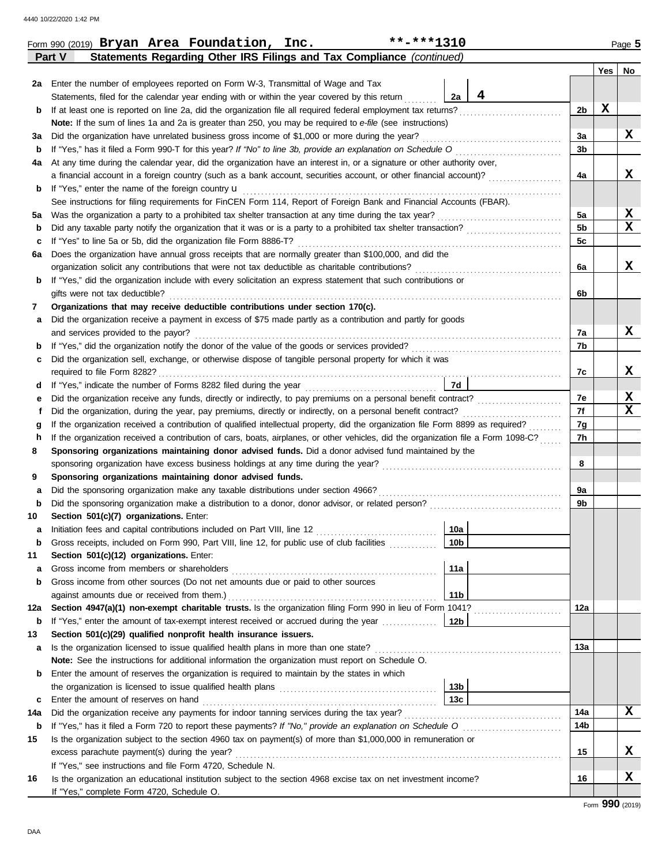|     | $***$ -***1310<br>Form 990 (2019) Bryan Area Foundation, Inc.                                                                                                                                      |                 |                |             | Page 5           |  |  |
|-----|----------------------------------------------------------------------------------------------------------------------------------------------------------------------------------------------------|-----------------|----------------|-------------|------------------|--|--|
|     | Statements Regarding Other IRS Filings and Tax Compliance (continued)<br>Part V                                                                                                                    |                 |                |             |                  |  |  |
|     |                                                                                                                                                                                                    |                 |                | Yes         | No               |  |  |
|     | 2a Enter the number of employees reported on Form W-3, Transmittal of Wage and Tax                                                                                                                 |                 |                |             |                  |  |  |
|     | Statements, filed for the calendar year ending with or within the year covered by this return                                                                                                      | 4<br>2a         |                |             |                  |  |  |
| b   | If at least one is reported on line 2a, did the organization file all required federal employment tax returns?                                                                                     |                 | 2 <sub>b</sub> | $\mathbf x$ |                  |  |  |
|     | Note: If the sum of lines 1a and 2a is greater than 250, you may be required to e-file (see instructions)                                                                                          |                 |                |             |                  |  |  |
| За  | Did the organization have unrelated business gross income of \$1,000 or more during the year?                                                                                                      |                 | За             |             | X                |  |  |
| b   | If "Yes," has it filed a Form 990-T for this year? If "No" to line 3b, provide an explanation on Schedule O                                                                                        |                 | 3 <sub>b</sub> |             |                  |  |  |
| 4a  | At any time during the calendar year, did the organization have an interest in, or a signature or other authority over,                                                                            |                 |                |             |                  |  |  |
|     | a financial account in a foreign country (such as a bank account, securities account, or other financial account)?                                                                                 |                 | 4a             |             | x                |  |  |
| b   | If "Yes," enter the name of the foreign country <b>u</b>                                                                                                                                           |                 |                |             |                  |  |  |
|     | See instructions for filing requirements for FinCEN Form 114, Report of Foreign Bank and Financial Accounts (FBAR).                                                                                |                 |                |             |                  |  |  |
| 5a  | Was the organization a party to a prohibited tax shelter transaction at any time during the tax year?                                                                                              |                 | 5a             |             | X<br>$\mathbf x$ |  |  |
| b   | Did any taxable party notify the organization that it was or is a party to a prohibited tax shelter transaction?                                                                                   |                 | 5 <sub>b</sub> |             |                  |  |  |
| c   | If "Yes" to line 5a or 5b, did the organization file Form 8886-T?                                                                                                                                  |                 | 5c             |             |                  |  |  |
| 6а  | Does the organization have annual gross receipts that are normally greater than \$100,000, and did the                                                                                             |                 |                |             | x                |  |  |
|     | organization solicit any contributions that were not tax deductible as charitable contributions?                                                                                                   |                 | 6a             |             |                  |  |  |
| b   | If "Yes," did the organization include with every solicitation an express statement that such contributions or<br>gifts were not tax deductible?                                                   |                 |                |             |                  |  |  |
|     | Organizations that may receive deductible contributions under section 170(c).                                                                                                                      |                 | 6b             |             |                  |  |  |
| 7   | Did the organization receive a payment in excess of \$75 made partly as a contribution and partly for goods                                                                                        |                 |                |             |                  |  |  |
| а   | and services provided to the payor?                                                                                                                                                                |                 | 7a             |             | X                |  |  |
| b   | If "Yes," did the organization notify the donor of the value of the goods or services provided?<br>If "Yes," did the organization notify the donor of the value of the goods or services provided? |                 | 7b             |             |                  |  |  |
| c   | Did the organization sell, exchange, or otherwise dispose of tangible personal property for which it was                                                                                           |                 |                |             |                  |  |  |
|     |                                                                                                                                                                                                    |                 | 7c             |             | X                |  |  |
| d   |                                                                                                                                                                                                    | <b>7d</b>       |                |             |                  |  |  |
| е   | Did the organization receive any funds, directly or indirectly, to pay premiums on a personal benefit contract?                                                                                    |                 | 7e             |             | X                |  |  |
|     | Did the organization, during the year, pay premiums, directly or indirectly, on a personal benefit contract?                                                                                       |                 | 7f             |             | $\mathbf x$      |  |  |
|     | If the organization received a contribution of qualified intellectual property, did the organization file Form 8899 as required?<br>g                                                              |                 |                |             |                  |  |  |
| h   | If the organization received a contribution of cars, boats, airplanes, or other vehicles, did the organization file a Form 1098-C?                                                                 |                 |                |             |                  |  |  |
| 8   | Sponsoring organizations maintaining donor advised funds. Did a donor advised fund maintained by the                                                                                               |                 |                |             |                  |  |  |
|     |                                                                                                                                                                                                    |                 | 8              |             |                  |  |  |
| 9   | Sponsoring organizations maintaining donor advised funds.                                                                                                                                          |                 |                |             |                  |  |  |
| а   | Did the sponsoring organization make any taxable distributions under section 4966?                                                                                                                 |                 | 9a             |             |                  |  |  |
| b   |                                                                                                                                                                                                    |                 | 9b             |             |                  |  |  |
| 10  | Section 501(c)(7) organizations. Enter:                                                                                                                                                            |                 |                |             |                  |  |  |
|     | Initiation fees and capital contributions included on Part VIII, line 12 [11] [11] [12] [11] [12] [11] [12] [1                                                                                     | 10a             |                |             |                  |  |  |
| b   | Gross receipts, included on Form 990, Part VIII, line 12, for public use of club facilities                                                                                                        | 10 <sub>b</sub> |                |             |                  |  |  |
| 11  | Section 501(c)(12) organizations. Enter:                                                                                                                                                           |                 |                |             |                  |  |  |
| а   | Gross income from members or shareholders                                                                                                                                                          | 11a             |                |             |                  |  |  |
| b   | Gross income from other sources (Do not net amounts due or paid to other sources                                                                                                                   |                 |                |             |                  |  |  |
|     | against amounts due or received from them.)                                                                                                                                                        | 11 <sub>b</sub> |                |             |                  |  |  |
| 12a | Section 4947(a)(1) non-exempt charitable trusts. Is the organization filing Form 990 in lieu of Form 1041?                                                                                         |                 | 12a            |             |                  |  |  |
| b   | If "Yes," enter the amount of tax-exempt interest received or accrued during the year <i>minimizion</i> .                                                                                          | 12b             |                |             |                  |  |  |
| 13  | Section 501(c)(29) qualified nonprofit health insurance issuers.                                                                                                                                   |                 |                |             |                  |  |  |
| а   | Is the organization licensed to issue qualified health plans in more than one state?                                                                                                               |                 | 13a            |             |                  |  |  |
|     | Note: See the instructions for additional information the organization must report on Schedule O.                                                                                                  |                 |                |             |                  |  |  |
| b   | Enter the amount of reserves the organization is required to maintain by the states in which                                                                                                       |                 |                |             |                  |  |  |
|     |                                                                                                                                                                                                    | 13 <sub>b</sub> |                |             |                  |  |  |
| c   | Enter the amount of reserves on hand                                                                                                                                                               | 13c             |                |             |                  |  |  |
| 14a | Did the organization receive any payments for indoor tanning services during the tax year?                                                                                                         |                 | 14a            |             | X                |  |  |
| b   | If "Yes," has it filed a Form 720 to report these payments? If "No," provide an explanation on Schedule O                                                                                          |                 | 14b            |             |                  |  |  |
| 15  | Is the organization subject to the section 4960 tax on payment(s) of more than \$1,000,000 in remuneration or                                                                                      |                 |                |             |                  |  |  |
|     | excess parachute payment(s) during the year?                                                                                                                                                       |                 | 15             |             | х                |  |  |
|     | If "Yes," see instructions and file Form 4720, Schedule N.                                                                                                                                         |                 |                |             |                  |  |  |
| 16  | Is the organization an educational institution subject to the section 4968 excise tax on net investment income?                                                                                    |                 | 16             |             | X                |  |  |
|     | If "Yes," complete Form 4720, Schedule O.                                                                                                                                                          |                 |                |             |                  |  |  |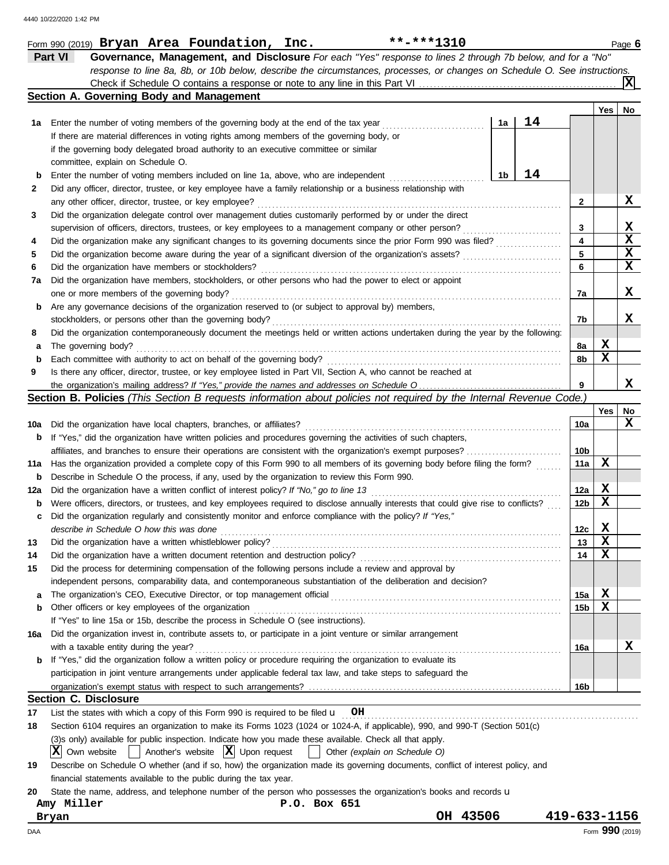|     | Part VI<br>Governance, Management, and Disclosure For each "Yes" response to lines 2 through 7b below, and for a "No"                          |                        |             |                 |
|-----|------------------------------------------------------------------------------------------------------------------------------------------------|------------------------|-------------|-----------------|
|     | response to line 8a, 8b, or 10b below, describe the circumstances, processes, or changes on Schedule O. See instructions.                      |                        |             | X               |
|     | Section A. Governing Body and Management                                                                                                       |                        |             |                 |
|     |                                                                                                                                                |                        | Yes         | No              |
| 1a  | 14<br>Enter the number of voting members of the governing body at the end of the tax year<br>1a                                                |                        |             |                 |
|     | If there are material differences in voting rights among members of the governing body, or                                                     |                        |             |                 |
|     | if the governing body delegated broad authority to an executive committee or similar                                                           |                        |             |                 |
|     | committee, explain on Schedule O.                                                                                                              |                        |             |                 |
|     | 14<br>1b<br>Enter the number of voting members included on line 1a, above, who are independent                                                 |                        |             |                 |
| 2   | Did any officer, director, trustee, or key employee have a family relationship or a business relationship with                                 |                        |             |                 |
|     | any other officer, director, trustee, or key employee?                                                                                         | 2                      |             | х               |
| 3   | Did the organization delegate control over management duties customarily performed by or under the direct                                      |                        |             |                 |
|     | supervision of officers, directors, trustees, or key employees to a management company or other person?                                        | 3                      |             | X               |
| 4   | Did the organization make any significant changes to its governing documents since the prior Form 990 was filed?                               | 4                      |             | $\mathbf x$     |
| 5   |                                                                                                                                                | 5                      |             | X               |
| 6   | Did the organization have members or stockholders?                                                                                             | 6                      |             | X               |
| 7a  | Did the organization have members, stockholders, or other persons who had the power to elect or appoint                                        |                        |             |                 |
|     | one or more members of the governing body?                                                                                                     | 7a                     |             | х               |
| b   | Are any governance decisions of the organization reserved to (or subject to approval by) members,                                              |                        |             |                 |
|     | stockholders, or persons other than the governing body?                                                                                        | 7b                     |             | x               |
| 8   | Did the organization contemporaneously document the meetings held or written actions undertaken during the year by the following:              |                        |             |                 |
| а   | The governing body?                                                                                                                            | 8a                     | X           |                 |
| b   | Each committee with authority to act on behalf of the governing body?                                                                          | 8b                     | $\mathbf x$ |                 |
| 9   | Is there any officer, director, trustee, or key employee listed in Part VII, Section A, who cannot be reached at                               |                        |             |                 |
|     |                                                                                                                                                | 9                      |             | x               |
|     | <b>Section B. Policies</b> (This Section B requests information about policies not required by the Internal Revenue Code.)                     |                        |             |                 |
|     |                                                                                                                                                |                        | Yes         | No              |
| 10a | Did the organization have local chapters, branches, or affiliates?                                                                             | 10a                    |             | x               |
| b   | If "Yes," did the organization have written policies and procedures governing the activities of such chapters,                                 |                        |             |                 |
|     |                                                                                                                                                | 10b                    |             |                 |
| 11a | Has the organization provided a complete copy of this Form 990 to all members of its governing body before filing the form?                    | 11a                    | X           |                 |
| b   | Describe in Schedule O the process, if any, used by the organization to review this Form 990.                                                  |                        |             |                 |
| 12a | Did the organization have a written conflict of interest policy? If "No," go to line 13                                                        | 12a                    | X           |                 |
| b   | Were officers, directors, or trustees, and key employees required to disclose annually interests that could give rise to conflicts?            | 12 <sub>b</sub>        | X           |                 |
|     | Did the organization regularly and consistently monitor and enforce compliance with the policy? If "Yes,"                                      |                        |             |                 |
| c   | describe in Schedule O how this was done                                                                                                       | 12c                    | X           |                 |
|     | Did the organization have a written whistleblower policy?                                                                                      | 13                     | X           |                 |
| 14  | Did the organization have a written document retention and destruction policy?                                                                 | 14                     | - 13<br>X   |                 |
|     | Did the process for determining compensation of the following persons include a review and approval by                                         |                        |             |                 |
| 15  |                                                                                                                                                |                        |             |                 |
|     | independent persons, comparability data, and contemporaneous substantiation of the deliberation and decision?                                  |                        | X           |                 |
| а   | Other officers or key employees of the organization                                                                                            | 15a<br>15 <sub>b</sub> | х           |                 |
| b   | If "Yes" to line 15a or 15b, describe the process in Schedule O (see instructions).                                                            |                        |             |                 |
|     | Did the organization invest in, contribute assets to, or participate in a joint venture or similar arrangement                                 |                        |             |                 |
| 16a |                                                                                                                                                |                        |             | x               |
|     | with a taxable entity during the year?                                                                                                         | 16a                    |             |                 |
| b   | If "Yes," did the organization follow a written policy or procedure requiring the organization to evaluate its                                 |                        |             |                 |
|     | participation in joint venture arrangements under applicable federal tax law, and take steps to safeguard the                                  |                        |             |                 |
|     |                                                                                                                                                | 16b                    |             |                 |
|     | <b>Section C. Disclosure</b>                                                                                                                   |                        |             |                 |
| 17  | List the states with which a copy of this Form 990 is required to be filed $\mathbf{u}$ OH                                                     |                        |             |                 |
| 18  | Section 6104 requires an organization to make its Forms 1023 (1024 or 1024-A, if applicable), 990, and 990-T (Section 501(c)                   |                        |             |                 |
|     | (3)s only) available for public inspection. Indicate how you made these available. Check all that apply.<br>$ \mathbf{X} $ Own website         |                        |             |                 |
|     | $\vert$ Another's website $\vert X \vert$ Upon request<br>Other (explain on Schedule O)<br>$\mathbf{1}$                                        |                        |             |                 |
| 19  | Describe on Schedule O whether (and if so, how) the organization made its governing documents, conflict of interest policy, and                |                        |             |                 |
|     | financial statements available to the public during the tax year.                                                                              |                        |             |                 |
| 20  | State the name, address, and telephone number of the person who possesses the organization's books and records u<br>Amy Miller<br>P.O. Box 651 |                        |             |                 |
|     | OH 43506<br>Bryan                                                                                                                              | 419-633-1156           |             |                 |
| DAA |                                                                                                                                                |                        |             | Form 990 (2019) |
|     |                                                                                                                                                |                        |             |                 |

Form 990 (2019) **Bryan Area Foundation, Inc.** \*\*-\*\*\*1310 **Page 6** 

**Bryan Area Foundation, Inc. \*\*-\*\*\*1310**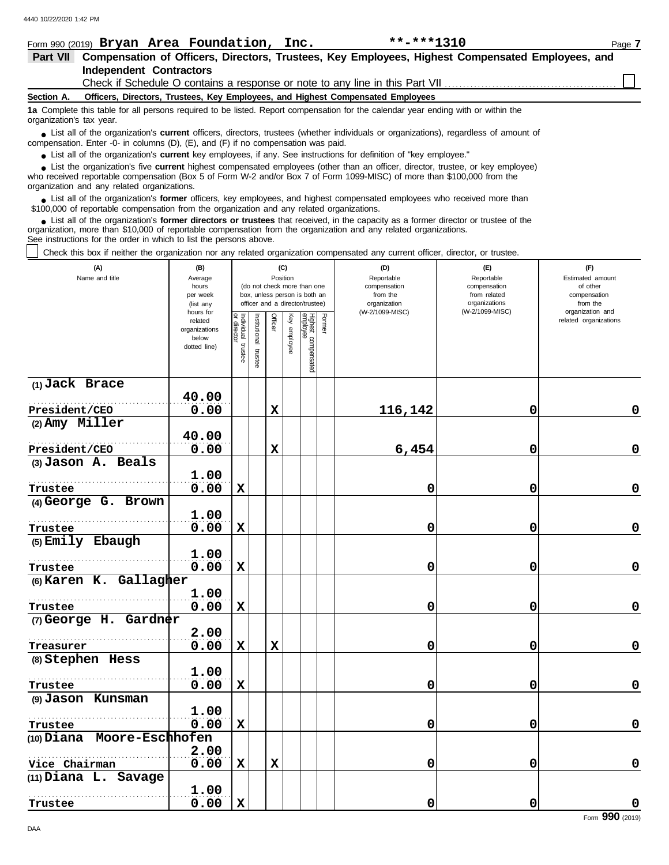|                          | **-***1310<br>Form 990 (2019) Bryan Area Foundation, Inc.                                                                                                                                                                                                                                                  | Page 7 |
|--------------------------|------------------------------------------------------------------------------------------------------------------------------------------------------------------------------------------------------------------------------------------------------------------------------------------------------------|--------|
| <b>Part VII</b>          | Compensation of Officers, Directors, Trustees, Key Employees, Highest Compensated Employees, and                                                                                                                                                                                                           |        |
|                          | <b>Independent Contractors</b>                                                                                                                                                                                                                                                                             |        |
|                          |                                                                                                                                                                                                                                                                                                            |        |
| Section A.               | Officers, Directors, Trustees, Key Employees, and Highest Compensated Employees                                                                                                                                                                                                                            |        |
| organization's tax year. | 1a Complete this table for all persons required to be listed. Report compensation for the calendar year ending with or within the                                                                                                                                                                          |        |
|                          | • List all of the organization's <b>current</b> officers, directors, trustees (whether individuals or organizations), regardless of amount of<br>compensation. Enter -0- in columns $(D)$ , $(E)$ , and $(F)$ if no compensation was paid.                                                                 |        |
|                          | • List all of the organization's current key employees, if any. See instructions for definition of "key employee."                                                                                                                                                                                         |        |
|                          | • List the organization's five current highest compensated employees (other than an officer, director, trustee, or key employee)<br>who received reportable compensation (Box 5 of Form W-2 and/or Box 7 of Form 1099-MISC) of more than \$100,000 from the<br>organization and any related organizations. |        |
|                          | • List all of the organization's former officers, key employees, and highest compensated employees who received more than<br>\$100,000 of reportable compensation from the organization and any related organizations.                                                                                     |        |
|                          | • List all of the organization's former directors or trustees that received, in the capacity as a former director or trustee of the<br>organization, more than \$10,000 of reportable compensation from the organization and any related organizations.                                                    |        |

See instructions for the order in which to list the persons above.

Check this box if neither the organization nor any related organization compensated any current officer, director, or trustee.

| (A)<br>Name and title      | (B)<br>Average<br>hours<br>per week<br>(list any<br>hours for |                                      |                           |             | (C)<br>Position | (do not check more than one<br>box, unless person is both an<br>officer and a director/trustee) |        | (D)<br>Reportable<br>compensation<br>from the<br>organization<br>(W-2/1099-MISC) | (E)<br>Reportable<br>compensation<br>from related<br>organizations<br>(W-2/1099-MISC) | (F)<br>Estimated amount<br>of other<br>compensation<br>from the<br>organization and |
|----------------------------|---------------------------------------------------------------|--------------------------------------|---------------------------|-------------|-----------------|-------------------------------------------------------------------------------------------------|--------|----------------------------------------------------------------------------------|---------------------------------------------------------------------------------------|-------------------------------------------------------------------------------------|
|                            | related<br>organizations<br>below<br>dotted line)             | Individual<br>or director<br>trustee | nstitutional<br>l trustee | Officer     | Key employee    | Highest compensated<br>employee                                                                 | Former |                                                                                  |                                                                                       | related organizations                                                               |
| (1) Jack Brace             | 40.00                                                         |                                      |                           |             |                 |                                                                                                 |        |                                                                                  |                                                                                       |                                                                                     |
| President/CEO              | 0.00                                                          |                                      |                           | $\mathbf x$ |                 |                                                                                                 |        | 116,142                                                                          | 0                                                                                     | 0                                                                                   |
| (2) Amy Miller             |                                                               |                                      |                           |             |                 |                                                                                                 |        |                                                                                  |                                                                                       |                                                                                     |
|                            | 40.00                                                         |                                      |                           |             |                 |                                                                                                 |        |                                                                                  |                                                                                       |                                                                                     |
| President/CEO              | 0.00                                                          |                                      |                           | $\mathbf x$ |                 |                                                                                                 |        | 6,454                                                                            | 0                                                                                     | $\mathbf 0$                                                                         |
| (3) Jason A. Beals         | 1.00                                                          |                                      |                           |             |                 |                                                                                                 |        |                                                                                  |                                                                                       |                                                                                     |
| Trustee                    | 0.00                                                          | X                                    |                           |             |                 |                                                                                                 |        | 0                                                                                | 0                                                                                     | $\mathbf 0$                                                                         |
| (4) George G. Brown        |                                                               |                                      |                           |             |                 |                                                                                                 |        |                                                                                  |                                                                                       |                                                                                     |
|                            | 1.00                                                          |                                      |                           |             |                 |                                                                                                 |        |                                                                                  |                                                                                       |                                                                                     |
| Trustee                    | 0.00                                                          | $\mathbf x$                          |                           |             |                 |                                                                                                 |        | 0                                                                                | 0                                                                                     | $\mathbf 0$                                                                         |
| (5) Emily Ebaugh           | 1.00                                                          |                                      |                           |             |                 |                                                                                                 |        |                                                                                  |                                                                                       |                                                                                     |
| Trustee                    | 0.00                                                          | $\mathbf x$                          |                           |             |                 |                                                                                                 |        | 0                                                                                | 0                                                                                     | 0                                                                                   |
| (6) Karen K. Gallagher     |                                                               |                                      |                           |             |                 |                                                                                                 |        |                                                                                  |                                                                                       |                                                                                     |
|                            | 1.00                                                          |                                      |                           |             |                 |                                                                                                 |        |                                                                                  |                                                                                       |                                                                                     |
| Trustee                    | 0.00                                                          | $\mathbf x$                          |                           |             |                 |                                                                                                 |        | 0                                                                                | 0                                                                                     | $\mathbf 0$                                                                         |
| $(7)$ George H. Gardner    |                                                               |                                      |                           |             |                 |                                                                                                 |        |                                                                                  |                                                                                       |                                                                                     |
|                            | 2.00                                                          |                                      |                           |             |                 |                                                                                                 |        |                                                                                  |                                                                                       |                                                                                     |
| Treasurer                  | 0.00                                                          | $\mathbf x$                          |                           | $\mathbf x$ |                 |                                                                                                 |        | 0                                                                                | 0                                                                                     | 0                                                                                   |
| (8) Stephen Hess           |                                                               |                                      |                           |             |                 |                                                                                                 |        |                                                                                  |                                                                                       |                                                                                     |
|                            | 1.00                                                          |                                      |                           |             |                 |                                                                                                 |        |                                                                                  |                                                                                       |                                                                                     |
| Trustee                    | 0.00                                                          | $\mathbf x$                          |                           |             |                 |                                                                                                 |        | 0                                                                                | 0                                                                                     | 0                                                                                   |
| (9) Jason Kunsman          |                                                               |                                      |                           |             |                 |                                                                                                 |        |                                                                                  |                                                                                       |                                                                                     |
|                            | 1.00                                                          |                                      |                           |             |                 |                                                                                                 |        |                                                                                  |                                                                                       |                                                                                     |
| Trustee                    | 0.00                                                          | $\mathbf x$                          |                           |             |                 |                                                                                                 |        | 0                                                                                | 0                                                                                     | $\mathbf 0$                                                                         |
| (10) Diana Moore-Eschhofen |                                                               |                                      |                           |             |                 |                                                                                                 |        |                                                                                  |                                                                                       |                                                                                     |
|                            | 2.00                                                          |                                      |                           |             |                 |                                                                                                 |        |                                                                                  |                                                                                       |                                                                                     |
| Vice Chairman              | 0.00                                                          | $\mathbf x$                          |                           | $\mathbf x$ |                 |                                                                                                 |        | 0                                                                                | 0                                                                                     | $\mathbf 0$                                                                         |
| $(11)$ Diana L.<br>Savage  | 1.00                                                          |                                      |                           |             |                 |                                                                                                 |        |                                                                                  |                                                                                       |                                                                                     |
| Trustee                    | 0.00                                                          | $\mathbf x$                          |                           |             |                 |                                                                                                 |        | 0                                                                                | 0                                                                                     | 0                                                                                   |
|                            |                                                               |                                      |                           |             |                 |                                                                                                 |        |                                                                                  |                                                                                       |                                                                                     |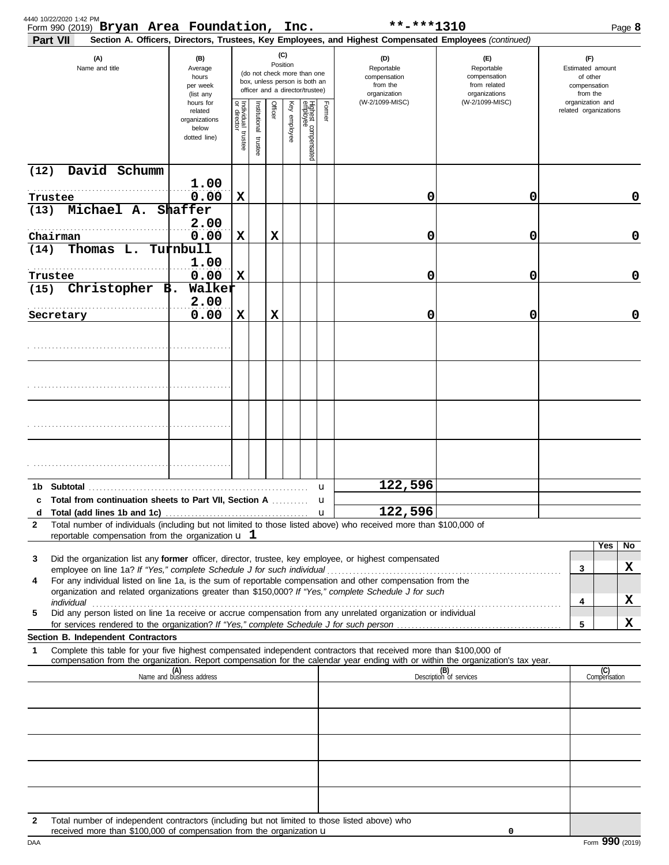| 4440 10/22/2020 1:42 PM<br>Form 990 (2019) Bryan Area Foundation, Inc.<br>Part VII |                                                                                      |                                                                      |                                   |                      |          |              |                                                                                                 |                                                               | **-***1310<br>Section A. Officers, Directors, Trustees, Key Employees, and Highest Compensated Employees (continued)                                                                                                 |                                                                    |                                                                 |                     | Page 8 |
|------------------------------------------------------------------------------------|--------------------------------------------------------------------------------------|----------------------------------------------------------------------|-----------------------------------|----------------------|----------|--------------|-------------------------------------------------------------------------------------------------|---------------------------------------------------------------|----------------------------------------------------------------------------------------------------------------------------------------------------------------------------------------------------------------------|--------------------------------------------------------------------|-----------------------------------------------------------------|---------------------|--------|
| (A)<br>Name and title                                                              |                                                                                      | (B)<br>Average<br>hours<br>per week<br>(list any                     |                                   |                      | Position | (C)          | (do not check more than one<br>box, unless person is both an<br>officer and a director/trustee) | (D)<br>Reportable<br>compensation<br>from the<br>organization |                                                                                                                                                                                                                      | (F)<br>Reportable<br>compensation<br>from related<br>organizations | (F)<br>Estimated amount<br>of other<br>compensation<br>from the |                     |        |
|                                                                                    |                                                                                      | hours for<br>related<br>organizations<br>below<br>dotted line)       | Individual trustee<br>or director | nstitutional trustee | Officer  | Key employee | Highest compensated<br>employee                                                                 | Former                                                        | (W-2/1099-MISC)                                                                                                                                                                                                      | (W-2/1099-MISC)                                                    | organization and<br>related organizations                       |                     |        |
| (12)                                                                               | David Schumm                                                                         |                                                                      |                                   |                      |          |              |                                                                                                 |                                                               |                                                                                                                                                                                                                      |                                                                    |                                                                 |                     |        |
| Trustee                                                                            | .                                                                                    | 1.00<br>0.00                                                         | $\mathbf x$                       |                      |          |              |                                                                                                 |                                                               | 0                                                                                                                                                                                                                    | 0                                                                  |                                                                 |                     | 0      |
| (13)                                                                               | Michael A.                                                                           | Shaffer<br>2.00                                                      |                                   |                      |          |              |                                                                                                 |                                                               |                                                                                                                                                                                                                      |                                                                    |                                                                 |                     |        |
| Chairman                                                                           |                                                                                      | 0.00                                                                 | $\mathbf x$                       |                      | X        |              |                                                                                                 |                                                               | 0                                                                                                                                                                                                                    | 0                                                                  |                                                                 |                     | 0      |
| (14)                                                                               | Thomas L.                                                                            | Turnbull<br>1.00                                                     |                                   |                      |          |              |                                                                                                 |                                                               |                                                                                                                                                                                                                      |                                                                    |                                                                 |                     |        |
| Trustee                                                                            | .                                                                                    | 0.00                                                                 | $\mathbf x$                       |                      |          |              |                                                                                                 |                                                               | 0                                                                                                                                                                                                                    | 0                                                                  |                                                                 |                     | 0      |
| (15)                                                                               | Christopher $B$ .                                                                    | Walker<br>2.00                                                       |                                   |                      |          |              |                                                                                                 |                                                               |                                                                                                                                                                                                                      |                                                                    |                                                                 |                     |        |
| Secretary                                                                          |                                                                                      | 0.00                                                                 | $\mathbf x$                       |                      | X        |              |                                                                                                 |                                                               | 0                                                                                                                                                                                                                    | 0                                                                  |                                                                 |                     | 0      |
|                                                                                    |                                                                                      |                                                                      |                                   |                      |          |              |                                                                                                 |                                                               |                                                                                                                                                                                                                      |                                                                    |                                                                 |                     |        |
|                                                                                    |                                                                                      |                                                                      |                                   |                      |          |              |                                                                                                 |                                                               |                                                                                                                                                                                                                      |                                                                    |                                                                 |                     |        |
|                                                                                    |                                                                                      |                                                                      |                                   |                      |          |              |                                                                                                 |                                                               |                                                                                                                                                                                                                      |                                                                    |                                                                 |                     |        |
|                                                                                    |                                                                                      |                                                                      |                                   |                      |          |              |                                                                                                 |                                                               |                                                                                                                                                                                                                      |                                                                    |                                                                 |                     |        |
|                                                                                    |                                                                                      |                                                                      |                                   |                      |          |              |                                                                                                 |                                                               |                                                                                                                                                                                                                      |                                                                    |                                                                 |                     |        |
|                                                                                    |                                                                                      |                                                                      |                                   |                      |          |              |                                                                                                 |                                                               |                                                                                                                                                                                                                      |                                                                    |                                                                 |                     |        |
|                                                                                    |                                                                                      |                                                                      |                                   |                      |          |              |                                                                                                 | u                                                             | 122,596                                                                                                                                                                                                              |                                                                    |                                                                 |                     |        |
| d                                                                                  | Total from continuation sheets to Part VII, Section A<br>Total (add lines 1b and 1c) |                                                                      |                                   |                      |          |              |                                                                                                 |                                                               | 122,596                                                                                                                                                                                                              |                                                                    |                                                                 |                     |        |
| $\mathbf{2}$                                                                       |                                                                                      |                                                                      |                                   |                      |          |              |                                                                                                 |                                                               | Total number of individuals (including but not limited to those listed above) who received more than \$100,000 of                                                                                                    |                                                                    |                                                                 |                     |        |
|                                                                                    | reportable compensation from the organization $\mathbf u$ 1                          |                                                                      |                                   |                      |          |              |                                                                                                 |                                                               |                                                                                                                                                                                                                      |                                                                    |                                                                 | Yes                 | No     |
| 3                                                                                  |                                                                                      |                                                                      |                                   |                      |          |              |                                                                                                 |                                                               | Did the organization list any former officer, director, trustee, key employee, or highest compensated                                                                                                                |                                                                    | $\mathbf{3}$                                                    |                     | X      |
| 4                                                                                  |                                                                                      |                                                                      |                                   |                      |          |              |                                                                                                 |                                                               | For any individual listed on line 1a, is the sum of reportable compensation and other compensation from the<br>organization and related organizations greater than \$150,000? If "Yes," complete Schedule J for such |                                                                    |                                                                 |                     |        |
| 5                                                                                  |                                                                                      |                                                                      |                                   |                      |          |              |                                                                                                 |                                                               | Did any person listed on line 1a receive or accrue compensation from any unrelated organization or individual                                                                                                        |                                                                    | 4                                                               |                     | x      |
|                                                                                    |                                                                                      |                                                                      |                                   |                      |          |              |                                                                                                 |                                                               | for services rendered to the organization? If "Yes," complete Schedule J for such person                                                                                                                             |                                                                    | 5                                                               |                     | x      |
| Section B. Independent Contractors<br>1                                            |                                                                                      |                                                                      |                                   |                      |          |              |                                                                                                 |                                                               | Complete this table for your five highest compensated independent contractors that received more than \$100,000 of                                                                                                   |                                                                    |                                                                 |                     |        |
|                                                                                    |                                                                                      | (A)<br>Name and business address                                     |                                   |                      |          |              |                                                                                                 |                                                               | compensation from the organization. Report compensation for the calendar year ending with or within the organization's tax year.                                                                                     | (B)<br>Description of services                                     |                                                                 | (C)<br>Compensation |        |
|                                                                                    |                                                                                      |                                                                      |                                   |                      |          |              |                                                                                                 |                                                               |                                                                                                                                                                                                                      |                                                                    |                                                                 |                     |        |
|                                                                                    |                                                                                      |                                                                      |                                   |                      |          |              |                                                                                                 |                                                               |                                                                                                                                                                                                                      |                                                                    |                                                                 |                     |        |
|                                                                                    |                                                                                      |                                                                      |                                   |                      |          |              |                                                                                                 |                                                               |                                                                                                                                                                                                                      |                                                                    |                                                                 |                     |        |
|                                                                                    |                                                                                      |                                                                      |                                   |                      |          |              |                                                                                                 |                                                               |                                                                                                                                                                                                                      |                                                                    |                                                                 |                     |        |
|                                                                                    |                                                                                      |                                                                      |                                   |                      |          |              |                                                                                                 |                                                               |                                                                                                                                                                                                                      |                                                                    |                                                                 |                     |        |
|                                                                                    |                                                                                      |                                                                      |                                   |                      |          |              |                                                                                                 |                                                               |                                                                                                                                                                                                                      |                                                                    |                                                                 |                     |        |
| 2                                                                                  |                                                                                      | received more than \$100,000 of compensation from the organization u |                                   |                      |          |              |                                                                                                 |                                                               | Total number of independent contractors (including but not limited to those listed above) who                                                                                                                        | 0                                                                  |                                                                 |                     |        |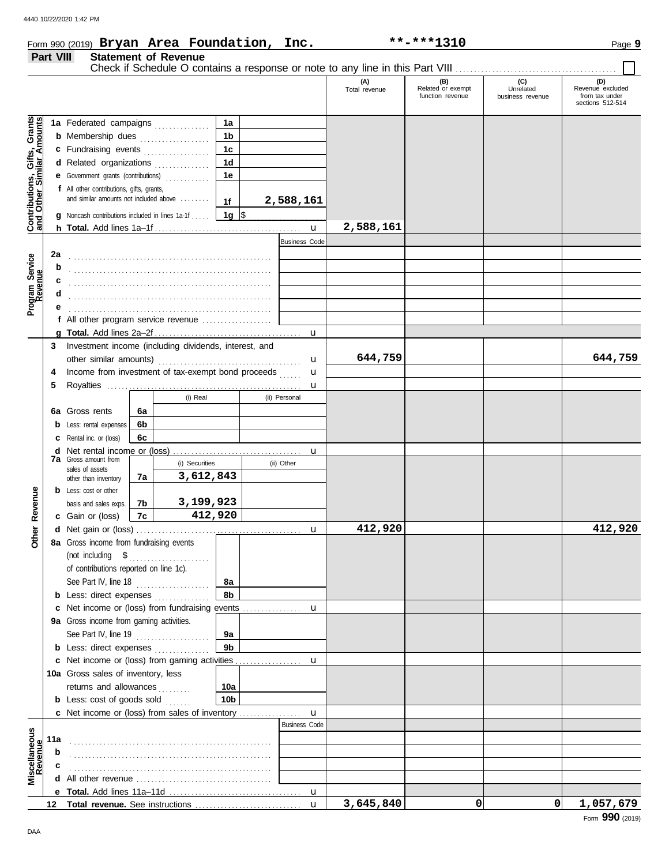## Form 990 (2019) Page **9 Bryan Area Foundation, Inc. \*\*-\*\*\*1310 Part VIII Statement of Revenue**

 $\overline{\phantom{0}}$ 

|                                                                  |     |                                                                                                                                                                                                                                                                                                                                                                                                                                                          |    |                |                 |               |                      | (A)<br>Total revenue | (B)<br>Related or exempt<br>function revenue | (C)<br>Unrelated<br>business revenue | (D)<br>Revenue excluded<br>from tax under<br>sections 512-514 |
|------------------------------------------------------------------|-----|----------------------------------------------------------------------------------------------------------------------------------------------------------------------------------------------------------------------------------------------------------------------------------------------------------------------------------------------------------------------------------------------------------------------------------------------------------|----|----------------|-----------------|---------------|----------------------|----------------------|----------------------------------------------|--------------------------------------|---------------------------------------------------------------|
|                                                                  |     | 1a Federated campaigns                                                                                                                                                                                                                                                                                                                                                                                                                                   |    |                | 1a              |               |                      |                      |                                              |                                      |                                                               |
| <b>Contributions, Gifts, Grants</b><br>and Other Similar Amounts |     | <b>b</b> Membership dues <i></i>                                                                                                                                                                                                                                                                                                                                                                                                                         |    |                | 1b              |               |                      |                      |                                              |                                      |                                                               |
|                                                                  |     | c Fundraising events                                                                                                                                                                                                                                                                                                                                                                                                                                     |    |                | 1 <sub>c</sub>  |               |                      |                      |                                              |                                      |                                                               |
|                                                                  |     | d Related organizations                                                                                                                                                                                                                                                                                                                                                                                                                                  |    |                | 1 <sub>d</sub>  |               |                      |                      |                                              |                                      |                                                               |
|                                                                  |     | e Government grants (contributions)                                                                                                                                                                                                                                                                                                                                                                                                                      |    |                | 1e              |               |                      |                      |                                              |                                      |                                                               |
|                                                                  |     | f All other contributions, gifts, grants,                                                                                                                                                                                                                                                                                                                                                                                                                |    |                |                 |               |                      |                      |                                              |                                      |                                                               |
|                                                                  |     | and similar amounts not included above                                                                                                                                                                                                                                                                                                                                                                                                                   |    |                | 1f              | 2,588,161     |                      |                      |                                              |                                      |                                                               |
|                                                                  |     | Noncash contributions included in lines 1a-1f                                                                                                                                                                                                                                                                                                                                                                                                            |    |                | 1g ∣\$          |               |                      |                      |                                              |                                      |                                                               |
|                                                                  |     |                                                                                                                                                                                                                                                                                                                                                                                                                                                          |    |                |                 |               |                      | 2,588,161            |                                              |                                      |                                                               |
|                                                                  |     |                                                                                                                                                                                                                                                                                                                                                                                                                                                          |    |                |                 |               | <b>Business Code</b> |                      |                                              |                                      |                                                               |
|                                                                  | 2a  |                                                                                                                                                                                                                                                                                                                                                                                                                                                          |    |                |                 |               |                      |                      |                                              |                                      |                                                               |
|                                                                  |     |                                                                                                                                                                                                                                                                                                                                                                                                                                                          |    |                |                 |               |                      |                      |                                              |                                      |                                                               |
|                                                                  | c   |                                                                                                                                                                                                                                                                                                                                                                                                                                                          |    |                |                 |               |                      |                      |                                              |                                      |                                                               |
| Program Service<br>Revenue                                       | d   |                                                                                                                                                                                                                                                                                                                                                                                                                                                          |    |                |                 |               |                      |                      |                                              |                                      |                                                               |
|                                                                  |     |                                                                                                                                                                                                                                                                                                                                                                                                                                                          |    |                |                 |               |                      |                      |                                              |                                      |                                                               |
|                                                                  |     | f All other program service revenue                                                                                                                                                                                                                                                                                                                                                                                                                      |    |                |                 |               |                      |                      |                                              |                                      |                                                               |
|                                                                  |     |                                                                                                                                                                                                                                                                                                                                                                                                                                                          |    |                |                 |               |                      |                      |                                              |                                      |                                                               |
|                                                                  | 3   | Investment income (including dividends, interest, and                                                                                                                                                                                                                                                                                                                                                                                                    |    |                |                 |               |                      |                      |                                              |                                      |                                                               |
|                                                                  |     | other similar amounts)                                                                                                                                                                                                                                                                                                                                                                                                                                   |    |                |                 |               | u                    | 644,759              |                                              |                                      | 644,759                                                       |
|                                                                  | 4   | Income from investment of tax-exempt bond proceeds                                                                                                                                                                                                                                                                                                                                                                                                       |    |                |                 |               | u                    |                      |                                              |                                      |                                                               |
|                                                                  | 5   |                                                                                                                                                                                                                                                                                                                                                                                                                                                          |    |                |                 |               | u                    |                      |                                              |                                      |                                                               |
|                                                                  |     |                                                                                                                                                                                                                                                                                                                                                                                                                                                          |    | (i) Real       |                 | (ii) Personal |                      |                      |                                              |                                      |                                                               |
|                                                                  | 6а  | Gross rents                                                                                                                                                                                                                                                                                                                                                                                                                                              | 6a |                |                 |               |                      |                      |                                              |                                      |                                                               |
|                                                                  |     | Less: rental expenses                                                                                                                                                                                                                                                                                                                                                                                                                                    | 6b |                |                 |               |                      |                      |                                              |                                      |                                                               |
|                                                                  |     | Rental inc. or (loss)                                                                                                                                                                                                                                                                                                                                                                                                                                    | 6с |                |                 |               |                      |                      |                                              |                                      |                                                               |
|                                                                  |     |                                                                                                                                                                                                                                                                                                                                                                                                                                                          |    |                |                 |               | u                    |                      |                                              |                                      |                                                               |
|                                                                  |     | <b>7a</b> Gross amount from<br>sales of assets                                                                                                                                                                                                                                                                                                                                                                                                           |    | (i) Securities |                 | (ii) Other    |                      |                      |                                              |                                      |                                                               |
|                                                                  |     | other than inventory                                                                                                                                                                                                                                                                                                                                                                                                                                     | 7a | 3,612,843      |                 |               |                      |                      |                                              |                                      |                                                               |
|                                                                  |     | <b>b</b> Less: cost or other                                                                                                                                                                                                                                                                                                                                                                                                                             |    |                |                 |               |                      |                      |                                              |                                      |                                                               |
| Revenue                                                          |     | basis and sales exps.                                                                                                                                                                                                                                                                                                                                                                                                                                    | 7b | 3,199,923      |                 |               |                      |                      |                                              |                                      |                                                               |
|                                                                  |     | c Gain or (loss)                                                                                                                                                                                                                                                                                                                                                                                                                                         | 7c | 412,920        |                 |               |                      |                      |                                              |                                      |                                                               |
| Other                                                            |     |                                                                                                                                                                                                                                                                                                                                                                                                                                                          |    |                |                 |               | u                    | 412,920              |                                              |                                      | 412,920                                                       |
|                                                                  |     | 8a Gross income from fundraising events                                                                                                                                                                                                                                                                                                                                                                                                                  |    |                |                 |               |                      |                      |                                              |                                      |                                                               |
|                                                                  |     | $\begin{minipage}[c]{0.9\linewidth} (not including \quad $${\$}\quad \  \  \, \texttt{3}\quad \  \  \, \texttt{4}\quad \  \  \, \texttt{5}\quad \  \  \, \texttt{5}\quad \  \  \, \texttt{6}\quad \  \  \, \texttt{7}\quad \  \  \, \texttt{8}\quad \  \  \, \texttt{8}\quad \  \  \, \texttt{8}\quad \  \  \, \texttt{9}\quad \  \  \, \texttt{9}\quad \  \  \, \texttt{1}\quad \  \  \, \texttt{1}\quad \  \  \, \texttt{1}\quad \  \  \, \texttt{1}\$ |    |                |                 |               |                      |                      |                                              |                                      |                                                               |
|                                                                  |     | of contributions reported on line 1c).                                                                                                                                                                                                                                                                                                                                                                                                                   |    |                |                 |               |                      |                      |                                              |                                      |                                                               |
|                                                                  |     | See Part IV, line 18                                                                                                                                                                                                                                                                                                                                                                                                                                     |    | .              | 8а              |               |                      |                      |                                              |                                      |                                                               |
|                                                                  |     | <b>b</b> Less: direct expenses                                                                                                                                                                                                                                                                                                                                                                                                                           |    |                | 8b              |               |                      |                      |                                              |                                      |                                                               |
|                                                                  |     |                                                                                                                                                                                                                                                                                                                                                                                                                                                          |    |                |                 |               |                      |                      |                                              |                                      |                                                               |
|                                                                  |     | 9a Gross income from gaming activities.                                                                                                                                                                                                                                                                                                                                                                                                                  |    |                |                 |               |                      |                      |                                              |                                      |                                                               |
|                                                                  |     | See Part IV, line 19                                                                                                                                                                                                                                                                                                                                                                                                                                     |    |                | 9а              |               |                      |                      |                                              |                                      |                                                               |
|                                                                  |     | <b>b</b> Less: direct expenses <i>minimum</i>                                                                                                                                                                                                                                                                                                                                                                                                            |    |                | 9 <sub>b</sub>  |               |                      |                      |                                              |                                      |                                                               |
|                                                                  |     |                                                                                                                                                                                                                                                                                                                                                                                                                                                          |    |                |                 |               |                      |                      |                                              |                                      |                                                               |
|                                                                  |     | 10a Gross sales of inventory, less                                                                                                                                                                                                                                                                                                                                                                                                                       |    |                |                 |               |                      |                      |                                              |                                      |                                                               |
|                                                                  |     | returns and allowances                                                                                                                                                                                                                                                                                                                                                                                                                                   |    | .              | 10a             |               |                      |                      |                                              |                                      |                                                               |
|                                                                  |     | <b>b</b> Less: cost of goods sold $\ldots$                                                                                                                                                                                                                                                                                                                                                                                                               |    |                | 10 <sub>b</sub> |               | $\mathbf{u}$         |                      |                                              |                                      |                                                               |
|                                                                  |     |                                                                                                                                                                                                                                                                                                                                                                                                                                                          |    |                |                 |               | <b>Business Code</b> |                      |                                              |                                      |                                                               |
|                                                                  | 11a |                                                                                                                                                                                                                                                                                                                                                                                                                                                          |    |                |                 |               |                      |                      |                                              |                                      |                                                               |
|                                                                  | b   |                                                                                                                                                                                                                                                                                                                                                                                                                                                          |    |                |                 |               |                      |                      |                                              |                                      |                                                               |
| Miscellaneous<br>Revenue                                         |     |                                                                                                                                                                                                                                                                                                                                                                                                                                                          |    |                |                 |               |                      |                      |                                              |                                      |                                                               |
|                                                                  | d   |                                                                                                                                                                                                                                                                                                                                                                                                                                                          |    |                |                 |               |                      |                      |                                              |                                      |                                                               |
|                                                                  |     |                                                                                                                                                                                                                                                                                                                                                                                                                                                          |    |                |                 |               |                      |                      |                                              |                                      |                                                               |
|                                                                  | 12  |                                                                                                                                                                                                                                                                                                                                                                                                                                                          |    |                |                 |               | $\mathbf{u}$         | 3,645,840            | $\Omega$                                     | 0                                    | 1,057,679                                                     |

DAA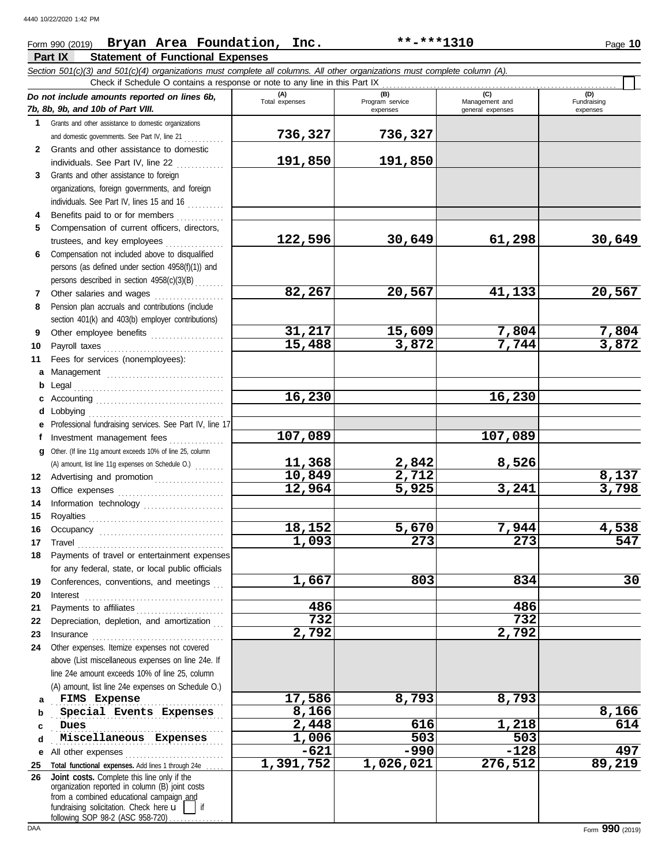## Form 990 (2019) Page **10 Bryan Area Foundation, Inc. \*\*-\*\*\*1310**

## **Part IX Statement of Functional Expenses**

*Section 501(c)(3) and 501(c)(4) organizations must complete all columns. All other organizations must complete column (A).*

|              | Check if Schedule O contains a response or note to any line in this Part IX                                                                                                                                                                                                                                                                                                                                                                                |                       |                                    |                                           |                                |
|--------------|------------------------------------------------------------------------------------------------------------------------------------------------------------------------------------------------------------------------------------------------------------------------------------------------------------------------------------------------------------------------------------------------------------------------------------------------------------|-----------------------|------------------------------------|-------------------------------------------|--------------------------------|
|              | Do not include amounts reported on lines 6b,<br>7b, 8b, 9b, and 10b of Part VIII.                                                                                                                                                                                                                                                                                                                                                                          | (A)<br>Total expenses | (B)<br>Program service<br>expenses | (C)<br>Management and<br>general expenses | (D)<br>Fundraising<br>expenses |
| 1.           | Grants and other assistance to domestic organizations                                                                                                                                                                                                                                                                                                                                                                                                      |                       |                                    |                                           |                                |
|              | and domestic governments. See Part IV, line 21                                                                                                                                                                                                                                                                                                                                                                                                             | 736,327               | 736,327                            |                                           |                                |
| $\mathbf{2}$ | Grants and other assistance to domestic                                                                                                                                                                                                                                                                                                                                                                                                                    |                       |                                    |                                           |                                |
|              | individuals. See Part IV, line 22                                                                                                                                                                                                                                                                                                                                                                                                                          | 191,850               | 191,850                            |                                           |                                |
| 3            | Grants and other assistance to foreign                                                                                                                                                                                                                                                                                                                                                                                                                     |                       |                                    |                                           |                                |
|              | organizations, foreign governments, and foreign                                                                                                                                                                                                                                                                                                                                                                                                            |                       |                                    |                                           |                                |
|              | individuals. See Part IV, lines 15 and 16                                                                                                                                                                                                                                                                                                                                                                                                                  |                       |                                    |                                           |                                |
| 4            | Benefits paid to or for members                                                                                                                                                                                                                                                                                                                                                                                                                            |                       |                                    |                                           |                                |
| 5            | Compensation of current officers, directors,                                                                                                                                                                                                                                                                                                                                                                                                               |                       |                                    |                                           |                                |
|              | trustees, and key employees                                                                                                                                                                                                                                                                                                                                                                                                                                | 122,596               | 30,649                             | 61,298                                    | 30,649                         |
| 6            | Compensation not included above to disqualified                                                                                                                                                                                                                                                                                                                                                                                                            |                       |                                    |                                           |                                |
|              | persons (as defined under section 4958(f)(1)) and                                                                                                                                                                                                                                                                                                                                                                                                          |                       |                                    |                                           |                                |
|              | persons described in section 4958(c)(3)(B)                                                                                                                                                                                                                                                                                                                                                                                                                 |                       |                                    |                                           |                                |
| 7            | Other salaries and wages                                                                                                                                                                                                                                                                                                                                                                                                                                   | 82,267                | 20,567                             | 41,133                                    | 20,567                         |
| 8            | Pension plan accruals and contributions (include                                                                                                                                                                                                                                                                                                                                                                                                           |                       |                                    |                                           |                                |
|              |                                                                                                                                                                                                                                                                                                                                                                                                                                                            |                       |                                    |                                           |                                |
|              | section 401(k) and 403(b) employer contributions)                                                                                                                                                                                                                                                                                                                                                                                                          | 31,217                | 15,609                             | 7,804                                     | 7,804                          |
| 9            | Other employee benefits                                                                                                                                                                                                                                                                                                                                                                                                                                    | 15,488                | 3,872                              | 7,744                                     | 3,872                          |
| 10           | Payroll taxes                                                                                                                                                                                                                                                                                                                                                                                                                                              |                       |                                    |                                           |                                |
| 11           | Fees for services (nonemployees):                                                                                                                                                                                                                                                                                                                                                                                                                          |                       |                                    |                                           |                                |
| а            | Management                                                                                                                                                                                                                                                                                                                                                                                                                                                 |                       |                                    |                                           |                                |
| b            | Legal                                                                                                                                                                                                                                                                                                                                                                                                                                                      |                       |                                    |                                           |                                |
| c            |                                                                                                                                                                                                                                                                                                                                                                                                                                                            | 16,230                |                                    | 16,230                                    |                                |
| d            | Lobbying                                                                                                                                                                                                                                                                                                                                                                                                                                                   |                       |                                    |                                           |                                |
| е            | Professional fundraising services. See Part IV, line 17                                                                                                                                                                                                                                                                                                                                                                                                    |                       |                                    |                                           |                                |
| f            | Investment management fees                                                                                                                                                                                                                                                                                                                                                                                                                                 | 107,089               |                                    | 107,089                                   |                                |
| a            | Other. (If line 11g amount exceeds 10% of line 25, column                                                                                                                                                                                                                                                                                                                                                                                                  |                       |                                    |                                           |                                |
|              | (A) amount, list line 11g expenses on Schedule O.)                                                                                                                                                                                                                                                                                                                                                                                                         | 11,368                | 2,842                              | 8,526                                     |                                |
| 12           | Advertising and promotion                                                                                                                                                                                                                                                                                                                                                                                                                                  | 10,849                | $\overline{2,712}$                 |                                           | 8,137                          |
| 13           |                                                                                                                                                                                                                                                                                                                                                                                                                                                            | 12,964                | $\overline{5}$ , 925               | 3,241                                     | 3,798                          |
| 14           | Information technology                                                                                                                                                                                                                                                                                                                                                                                                                                     |                       |                                    |                                           |                                |
| 15           |                                                                                                                                                                                                                                                                                                                                                                                                                                                            |                       |                                    |                                           |                                |
| 16           |                                                                                                                                                                                                                                                                                                                                                                                                                                                            | 18,152                | 5,670                              | 7,944                                     | $\frac{4,538}{547}$            |
| 17           | Travel                                                                                                                                                                                                                                                                                                                                                                                                                                                     | 1,093                 | 273                                | 273                                       |                                |
| 18           | Payments of travel or entertainment expenses                                                                                                                                                                                                                                                                                                                                                                                                               |                       |                                    |                                           |                                |
|              | for any federal, state, or local public officials                                                                                                                                                                                                                                                                                                                                                                                                          |                       |                                    |                                           |                                |
| 19           | Conferences, conventions, and meetings                                                                                                                                                                                                                                                                                                                                                                                                                     | 1,667                 | 803                                | 834                                       | 30                             |
| 20           | Interest                                                                                                                                                                                                                                                                                                                                                                                                                                                   |                       |                                    |                                           |                                |
| 21           | Payments to affiliates                                                                                                                                                                                                                                                                                                                                                                                                                                     | 486                   |                                    | 486                                       |                                |
| 22           | Depreciation, depletion, and amortization                                                                                                                                                                                                                                                                                                                                                                                                                  | 732                   |                                    | 732                                       |                                |
| 23           | $In surface \begin{tabular}{l} \hline \textbf{m} & \textbf{m} & \textbf{m} \\ \hline \textbf{m} & \textbf{m} & \textbf{m} \\ \hline \textbf{m} & \textbf{m} & \textbf{m} \\ \hline \textbf{m} & \textbf{m} & \textbf{m} \\ \hline \textbf{m} & \textbf{m} & \textbf{m} \\ \hline \textbf{m} & \textbf{m} & \textbf{m} \\ \hline \textbf{m} & \textbf{m} & \textbf{m} \\ \hline \textbf{m} & \textbf{m} & \textbf{m} \\ \hline \textbf{m} & \textbf{m} & \$ | 2,792                 |                                    | 2,792                                     |                                |
| 24           | Other expenses. Itemize expenses not covered                                                                                                                                                                                                                                                                                                                                                                                                               |                       |                                    |                                           |                                |
|              | above (List miscellaneous expenses on line 24e. If                                                                                                                                                                                                                                                                                                                                                                                                         |                       |                                    |                                           |                                |
|              | line 24e amount exceeds 10% of line 25, column                                                                                                                                                                                                                                                                                                                                                                                                             |                       |                                    |                                           |                                |
|              | (A) amount, list line 24e expenses on Schedule O.)                                                                                                                                                                                                                                                                                                                                                                                                         |                       |                                    |                                           |                                |
| a            | FIMS Expense                                                                                                                                                                                                                                                                                                                                                                                                                                               | 17,586                | 8,793                              | 8,793                                     |                                |
| b            | Special Events Expenses                                                                                                                                                                                                                                                                                                                                                                                                                                    | 8,166                 |                                    |                                           | 8,166                          |
| c            | Dues                                                                                                                                                                                                                                                                                                                                                                                                                                                       | 2,448                 | 616                                | 1,218                                     | 614                            |
| d            | Miscellaneous Expenses                                                                                                                                                                                                                                                                                                                                                                                                                                     | 1,006                 | 503                                | 503                                       |                                |
| е            | All other expenses                                                                                                                                                                                                                                                                                                                                                                                                                                         | $-621$                | $-990$                             | $-128$                                    | 497                            |
| 25           | Total functional expenses. Add lines 1 through 24e                                                                                                                                                                                                                                                                                                                                                                                                         | 1,391,752             | $\overline{1,026,021}$             | 276,512                                   | 89,219                         |
| 26           | Joint costs. Complete this line only if the                                                                                                                                                                                                                                                                                                                                                                                                                |                       |                                    |                                           |                                |
|              | organization reported in column (B) joint costs<br>from a combined educational campaign and                                                                                                                                                                                                                                                                                                                                                                |                       |                                    |                                           |                                |
|              | fundraising solicitation. Check here $\mathbf{u}$<br>l if                                                                                                                                                                                                                                                                                                                                                                                                  |                       |                                    |                                           |                                |
|              | following SOP 98-2 (ASC 958-720)                                                                                                                                                                                                                                                                                                                                                                                                                           |                       |                                    |                                           |                                |
| DAA          |                                                                                                                                                                                                                                                                                                                                                                                                                                                            |                       |                                    |                                           | Form 990 (2019)                |

┱ ┮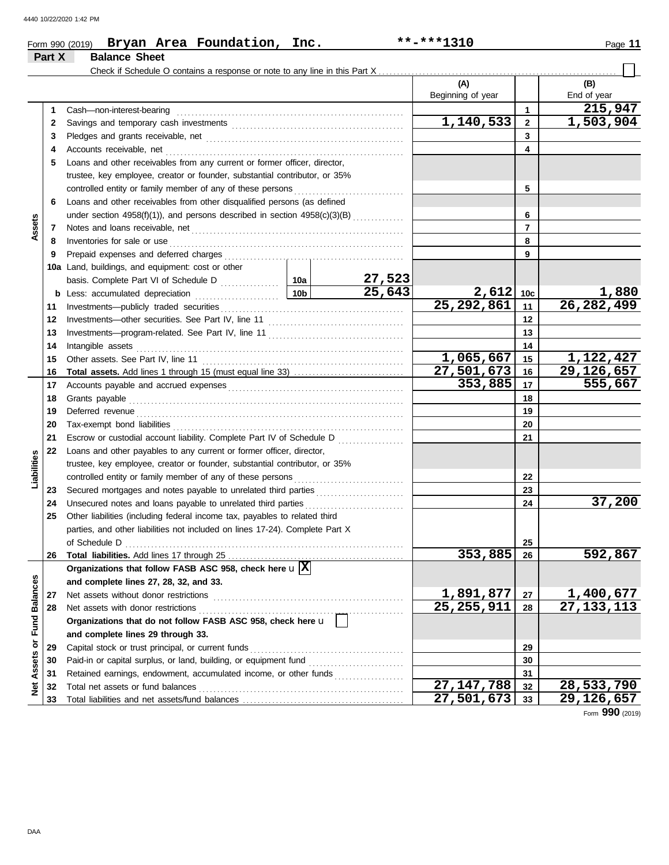| Form 990 (2019) |                      | Bryan Area Foundation,                                                     | Inc. | **-***1310        | Page 11     |
|-----------------|----------------------|----------------------------------------------------------------------------|------|-------------------|-------------|
| Part X          | <b>Balance Sheet</b> |                                                                            |      |                   |             |
|                 |                      | Check if Schedule O contains a response or note to any line in this Part X |      |                   |             |
|                 |                      |                                                                            |      | (A)               | (B)         |
|                 |                      |                                                                            |      | Beginning of year | End of year |
|                 |                      |                                                                            |      |                   |             |

| $\overline{\mathbf{2}}$<br>2<br>3<br>3<br>4<br>Accounts receivable, net<br>4<br>Loans and other receivables from any current or former officer, director,<br>5<br>trustee, key employee, creator or founder, substantial contributor, or 35%<br>5<br>controlled entity or family member of any of these persons<br>Loans and other receivables from other disqualified persons (as defined<br>6<br>under section $4958(f)(1)$ ), and persons described in section $4958(c)(3)(B)$<br>6<br>Assets<br>$\overline{7}$<br>7<br>8<br>Inventories for sale or use<br>8<br>9<br>9<br>10a Land, buildings, and equipment: cost or other<br><u>27,523</u><br>25,643<br>2,612<br>1,880<br>10 <sub>b</sub><br>10 <sub>c</sub><br><b>b</b> Less: accumulated depreciation<br>26, 282, 499<br>25, 292, 861<br>11<br>11<br>12<br>Investments-other securities. See Part IV, line 11<br>12<br>13<br>13<br>14<br>Intangible assets<br>14<br>1,065,667<br>1,122,427<br>15<br>Other assets. See Part IV, line 11<br>15<br>$\overline{29,126,657}$<br>27,501,673<br>16<br>16<br>353,885<br>555,667<br>17<br>17<br>18<br>18<br>19<br>Deferred revenue<br>19<br>20<br>20<br>Tax-exempt bond liabilities<br>21<br>21<br>Escrow or custodial account liability. Complete Part IV of Schedule D<br>22<br>Loans and other payables to any current or former officer, director,<br>Liabilities<br>trustee, key employee, creator or founder, substantial contributor, or 35%<br>controlled entity or family member of any of these persons<br>22<br>23<br>Secured mortgages and notes payable to unrelated third parties [111] Secured mortgages and notes payable to unrelated third parties<br>23<br>37,200<br>24<br>Unsecured notes and loans payable to unrelated third parties<br>24<br>Other liabilities (including federal income tax, payables to related third<br>25<br>parties, and other liabilities not included on lines 17-24). Complete Part X<br>of Schedule D<br>25<br>353,885<br>592,867<br>26<br>26<br>Organizations that follow FASB ASC 958, check here $\mathbf{u} \mathbf{X} $<br>lances<br>and complete lines 27, 28, 32, and 33.<br><u>1,891,877</u><br>1,400,677<br>27 Net assets without donor restrictions<br>${\bf 27}$<br>Assets or Fund Bal<br>25, 255, 911<br>27, 133, 113<br>28<br>28<br>Net assets with donor restrictions<br>Organizations that do not follow FASB ASC 958, check here u<br>and complete lines 29 through 33.<br>Capital stock or trust principal, or current funds<br>29<br>29<br>Paid-in or capital surplus, or land, building, or equipment fund<br>30<br>30<br>Retained earnings, endowment, accumulated income, or other funds<br>31<br>31<br>$\overline{27,}147,788$<br>ğ<br>28,533,790<br>32<br>Total net assets or fund balances<br>32<br>27,501,673<br>29, 126, 657<br>33<br>33 | 1 | Cash-non-interest-bearing |  |           | 1 | 215,947         |
|-------------------------------------------------------------------------------------------------------------------------------------------------------------------------------------------------------------------------------------------------------------------------------------------------------------------------------------------------------------------------------------------------------------------------------------------------------------------------------------------------------------------------------------------------------------------------------------------------------------------------------------------------------------------------------------------------------------------------------------------------------------------------------------------------------------------------------------------------------------------------------------------------------------------------------------------------------------------------------------------------------------------------------------------------------------------------------------------------------------------------------------------------------------------------------------------------------------------------------------------------------------------------------------------------------------------------------------------------------------------------------------------------------------------------------------------------------------------------------------------------------------------------------------------------------------------------------------------------------------------------------------------------------------------------------------------------------------------------------------------------------------------------------------------------------------------------------------------------------------------------------------------------------------------------------------------------------------------------------------------------------------------------------------------------------------------------------------------------------------------------------------------------------------------------------------------------------------------------------------------------------------------------------------------------------------------------------------------------------------------------------------------------------------------------------------------------------------------------------------------------------------------------------------------------------------------------------------------------------------------------------------------------------------------------------------------------------------------------------------------------------------------------------------------------------------------|---|---------------------------|--|-----------|---|-----------------|
|                                                                                                                                                                                                                                                                                                                                                                                                                                                                                                                                                                                                                                                                                                                                                                                                                                                                                                                                                                                                                                                                                                                                                                                                                                                                                                                                                                                                                                                                                                                                                                                                                                                                                                                                                                                                                                                                                                                                                                                                                                                                                                                                                                                                                                                                                                                                                                                                                                                                                                                                                                                                                                                                                                                                                                                                                   |   |                           |  | 1,140,533 |   | 1,503,904       |
|                                                                                                                                                                                                                                                                                                                                                                                                                                                                                                                                                                                                                                                                                                                                                                                                                                                                                                                                                                                                                                                                                                                                                                                                                                                                                                                                                                                                                                                                                                                                                                                                                                                                                                                                                                                                                                                                                                                                                                                                                                                                                                                                                                                                                                                                                                                                                                                                                                                                                                                                                                                                                                                                                                                                                                                                                   |   |                           |  |           |   |                 |
|                                                                                                                                                                                                                                                                                                                                                                                                                                                                                                                                                                                                                                                                                                                                                                                                                                                                                                                                                                                                                                                                                                                                                                                                                                                                                                                                                                                                                                                                                                                                                                                                                                                                                                                                                                                                                                                                                                                                                                                                                                                                                                                                                                                                                                                                                                                                                                                                                                                                                                                                                                                                                                                                                                                                                                                                                   |   |                           |  |           |   |                 |
|                                                                                                                                                                                                                                                                                                                                                                                                                                                                                                                                                                                                                                                                                                                                                                                                                                                                                                                                                                                                                                                                                                                                                                                                                                                                                                                                                                                                                                                                                                                                                                                                                                                                                                                                                                                                                                                                                                                                                                                                                                                                                                                                                                                                                                                                                                                                                                                                                                                                                                                                                                                                                                                                                                                                                                                                                   |   |                           |  |           |   |                 |
|                                                                                                                                                                                                                                                                                                                                                                                                                                                                                                                                                                                                                                                                                                                                                                                                                                                                                                                                                                                                                                                                                                                                                                                                                                                                                                                                                                                                                                                                                                                                                                                                                                                                                                                                                                                                                                                                                                                                                                                                                                                                                                                                                                                                                                                                                                                                                                                                                                                                                                                                                                                                                                                                                                                                                                                                                   |   |                           |  |           |   |                 |
|                                                                                                                                                                                                                                                                                                                                                                                                                                                                                                                                                                                                                                                                                                                                                                                                                                                                                                                                                                                                                                                                                                                                                                                                                                                                                                                                                                                                                                                                                                                                                                                                                                                                                                                                                                                                                                                                                                                                                                                                                                                                                                                                                                                                                                                                                                                                                                                                                                                                                                                                                                                                                                                                                                                                                                                                                   |   |                           |  |           |   |                 |
|                                                                                                                                                                                                                                                                                                                                                                                                                                                                                                                                                                                                                                                                                                                                                                                                                                                                                                                                                                                                                                                                                                                                                                                                                                                                                                                                                                                                                                                                                                                                                                                                                                                                                                                                                                                                                                                                                                                                                                                                                                                                                                                                                                                                                                                                                                                                                                                                                                                                                                                                                                                                                                                                                                                                                                                                                   |   |                           |  |           |   |                 |
|                                                                                                                                                                                                                                                                                                                                                                                                                                                                                                                                                                                                                                                                                                                                                                                                                                                                                                                                                                                                                                                                                                                                                                                                                                                                                                                                                                                                                                                                                                                                                                                                                                                                                                                                                                                                                                                                                                                                                                                                                                                                                                                                                                                                                                                                                                                                                                                                                                                                                                                                                                                                                                                                                                                                                                                                                   |   |                           |  |           |   |                 |
|                                                                                                                                                                                                                                                                                                                                                                                                                                                                                                                                                                                                                                                                                                                                                                                                                                                                                                                                                                                                                                                                                                                                                                                                                                                                                                                                                                                                                                                                                                                                                                                                                                                                                                                                                                                                                                                                                                                                                                                                                                                                                                                                                                                                                                                                                                                                                                                                                                                                                                                                                                                                                                                                                                                                                                                                                   |   |                           |  |           |   |                 |
|                                                                                                                                                                                                                                                                                                                                                                                                                                                                                                                                                                                                                                                                                                                                                                                                                                                                                                                                                                                                                                                                                                                                                                                                                                                                                                                                                                                                                                                                                                                                                                                                                                                                                                                                                                                                                                                                                                                                                                                                                                                                                                                                                                                                                                                                                                                                                                                                                                                                                                                                                                                                                                                                                                                                                                                                                   |   |                           |  |           |   |                 |
|                                                                                                                                                                                                                                                                                                                                                                                                                                                                                                                                                                                                                                                                                                                                                                                                                                                                                                                                                                                                                                                                                                                                                                                                                                                                                                                                                                                                                                                                                                                                                                                                                                                                                                                                                                                                                                                                                                                                                                                                                                                                                                                                                                                                                                                                                                                                                                                                                                                                                                                                                                                                                                                                                                                                                                                                                   |   |                           |  |           |   |                 |
|                                                                                                                                                                                                                                                                                                                                                                                                                                                                                                                                                                                                                                                                                                                                                                                                                                                                                                                                                                                                                                                                                                                                                                                                                                                                                                                                                                                                                                                                                                                                                                                                                                                                                                                                                                                                                                                                                                                                                                                                                                                                                                                                                                                                                                                                                                                                                                                                                                                                                                                                                                                                                                                                                                                                                                                                                   |   |                           |  |           |   |                 |
|                                                                                                                                                                                                                                                                                                                                                                                                                                                                                                                                                                                                                                                                                                                                                                                                                                                                                                                                                                                                                                                                                                                                                                                                                                                                                                                                                                                                                                                                                                                                                                                                                                                                                                                                                                                                                                                                                                                                                                                                                                                                                                                                                                                                                                                                                                                                                                                                                                                                                                                                                                                                                                                                                                                                                                                                                   |   |                           |  |           |   |                 |
|                                                                                                                                                                                                                                                                                                                                                                                                                                                                                                                                                                                                                                                                                                                                                                                                                                                                                                                                                                                                                                                                                                                                                                                                                                                                                                                                                                                                                                                                                                                                                                                                                                                                                                                                                                                                                                                                                                                                                                                                                                                                                                                                                                                                                                                                                                                                                                                                                                                                                                                                                                                                                                                                                                                                                                                                                   |   |                           |  |           |   |                 |
|                                                                                                                                                                                                                                                                                                                                                                                                                                                                                                                                                                                                                                                                                                                                                                                                                                                                                                                                                                                                                                                                                                                                                                                                                                                                                                                                                                                                                                                                                                                                                                                                                                                                                                                                                                                                                                                                                                                                                                                                                                                                                                                                                                                                                                                                                                                                                                                                                                                                                                                                                                                                                                                                                                                                                                                                                   |   |                           |  |           |   |                 |
|                                                                                                                                                                                                                                                                                                                                                                                                                                                                                                                                                                                                                                                                                                                                                                                                                                                                                                                                                                                                                                                                                                                                                                                                                                                                                                                                                                                                                                                                                                                                                                                                                                                                                                                                                                                                                                                                                                                                                                                                                                                                                                                                                                                                                                                                                                                                                                                                                                                                                                                                                                                                                                                                                                                                                                                                                   |   |                           |  |           |   |                 |
|                                                                                                                                                                                                                                                                                                                                                                                                                                                                                                                                                                                                                                                                                                                                                                                                                                                                                                                                                                                                                                                                                                                                                                                                                                                                                                                                                                                                                                                                                                                                                                                                                                                                                                                                                                                                                                                                                                                                                                                                                                                                                                                                                                                                                                                                                                                                                                                                                                                                                                                                                                                                                                                                                                                                                                                                                   |   |                           |  |           |   |                 |
|                                                                                                                                                                                                                                                                                                                                                                                                                                                                                                                                                                                                                                                                                                                                                                                                                                                                                                                                                                                                                                                                                                                                                                                                                                                                                                                                                                                                                                                                                                                                                                                                                                                                                                                                                                                                                                                                                                                                                                                                                                                                                                                                                                                                                                                                                                                                                                                                                                                                                                                                                                                                                                                                                                                                                                                                                   |   |                           |  |           |   |                 |
|                                                                                                                                                                                                                                                                                                                                                                                                                                                                                                                                                                                                                                                                                                                                                                                                                                                                                                                                                                                                                                                                                                                                                                                                                                                                                                                                                                                                                                                                                                                                                                                                                                                                                                                                                                                                                                                                                                                                                                                                                                                                                                                                                                                                                                                                                                                                                                                                                                                                                                                                                                                                                                                                                                                                                                                                                   |   |                           |  |           |   |                 |
|                                                                                                                                                                                                                                                                                                                                                                                                                                                                                                                                                                                                                                                                                                                                                                                                                                                                                                                                                                                                                                                                                                                                                                                                                                                                                                                                                                                                                                                                                                                                                                                                                                                                                                                                                                                                                                                                                                                                                                                                                                                                                                                                                                                                                                                                                                                                                                                                                                                                                                                                                                                                                                                                                                                                                                                                                   |   |                           |  |           |   |                 |
|                                                                                                                                                                                                                                                                                                                                                                                                                                                                                                                                                                                                                                                                                                                                                                                                                                                                                                                                                                                                                                                                                                                                                                                                                                                                                                                                                                                                                                                                                                                                                                                                                                                                                                                                                                                                                                                                                                                                                                                                                                                                                                                                                                                                                                                                                                                                                                                                                                                                                                                                                                                                                                                                                                                                                                                                                   |   |                           |  |           |   |                 |
|                                                                                                                                                                                                                                                                                                                                                                                                                                                                                                                                                                                                                                                                                                                                                                                                                                                                                                                                                                                                                                                                                                                                                                                                                                                                                                                                                                                                                                                                                                                                                                                                                                                                                                                                                                                                                                                                                                                                                                                                                                                                                                                                                                                                                                                                                                                                                                                                                                                                                                                                                                                                                                                                                                                                                                                                                   |   |                           |  |           |   |                 |
|                                                                                                                                                                                                                                                                                                                                                                                                                                                                                                                                                                                                                                                                                                                                                                                                                                                                                                                                                                                                                                                                                                                                                                                                                                                                                                                                                                                                                                                                                                                                                                                                                                                                                                                                                                                                                                                                                                                                                                                                                                                                                                                                                                                                                                                                                                                                                                                                                                                                                                                                                                                                                                                                                                                                                                                                                   |   |                           |  |           |   |                 |
|                                                                                                                                                                                                                                                                                                                                                                                                                                                                                                                                                                                                                                                                                                                                                                                                                                                                                                                                                                                                                                                                                                                                                                                                                                                                                                                                                                                                                                                                                                                                                                                                                                                                                                                                                                                                                                                                                                                                                                                                                                                                                                                                                                                                                                                                                                                                                                                                                                                                                                                                                                                                                                                                                                                                                                                                                   |   |                           |  |           |   |                 |
|                                                                                                                                                                                                                                                                                                                                                                                                                                                                                                                                                                                                                                                                                                                                                                                                                                                                                                                                                                                                                                                                                                                                                                                                                                                                                                                                                                                                                                                                                                                                                                                                                                                                                                                                                                                                                                                                                                                                                                                                                                                                                                                                                                                                                                                                                                                                                                                                                                                                                                                                                                                                                                                                                                                                                                                                                   |   |                           |  |           |   |                 |
|                                                                                                                                                                                                                                                                                                                                                                                                                                                                                                                                                                                                                                                                                                                                                                                                                                                                                                                                                                                                                                                                                                                                                                                                                                                                                                                                                                                                                                                                                                                                                                                                                                                                                                                                                                                                                                                                                                                                                                                                                                                                                                                                                                                                                                                                                                                                                                                                                                                                                                                                                                                                                                                                                                                                                                                                                   |   |                           |  |           |   |                 |
|                                                                                                                                                                                                                                                                                                                                                                                                                                                                                                                                                                                                                                                                                                                                                                                                                                                                                                                                                                                                                                                                                                                                                                                                                                                                                                                                                                                                                                                                                                                                                                                                                                                                                                                                                                                                                                                                                                                                                                                                                                                                                                                                                                                                                                                                                                                                                                                                                                                                                                                                                                                                                                                                                                                                                                                                                   |   |                           |  |           |   |                 |
|                                                                                                                                                                                                                                                                                                                                                                                                                                                                                                                                                                                                                                                                                                                                                                                                                                                                                                                                                                                                                                                                                                                                                                                                                                                                                                                                                                                                                                                                                                                                                                                                                                                                                                                                                                                                                                                                                                                                                                                                                                                                                                                                                                                                                                                                                                                                                                                                                                                                                                                                                                                                                                                                                                                                                                                                                   |   |                           |  |           |   |                 |
|                                                                                                                                                                                                                                                                                                                                                                                                                                                                                                                                                                                                                                                                                                                                                                                                                                                                                                                                                                                                                                                                                                                                                                                                                                                                                                                                                                                                                                                                                                                                                                                                                                                                                                                                                                                                                                                                                                                                                                                                                                                                                                                                                                                                                                                                                                                                                                                                                                                                                                                                                                                                                                                                                                                                                                                                                   |   |                           |  |           |   |                 |
|                                                                                                                                                                                                                                                                                                                                                                                                                                                                                                                                                                                                                                                                                                                                                                                                                                                                                                                                                                                                                                                                                                                                                                                                                                                                                                                                                                                                                                                                                                                                                                                                                                                                                                                                                                                                                                                                                                                                                                                                                                                                                                                                                                                                                                                                                                                                                                                                                                                                                                                                                                                                                                                                                                                                                                                                                   |   |                           |  |           |   |                 |
|                                                                                                                                                                                                                                                                                                                                                                                                                                                                                                                                                                                                                                                                                                                                                                                                                                                                                                                                                                                                                                                                                                                                                                                                                                                                                                                                                                                                                                                                                                                                                                                                                                                                                                                                                                                                                                                                                                                                                                                                                                                                                                                                                                                                                                                                                                                                                                                                                                                                                                                                                                                                                                                                                                                                                                                                                   |   |                           |  |           |   |                 |
|                                                                                                                                                                                                                                                                                                                                                                                                                                                                                                                                                                                                                                                                                                                                                                                                                                                                                                                                                                                                                                                                                                                                                                                                                                                                                                                                                                                                                                                                                                                                                                                                                                                                                                                                                                                                                                                                                                                                                                                                                                                                                                                                                                                                                                                                                                                                                                                                                                                                                                                                                                                                                                                                                                                                                                                                                   |   |                           |  |           |   |                 |
|                                                                                                                                                                                                                                                                                                                                                                                                                                                                                                                                                                                                                                                                                                                                                                                                                                                                                                                                                                                                                                                                                                                                                                                                                                                                                                                                                                                                                                                                                                                                                                                                                                                                                                                                                                                                                                                                                                                                                                                                                                                                                                                                                                                                                                                                                                                                                                                                                                                                                                                                                                                                                                                                                                                                                                                                                   |   |                           |  |           |   |                 |
|                                                                                                                                                                                                                                                                                                                                                                                                                                                                                                                                                                                                                                                                                                                                                                                                                                                                                                                                                                                                                                                                                                                                                                                                                                                                                                                                                                                                                                                                                                                                                                                                                                                                                                                                                                                                                                                                                                                                                                                                                                                                                                                                                                                                                                                                                                                                                                                                                                                                                                                                                                                                                                                                                                                                                                                                                   |   |                           |  |           |   |                 |
|                                                                                                                                                                                                                                                                                                                                                                                                                                                                                                                                                                                                                                                                                                                                                                                                                                                                                                                                                                                                                                                                                                                                                                                                                                                                                                                                                                                                                                                                                                                                                                                                                                                                                                                                                                                                                                                                                                                                                                                                                                                                                                                                                                                                                                                                                                                                                                                                                                                                                                                                                                                                                                                                                                                                                                                                                   |   |                           |  |           |   |                 |
|                                                                                                                                                                                                                                                                                                                                                                                                                                                                                                                                                                                                                                                                                                                                                                                                                                                                                                                                                                                                                                                                                                                                                                                                                                                                                                                                                                                                                                                                                                                                                                                                                                                                                                                                                                                                                                                                                                                                                                                                                                                                                                                                                                                                                                                                                                                                                                                                                                                                                                                                                                                                                                                                                                                                                                                                                   |   |                           |  |           |   |                 |
|                                                                                                                                                                                                                                                                                                                                                                                                                                                                                                                                                                                                                                                                                                                                                                                                                                                                                                                                                                                                                                                                                                                                                                                                                                                                                                                                                                                                                                                                                                                                                                                                                                                                                                                                                                                                                                                                                                                                                                                                                                                                                                                                                                                                                                                                                                                                                                                                                                                                                                                                                                                                                                                                                                                                                                                                                   |   |                           |  |           |   |                 |
|                                                                                                                                                                                                                                                                                                                                                                                                                                                                                                                                                                                                                                                                                                                                                                                                                                                                                                                                                                                                                                                                                                                                                                                                                                                                                                                                                                                                                                                                                                                                                                                                                                                                                                                                                                                                                                                                                                                                                                                                                                                                                                                                                                                                                                                                                                                                                                                                                                                                                                                                                                                                                                                                                                                                                                                                                   |   |                           |  |           |   |                 |
|                                                                                                                                                                                                                                                                                                                                                                                                                                                                                                                                                                                                                                                                                                                                                                                                                                                                                                                                                                                                                                                                                                                                                                                                                                                                                                                                                                                                                                                                                                                                                                                                                                                                                                                                                                                                                                                                                                                                                                                                                                                                                                                                                                                                                                                                                                                                                                                                                                                                                                                                                                                                                                                                                                                                                                                                                   |   |                           |  |           |   |                 |
|                                                                                                                                                                                                                                                                                                                                                                                                                                                                                                                                                                                                                                                                                                                                                                                                                                                                                                                                                                                                                                                                                                                                                                                                                                                                                                                                                                                                                                                                                                                                                                                                                                                                                                                                                                                                                                                                                                                                                                                                                                                                                                                                                                                                                                                                                                                                                                                                                                                                                                                                                                                                                                                                                                                                                                                                                   |   |                           |  |           |   |                 |
|                                                                                                                                                                                                                                                                                                                                                                                                                                                                                                                                                                                                                                                                                                                                                                                                                                                                                                                                                                                                                                                                                                                                                                                                                                                                                                                                                                                                                                                                                                                                                                                                                                                                                                                                                                                                                                                                                                                                                                                                                                                                                                                                                                                                                                                                                                                                                                                                                                                                                                                                                                                                                                                                                                                                                                                                                   |   |                           |  |           |   |                 |
|                                                                                                                                                                                                                                                                                                                                                                                                                                                                                                                                                                                                                                                                                                                                                                                                                                                                                                                                                                                                                                                                                                                                                                                                                                                                                                                                                                                                                                                                                                                                                                                                                                                                                                                                                                                                                                                                                                                                                                                                                                                                                                                                                                                                                                                                                                                                                                                                                                                                                                                                                                                                                                                                                                                                                                                                                   |   |                           |  |           |   |                 |
|                                                                                                                                                                                                                                                                                                                                                                                                                                                                                                                                                                                                                                                                                                                                                                                                                                                                                                                                                                                                                                                                                                                                                                                                                                                                                                                                                                                                                                                                                                                                                                                                                                                                                                                                                                                                                                                                                                                                                                                                                                                                                                                                                                                                                                                                                                                                                                                                                                                                                                                                                                                                                                                                                                                                                                                                                   |   |                           |  |           |   |                 |
|                                                                                                                                                                                                                                                                                                                                                                                                                                                                                                                                                                                                                                                                                                                                                                                                                                                                                                                                                                                                                                                                                                                                                                                                                                                                                                                                                                                                                                                                                                                                                                                                                                                                                                                                                                                                                                                                                                                                                                                                                                                                                                                                                                                                                                                                                                                                                                                                                                                                                                                                                                                                                                                                                                                                                                                                                   |   |                           |  |           |   |                 |
|                                                                                                                                                                                                                                                                                                                                                                                                                                                                                                                                                                                                                                                                                                                                                                                                                                                                                                                                                                                                                                                                                                                                                                                                                                                                                                                                                                                                                                                                                                                                                                                                                                                                                                                                                                                                                                                                                                                                                                                                                                                                                                                                                                                                                                                                                                                                                                                                                                                                                                                                                                                                                                                                                                                                                                                                                   |   |                           |  |           |   |                 |
|                                                                                                                                                                                                                                                                                                                                                                                                                                                                                                                                                                                                                                                                                                                                                                                                                                                                                                                                                                                                                                                                                                                                                                                                                                                                                                                                                                                                                                                                                                                                                                                                                                                                                                                                                                                                                                                                                                                                                                                                                                                                                                                                                                                                                                                                                                                                                                                                                                                                                                                                                                                                                                                                                                                                                                                                                   |   |                           |  |           |   | Form 990 (2019) |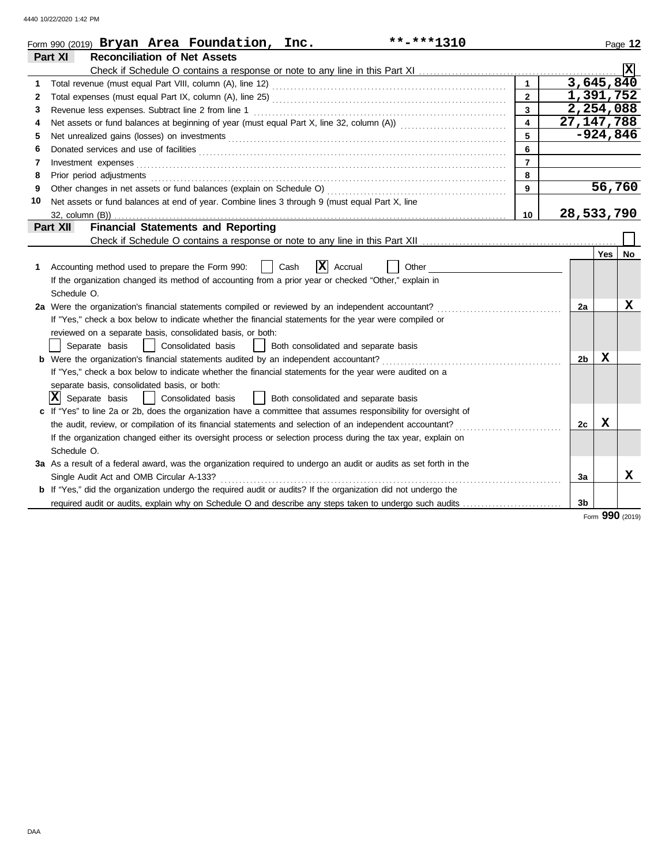|    | **-***1310<br>Form 990 (2019) Bryan Area Foundation, Inc.                                                                                                                                                                      |                         |                |              | Page 12   |
|----|--------------------------------------------------------------------------------------------------------------------------------------------------------------------------------------------------------------------------------|-------------------------|----------------|--------------|-----------|
|    | <b>Reconciliation of Net Assets</b><br>Part XI                                                                                                                                                                                 |                         |                |              |           |
|    |                                                                                                                                                                                                                                |                         |                |              |           |
| 1. | Total revenue (must equal Part VIII, column (A), line 12) [2010] [2010] [2010] [2010] [2010] [2010] [2010] [20                                                                                                                 | $\mathbf{1}$            |                | 3,645,840    |           |
| 2  |                                                                                                                                                                                                                                | $\overline{2}$          |                | 1,391,752    |           |
| 3  |                                                                                                                                                                                                                                | $\overline{\mathbf{3}}$ |                | 2,254,088    |           |
| 4  |                                                                                                                                                                                                                                | $\overline{\mathbf{4}}$ |                | 27, 147, 788 |           |
| 5  |                                                                                                                                                                                                                                | 5                       |                | $-924,846$   |           |
| 6  |                                                                                                                                                                                                                                | 6                       |                |              |           |
| 7  | Investment expenses <b>contract and the expenses contract and the expenses contract and the expenses</b>                                                                                                                       | $\overline{7}$          |                |              |           |
| 8  | Prior period adjustments entertainments and adjustments and account of the contract of the contract of the contract of the contract of the contract of the contract of the contract of the contract of the contract of the con | 8                       |                |              |           |
| 9  |                                                                                                                                                                                                                                | 9                       |                | 56,760       |           |
| 10 | Net assets or fund balances at end of year. Combine lines 3 through 9 (must equal Part X, line                                                                                                                                 |                         |                |              |           |
|    |                                                                                                                                                                                                                                | 10 <sup>1</sup>         |                | 28,533,790   |           |
|    | <b>Financial Statements and Reporting</b><br>Part XII                                                                                                                                                                          |                         |                |              |           |
|    |                                                                                                                                                                                                                                |                         |                |              |           |
|    |                                                                                                                                                                                                                                |                         |                | <b>Yes</b>   | <b>No</b> |
| 1. | $ \mathbf{X} $ Accrual<br>Accounting method used to prepare the Form 990:<br>Cash<br>Other                                                                                                                                     |                         |                |              |           |
|    | If the organization changed its method of accounting from a prior year or checked "Other," explain in                                                                                                                          |                         |                |              |           |
|    | Schedule O.                                                                                                                                                                                                                    |                         |                |              |           |
|    | 2a Were the organization's financial statements compiled or reviewed by an independent accountant?                                                                                                                             |                         | 2a             |              | X         |
|    | If "Yes," check a box below to indicate whether the financial statements for the year were compiled or                                                                                                                         |                         |                |              |           |
|    | reviewed on a separate basis, consolidated basis, or both:                                                                                                                                                                     |                         |                |              |           |
|    | Separate basis<br>  Consolidated basis<br>  Both consolidated and separate basis                                                                                                                                               |                         |                |              |           |
|    | <b>b</b> Were the organization's financial statements audited by an independent accountant?                                                                                                                                    |                         | 2 <sub>b</sub> | $\mathbf x$  |           |
|    | If "Yes," check a box below to indicate whether the financial statements for the year were audited on a                                                                                                                        |                         |                |              |           |
|    | separate basis, consolidated basis, or both:                                                                                                                                                                                   |                         |                |              |           |
|    | $ \mathbf{X} $ Separate basis<br>  Consolidated basis<br>  Both consolidated and separate basis                                                                                                                                |                         |                |              |           |
|    | If "Yes" to line 2a or 2b, does the organization have a committee that assumes responsibility for oversight of                                                                                                                 |                         |                |              |           |
|    | the audit, review, or compilation of its financial statements and selection of an independent accountant?                                                                                                                      |                         | 2c             | X            |           |
|    | If the organization changed either its oversight process or selection process during the tax year, explain on                                                                                                                  |                         |                |              |           |
|    | Schedule O.                                                                                                                                                                                                                    |                         |                |              |           |
|    | 3a As a result of a federal award, was the organization required to undergo an audit or audits as set forth in the                                                                                                             |                         |                |              |           |
|    | Single Audit Act and OMB Circular A-133?                                                                                                                                                                                       |                         | За             |              | x         |
|    | <b>b</b> If "Yes," did the organization undergo the required audit or audits? If the organization did not undergo the                                                                                                          |                         |                |              |           |
|    | required audit or audits, explain why on Schedule O and describe any steps taken to undergo such audits                                                                                                                        |                         | 3b             |              |           |

Form **990** (2019)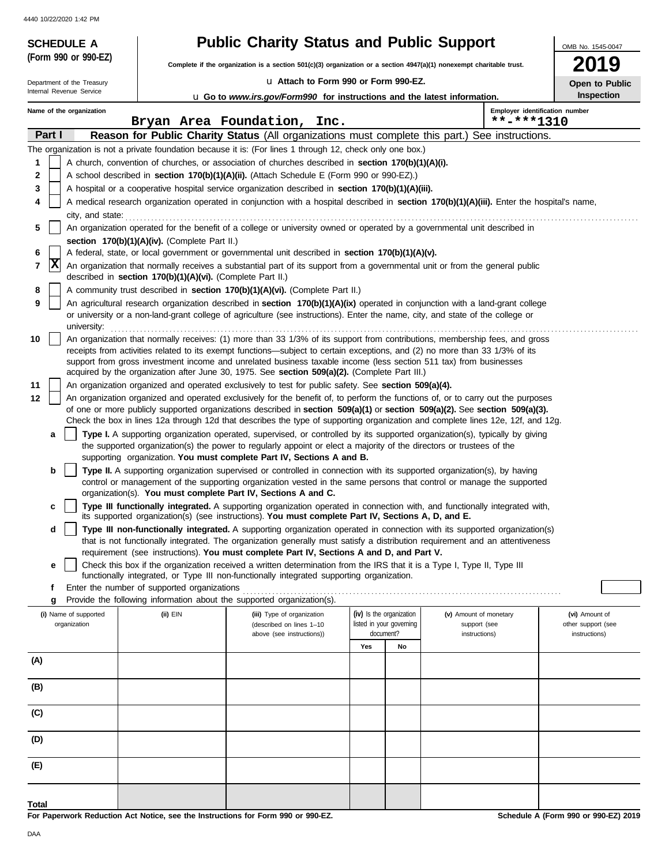| <b>SCHEDULE A</b>                     |                                                            | <b>Public Charity Status and Public Support</b>                                                                                                                                                                                                                                                                                                                                 |                          |                          |                                              | OMB No. 1545-0047                    |
|---------------------------------------|------------------------------------------------------------|---------------------------------------------------------------------------------------------------------------------------------------------------------------------------------------------------------------------------------------------------------------------------------------------------------------------------------------------------------------------------------|--------------------------|--------------------------|----------------------------------------------|--------------------------------------|
| (Form 990 or 990-EZ)                  |                                                            | Complete if the organization is a section $501(c)(3)$ organization or a section $4947(a)(1)$ nonexempt charitable trust.                                                                                                                                                                                                                                                        |                          |                          |                                              | 9                                    |
| Department of the Treasury            |                                                            | La Attach to Form 990 or Form 990-EZ.                                                                                                                                                                                                                                                                                                                                           |                          |                          |                                              | Open to Public                       |
| Internal Revenue Service              |                                                            | <b>u</b> Go to www.irs.gov/Form990 for instructions and the latest information.                                                                                                                                                                                                                                                                                                 |                          |                          |                                              | Inspection                           |
| Name of the organization              |                                                            | Bryan Area Foundation, Inc.                                                                                                                                                                                                                                                                                                                                                     |                          |                          | Employer identification number<br>**-***1310 |                                      |
| Part I                                |                                                            | Reason for Public Charity Status (All organizations must complete this part.) See instructions.                                                                                                                                                                                                                                                                                 |                          |                          |                                              |                                      |
|                                       |                                                            | The organization is not a private foundation because it is: (For lines 1 through 12, check only one box.)                                                                                                                                                                                                                                                                       |                          |                          |                                              |                                      |
| 1                                     |                                                            | A church, convention of churches, or association of churches described in section 170(b)(1)(A)(i).                                                                                                                                                                                                                                                                              |                          |                          |                                              |                                      |
| 2                                     |                                                            | A school described in <b>section 170(b)(1)(A)(ii).</b> (Attach Schedule E (Form 990 or 990-EZ).)                                                                                                                                                                                                                                                                                |                          |                          |                                              |                                      |
| 3                                     |                                                            | A hospital or a cooperative hospital service organization described in section 170(b)(1)(A)(iii).                                                                                                                                                                                                                                                                               |                          |                          |                                              |                                      |
| 4<br>city, and state:                 |                                                            | A medical research organization operated in conjunction with a hospital described in section 170(b)(1)(A)(iii). Enter the hospital's name,                                                                                                                                                                                                                                      |                          |                          |                                              |                                      |
| 5                                     |                                                            | An organization operated for the benefit of a college or university owned or operated by a governmental unit described in                                                                                                                                                                                                                                                       |                          |                          |                                              |                                      |
| 6                                     | section 170(b)(1)(A)(iv). (Complete Part II.)              | A federal, state, or local government or governmental unit described in section 170(b)(1)(A)(v).                                                                                                                                                                                                                                                                                |                          |                          |                                              |                                      |
| X<br>7                                | described in section 170(b)(1)(A)(vi). (Complete Part II.) | An organization that normally receives a substantial part of its support from a governmental unit or from the general public                                                                                                                                                                                                                                                    |                          |                          |                                              |                                      |
| 8                                     |                                                            | A community trust described in section 170(b)(1)(A)(vi). (Complete Part II.)                                                                                                                                                                                                                                                                                                    |                          |                          |                                              |                                      |
| 9<br>university:                      |                                                            | An agricultural research organization described in section 170(b)(1)(A)(ix) operated in conjunction with a land-grant college<br>or university or a non-land-grant college of agriculture (see instructions). Enter the name, city, and state of the college or                                                                                                                 |                          |                          |                                              |                                      |
| 10                                    |                                                            | An organization that normally receives: (1) more than 33 1/3% of its support from contributions, membership fees, and gross<br>receipts from activities related to its exempt functions—subject to certain exceptions, and (2) no more than 33 1/3% of its<br>support from gross investment income and unrelated business taxable income (less section 511 tax) from businesses |                          |                          |                                              |                                      |
|                                       |                                                            | acquired by the organization after June 30, 1975. See section 509(a)(2). (Complete Part III.)                                                                                                                                                                                                                                                                                   |                          |                          |                                              |                                      |
| 11                                    |                                                            | An organization organized and operated exclusively to test for public safety. See section 509(a)(4).                                                                                                                                                                                                                                                                            |                          |                          |                                              |                                      |
| 12                                    |                                                            | An organization organized and operated exclusively for the benefit of, to perform the functions of, or to carry out the purposes                                                                                                                                                                                                                                                |                          |                          |                                              |                                      |
|                                       |                                                            | of one or more publicly supported organizations described in section 509(a)(1) or section 509(a)(2). See section 509(a)(3).<br>Check the box in lines 12a through 12d that describes the type of supporting organization and complete lines 12e, 12f, and 12g.                                                                                                                  |                          |                          |                                              |                                      |
| a                                     |                                                            | Type I. A supporting organization operated, supervised, or controlled by its supported organization(s), typically by giving<br>the supported organization(s) the power to regularly appoint or elect a majority of the directors or trustees of the                                                                                                                             |                          |                          |                                              |                                      |
| b                                     |                                                            | supporting organization. You must complete Part IV, Sections A and B.<br><b>Type II.</b> A supporting organization supervised or controlled in connection with its supported organization(s), by having                                                                                                                                                                         |                          |                          |                                              |                                      |
|                                       |                                                            | control or management of the supporting organization vested in the same persons that control or manage the supported<br>organization(s). You must complete Part IV, Sections A and C.                                                                                                                                                                                           |                          |                          |                                              |                                      |
| c                                     |                                                            | Type III functionally integrated. A supporting organization operated in connection with, and functionally integrated with,<br>its supported organization(s) (see instructions). You must complete Part IV, Sections A, D, and E.                                                                                                                                                |                          |                          |                                              |                                      |
| d                                     |                                                            | Type III non-functionally integrated. A supporting organization operated in connection with its supported organization(s)<br>that is not functionally integrated. The organization generally must satisfy a distribution requirement and an attentiveness                                                                                                                       |                          |                          |                                              |                                      |
|                                       |                                                            | requirement (see instructions). You must complete Part IV, Sections A and D, and Part V.                                                                                                                                                                                                                                                                                        |                          |                          |                                              |                                      |
| е                                     |                                                            | Check this box if the organization received a written determination from the IRS that it is a Type I, Type II, Type III<br>functionally integrated, or Type III non-functionally integrated supporting organization.                                                                                                                                                            |                          |                          |                                              |                                      |
| f<br>g                                | Enter the number of supported organizations                | Provide the following information about the supported organization(s).                                                                                                                                                                                                                                                                                                          |                          |                          |                                              |                                      |
| (i) Name of supported<br>organization | (ii) EIN                                                   | (iii) Type of organization<br>(described on lines 1-10                                                                                                                                                                                                                                                                                                                          | (iv) Is the organization | listed in your governing | (v) Amount of monetary<br>support (see       | (vi) Amount of<br>other support (see |
|                                       |                                                            | above (see instructions))                                                                                                                                                                                                                                                                                                                                                       | document?                |                          | instructions)                                | instructions)                        |
| (A)                                   |                                                            |                                                                                                                                                                                                                                                                                                                                                                                 | Yes                      | No                       |                                              |                                      |
| (B)                                   |                                                            |                                                                                                                                                                                                                                                                                                                                                                                 |                          |                          |                                              |                                      |
| (C)                                   |                                                            |                                                                                                                                                                                                                                                                                                                                                                                 |                          |                          |                                              |                                      |
| (D)                                   |                                                            |                                                                                                                                                                                                                                                                                                                                                                                 |                          |                          |                                              |                                      |
| (E)                                   |                                                            |                                                                                                                                                                                                                                                                                                                                                                                 |                          |                          |                                              |                                      |
|                                       |                                                            |                                                                                                                                                                                                                                                                                                                                                                                 |                          |                          |                                              |                                      |
| Total                                 |                                                            |                                                                                                                                                                                                                                                                                                                                                                                 |                          |                          |                                              |                                      |

**For Paperwork Reduction Act Notice, see the Instructions for Form 990 or 990-EZ.**

**Schedule A (Form 990 or 990-EZ) 2019**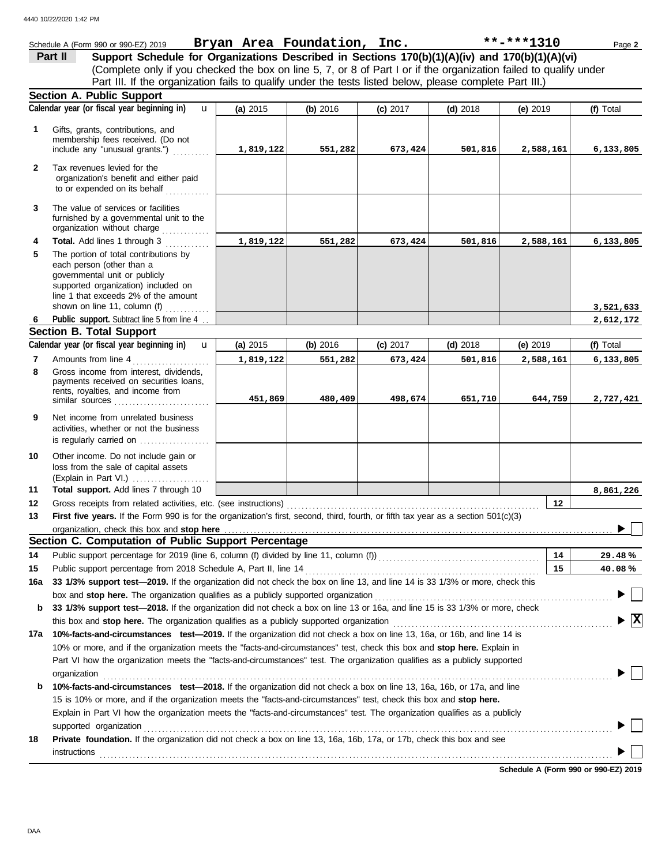|              | Schedule A (Form 990 or 990-EZ) 2019                                                                                                                                                                               |           | Bryan Area Foundation, Inc. |            |            | $***$ -***1310 | Page 2                                        |
|--------------|--------------------------------------------------------------------------------------------------------------------------------------------------------------------------------------------------------------------|-----------|-----------------------------|------------|------------|----------------|-----------------------------------------------|
|              | Support Schedule for Organizations Described in Sections 170(b)(1)(A)(iv) and 170(b)(1)(A)(vi)<br>Part II                                                                                                          |           |                             |            |            |                |                                               |
|              | (Complete only if you checked the box on line 5, 7, or 8 of Part I or if the organization failed to qualify under                                                                                                  |           |                             |            |            |                |                                               |
|              | Part III. If the organization fails to qualify under the tests listed below, please complete Part III.)                                                                                                            |           |                             |            |            |                |                                               |
|              | <b>Section A. Public Support</b>                                                                                                                                                                                   |           |                             |            |            |                |                                               |
|              | Calendar year (or fiscal year beginning in)<br>$\mathbf{u}$                                                                                                                                                        | (a) 2015  | (b) 2016                    | $(c)$ 2017 | $(d)$ 2018 | (e) $2019$     | (f) Total                                     |
| 1            | Gifts, grants, contributions, and                                                                                                                                                                                  |           |                             |            |            |                |                                               |
|              | membership fees received. (Do not<br>include any "unusual grants.")                                                                                                                                                | 1,819,122 | 551,282                     | 673,424    | 501,816    | 2,588,161      | 6,133,805                                     |
| $\mathbf{2}$ | Tax revenues levied for the<br>organization's benefit and either paid<br>to or expended on its behalf                                                                                                              |           |                             |            |            |                |                                               |
| 3            | The value of services or facilities<br>furnished by a governmental unit to the<br>organization without charge                                                                                                      |           |                             |            |            |                |                                               |
| 4            | Total. Add lines 1 through 3                                                                                                                                                                                       | 1,819,122 | 551,282                     | 673,424    | 501,816    | 2,588,161      | 6,133,805                                     |
| 5            | The portion of total contributions by<br>each person (other than a<br>governmental unit or publicly<br>supported organization) included on<br>line 1 that exceeds 2% of the amount<br>shown on line 11, column (f) |           |                             |            |            |                | 3,521,633                                     |
| 6            | Public support. Subtract line 5 from line 4                                                                                                                                                                        |           |                             |            |            |                | 2,612,172                                     |
|              | <b>Section B. Total Support</b>                                                                                                                                                                                    |           |                             |            |            |                |                                               |
|              | Calendar year (or fiscal year beginning in)<br>$\mathbf{u}$                                                                                                                                                        | (a) 2015  | (b) 2016                    | (c) 2017   | $(d)$ 2018 | (e) 2019       | (f) Total                                     |
| 7            | Amounts from line 4                                                                                                                                                                                                | 1,819,122 | 551,282                     | 673,424    | 501,816    | 2,588,161      | 6,133,805                                     |
| 8            | Gross income from interest, dividends,<br>payments received on securities loans,<br>rents, royalties, and income from<br>similar sources                                                                           | 451,869   | 480,409                     | 498,674    | 651,710    | 644,759        | 2,727,421                                     |
| 9            | Net income from unrelated business<br>activities, whether or not the business                                                                                                                                      |           |                             |            |            |                |                                               |
| 10           | Other income. Do not include gain or<br>loss from the sale of capital assets<br>(Explain in Part VI.)                                                                                                              |           |                             |            |            |                |                                               |
| 11           | Total support. Add lines 7 through 10                                                                                                                                                                              |           |                             |            |            |                | 8,861,226                                     |
| 12           | Gross receipts from related activities, etc. (see instructions)                                                                                                                                                    |           |                             |            |            | 12             |                                               |
| 13           | First five years. If the Form 990 is for the organization's first, second, third, fourth, or fifth tax year as a section 501(c)(3)                                                                                 |           |                             |            |            |                |                                               |
|              |                                                                                                                                                                                                                    |           |                             |            |            |                | ▶                                             |
|              | Section C. Computation of Public Support Percentage                                                                                                                                                                |           |                             |            |            |                |                                               |
| 14           | Public support percentage for 2019 (line 6, column (f) divided by line 11, column (f) [[[[[[[[[[[[[[[[[[[[[[[                                                                                                      |           |                             |            |            | 14             | 29.48%                                        |
| 15           | Public support percentage from 2018 Schedule A, Part II, line 14                                                                                                                                                   |           |                             |            |            | 15             | 40.08%                                        |
| 16a          | 33 1/3% support test-2019. If the organization did not check the box on line 13, and line 14 is 33 1/3% or more, check this                                                                                        |           |                             |            |            |                |                                               |
|              | box and stop here. The organization qualifies as a publicly supported organization                                                                                                                                 |           |                             |            |            |                |                                               |
| b            | 33 1/3% support test-2018. If the organization did not check a box on line 13 or 16a, and line 15 is 33 1/3% or more, check                                                                                        |           |                             |            |            |                |                                               |
|              | this box and stop here. The organization qualifies as a publicly supported organization                                                                                                                            |           |                             |            |            |                | $\blacktriangleright$ $\overline{\mathtt{x}}$ |
|              | 17a 10%-facts-and-circumstances test-2019. If the organization did not check a box on line 13, 16a, or 16b, and line 14 is                                                                                         |           |                             |            |            |                |                                               |
|              | 10% or more, and if the organization meets the "facts-and-circumstances" test, check this box and stop here. Explain in                                                                                            |           |                             |            |            |                |                                               |
|              | Part VI how the organization meets the "facts-and-circumstances" test. The organization qualifies as a publicly supported                                                                                          |           |                             |            |            |                |                                               |
| b            | organization<br>10%-facts-and-circumstances test-2018. If the organization did not check a box on line 13, 16a, 16b, or 17a, and line                                                                              |           |                             |            |            |                |                                               |
|              | 15 is 10% or more, and if the organization meets the "facts-and-circumstances" test, check this box and stop here.                                                                                                 |           |                             |            |            |                |                                               |
|              | Explain in Part VI how the organization meets the "facts-and-circumstances" test. The organization qualifies as a publicly                                                                                         |           |                             |            |            |                |                                               |
|              | supported organization                                                                                                                                                                                             |           |                             |            |            |                |                                               |
| 18           | Private foundation. If the organization did not check a box on line 13, 16a, 16b, 17a, or 17b, check this box and see<br><b>instructions</b>                                                                       |           |                             |            |            |                |                                               |
|              |                                                                                                                                                                                                                    |           |                             |            |            |                |                                               |

**Schedule A (Form 990 or 990-EZ) 2019**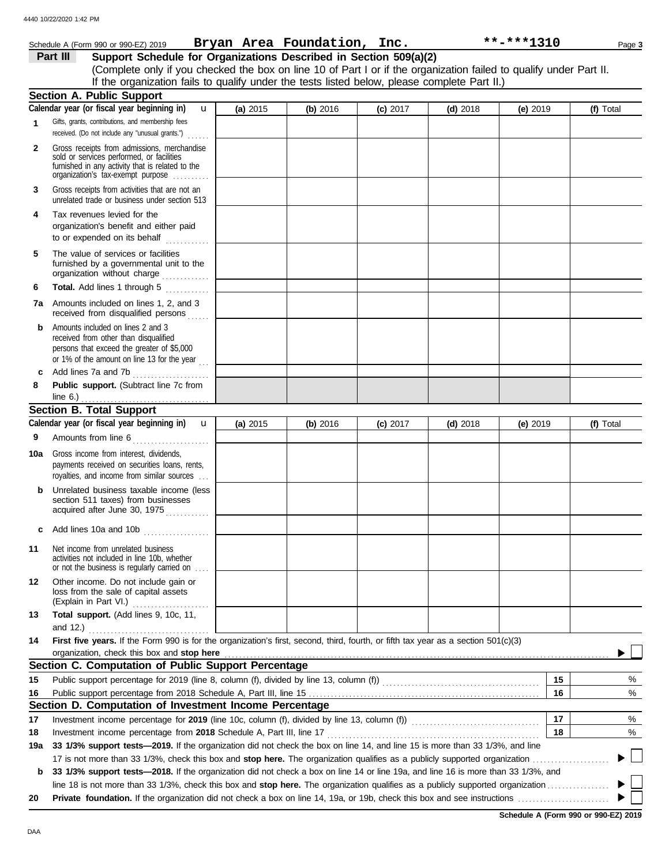|              | Schedule A (Form 990 or 990-EZ) 2019                                                                                                                                              |          | Bryan Area Foundation, Inc. |            |            | **-***1310 | Page 3    |
|--------------|-----------------------------------------------------------------------------------------------------------------------------------------------------------------------------------|----------|-----------------------------|------------|------------|------------|-----------|
|              | Support Schedule for Organizations Described in Section 509(a)(2)<br>Part III                                                                                                     |          |                             |            |            |            |           |
|              | (Complete only if you checked the box on line 10 of Part I or if the organization failed to qualify under Part II.                                                                |          |                             |            |            |            |           |
|              | If the organization fails to qualify under the tests listed below, please complete Part II.)                                                                                      |          |                             |            |            |            |           |
|              | <b>Section A. Public Support</b>                                                                                                                                                  |          |                             |            |            |            |           |
|              | Calendar year (or fiscal year beginning in)<br>$\mathbf{u}$                                                                                                                       | (a) 2015 | (b) 2016                    | (c) 2017   | $(d)$ 2018 | (e) 2019   | (f) Total |
| 1            | Gifts, grants, contributions, and membership fees<br>received. (Do not include any "unusual grants.")                                                                             |          |                             |            |            |            |           |
| $\mathbf{2}$ | Gross receipts from admissions, merchandise<br>sold or services performed, or facilities<br>furnished in any activity that is related to the<br>organization's tax-exempt purpose |          |                             |            |            |            |           |
| 3            | Gross receipts from activities that are not an<br>unrelated trade or business under section 513                                                                                   |          |                             |            |            |            |           |
| 4            | Tax revenues levied for the<br>organization's benefit and either paid                                                                                                             |          |                             |            |            |            |           |
| 5            | The value of services or facilities<br>furnished by a governmental unit to the<br>organization without charge                                                                     |          |                             |            |            |            |           |
| 6            | Total. Add lines 1 through 5<br>.                                                                                                                                                 |          |                             |            |            |            |           |
| 7a           | Amounts included on lines 1, 2, and 3<br>received from disqualified persons                                                                                                       |          |                             |            |            |            |           |
| b            | Amounts included on lines 2 and 3<br>received from other than disqualified<br>persons that exceed the greater of \$5,000<br>or 1% of the amount on line 13 for the year $\ldots$  |          |                             |            |            |            |           |
| c            | Add lines 7a and 7b                                                                                                                                                               |          |                             |            |            |            |           |
| 8            | Public support. (Subtract line 7c from<br>line 6.) $\ldots$                                                                                                                       |          |                             |            |            |            |           |
|              | <b>Section B. Total Support</b>                                                                                                                                                   |          |                             |            |            |            |           |
|              | Calendar year (or fiscal year beginning in)<br>$\mathbf{u}$                                                                                                                       | (a) 2015 | (b) 2016                    | $(c)$ 2017 | $(d)$ 2018 | (e) 2019   | (f) Total |
| 9            | Amounts from line 6                                                                                                                                                               |          |                             |            |            |            |           |
| 10a          | Gross income from interest, dividends,<br>payments received on securities loans, rents,<br>royalties, and income from similar sources                                             |          |                             |            |            |            |           |
| b            | Unrelated business taxable income (less<br>section 511 taxes) from businesses<br>acquired after June 30, 1975                                                                     |          |                             |            |            |            |           |
|              | Add lines 10a and 10b                                                                                                                                                             |          |                             |            |            |            |           |
| 11           | Net income from unrelated business<br>activities not included in line 10b, whether<br>or not the business is regularly carried on                                                 |          |                             |            |            |            |           |
| 12           | Other income. Do not include gain or<br>loss from the sale of capital assets<br>(Explain in Part VI.)                                                                             |          |                             |            |            |            |           |
| 13           | Total support. (Add lines 9, 10c, 11,<br>and 12.)                                                                                                                                 |          |                             |            |            |            |           |
| 14           | First five years. If the Form 990 is for the organization's first, second, third, fourth, or fifth tax year as a section 501(c)(3)<br>organization, check this box and stop here  |          |                             |            |            |            |           |
|              | Section C. Computation of Public Support Percentage                                                                                                                               |          |                             |            |            |            |           |
| 15           |                                                                                                                                                                                   |          |                             |            |            | 15         | %         |
| 16           |                                                                                                                                                                                   |          |                             |            |            | 16         | $\%$      |
|              | Section D. Computation of Investment Income Percentage                                                                                                                            |          |                             |            |            |            |           |
| 17           | Investment income percentage for 2019 (line 10c, column (f), divided by line 13, column (f)) [[[[[[[[[[[[[[[[                                                                     |          |                             |            |            | 17         | %         |
| 18           | Investment income percentage from 2018 Schedule A, Part III, line 17                                                                                                              |          |                             |            |            | 18         | %         |
| 19a          | 33 1/3% support tests-2019. If the organization did not check the box on line 14, and line 15 is more than 33 1/3%, and line                                                      |          |                             |            |            |            |           |
|              |                                                                                                                                                                                   |          |                             |            |            |            |           |
| b            | 33 1/3% support tests-2018. If the organization did not check a box on line 14 or line 19a, and line 16 is more than 33 1/3%, and                                                 |          |                             |            |            |            |           |
| 20           |                                                                                                                                                                                   |          |                             |            |            |            |           |
|              |                                                                                                                                                                                   |          |                             |            |            |            |           |

DAA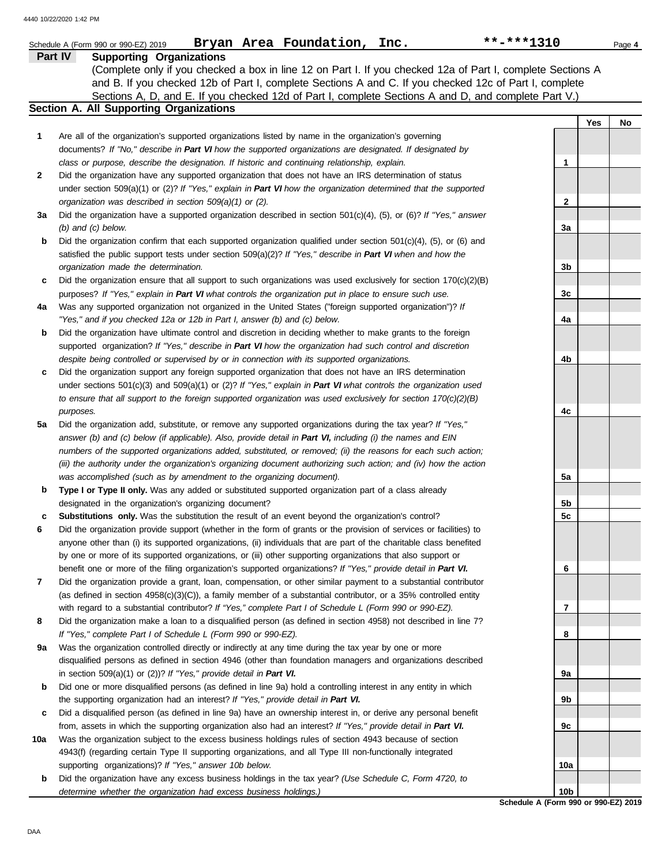|     | Bryan Area Foundation, Inc.<br>Schedule A (Form 990 or 990-EZ) 2019                                                      | **-***1310      |     | Page 4 |
|-----|--------------------------------------------------------------------------------------------------------------------------|-----------------|-----|--------|
|     | Part IV<br><b>Supporting Organizations</b>                                                                               |                 |     |        |
|     | (Complete only if you checked a box in line 12 on Part I. If you checked 12a of Part I, complete Sections A              |                 |     |        |
|     | and B. If you checked 12b of Part I, complete Sections A and C. If you checked 12c of Part I, complete                   |                 |     |        |
|     | Sections A, D, and E. If you checked 12d of Part I, complete Sections A and D, and complete Part V.)                     |                 |     |        |
|     | Section A. All Supporting Organizations                                                                                  |                 |     |        |
|     |                                                                                                                          |                 | Yes | No     |
| 1   | Are all of the organization's supported organizations listed by name in the organization's governing                     |                 |     |        |
|     | documents? If "No," describe in Part VI how the supported organizations are designated. If designated by                 |                 |     |        |
|     | class or purpose, describe the designation. If historic and continuing relationship, explain.                            | 1               |     |        |
| 2   | Did the organization have any supported organization that does not have an IRS determination of status                   |                 |     |        |
|     | under section 509(a)(1) or (2)? If "Yes," explain in Part VI how the organization determined that the supported          |                 |     |        |
|     | organization was described in section 509(a)(1) or (2).                                                                  | $\mathbf{2}$    |     |        |
| За  | Did the organization have a supported organization described in section $501(c)(4)$ , (5), or (6)? If "Yes," answer      |                 |     |        |
|     | $(b)$ and $(c)$ below.                                                                                                   | За              |     |        |
| b   | Did the organization confirm that each supported organization qualified under section $501(c)(4)$ , $(5)$ , or $(6)$ and |                 |     |        |
|     | satisfied the public support tests under section 509(a)(2)? If "Yes," describe in Part VI when and how the               |                 |     |        |
|     | organization made the determination.                                                                                     | 3b              |     |        |
| c   | Did the organization ensure that all support to such organizations was used exclusively for section $170(c)(2)(B)$       |                 |     |        |
|     | purposes? If "Yes," explain in Part VI what controls the organization put in place to ensure such use.                   | 3c              |     |        |
| 4a  | Was any supported organization not organized in the United States ("foreign supported organization")? If                 |                 |     |        |
|     | "Yes," and if you checked 12a or 12b in Part I, answer (b) and (c) below.                                                | 4a              |     |        |
| b   | Did the organization have ultimate control and discretion in deciding whether to make grants to the foreign              |                 |     |        |
|     | supported organization? If "Yes," describe in Part VI how the organization had such control and discretion               |                 |     |        |
|     | despite being controlled or supervised by or in connection with its supported organizations.                             | 4b              |     |        |
| c   | Did the organization support any foreign supported organization that does not have an IRS determination                  |                 |     |        |
|     | under sections $501(c)(3)$ and $509(a)(1)$ or (2)? If "Yes," explain in Part VI what controls the organization used      |                 |     |        |
|     | to ensure that all support to the foreign supported organization was used exclusively for section $170(c)(2)(B)$         |                 |     |        |
|     | purposes.                                                                                                                | 4c              |     |        |
| 5a  | Did the organization add, substitute, or remove any supported organizations during the tax year? If "Yes,"               |                 |     |        |
|     | answer (b) and (c) below (if applicable). Also, provide detail in Part VI, including (i) the names and EIN               |                 |     |        |
|     | numbers of the supported organizations added, substituted, or removed; (ii) the reasons for each such action;            |                 |     |        |
|     | (iii) the authority under the organization's organizing document authorizing such action; and (iv) how the action        |                 |     |        |
|     | was accomplished (such as by amendment to the organizing document).                                                      | 5a              |     |        |
| b   | Type I or Type II only. Was any added or substituted supported organization part of a class already                      |                 |     |        |
|     | designated in the organization's organizing document?                                                                    | 5b              |     |        |
| c   | <b>Substitutions only.</b> Was the substitution the result of an event beyond the organization's control?                | 5c              |     |        |
| 6   | Did the organization provide support (whether in the form of grants or the provision of services or facilities) to       |                 |     |        |
|     | anyone other than (i) its supported organizations, (ii) individuals that are part of the charitable class benefited      |                 |     |        |
|     | by one or more of its supported organizations, or (iii) other supporting organizations that also support or              |                 |     |        |
|     | benefit one or more of the filing organization's supported organizations? If "Yes," provide detail in Part VI.           | 6               |     |        |
| 7   | Did the organization provide a grant, loan, compensation, or other similar payment to a substantial contributor          |                 |     |        |
|     | (as defined in section $4958(c)(3)(C)$ ), a family member of a substantial contributor, or a 35% controlled entity       |                 |     |        |
|     | with regard to a substantial contributor? If "Yes," complete Part I of Schedule L (Form 990 or 990-EZ).                  | 7               |     |        |
| 8   | Did the organization make a loan to a disqualified person (as defined in section 4958) not described in line 7?          |                 |     |        |
|     | If "Yes," complete Part I of Schedule L (Form 990 or 990-EZ).                                                            | 8               |     |        |
| 9а  | Was the organization controlled directly or indirectly at any time during the tax year by one or more                    |                 |     |        |
|     | disqualified persons as defined in section 4946 (other than foundation managers and organizations described              |                 |     |        |
|     | in section $509(a)(1)$ or $(2)$ ? If "Yes," provide detail in Part VI.                                                   | 9а              |     |        |
| b   | Did one or more disqualified persons (as defined in line 9a) hold a controlling interest in any entity in which          |                 |     |        |
|     | the supporting organization had an interest? If "Yes," provide detail in Part VI.                                        | 9b              |     |        |
| c   | Did a disqualified person (as defined in line 9a) have an ownership interest in, or derive any personal benefit          |                 |     |        |
|     | from, assets in which the supporting organization also had an interest? If "Yes," provide detail in Part VI.             | 9с              |     |        |
| 10a | Was the organization subject to the excess business holdings rules of section 4943 because of section                    |                 |     |        |
|     | 4943(f) (regarding certain Type II supporting organizations, and all Type III non-functionally integrated                |                 |     |        |
|     | supporting organizations)? If "Yes," answer 10b below.                                                                   | 10a             |     |        |
| b   | Did the organization have any excess business holdings in the tax year? (Use Schedule C, Form 4720, to                   |                 |     |        |
|     | determine whether the organization had excess business holdings.)                                                        | 10 <sub>b</sub> |     |        |

**Schedule A (Form 990 or 990-EZ) 2019 10b**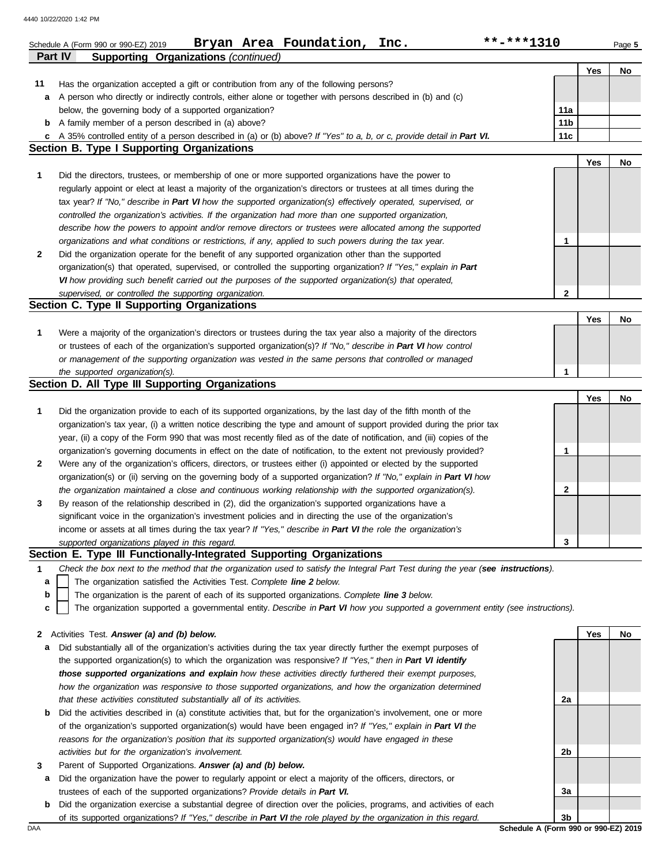|              | Bryan Area Foundation,<br>Inc.<br>Schedule A (Form 990 or 990-EZ) 2019                                                                                              | **-***1310      |     | Page 5 |
|--------------|---------------------------------------------------------------------------------------------------------------------------------------------------------------------|-----------------|-----|--------|
|              | <b>Supporting Organizations (continued)</b><br><b>Part IV</b>                                                                                                       |                 |     |        |
|              |                                                                                                                                                                     |                 | Yes | No     |
| 11           | Has the organization accepted a gift or contribution from any of the following persons?                                                                             |                 |     |        |
|              | a A person who directly or indirectly controls, either alone or together with persons described in (b) and (c)                                                      |                 |     |        |
|              | below, the governing body of a supported organization?                                                                                                              | 11a             |     |        |
|              | <b>b</b> A family member of a person described in (a) above?                                                                                                        | 11 <sub>b</sub> |     |        |
| c            | A 35% controlled entity of a person described in (a) or (b) above? If "Yes" to a, b, or c, provide detail in Part VI.<br>Section B. Type I Supporting Organizations | 11c             |     |        |
|              |                                                                                                                                                                     |                 | Yes | No     |
| 1            | Did the directors, trustees, or membership of one or more supported organizations have the power to                                                                 |                 |     |        |
|              | regularly appoint or elect at least a majority of the organization's directors or trustees at all times during the                                                  |                 |     |        |
|              |                                                                                                                                                                     |                 |     |        |
|              | tax year? If "No," describe in Part VI how the supported organization(s) effectively operated, supervised, or                                                       |                 |     |        |
|              | controlled the organization's activities. If the organization had more than one supported organization,                                                             |                 |     |        |
|              | describe how the powers to appoint and/or remove directors or trustees were allocated among the supported                                                           |                 |     |        |
|              | organizations and what conditions or restrictions, if any, applied to such powers during the tax year.                                                              | 1               |     |        |
| 2            | Did the organization operate for the benefit of any supported organization other than the supported                                                                 |                 |     |        |
|              | organization(s) that operated, supervised, or controlled the supporting organization? If "Yes," explain in Part                                                     |                 |     |        |
|              | VI how providing such benefit carried out the purposes of the supported organization(s) that operated,                                                              |                 |     |        |
|              | supervised, or controlled the supporting organization.<br>Section C. Type II Supporting Organizations                                                               | $\mathbf{2}$    |     |        |
|              |                                                                                                                                                                     |                 | Yes | No     |
| 1            | Were a majority of the organization's directors or trustees during the tax year also a majority of the directors                                                    |                 |     |        |
|              | or trustees of each of the organization's supported organization(s)? If "No," describe in Part VI how control                                                       |                 |     |        |
|              | or management of the supporting organization was vested in the same persons that controlled or managed                                                              |                 |     |        |
|              | the supported organization(s).                                                                                                                                      | 1               |     |        |
|              | Section D. All Type III Supporting Organizations                                                                                                                    |                 |     |        |
|              |                                                                                                                                                                     |                 | Yes | No     |
| 1            | Did the organization provide to each of its supported organizations, by the last day of the fifth month of the                                                      |                 |     |        |
|              | organization's tax year, (i) a written notice describing the type and amount of support provided during the prior tax                                               |                 |     |        |
|              | year, (ii) a copy of the Form 990 that was most recently filed as of the date of notification, and (iii) copies of the                                              |                 |     |        |
|              | organization's governing documents in effect on the date of notification, to the extent not previously provided?                                                    | 1               |     |        |
| 2            | Were any of the organization's officers, directors, or trustees either (i) appointed or elected by the supported                                                    |                 |     |        |
|              | organization(s) or (ii) serving on the governing body of a supported organization? If "No," explain in Part VI how                                                  |                 |     |        |
|              | the organization maintained a close and continuous working relationship with the supported organization(s).                                                         | 2               |     |        |
|              | By reason of the relationship described in (2), did the organization's supported organizations have a                                                               |                 |     |        |
| 3            | significant voice in the organization's investment policies and in directing the use of the organization's                                                          |                 |     |        |
|              | income or assets at all times during the tax year? If "Yes," describe in Part VI the role the organization's                                                        |                 |     |        |
|              | supported organizations played in this regard.                                                                                                                      | 3               |     |        |
|              | Section E. Type III Functionally-Integrated Supporting Organizations                                                                                                |                 |     |        |
| 1            | Check the box next to the method that the organization used to satisfy the Integral Part Test during the year (see instructions).                                   |                 |     |        |
| a            | The organization satisfied the Activities Test. Complete line 2 below.                                                                                              |                 |     |        |
| b            | The organization is the parent of each of its supported organizations. Complete line 3 below.                                                                       |                 |     |        |
| c            | The organization supported a governmental entity. Describe in Part VI how you supported a government entity (see instructions).                                     |                 |     |        |
|              |                                                                                                                                                                     |                 |     |        |
| $\mathbf{z}$ | Activities Test. Answer (a) and (b) below.                                                                                                                          |                 | Yes | No     |
| а            | Did substantially all of the organization's activities during the tax year directly further the exempt purposes of                                                  |                 |     |        |
|              | the supported organization(s) to which the organization was responsive? If "Yes," then in Part VI identify                                                          |                 |     |        |
|              | those supported organizations and explain how these activities directly furthered their exempt purposes,                                                            |                 |     |        |
|              | how the organization was responsive to those supported organizations, and how the organization determined                                                           |                 |     |        |
|              | that these activities constituted substantially all of its activities.                                                                                              | 2a              |     |        |
| b            | Did the activities described in (a) constitute activities that, but for the organization's involvement, one or more                                                 |                 |     |        |
|              | of the organization's supported organization(s) would have been engaged in? If "Yes," explain in Part VI the                                                        |                 |     |        |
|              | reasons for the organization's position that its supported organization(s) would have engaged in these                                                              |                 |     |        |
|              | activities but for the organization's involvement.                                                                                                                  | 2b              |     |        |
| 3            | Parent of Supported Organizations. Answer (a) and (b) below.                                                                                                        |                 |     |        |
| а            | Did the organization have the power to regularly appoint or elect a majority of the officers, directors, or                                                         |                 |     |        |
|              | trustees of each of the supported organizations? Provide details in Part VI.                                                                                        | 3a              |     |        |

**b** Did the organization exercise a substantial degree of direction over the policies, programs, and activities of each

of its supported organizations? *If "Yes," describe in Part VI the role played by the organization in this regard.*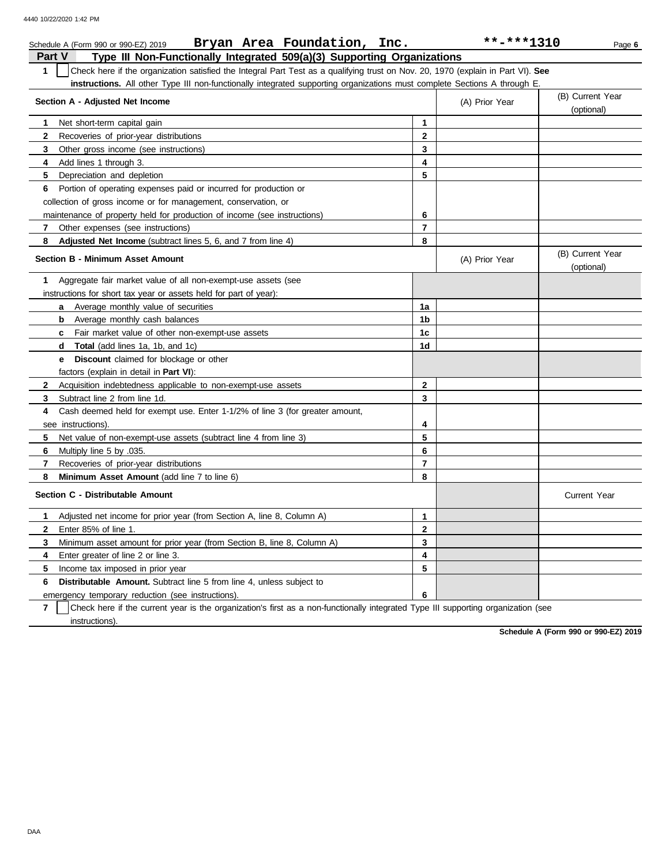|               | Bryan Area Foundation, Inc.<br>Schedule A (Form 990 or 990-EZ) 2019                                                              |                         | **-***1310     | Page 6                         |  |  |  |  |
|---------------|----------------------------------------------------------------------------------------------------------------------------------|-------------------------|----------------|--------------------------------|--|--|--|--|
| <b>Part V</b> | Type III Non-Functionally Integrated 509(a)(3) Supporting Organizations                                                          |                         |                |                                |  |  |  |  |
| $\mathbf{1}$  | Check here if the organization satisfied the Integral Part Test as a qualifying trust on Nov. 20, 1970 (explain in Part VI). See |                         |                |                                |  |  |  |  |
|               | instructions. All other Type III non-functionally integrated supporting organizations must complete Sections A through E.        |                         |                |                                |  |  |  |  |
|               | (B) Current Year                                                                                                                 |                         |                |                                |  |  |  |  |
|               | Section A - Adjusted Net Income                                                                                                  |                         | (A) Prior Year | (optional)                     |  |  |  |  |
| 1.            | Net short-term capital gain                                                                                                      | 1                       |                |                                |  |  |  |  |
| $\mathbf{2}$  | Recoveries of prior-year distributions                                                                                           | $\mathbf{2}$            |                |                                |  |  |  |  |
| 3             | Other gross income (see instructions)                                                                                            | 3                       |                |                                |  |  |  |  |
| 4             | Add lines 1 through 3.                                                                                                           | 4                       |                |                                |  |  |  |  |
| 5             | Depreciation and depletion                                                                                                       | 5                       |                |                                |  |  |  |  |
| 6             | Portion of operating expenses paid or incurred for production or                                                                 |                         |                |                                |  |  |  |  |
|               | collection of gross income or for management, conservation, or                                                                   |                         |                |                                |  |  |  |  |
|               | maintenance of property held for production of income (see instructions)                                                         | 6                       |                |                                |  |  |  |  |
| 7             | Other expenses (see instructions)                                                                                                | 7                       |                |                                |  |  |  |  |
| 8             | Adjusted Net Income (subtract lines 5, 6, and 7 from line 4)                                                                     | 8                       |                |                                |  |  |  |  |
|               | Section B - Minimum Asset Amount                                                                                                 |                         | (A) Prior Year | (B) Current Year<br>(optional) |  |  |  |  |
| 1             | Aggregate fair market value of all non-exempt-use assets (see                                                                    |                         |                |                                |  |  |  |  |
|               | instructions for short tax year or assets held for part of year):                                                                |                         |                |                                |  |  |  |  |
|               | <b>a</b> Average monthly value of securities                                                                                     | 1a                      |                |                                |  |  |  |  |
|               | Average monthly cash balances<br>b                                                                                               | 1b                      |                |                                |  |  |  |  |
|               | c Fair market value of other non-exempt-use assets                                                                               | 1c                      |                |                                |  |  |  |  |
|               | <b>d</b> Total (add lines 1a, 1b, and 1c)                                                                                        | 1d                      |                |                                |  |  |  |  |
|               | <b>e</b> Discount claimed for blockage or other                                                                                  |                         |                |                                |  |  |  |  |
|               | factors (explain in detail in Part VI):                                                                                          |                         |                |                                |  |  |  |  |
| $\mathbf{2}$  | Acquisition indebtedness applicable to non-exempt-use assets                                                                     | $\mathbf{2}$            |                |                                |  |  |  |  |
| 3             | Subtract line 2 from line 1d.                                                                                                    | 3                       |                |                                |  |  |  |  |
| 4             | Cash deemed held for exempt use. Enter 1-1/2% of line 3 (for greater amount,                                                     |                         |                |                                |  |  |  |  |
|               | see instructions).                                                                                                               | 4                       |                |                                |  |  |  |  |
| 5             | Net value of non-exempt-use assets (subtract line 4 from line 3)                                                                 | 5                       |                |                                |  |  |  |  |
| 6             | Multiply line 5 by .035.                                                                                                         | 6                       |                |                                |  |  |  |  |
| 7             | Recoveries of prior-year distributions                                                                                           | $\overline{\mathbf{r}}$ |                |                                |  |  |  |  |
| 8             | Minimum Asset Amount (add line 7 to line 6)                                                                                      | 8                       |                |                                |  |  |  |  |
|               | Section C - Distributable Amount                                                                                                 |                         |                | <b>Current Year</b>            |  |  |  |  |
| 1             | Adjusted net income for prior year (from Section A, line 8, Column A)                                                            | 1                       |                |                                |  |  |  |  |
| $\mathbf{2}$  | Enter 85% of line 1.                                                                                                             | $\mathbf{2}$            |                |                                |  |  |  |  |
| 3             | Minimum asset amount for prior year (from Section B, line 8, Column A)                                                           | 3                       |                |                                |  |  |  |  |
| 4             | Enter greater of line 2 or line 3.                                                                                               | 4                       |                |                                |  |  |  |  |
| 5             | Income tax imposed in prior year                                                                                                 | 5                       |                |                                |  |  |  |  |
| 6             | <b>Distributable Amount.</b> Subtract line 5 from line 4, unless subject to                                                      |                         |                |                                |  |  |  |  |
|               | emergency temporary reduction (see instructions).                                                                                | 6                       |                |                                |  |  |  |  |

**7** instructions). Check here if the current year is the organization's first as a non-functionally integrated Type III supporting organization (see

**Schedule A (Form 990 or 990-EZ) 2019**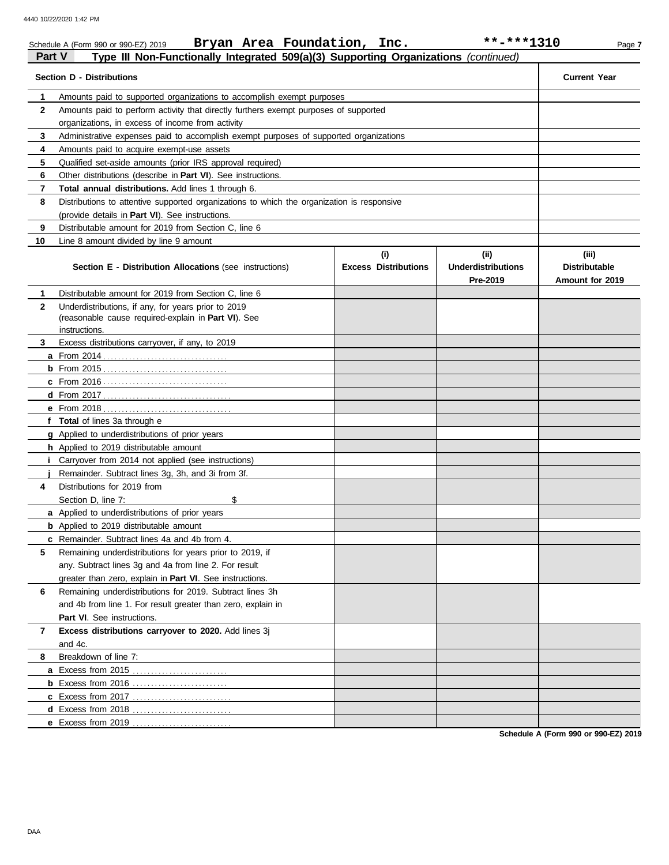|              | Bryan Area Foundation, Inc.<br>Schedule A (Form 990 or 990-EZ) 2019                        |                                    | **-***1310                                    | Page 7                                           |
|--------------|--------------------------------------------------------------------------------------------|------------------------------------|-----------------------------------------------|--------------------------------------------------|
| Part V       | Type III Non-Functionally Integrated 509(a)(3) Supporting Organizations (continued)        |                                    |                                               |                                                  |
|              | <b>Section D - Distributions</b>                                                           |                                    |                                               | <b>Current Year</b>                              |
| 1            | Amounts paid to supported organizations to accomplish exempt purposes                      |                                    |                                               |                                                  |
| $\mathbf{2}$ | Amounts paid to perform activity that directly furthers exempt purposes of supported       |                                    |                                               |                                                  |
|              | organizations, in excess of income from activity                                           |                                    |                                               |                                                  |
| 3            | Administrative expenses paid to accomplish exempt purposes of supported organizations      |                                    |                                               |                                                  |
| 4            | Amounts paid to acquire exempt-use assets                                                  |                                    |                                               |                                                  |
| 5            | Qualified set-aside amounts (prior IRS approval required)                                  |                                    |                                               |                                                  |
| 6            | Other distributions (describe in Part VI). See instructions.                               |                                    |                                               |                                                  |
| 7            | Total annual distributions. Add lines 1 through 6.                                         |                                    |                                               |                                                  |
| 8            | Distributions to attentive supported organizations to which the organization is responsive |                                    |                                               |                                                  |
|              | (provide details in Part VI). See instructions.                                            |                                    |                                               |                                                  |
| 9            | Distributable amount for 2019 from Section C, line 6                                       |                                    |                                               |                                                  |
| 10           | Line 8 amount divided by line 9 amount                                                     |                                    |                                               |                                                  |
|              | <b>Section E - Distribution Allocations (see instructions)</b>                             | (i)<br><b>Excess Distributions</b> | (ii)<br><b>Underdistributions</b><br>Pre-2019 | (iii)<br><b>Distributable</b><br>Amount for 2019 |
| 1            | Distributable amount for 2019 from Section C, line 6                                       |                                    |                                               |                                                  |
| $\mathbf{2}$ | Underdistributions, if any, for years prior to 2019                                        |                                    |                                               |                                                  |
|              | (reasonable cause required-explain in Part VI). See                                        |                                    |                                               |                                                  |
|              | instructions.                                                                              |                                    |                                               |                                                  |
| 3            | Excess distributions carryover, if any, to 2019                                            |                                    |                                               |                                                  |
|              |                                                                                            |                                    |                                               |                                                  |
|              |                                                                                            |                                    |                                               |                                                  |
|              |                                                                                            |                                    |                                               |                                                  |
|              |                                                                                            |                                    |                                               |                                                  |
|              | f Total of lines 3a through e                                                              |                                    |                                               |                                                  |
|              | g Applied to underdistributions of prior years                                             |                                    |                                               |                                                  |
|              | h Applied to 2019 distributable amount                                                     |                                    |                                               |                                                  |
|              | <i>i</i> Carryover from 2014 not applied (see instructions)                                |                                    |                                               |                                                  |
|              | Remainder. Subtract lines 3q, 3h, and 3i from 3f.                                          |                                    |                                               |                                                  |
| 4            | Distributions for 2019 from                                                                |                                    |                                               |                                                  |
|              | \$<br>Section D, line 7:                                                                   |                                    |                                               |                                                  |
|              | a Applied to underdistributions of prior years                                             |                                    |                                               |                                                  |
|              | <b>b</b> Applied to 2019 distributable amount                                              |                                    |                                               |                                                  |
|              | c Remainder. Subtract lines 4a and 4b from 4.                                              |                                    |                                               |                                                  |
| 5            | Remaining underdistributions for years prior to 2019, if                                   |                                    |                                               |                                                  |
|              | any. Subtract lines 3g and 4a from line 2. For result                                      |                                    |                                               |                                                  |
|              | greater than zero, explain in Part VI. See instructions.                                   |                                    |                                               |                                                  |
| 6            | Remaining underdistributions for 2019. Subtract lines 3h                                   |                                    |                                               |                                                  |
|              | and 4b from line 1. For result greater than zero, explain in                               |                                    |                                               |                                                  |
|              | Part VI. See instructions.                                                                 |                                    |                                               |                                                  |
| 7            | Excess distributions carryover to 2020. Add lines 3j                                       |                                    |                                               |                                                  |
|              | and 4c.                                                                                    |                                    |                                               |                                                  |
| 8            | Breakdown of line 7:                                                                       |                                    |                                               |                                                  |
|              |                                                                                            |                                    |                                               |                                                  |
|              | <b>b</b> Excess from 2016                                                                  |                                    |                                               |                                                  |
|              |                                                                                            |                                    |                                               |                                                  |
|              |                                                                                            |                                    |                                               |                                                  |
|              | e Excess from 2019                                                                         |                                    |                                               |                                                  |

**Schedule A (Form 990 or 990-EZ) 2019**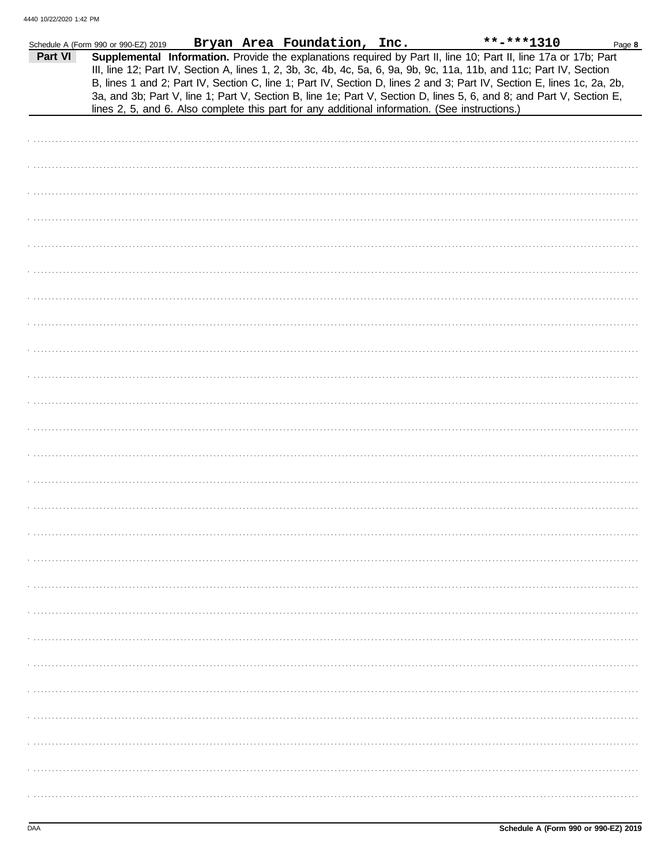|         | Schedule A (Form 990 or 990-EZ) 2019                                                           |  | Bryan Area Foundation, Inc. |  | $***$ -***1310                                                                                                                                                                                                                                                                                                                                                                                                                                                                            | Page 8 |
|---------|------------------------------------------------------------------------------------------------|--|-----------------------------|--|-------------------------------------------------------------------------------------------------------------------------------------------------------------------------------------------------------------------------------------------------------------------------------------------------------------------------------------------------------------------------------------------------------------------------------------------------------------------------------------------|--------|
| Part VI | lines 2, 5, and 6. Also complete this part for any additional information. (See instructions.) |  |                             |  | Supplemental Information. Provide the explanations required by Part II, line 10; Part II, line 17a or 17b; Part<br>III, line 12; Part IV, Section A, lines 1, 2, 3b, 3c, 4b, 4c, 5a, 6, 9a, 9b, 9c, 11a, 11b, and 11c; Part IV, Section<br>B, lines 1 and 2; Part IV, Section C, line 1; Part IV, Section D, lines 2 and 3; Part IV, Section E, lines 1c, 2a, 2b,<br>3a, and 3b; Part V, line 1; Part V, Section B, line 1e; Part V, Section D, lines 5, 6, and 8; and Part V, Section E, |        |
|         |                                                                                                |  |                             |  |                                                                                                                                                                                                                                                                                                                                                                                                                                                                                           |        |
|         |                                                                                                |  |                             |  |                                                                                                                                                                                                                                                                                                                                                                                                                                                                                           |        |
|         |                                                                                                |  |                             |  |                                                                                                                                                                                                                                                                                                                                                                                                                                                                                           |        |
|         |                                                                                                |  |                             |  |                                                                                                                                                                                                                                                                                                                                                                                                                                                                                           |        |
|         |                                                                                                |  |                             |  |                                                                                                                                                                                                                                                                                                                                                                                                                                                                                           |        |
|         |                                                                                                |  |                             |  |                                                                                                                                                                                                                                                                                                                                                                                                                                                                                           |        |
|         |                                                                                                |  |                             |  |                                                                                                                                                                                                                                                                                                                                                                                                                                                                                           |        |
|         |                                                                                                |  |                             |  |                                                                                                                                                                                                                                                                                                                                                                                                                                                                                           |        |
|         |                                                                                                |  |                             |  |                                                                                                                                                                                                                                                                                                                                                                                                                                                                                           |        |
|         |                                                                                                |  |                             |  |                                                                                                                                                                                                                                                                                                                                                                                                                                                                                           |        |
|         |                                                                                                |  |                             |  |                                                                                                                                                                                                                                                                                                                                                                                                                                                                                           |        |
|         |                                                                                                |  |                             |  |                                                                                                                                                                                                                                                                                                                                                                                                                                                                                           |        |
|         |                                                                                                |  |                             |  |                                                                                                                                                                                                                                                                                                                                                                                                                                                                                           |        |
|         |                                                                                                |  |                             |  |                                                                                                                                                                                                                                                                                                                                                                                                                                                                                           |        |
|         |                                                                                                |  |                             |  |                                                                                                                                                                                                                                                                                                                                                                                                                                                                                           |        |
|         |                                                                                                |  |                             |  |                                                                                                                                                                                                                                                                                                                                                                                                                                                                                           |        |
|         |                                                                                                |  |                             |  |                                                                                                                                                                                                                                                                                                                                                                                                                                                                                           |        |
|         |                                                                                                |  |                             |  |                                                                                                                                                                                                                                                                                                                                                                                                                                                                                           |        |
|         |                                                                                                |  |                             |  |                                                                                                                                                                                                                                                                                                                                                                                                                                                                                           |        |
|         |                                                                                                |  |                             |  |                                                                                                                                                                                                                                                                                                                                                                                                                                                                                           |        |
|         |                                                                                                |  |                             |  |                                                                                                                                                                                                                                                                                                                                                                                                                                                                                           |        |
|         |                                                                                                |  |                             |  |                                                                                                                                                                                                                                                                                                                                                                                                                                                                                           |        |
|         |                                                                                                |  |                             |  |                                                                                                                                                                                                                                                                                                                                                                                                                                                                                           |        |
|         |                                                                                                |  |                             |  |                                                                                                                                                                                                                                                                                                                                                                                                                                                                                           |        |
|         |                                                                                                |  |                             |  |                                                                                                                                                                                                                                                                                                                                                                                                                                                                                           |        |
|         |                                                                                                |  |                             |  |                                                                                                                                                                                                                                                                                                                                                                                                                                                                                           |        |
|         |                                                                                                |  |                             |  |                                                                                                                                                                                                                                                                                                                                                                                                                                                                                           |        |
|         |                                                                                                |  |                             |  |                                                                                                                                                                                                                                                                                                                                                                                                                                                                                           |        |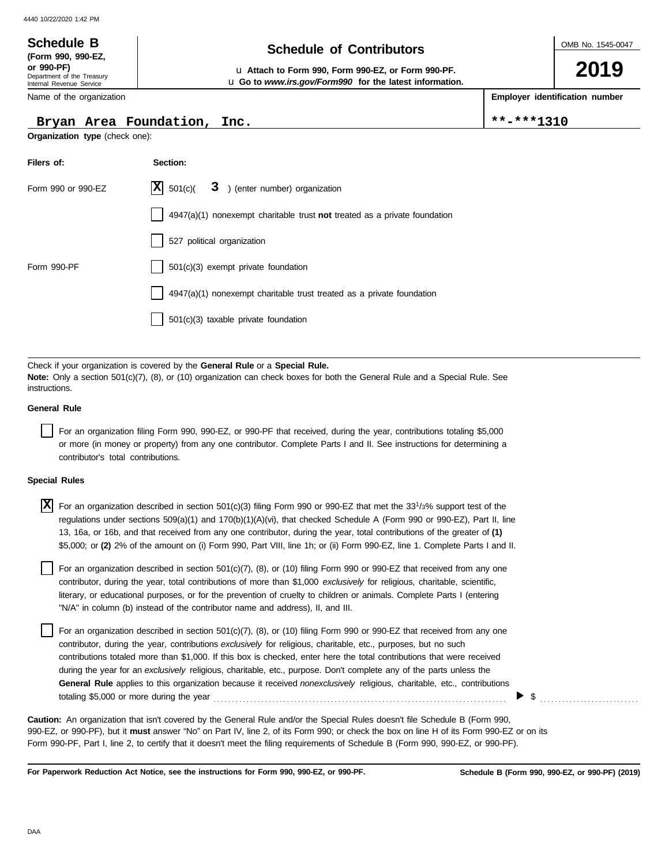### OMB No. 1545-0047 Department of the Treasury Internal Revenue Service Name of the organization **2019 Schedule of Contributors Schedule B (Form 990, 990-EZ, or 990-PF)** u **Attach to Form 990, Form 990-EZ, or Form 990-PF. Employer identification number** u **Go to** *www.irs.gov/Form990* **for the latest information.**

## Bryan Area Foundation, Inc.  $\left| \begin{array}{c} \ast \ast - \ast \ast + 1310 \\ \end{array} \right|$

**Organization type** (check one):

| Filers of:         | Section:                                                                    |
|--------------------|-----------------------------------------------------------------------------|
| Form 990 or 990-EZ | $ \mathbf{X} $ 501(c)( $3$ ) (enter number) organization                    |
|                    | $4947(a)(1)$ nonexempt charitable trust not treated as a private foundation |
|                    | 527 political organization                                                  |
| Form 990-PF        | 501(c)(3) exempt private foundation                                         |
|                    | 4947(a)(1) nonexempt charitable trust treated as a private foundation       |
|                    | 501(c)(3) taxable private foundation                                        |

Check if your organization is covered by the **General Rule** or a **Special Rule. Note:** Only a section 501(c)(7), (8), or (10) organization can check boxes for both the General Rule and a Special Rule. See instructions.

## **General Rule**

For an organization filing Form 990, 990-EZ, or 990-PF that received, during the year, contributions totaling \$5,000 or more (in money or property) from any one contributor. Complete Parts I and II. See instructions for determining a contributor's total contributions.

## **Special Rules**

| $\overline{X}$ For an organization described in section 501(c)(3) filing Form 990 or 990-EZ that met the 33 <sup>1</sup> /3% support test of the |
|--------------------------------------------------------------------------------------------------------------------------------------------------|
| regulations under sections 509(a)(1) and 170(b)(1)(A)(vi), that checked Schedule A (Form 990 or 990-EZ), Part II, line                           |
| 13, 16a, or 16b, and that received from any one contributor, during the year, total contributions of the greater of (1)                          |
| \$5,000; or (2) 2% of the amount on (i) Form 990, Part VIII, line 1h; or (ii) Form 990-EZ, line 1. Complete Parts I and II.                      |

literary, or educational purposes, or for the prevention of cruelty to children or animals. Complete Parts I (entering For an organization described in section 501(c)(7), (8), or (10) filing Form 990 or 990-EZ that received from any one contributor, during the year, total contributions of more than \$1,000 *exclusively* for religious, charitable, scientific, "N/A" in column (b) instead of the contributor name and address), II, and III.

For an organization described in section 501(c)(7), (8), or (10) filing Form 990 or 990-EZ that received from any one contributor, during the year, contributions *exclusively* for religious, charitable, etc., purposes, but no such contributions totaled more than \$1,000. If this box is checked, enter here the total contributions that were received during the year for an *exclusively* religious, charitable, etc., purpose. Don't complete any of the parts unless the **General Rule** applies to this organization because it received *nonexclusively* religious, charitable, etc., contributions totaling \$5,000 or more during the year . . . . . . . . . . . . . . . . . . . . . . . . . . . . . . . . . . . . . . . . . . . . . . . . . . . . . . . . . . . . . . . . . . . . . . . . . . . . . . . .

990-EZ, or 990-PF), but it **must** answer "No" on Part IV, line 2, of its Form 990; or check the box on line H of its Form 990-EZ or on its Form 990-PF, Part I, line 2, to certify that it doesn't meet the filing requirements of Schedule B (Form 990, 990-EZ, or 990-PF). **Caution:** An organization that isn't covered by the General Rule and/or the Special Rules doesn't file Schedule B (Form 990,

**For Paperwork Reduction Act Notice, see the instructions for Form 990, 990-EZ, or 990-PF.**

\$ . . . . . . . . . . . . . . . . . . . . . . . . . . .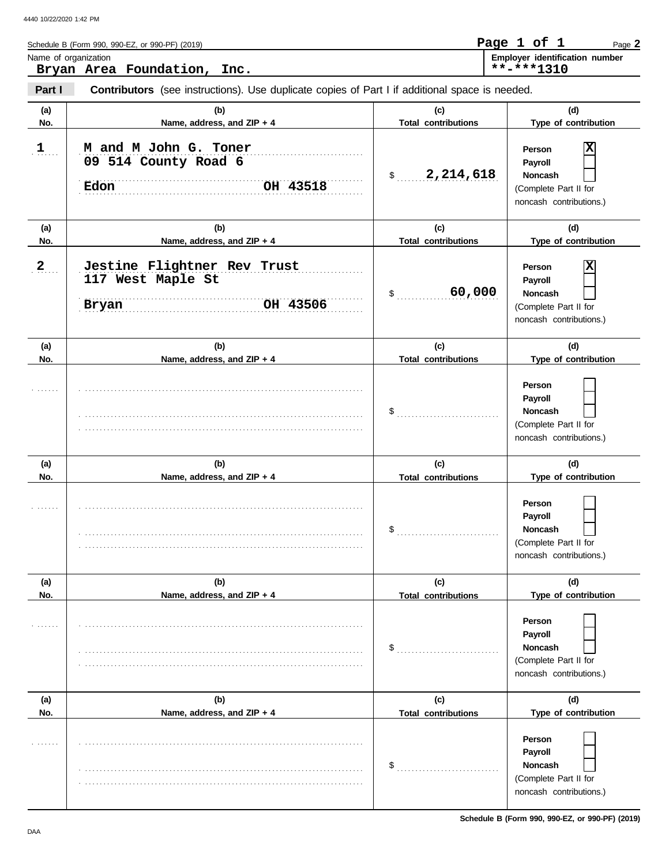| Schedule B (Form 990, 990-EZ, or 990-PF) (2019) |                             |                                                                                                       | Page 1 of 1<br>Page 2                        |
|-------------------------------------------------|-----------------------------|-------------------------------------------------------------------------------------------------------|----------------------------------------------|
| Name of organization                            | Bryan Area Foundation, Inc. |                                                                                                       | Employer identification number<br>**-***1310 |
| Part I                                          |                             | <b>Contributors</b> (see instructions). Use duplicate copies of Part I if additional space is needed. |                                              |
| .                                               |                             |                                                                                                       |                                              |

| (a) | (b)                                                                   | (c)                        | (d)                                                                                     |
|-----|-----------------------------------------------------------------------|----------------------------|-----------------------------------------------------------------------------------------|
| No. | Name, address, and ZIP + 4                                            | <b>Total contributions</b> | Type of contribution                                                                    |
| 1   | M and M John G. Toner<br>09 514 County Road 6<br>Edon<br>OH 43518     | 2,214,618<br>$\frac{1}{2}$ | X<br>Person<br>Payroll<br>Noncash<br>(Complete Part II for<br>noncash contributions.)   |
| (a) | (b)                                                                   | (c)                        | (d)                                                                                     |
| No. | Name, address, and ZIP + 4                                            | <b>Total contributions</b> | Type of contribution                                                                    |
| 2   | Jestine Flightner Rev Trust<br>117 West Maple St<br>Bryan<br>OH 43506 | 60,000<br>$\sim$           | X<br>Person<br>Payroll<br>Noncash<br>(Complete Part II for<br>noncash contributions.)   |
| (a) | (b)                                                                   | (c)                        | (d)                                                                                     |
| No. | Name, address, and ZIP + 4                                            | <b>Total contributions</b> | Type of contribution                                                                    |
|     |                                                                       | $\$\quad$                  | Person<br>Payroll<br><b>Noncash</b><br>(Complete Part II for<br>noncash contributions.) |
| (a) | (b)                                                                   | (c)                        | (d)                                                                                     |
| No. | Name, address, and ZIP + 4                                            | <b>Total contributions</b> | Type of contribution                                                                    |
|     |                                                                       |                            | Person<br>Payroll<br>Noncash<br>(Complete Part II for<br>noncash contributions.)        |
| (a) | (b)                                                                   | (c)                        | (d)                                                                                     |
| No. |                                                                       |                            |                                                                                         |
|     | Name. address. and ZIP + 4                                            | <b>Total contributions</b> | Type of contribution                                                                    |
|     |                                                                       | \$                         | Person<br>Payroll<br>Noncash<br>(Complete Part II for<br>noncash contributions.)        |
| (a) | (b)                                                                   | (c)                        | (d)                                                                                     |
| No. | Name, address, and ZIP + 4                                            | <b>Total contributions</b> | Type of contribution                                                                    |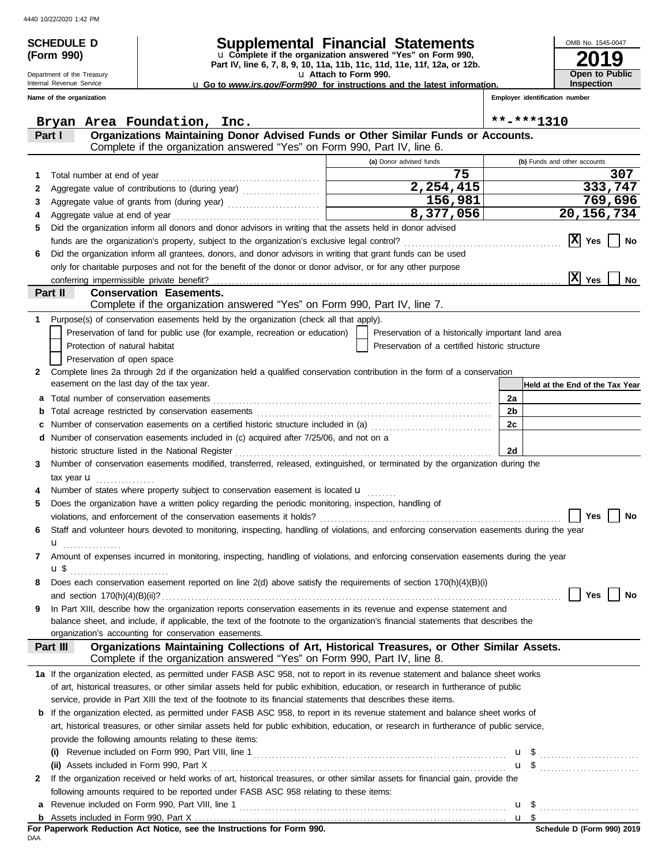Department of the Treasury Internal Revenue Service **Name of the organization**

**(Form 990)**

## **SCHEDULE D Supplemental Financial Statements**

**Part IV, line 6, 7, 8, 9, 10, 11a, 11b, 11c, 11d, 11e, 11f, 12a, or 12b.** u **Complete if the organization answered "Yes" on Form 990,**

u **Attach to Form 990.** 

u **Go to** *www.irs.gov/Form990* **for instructions and the latest information.**

**Employer identification number**

**2019**

**Open to Public Inspection**

OMB No. 1545-0047

|              | Bryan Area Foundation, Inc.                                                                                                                                                |                                                    | **-***1310                      |
|--------------|----------------------------------------------------------------------------------------------------------------------------------------------------------------------------|----------------------------------------------------|---------------------------------|
|              | Organizations Maintaining Donor Advised Funds or Other Similar Funds or Accounts.<br>Part I                                                                                |                                                    |                                 |
|              | Complete if the organization answered "Yes" on Form 990, Part IV, line 6.                                                                                                  |                                                    |                                 |
|              |                                                                                                                                                                            | (a) Donor advised funds                            | (b) Funds and other accounts    |
| 1.           | Total number at end of year                                                                                                                                                | 75                                                 | 307                             |
| 2            |                                                                                                                                                                            | 2,254,415                                          | 333,747                         |
| 3            |                                                                                                                                                                            | 156,981                                            | 769,696                         |
| 4            |                                                                                                                                                                            | 8,377,056                                          | 20, 156, 734                    |
| 5            | Did the organization inform all donors and donor advisors in writing that the assets held in donor advised                                                                 |                                                    |                                 |
|              | funds are the organization's property, subject to the organization's exclusive legal control?                                                                              |                                                    | $ {\bf X} $<br>Yes<br>No        |
| 6            | Did the organization inform all grantees, donors, and donor advisors in writing that grant funds can be used                                                               |                                                    |                                 |
|              | only for charitable purposes and not for the benefit of the donor or donor advisor, or for any other purpose                                                               |                                                    |                                 |
|              |                                                                                                                                                                            |                                                    | $ \overline{X} $ Yes<br>No      |
|              | Part II<br><b>Conservation Easements.</b>                                                                                                                                  |                                                    |                                 |
|              | Complete if the organization answered "Yes" on Form 990, Part IV, line 7.                                                                                                  |                                                    |                                 |
| 1            | Purpose(s) of conservation easements held by the organization (check all that apply).                                                                                      |                                                    |                                 |
|              | Preservation of land for public use (for example, recreation or education)                                                                                                 | Preservation of a historically important land area |                                 |
|              | Protection of natural habitat                                                                                                                                              | Preservation of a certified historic structure     |                                 |
|              | Preservation of open space                                                                                                                                                 |                                                    |                                 |
| $\mathbf{2}$ | Complete lines 2a through 2d if the organization held a qualified conservation contribution in the form of a conservation                                                  |                                                    |                                 |
|              | easement on the last day of the tax year.                                                                                                                                  |                                                    | Held at the End of the Tax Year |
| a            | Total number of conservation easements                                                                                                                                     |                                                    | 2a                              |
| b            |                                                                                                                                                                            |                                                    | 2 <sub>b</sub>                  |
| с            | Number of conservation easements on a certified historic structure included in (a) [11] Number of conservation easements on a certified historic structure included in (a) |                                                    | 2c                              |
|              | d Number of conservation easements included in (c) acquired after 7/25/06, and not on a                                                                                    |                                                    |                                 |
|              | historic structure listed in the National Register                                                                                                                         |                                                    | 2d                              |
| 3            | Number of conservation easements modified, transferred, released, extinguished, or terminated by the organization during the                                               |                                                    |                                 |
|              | tax year <b>u</b>                                                                                                                                                          |                                                    |                                 |
|              | Number of states where property subject to conservation easement is located u                                                                                              |                                                    |                                 |
| 5            | Does the organization have a written policy regarding the periodic monitoring, inspection, handling of                                                                     |                                                    |                                 |
|              |                                                                                                                                                                            |                                                    | <b>Yes</b><br>No                |
| 6            | Staff and volunteer hours devoted to monitoring, inspecting, handling of violations, and enforcing conservation easements during the year                                  |                                                    |                                 |
|              |                                                                                                                                                                            |                                                    |                                 |
| 7            | Amount of expenses incurred in monitoring, inspecting, handling of violations, and enforcing conservation easements during the year                                        |                                                    |                                 |
|              | u \$                                                                                                                                                                       |                                                    |                                 |
| 8            | Does each conservation easement reported on line 2(d) above satisfy the requirements of section 170(h)(4)(B)(i)                                                            |                                                    |                                 |
|              | and section $170(h)(4)(B)(ii)?$ No                                                                                                                                         |                                                    |                                 |
| 9            | In Part XIII, describe how the organization reports conservation easements in its revenue and expense statement and                                                        |                                                    |                                 |
|              | balance sheet, and include, if applicable, the text of the footnote to the organization's financial statements that describes the                                          |                                                    |                                 |
|              | organization's accounting for conservation easements.                                                                                                                      |                                                    |                                 |
|              | Organizations Maintaining Collections of Art, Historical Treasures, or Other Similar Assets.<br>Part III                                                                   |                                                    |                                 |
|              | Complete if the organization answered "Yes" on Form 990, Part IV, line 8.                                                                                                  |                                                    |                                 |
|              | 1a If the organization elected, as permitted under FASB ASC 958, not to report in its revenue statement and balance sheet works                                            |                                                    |                                 |
|              | of art, historical treasures, or other similar assets held for public exhibition, education, or research in furtherance of public                                          |                                                    |                                 |
|              | service, provide in Part XIII the text of the footnote to its financial statements that describes these items.                                                             |                                                    |                                 |
|              | <b>b</b> If the organization elected, as permitted under FASB ASC 958, to report in its revenue statement and balance sheet works of                                       |                                                    |                                 |
|              | art, historical treasures, or other similar assets held for public exhibition, education, or research in furtherance of public service,                                    |                                                    |                                 |
|              | provide the following amounts relating to these items:                                                                                                                     |                                                    |                                 |
|              |                                                                                                                                                                            |                                                    | $u \sqrt{s}$                    |
|              | (ii) Assets included in Form 990, Part X                                                                                                                                   |                                                    | <b>u</b> \$                     |
| $\mathbf{2}$ | If the organization received or held works of art, historical treasures, or other similar assets for financial gain, provide the                                           |                                                    |                                 |
|              | following amounts required to be reported under FASB ASC 958 relating to these items:                                                                                      |                                                    |                                 |
| а            |                                                                                                                                                                            |                                                    |                                 |
|              |                                                                                                                                                                            |                                                    |                                 |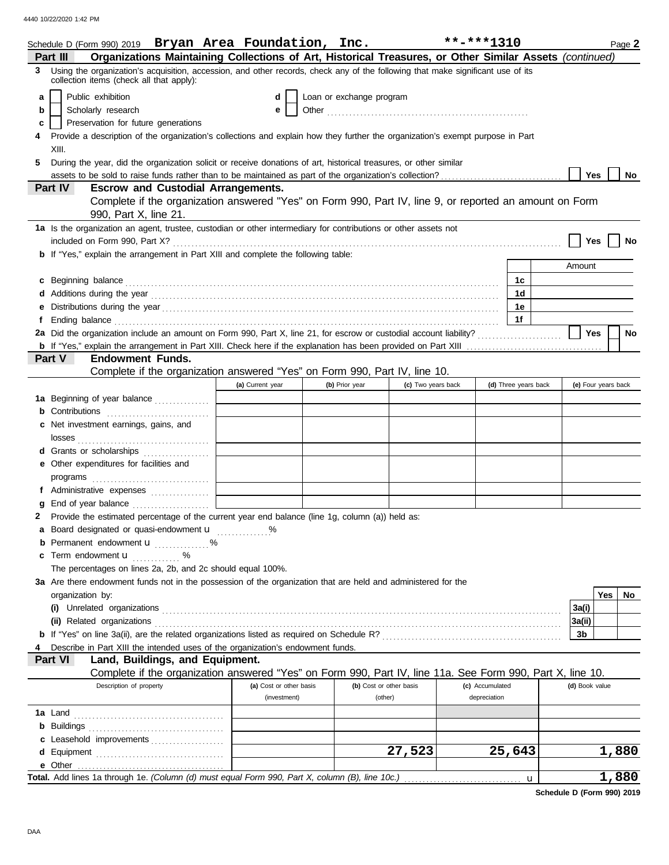|    | Schedule D (Form 990) 2019 Bryan Area Foundation, Inc.                                                                                                                                                                               |                         |                          |                    | **-***1310      |                      |        |                | Page 2              |
|----|--------------------------------------------------------------------------------------------------------------------------------------------------------------------------------------------------------------------------------------|-------------------------|--------------------------|--------------------|-----------------|----------------------|--------|----------------|---------------------|
|    | Organizations Maintaining Collections of Art, Historical Treasures, or Other Similar Assets (continued)<br>Part III                                                                                                                  |                         |                          |                    |                 |                      |        |                |                     |
| 3  | Using the organization's acquisition, accession, and other records, check any of the following that make significant use of its                                                                                                      |                         |                          |                    |                 |                      |        |                |                     |
|    | collection items (check all that apply):                                                                                                                                                                                             |                         |                          |                    |                 |                      |        |                |                     |
| a  | Public exhibition                                                                                                                                                                                                                    | d                       | Loan or exchange program |                    |                 |                      |        |                |                     |
| b  | Scholarly research                                                                                                                                                                                                                   | e                       |                          |                    |                 |                      |        |                |                     |
| c  | Preservation for future generations                                                                                                                                                                                                  |                         |                          |                    |                 |                      |        |                |                     |
|    | Provide a description of the organization's collections and explain how they further the organization's exempt purpose in Part                                                                                                       |                         |                          |                    |                 |                      |        |                |                     |
|    | XIII.                                                                                                                                                                                                                                |                         |                          |                    |                 |                      |        |                |                     |
| 5. | During the year, did the organization solicit or receive donations of art, historical treasures, or other similar                                                                                                                    |                         |                          |                    |                 |                      |        |                |                     |
|    | assets to be sold to raise funds rather than to be maintained as part of the organization's collection?<br>Part IV<br><b>Escrow and Custodial Arrangements.</b>                                                                      |                         |                          |                    |                 |                      |        | Yes            | No                  |
|    | Complete if the organization answered "Yes" on Form 990, Part IV, line 9, or reported an amount on Form                                                                                                                              |                         |                          |                    |                 |                      |        |                |                     |
|    | 990, Part X, line 21.                                                                                                                                                                                                                |                         |                          |                    |                 |                      |        |                |                     |
|    | 1a Is the organization an agent, trustee, custodian or other intermediary for contributions or other assets not                                                                                                                      |                         |                          |                    |                 |                      |        |                |                     |
|    |                                                                                                                                                                                                                                      |                         |                          |                    |                 |                      |        | Yes            | No                  |
|    | <b>b</b> If "Yes," explain the arrangement in Part XIII and complete the following table:                                                                                                                                            |                         |                          |                    |                 |                      |        |                |                     |
|    |                                                                                                                                                                                                                                      |                         |                          |                    |                 |                      | Amount |                |                     |
|    | c Beginning balance <b>contract to the contract of the set of the contract of the contract of the contract of the contract of the contract of the contract of the contract of the contract of the contract of the contract of th</b> |                         |                          |                    |                 | 1с                   |        |                |                     |
|    |                                                                                                                                                                                                                                      |                         |                          |                    |                 | 1d                   |        |                |                     |
| е  |                                                                                                                                                                                                                                      |                         |                          |                    |                 | 1e                   |        |                |                     |
|    |                                                                                                                                                                                                                                      |                         |                          |                    |                 | 1f                   |        |                |                     |
|    | 2a Did the organization include an amount on Form 990, Part X, line 21, for escrow or custodial account liability?                                                                                                                   |                         |                          |                    |                 |                      |        | Yes            | <b>No</b>           |
|    |                                                                                                                                                                                                                                      |                         |                          |                    |                 |                      |        |                |                     |
|    | <b>Endowment Funds.</b><br><b>Part V</b>                                                                                                                                                                                             |                         |                          |                    |                 |                      |        |                |                     |
|    | Complete if the organization answered "Yes" on Form 990, Part IV, line 10.                                                                                                                                                           |                         |                          |                    |                 |                      |        |                |                     |
|    |                                                                                                                                                                                                                                      | (a) Current year        | (b) Prior year           | (c) Two years back |                 | (d) Three years back |        |                | (e) Four years back |
|    | 1a Beginning of year balance                                                                                                                                                                                                         |                         |                          |                    |                 |                      |        |                |                     |
|    | <b>b</b> Contributions                                                                                                                                                                                                               |                         |                          |                    |                 |                      |        |                |                     |
|    | c Net investment earnings, gains, and                                                                                                                                                                                                |                         |                          |                    |                 |                      |        |                |                     |
|    |                                                                                                                                                                                                                                      |                         |                          |                    |                 |                      |        |                |                     |
|    | d Grants or scholarships                                                                                                                                                                                                             |                         |                          |                    |                 |                      |        |                |                     |
|    | e Other expenditures for facilities and                                                                                                                                                                                              |                         |                          |                    |                 |                      |        |                |                     |
|    |                                                                                                                                                                                                                                      |                         |                          |                    |                 |                      |        |                |                     |
|    | f Administrative expenses                                                                                                                                                                                                            |                         |                          |                    |                 |                      |        |                |                     |
|    | 2 Provide the estimated percentage of the current year end balance (line 1g, column (a)) held as:                                                                                                                                    |                         |                          |                    |                 |                      |        |                |                     |
|    | a Board designated or quasi-endowment u                                                                                                                                                                                              |                         |                          |                    |                 |                      |        |                |                     |
|    | <b>b</b> Permanent endowment $\mathbf{u}$ %                                                                                                                                                                                          |                         |                          |                    |                 |                      |        |                |                     |
|    | <b>c</b> Term endowment $\mathbf{u}$ %                                                                                                                                                                                               |                         |                          |                    |                 |                      |        |                |                     |
|    | The percentages on lines 2a, 2b, and 2c should equal 100%.                                                                                                                                                                           |                         |                          |                    |                 |                      |        |                |                     |
|    | 3a Are there endowment funds not in the possession of the organization that are held and administered for the                                                                                                                        |                         |                          |                    |                 |                      |        |                |                     |
|    | organization by:                                                                                                                                                                                                                     |                         |                          |                    |                 |                      |        | Yes            | No                  |
|    |                                                                                                                                                                                                                                      |                         |                          |                    |                 |                      | 3a(i)  |                |                     |
|    |                                                                                                                                                                                                                                      |                         |                          |                    |                 |                      | 3a(ii) |                |                     |
|    |                                                                                                                                                                                                                                      |                         |                          |                    |                 |                      | 3b     |                |                     |
|    | Describe in Part XIII the intended uses of the organization's endowment funds.                                                                                                                                                       |                         |                          |                    |                 |                      |        |                |                     |
|    | Land, Buildings, and Equipment.<br>Part VI                                                                                                                                                                                           |                         |                          |                    |                 |                      |        |                |                     |
|    | Complete if the organization answered "Yes" on Form 990, Part IV, line 11a. See Form 990, Part X, line 10.                                                                                                                           |                         |                          |                    |                 |                      |        |                |                     |
|    | Description of property                                                                                                                                                                                                              | (a) Cost or other basis | (b) Cost or other basis  |                    | (c) Accumulated |                      |        | (d) Book value |                     |
|    |                                                                                                                                                                                                                                      | (investment)            | (other)                  |                    | depreciation    |                      |        |                |                     |
|    |                                                                                                                                                                                                                                      |                         |                          |                    |                 |                      |        |                |                     |
|    |                                                                                                                                                                                                                                      |                         |                          |                    |                 |                      |        |                |                     |
|    | c Leasehold improvements                                                                                                                                                                                                             |                         |                          |                    |                 |                      |        |                |                     |
|    |                                                                                                                                                                                                                                      |                         |                          | 27,523             |                 | 25,643               |        |                | 1,880               |
|    | Total. Add lines 1a through 1e. (Column (d) must equal Form 990, Part X, column (B), line 10c.)                                                                                                                                      |                         |                          |                    |                 |                      |        |                | 1,880               |
|    |                                                                                                                                                                                                                                      |                         |                          |                    |                 | u                    |        |                |                     |

**Schedule D (Form 990) 2019**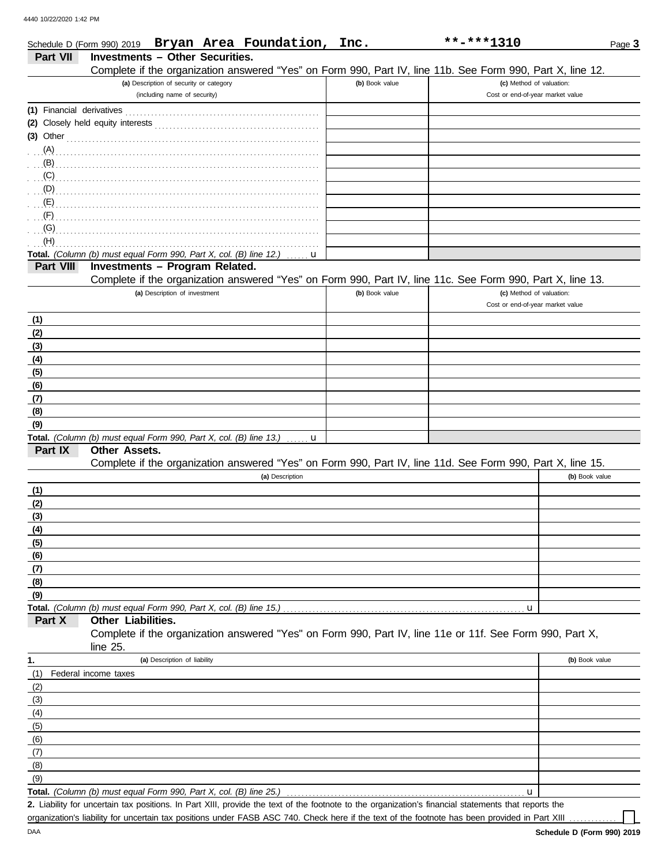DAA

|                           | Schedule D (Form 990) 2019 Bryan Area Foundation, Inc.                                                                                                                                                                                                                                                  |                                         |                 |   |                |  | **-***1310                       |                                                                                                            | Page 3 |
|---------------------------|---------------------------------------------------------------------------------------------------------------------------------------------------------------------------------------------------------------------------------------------------------------------------------------------------------|-----------------------------------------|-----------------|---|----------------|--|----------------------------------|------------------------------------------------------------------------------------------------------------|--------|
| Part VII                  | <b>Investments - Other Securities.</b>                                                                                                                                                                                                                                                                  |                                         |                 |   |                |  |                                  |                                                                                                            |        |
|                           |                                                                                                                                                                                                                                                                                                         |                                         |                 |   |                |  |                                  | Complete if the organization answered "Yes" on Form 990, Part IV, line 11b. See Form 990, Part X, line 12. |        |
|                           |                                                                                                                                                                                                                                                                                                         | (a) Description of security or category |                 |   | (b) Book value |  | (c) Method of valuation:         |                                                                                                            |        |
|                           |                                                                                                                                                                                                                                                                                                         | (including name of security)            |                 |   |                |  | Cost or end-of-year market value |                                                                                                            |        |
| (1) Financial derivatives |                                                                                                                                                                                                                                                                                                         |                                         |                 |   |                |  |                                  |                                                                                                            |        |
|                           |                                                                                                                                                                                                                                                                                                         |                                         |                 |   |                |  |                                  |                                                                                                            |        |
| $(3)$ Other               |                                                                                                                                                                                                                                                                                                         |                                         |                 |   |                |  |                                  |                                                                                                            |        |
| (A)                       |                                                                                                                                                                                                                                                                                                         |                                         |                 |   |                |  |                                  |                                                                                                            |        |
| (B)                       |                                                                                                                                                                                                                                                                                                         |                                         |                 |   |                |  |                                  |                                                                                                            |        |
|                           | $\mathcal{C}$ , and $\mathcal{C}$ , and $\mathcal{C}$ , and $\mathcal{C}$ , and $\mathcal{C}$ , and $\mathcal{C}$ , and $\mathcal{C}$ , and $\mathcal{C}$ , and $\mathcal{C}$ , and $\mathcal{C}$ , and $\mathcal{C}$ , and $\mathcal{C}$ , and $\mathcal{C}$ , and $\mathcal{C}$ , and $\mathcal{C}$ , |                                         |                 |   |                |  |                                  |                                                                                                            |        |
|                           | $(D)$ . The contract of the contract of the contract of the contract of the contract of the contract of the contract of the contract of the contract of the contract of the contract of the contract of the contract of the co                                                                          |                                         |                 |   |                |  |                                  |                                                                                                            |        |
| $\cdot$ $\cdot$ (F)       |                                                                                                                                                                                                                                                                                                         |                                         |                 |   |                |  |                                  |                                                                                                            |        |
| (G)                       |                                                                                                                                                                                                                                                                                                         |                                         |                 |   |                |  |                                  |                                                                                                            |        |
| (H)                       |                                                                                                                                                                                                                                                                                                         |                                         |                 |   |                |  |                                  |                                                                                                            |        |
|                           | Total. (Column (b) must equal Form 990, Part X, col. (B) line 12.)                                                                                                                                                                                                                                      |                                         |                 | u |                |  |                                  |                                                                                                            |        |
| Part VIII                 | Investments - Program Related.                                                                                                                                                                                                                                                                          |                                         |                 |   |                |  |                                  |                                                                                                            |        |
|                           |                                                                                                                                                                                                                                                                                                         |                                         |                 |   |                |  |                                  | Complete if the organization answered "Yes" on Form 990, Part IV, line 11c. See Form 990, Part X, line 13. |        |
|                           |                                                                                                                                                                                                                                                                                                         | (a) Description of investment           |                 |   | (b) Book value |  | (c) Method of valuation:         |                                                                                                            |        |
|                           |                                                                                                                                                                                                                                                                                                         |                                         |                 |   |                |  | Cost or end-of-year market value |                                                                                                            |        |
| <u>(1)</u>                |                                                                                                                                                                                                                                                                                                         |                                         |                 |   |                |  |                                  |                                                                                                            |        |
| (2)                       |                                                                                                                                                                                                                                                                                                         |                                         |                 |   |                |  |                                  |                                                                                                            |        |
| (3)                       |                                                                                                                                                                                                                                                                                                         |                                         |                 |   |                |  |                                  |                                                                                                            |        |
| (4)                       |                                                                                                                                                                                                                                                                                                         |                                         |                 |   |                |  |                                  |                                                                                                            |        |
| (5)                       |                                                                                                                                                                                                                                                                                                         |                                         |                 |   |                |  |                                  |                                                                                                            |        |
| (6)                       |                                                                                                                                                                                                                                                                                                         |                                         |                 |   |                |  |                                  |                                                                                                            |        |
| (7)                       |                                                                                                                                                                                                                                                                                                         |                                         |                 |   |                |  |                                  |                                                                                                            |        |
| (8)                       |                                                                                                                                                                                                                                                                                                         |                                         |                 |   |                |  |                                  |                                                                                                            |        |
| (9)                       |                                                                                                                                                                                                                                                                                                         |                                         |                 |   |                |  |                                  |                                                                                                            |        |
| Part IX                   | Total. (Column (b) must equal Form 990, Part X, col. (B) line 13.)<br><b>Other Assets.</b>                                                                                                                                                                                                              |                                         |                 | u |                |  |                                  |                                                                                                            |        |
|                           |                                                                                                                                                                                                                                                                                                         |                                         |                 |   |                |  |                                  | Complete if the organization answered "Yes" on Form 990, Part IV, line 11d. See Form 990, Part X, line 15. |        |
|                           |                                                                                                                                                                                                                                                                                                         |                                         | (a) Description |   |                |  |                                  | (b) Book value                                                                                             |        |
| (1)                       |                                                                                                                                                                                                                                                                                                         |                                         |                 |   |                |  |                                  |                                                                                                            |        |
| (2)                       |                                                                                                                                                                                                                                                                                                         |                                         |                 |   |                |  |                                  |                                                                                                            |        |
| (3)                       |                                                                                                                                                                                                                                                                                                         |                                         |                 |   |                |  |                                  |                                                                                                            |        |
| (4)                       |                                                                                                                                                                                                                                                                                                         |                                         |                 |   |                |  |                                  |                                                                                                            |        |
| (5)                       |                                                                                                                                                                                                                                                                                                         |                                         |                 |   |                |  |                                  |                                                                                                            |        |
| (6)                       |                                                                                                                                                                                                                                                                                                         |                                         |                 |   |                |  |                                  |                                                                                                            |        |
| (7)                       |                                                                                                                                                                                                                                                                                                         |                                         |                 |   |                |  |                                  |                                                                                                            |        |
| (8)                       |                                                                                                                                                                                                                                                                                                         |                                         |                 |   |                |  |                                  |                                                                                                            |        |
| (9)                       |                                                                                                                                                                                                                                                                                                         |                                         |                 |   |                |  |                                  |                                                                                                            |        |
|                           | Total. (Column (b) must equal Form 990, Part X, col. (B) line 15.)                                                                                                                                                                                                                                      |                                         |                 |   |                |  | u                                |                                                                                                            |        |
| Part X                    | Other Liabilities.                                                                                                                                                                                                                                                                                      |                                         |                 |   |                |  |                                  |                                                                                                            |        |
|                           | Complete if the organization answered "Yes" on Form 990, Part IV, line 11e or 11f. See Form 990, Part X,<br>line 25.                                                                                                                                                                                    |                                         |                 |   |                |  |                                  |                                                                                                            |        |
| 1.                        |                                                                                                                                                                                                                                                                                                         | (a) Description of liability            |                 |   |                |  |                                  | (b) Book value                                                                                             |        |
| (1)                       | Federal income taxes                                                                                                                                                                                                                                                                                    |                                         |                 |   |                |  |                                  |                                                                                                            |        |
| (2)                       |                                                                                                                                                                                                                                                                                                         |                                         |                 |   |                |  |                                  |                                                                                                            |        |
| (3)                       |                                                                                                                                                                                                                                                                                                         |                                         |                 |   |                |  |                                  |                                                                                                            |        |
| (4)                       |                                                                                                                                                                                                                                                                                                         |                                         |                 |   |                |  |                                  |                                                                                                            |        |
| (5)                       |                                                                                                                                                                                                                                                                                                         |                                         |                 |   |                |  |                                  |                                                                                                            |        |
| (6)                       |                                                                                                                                                                                                                                                                                                         |                                         |                 |   |                |  |                                  |                                                                                                            |        |
| (7)                       |                                                                                                                                                                                                                                                                                                         |                                         |                 |   |                |  |                                  |                                                                                                            |        |
| (8)                       |                                                                                                                                                                                                                                                                                                         |                                         |                 |   |                |  |                                  |                                                                                                            |        |
| (9)                       |                                                                                                                                                                                                                                                                                                         |                                         |                 |   |                |  |                                  |                                                                                                            |        |
|                           | Total. (Column (b) must equal Form 990, Part X, col. (B) line 25.)                                                                                                                                                                                                                                      |                                         |                 |   |                |  | u                                |                                                                                                            |        |

Liability for uncertain tax positions. In Part XIII, provide the text of the footnote to the organization's financial statements that reports the **2.** organization's liability for uncertain tax positions under FASB ASC 740. Check here if the text of the footnote has been provided in Part XIII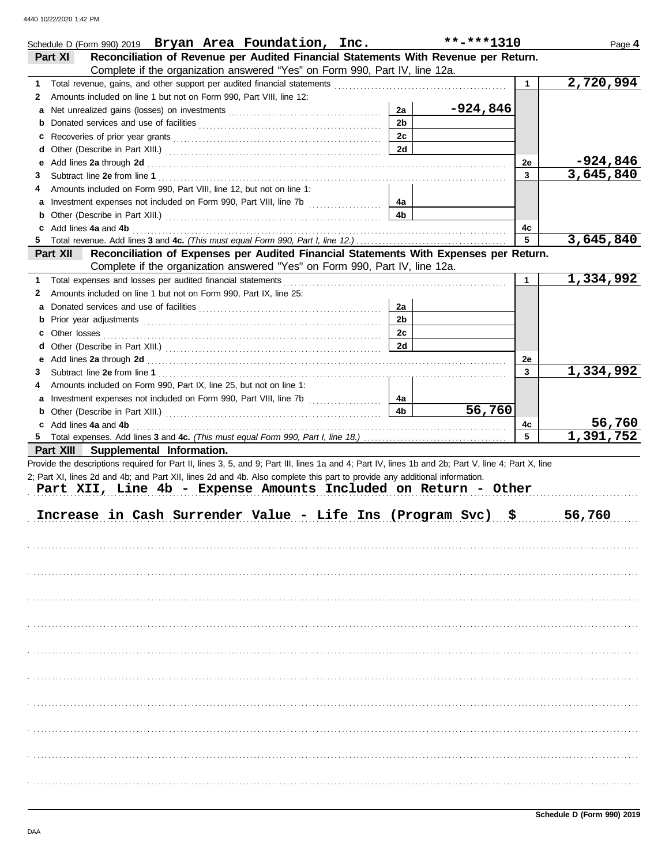|   | Schedule D (Form 990) 2019 Bryan Area Foundation, Inc.                                                                                                                                                                         |                | $***$ -***1310 |              | Page 4                 |
|---|--------------------------------------------------------------------------------------------------------------------------------------------------------------------------------------------------------------------------------|----------------|----------------|--------------|------------------------|
|   | Reconciliation of Revenue per Audited Financial Statements With Revenue per Return.<br>Part XI                                                                                                                                 |                |                |              |                        |
|   | Complete if the organization answered "Yes" on Form 990, Part IV, line 12a.                                                                                                                                                    |                |                |              |                        |
| 1 |                                                                                                                                                                                                                                |                |                | $\mathbf{1}$ | 2,720,994              |
| 2 | Amounts included on line 1 but not on Form 990, Part VIII, line 12:                                                                                                                                                            |                |                |              |                        |
| а |                                                                                                                                                                                                                                | 2a             | -924,846       |              |                        |
| b |                                                                                                                                                                                                                                | 2 <sub>b</sub> |                |              |                        |
| c |                                                                                                                                                                                                                                | 2c             |                |              |                        |
| d |                                                                                                                                                                                                                                | 2d             |                |              |                        |
| е | Add lines 2a through 2d [11] All and the contract of the contract of the contract of the contract of the contract of the contract of the contract of the contract of the contract of the contract of the contract of the contr |                |                | 2e           | $-924,846$             |
| 3 |                                                                                                                                                                                                                                |                |                | $\mathbf{3}$ | 3,645,840              |
| 4 | Amounts included on Form 990, Part VIII, line 12, but not on line 1:                                                                                                                                                           |                |                |              |                        |
|   |                                                                                                                                                                                                                                | 4a             |                |              |                        |
|   |                                                                                                                                                                                                                                | 4b             |                |              |                        |
| c | Add lines 4a and 4b                                                                                                                                                                                                            |                |                | 4с           |                        |
|   |                                                                                                                                                                                                                                |                |                | 5            | 3,645,840              |
|   | Reconciliation of Expenses per Audited Financial Statements With Expenses per Return.<br>Part XII                                                                                                                              |                |                |              |                        |
|   | Complete if the organization answered "Yes" on Form 990, Part IV, line 12a.                                                                                                                                                    |                |                |              |                        |
| 1 | Total expenses and losses per audited financial statements                                                                                                                                                                     |                |                | $\mathbf{1}$ | 1,334,992              |
| 2 | Amounts included on line 1 but not on Form 990, Part IX, line 25:                                                                                                                                                              |                |                |              |                        |
| а |                                                                                                                                                                                                                                | 2a             |                |              |                        |
| b |                                                                                                                                                                                                                                | 2 <sub>b</sub> |                |              |                        |
|   |                                                                                                                                                                                                                                | 2c             |                |              |                        |
|   |                                                                                                                                                                                                                                | 2d             |                |              |                        |
|   | e Add lines 2a through 2d [11] results and the contract of the contract of the contract of the contract of the contract of the contract of the contract of the contract of the contract of the contract of the contract of the |                |                | 2e           |                        |
| 3 |                                                                                                                                                                                                                                |                |                | $\mathbf{3}$ | 1,334,992              |
| 4 | Amounts included on Form 990, Part IX, line 25, but not on line 1:                                                                                                                                                             |                |                |              |                        |
|   | a Investment expenses not included on Form 990, Part VIII, line 7b                                                                                                                                                             | 4a             |                |              |                        |
|   | <b>b</b> Other (Describe in Part XIII.) <b>CONSIDENT DESCRIPTION DESCRIPTION DESCRIPTION DESCRIPTION DESCRIPTION DESCRIPTION DESCRIPTION DESCRIPTION DESCRIPTION DESCRIPTION DESCRIPTION DESCRIPTION DESCRI</b>                | 4 <sub>b</sub> | 56,760         |              |                        |
|   | c Add lines 4a and 4b                                                                                                                                                                                                          |                |                | 4c           | 56,760                 |
|   |                                                                                                                                                                                                                                |                |                | 5            | $\overline{1,391,752}$ |
|   | Part XIII Supplemental Information.                                                                                                                                                                                            |                |                |              |                        |
|   | Provide the descriptions required for Part II, lines 3, 5, and 9; Part III, lines 1a and 4; Part IV, lines 1b and 2b; Part V, line 4; Part X, line                                                                             |                |                |              |                        |
|   | 2; Part XI, lines 2d and 4b; and Part XII, lines 2d and 4b. Also complete this part to provide any additional information.                                                                                                     |                |                |              |                        |
|   | Part XII, Line 4b - Expense Amounts Included on Return - Other                                                                                                                                                                 |                |                |              |                        |
|   |                                                                                                                                                                                                                                |                |                |              |                        |
|   | Increase in Cash Surrender Value - Life Ins (Program Svc)                                                                                                                                                                      |                | \$             |              | 56,760                 |
|   |                                                                                                                                                                                                                                |                |                |              |                        |
|   |                                                                                                                                                                                                                                |                |                |              |                        |
|   |                                                                                                                                                                                                                                |                |                |              |                        |
|   |                                                                                                                                                                                                                                |                |                |              |                        |
|   |                                                                                                                                                                                                                                |                |                |              |                        |
|   |                                                                                                                                                                                                                                |                |                |              |                        |
|   |                                                                                                                                                                                                                                |                |                |              |                        |
|   |                                                                                                                                                                                                                                |                |                |              |                        |
|   |                                                                                                                                                                                                                                |                |                |              |                        |
|   |                                                                                                                                                                                                                                |                |                |              |                        |
|   |                                                                                                                                                                                                                                |                |                |              |                        |
|   |                                                                                                                                                                                                                                |                |                |              |                        |
|   |                                                                                                                                                                                                                                |                |                |              |                        |
|   |                                                                                                                                                                                                                                |                |                |              |                        |
|   |                                                                                                                                                                                                                                |                |                |              |                        |
|   |                                                                                                                                                                                                                                |                |                |              |                        |
|   |                                                                                                                                                                                                                                |                |                |              |                        |
|   |                                                                                                                                                                                                                                |                |                |              |                        |
|   |                                                                                                                                                                                                                                |                |                |              |                        |
|   |                                                                                                                                                                                                                                |                |                |              |                        |
|   |                                                                                                                                                                                                                                |                |                |              |                        |
|   |                                                                                                                                                                                                                                |                |                |              |                        |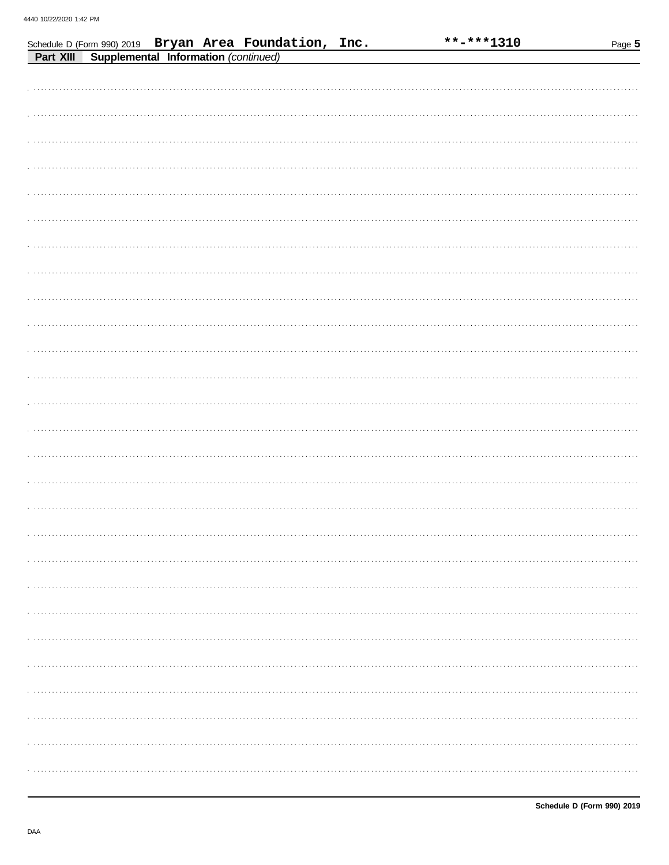| Schedule D (Form 990) 2019 Bryan Area Foundation, Inc. |  | **-***1310 | Page 5 |
|--------------------------------------------------------|--|------------|--------|
| Supplemental Information (continued)<br>Part XIII      |  |            |        |
|                                                        |  |            |        |
|                                                        |  |            |        |
|                                                        |  |            |        |
|                                                        |  |            |        |
|                                                        |  |            |        |
|                                                        |  |            |        |
|                                                        |  |            |        |
|                                                        |  |            |        |
|                                                        |  |            |        |
|                                                        |  |            |        |
|                                                        |  |            |        |
|                                                        |  |            |        |
|                                                        |  |            |        |
|                                                        |  |            |        |
|                                                        |  |            |        |
|                                                        |  |            |        |
|                                                        |  |            |        |
|                                                        |  |            |        |
|                                                        |  |            |        |
|                                                        |  |            |        |
|                                                        |  |            |        |
|                                                        |  |            |        |
|                                                        |  |            |        |
|                                                        |  |            |        |
|                                                        |  |            |        |
|                                                        |  |            |        |
|                                                        |  |            |        |
|                                                        |  |            |        |
|                                                        |  |            |        |
|                                                        |  |            |        |
|                                                        |  |            |        |
|                                                        |  |            |        |
|                                                        |  |            |        |
|                                                        |  |            |        |
|                                                        |  |            |        |
|                                                        |  |            |        |
|                                                        |  |            |        |
|                                                        |  |            |        |
|                                                        |  |            |        |
|                                                        |  |            |        |
|                                                        |  |            |        |
|                                                        |  |            |        |
|                                                        |  |            |        |
|                                                        |  |            |        |
|                                                        |  |            |        |
|                                                        |  |            |        |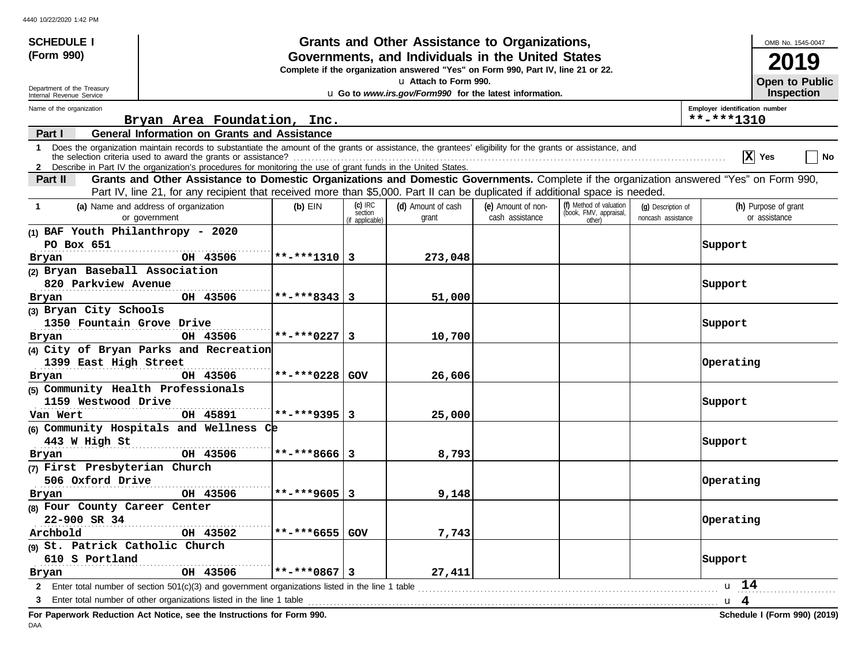| <b>SCHEDULE I</b>                  |                                                                                                                                                            |                  |                            | <b>Grants and Other Assistance to Organizations,</b>                             |                    |                                  |                    | OMB No. 1545-0047                                                                                                                        |
|------------------------------------|------------------------------------------------------------------------------------------------------------------------------------------------------------|------------------|----------------------------|----------------------------------------------------------------------------------|--------------------|----------------------------------|--------------------|------------------------------------------------------------------------------------------------------------------------------------------|
| (Form 990)                         |                                                                                                                                                            |                  |                            | Governments, and Individuals in the United States                                |                    |                                  |                    | 2019                                                                                                                                     |
|                                    |                                                                                                                                                            |                  |                            | Complete if the organization answered "Yes" on Form 990, Part IV, line 21 or 22. |                    |                                  |                    |                                                                                                                                          |
| Department of the Treasury         |                                                                                                                                                            |                  |                            | u Attach to Form 990.                                                            |                    |                                  |                    | Open to Public                                                                                                                           |
| Internal Revenue Service           |                                                                                                                                                            |                  |                            | u Go to www.irs.gov/Form990 for the latest information.                          |                    |                                  |                    | Inspection                                                                                                                               |
| Name of the organization           | Bryan Area Foundation, Inc.                                                                                                                                |                  |                            |                                                                                  |                    |                                  |                    | Employer identification number<br>**-***1310                                                                                             |
| Part I                             | <b>General Information on Grants and Assistance</b>                                                                                                        |                  |                            |                                                                                  |                    |                                  |                    |                                                                                                                                          |
| $\mathbf 1$                        | Does the organization maintain records to substantiate the amount of the grants or assistance, the grantees' eligibility for the grants or assistance, and |                  |                            |                                                                                  |                    |                                  |                    | X Yes<br>No                                                                                                                              |
|                                    | 2 Describe in Part IV the organization's procedures for monitoring the use of grant funds in the United States.                                            |                  |                            |                                                                                  |                    |                                  |                    |                                                                                                                                          |
| Part II                            | Part IV, line 21, for any recipient that received more than \$5,000. Part II can be duplicated if additional space is needed.                              |                  |                            |                                                                                  |                    |                                  |                    | Grants and Other Assistance to Domestic Organizations and Domestic Governments. Complete if the organization answered "Yes" on Form 990, |
| $\mathbf 1$                        | (a) Name and address of organization                                                                                                                       | $(b)$ EIN        | $(c)$ IRC                  | (d) Amount of cash                                                               | (e) Amount of non- | (f) Method of valuation          | (g) Description of | (h) Purpose of grant                                                                                                                     |
|                                    | or government                                                                                                                                              |                  | section<br>(if applicable) | grant                                                                            | cash assistance    | (book, FMV, appraisal,<br>other) | noncash assistance | or assistance                                                                                                                            |
| (1) BAF Youth Philanthropy - 2020  |                                                                                                                                                            |                  |                            |                                                                                  |                    |                                  |                    |                                                                                                                                          |
| PO Box 651                         |                                                                                                                                                            |                  |                            |                                                                                  |                    |                                  |                    | Support                                                                                                                                  |
| Bryan                              | OH 43506                                                                                                                                                   | **-***1310   3   |                            | 273,048                                                                          |                    |                                  |                    |                                                                                                                                          |
| (2) Bryan Baseball Association     |                                                                                                                                                            |                  |                            |                                                                                  |                    |                                  |                    |                                                                                                                                          |
| 820 Parkview Avenue                |                                                                                                                                                            |                  |                            |                                                                                  |                    |                                  |                    | Support                                                                                                                                  |
| Bryan                              | OH 43506                                                                                                                                                   | $**-***8343   3$ |                            | 51,000                                                                           |                    |                                  |                    |                                                                                                                                          |
| (3) Bryan City Schools             |                                                                                                                                                            |                  |                            |                                                                                  |                    |                                  |                    |                                                                                                                                          |
| 1350 Fountain Grove Drive          |                                                                                                                                                            |                  |                            |                                                                                  |                    |                                  |                    | Support                                                                                                                                  |
| Bryan                              | OH 43506                                                                                                                                                   | $**-***0227$ 3   |                            | 10,700                                                                           |                    |                                  |                    |                                                                                                                                          |
|                                    | (4) City of Bryan Parks and Recreation                                                                                                                     |                  |                            |                                                                                  |                    |                                  |                    |                                                                                                                                          |
| 1399 East High Street              |                                                                                                                                                            |                  |                            |                                                                                  |                    |                                  |                    | Operating                                                                                                                                |
| Bryan                              | OH 43506                                                                                                                                                   | **-***0228 GOV   |                            | 26,606                                                                           |                    |                                  |                    |                                                                                                                                          |
| (5) Community Health Professionals |                                                                                                                                                            |                  |                            |                                                                                  |                    |                                  |                    |                                                                                                                                          |
| 1159 Westwood Drive                |                                                                                                                                                            |                  |                            |                                                                                  |                    |                                  |                    | Support                                                                                                                                  |
| Van Wert                           | OH 45891                                                                                                                                                   | $**-***9395$  3  |                            | 25,000                                                                           |                    |                                  |                    |                                                                                                                                          |
|                                    | (6) Community Hospitals and Wellness Ce                                                                                                                    |                  |                            |                                                                                  |                    |                                  |                    |                                                                                                                                          |
| 443 W High St                      |                                                                                                                                                            |                  |                            |                                                                                  |                    |                                  |                    | Support                                                                                                                                  |
| Bryan                              | OH 43506                                                                                                                                                   | $**-***8666 3$   |                            | 8,793                                                                            |                    |                                  |                    |                                                                                                                                          |
| (7) First Presbyterian Church      |                                                                                                                                                            |                  |                            |                                                                                  |                    |                                  |                    |                                                                                                                                          |
| 506 Oxford Drive                   |                                                                                                                                                            |                  |                            |                                                                                  |                    |                                  |                    | Operating                                                                                                                                |
| Bryan                              | OH 43506                                                                                                                                                   | **-***9605 3     |                            | 9,148                                                                            |                    |                                  |                    |                                                                                                                                          |
| (8) Four County Career Center      |                                                                                                                                                            |                  |                            |                                                                                  |                    |                                  |                    |                                                                                                                                          |
| 22-900 SR 34                       |                                                                                                                                                            |                  |                            |                                                                                  |                    |                                  |                    | Operating                                                                                                                                |
| Archbold                           | OH 43502                                                                                                                                                   | **-***6655 GOV   |                            | 7,743                                                                            |                    |                                  |                    |                                                                                                                                          |
| (9) St. Patrick Catholic Church    |                                                                                                                                                            |                  |                            |                                                                                  |                    |                                  |                    |                                                                                                                                          |
| 610 S Portland                     |                                                                                                                                                            |                  |                            |                                                                                  |                    |                                  |                    | Support                                                                                                                                  |
| Bryan                              | OH 43506                                                                                                                                                   | **-***0867 3     |                            | 27,411                                                                           |                    |                                  |                    |                                                                                                                                          |
| 2                                  | Enter total number of section $501(c)(3)$ and government organizations listed in the line 1 table                                                          |                  |                            |                                                                                  |                    |                                  |                    | u 14                                                                                                                                     |
| 3                                  |                                                                                                                                                            |                  |                            |                                                                                  |                    |                                  |                    |                                                                                                                                          |

**For Paperwork Reduction Act Notice, see the Instructions for Form 990. Schedule I (Form 990) (2019)** DAA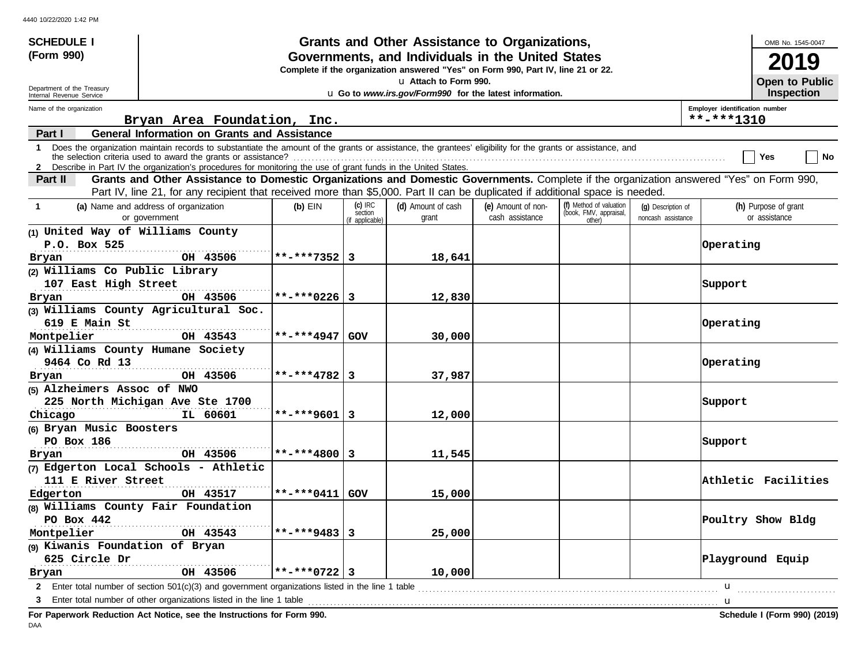| <b>SCHEDULE I</b>                  |                                                                                                                                                                                                                                                             |                       |                                         | Grants and Other Assistance to Organizations,                                    |                                       |                                                             |                                          |                                              | OMB No. 1545-0047                     |
|------------------------------------|-------------------------------------------------------------------------------------------------------------------------------------------------------------------------------------------------------------------------------------------------------------|-----------------------|-----------------------------------------|----------------------------------------------------------------------------------|---------------------------------------|-------------------------------------------------------------|------------------------------------------|----------------------------------------------|---------------------------------------|
| (Form 990)                         |                                                                                                                                                                                                                                                             |                       |                                         | Governments, and Individuals in the United States                                |                                       |                                                             |                                          |                                              | <b>2019</b>                           |
|                                    |                                                                                                                                                                                                                                                             |                       |                                         | Complete if the organization answered "Yes" on Form 990, Part IV, line 21 or 22. |                                       |                                                             |                                          |                                              |                                       |
| Department of the Treasury         |                                                                                                                                                                                                                                                             |                       |                                         | La Attach to Form 990.                                                           |                                       |                                                             |                                          |                                              | Open to Public                        |
| Internal Revenue Service           |                                                                                                                                                                                                                                                             |                       |                                         | u Go to www.irs.gov/Form990 for the latest information.                          |                                       |                                                             |                                          |                                              | <b>Inspection</b>                     |
| Name of the organization           | Bryan Area Foundation, Inc.                                                                                                                                                                                                                                 |                       |                                         |                                                                                  |                                       |                                                             |                                          | Employer identification number<br>**-***1310 |                                       |
| Part I                             | <b>General Information on Grants and Assistance</b>                                                                                                                                                                                                         |                       |                                         |                                                                                  |                                       |                                                             |                                          |                                              |                                       |
| $\mathbf 1$                        | Does the organization maintain records to substantiate the amount of the grants or assistance, the grantees' eligibility for the grants or assistance, and                                                                                                  |                       |                                         |                                                                                  |                                       |                                                             |                                          |                                              | Yes<br>∣ No                           |
| Part II                            | 2 Describe in Part IV the organization's procedures for monitoring the use of grant funds in the United States.<br>Grants and Other Assistance to Domestic Organizations and Domestic Governments. Complete if the organization answered "Yes" on Form 990, |                       |                                         |                                                                                  |                                       |                                                             |                                          |                                              |                                       |
|                                    | Part IV, line 21, for any recipient that received more than \$5,000. Part II can be duplicated if additional space is needed.                                                                                                                               |                       |                                         |                                                                                  |                                       |                                                             |                                          |                                              |                                       |
| $\mathbf 1$                        | (a) Name and address of organization<br>or government                                                                                                                                                                                                       | $(b)$ EIN             | $(c)$ IRC<br>section<br>(if applicable) | (d) Amount of cash<br>grant                                                      | (e) Amount of non-<br>cash assistance | (f) Method of valuation<br>(book, FMV, appraisal,<br>other) | (q) Description of<br>noncash assistance |                                              | (h) Purpose of grant<br>or assistance |
| (1) United Way of Williams County  |                                                                                                                                                                                                                                                             |                       |                                         |                                                                                  |                                       |                                                             |                                          |                                              |                                       |
| P.O. Box 525                       |                                                                                                                                                                                                                                                             |                       |                                         |                                                                                  |                                       |                                                             |                                          | Operating                                    |                                       |
| Bryan                              | OH 43506                                                                                                                                                                                                                                                    | **-***7352   3        |                                         | 18,641                                                                           |                                       |                                                             |                                          |                                              |                                       |
| (2) Williams Co Public Library     |                                                                                                                                                                                                                                                             |                       |                                         |                                                                                  |                                       |                                                             |                                          |                                              |                                       |
|                                    | 107 East High Street                                                                                                                                                                                                                                        |                       |                                         |                                                                                  |                                       |                                                             |                                          | Support                                      |                                       |
| Bryan                              | OH 43506                                                                                                                                                                                                                                                    | **-***0226 3          |                                         | 12,830                                                                           |                                       |                                                             |                                          |                                              |                                       |
|                                    | (3) Williams County Agricultural Soc.                                                                                                                                                                                                                       |                       |                                         |                                                                                  |                                       |                                                             |                                          |                                              |                                       |
|                                    |                                                                                                                                                                                                                                                             |                       |                                         |                                                                                  |                                       |                                                             |                                          | Operating                                    |                                       |
| Montpelier                         | <b>OH 43543</b>                                                                                                                                                                                                                                             | $** - * * * 4947$ GOV |                                         | 30,000                                                                           |                                       |                                                             |                                          |                                              |                                       |
| (4) Williams County Humane Society |                                                                                                                                                                                                                                                             |                       |                                         |                                                                                  |                                       |                                                             |                                          |                                              |                                       |
|                                    | 9464 Co Rd 13                                                                                                                                                                                                                                               |                       |                                         |                                                                                  |                                       |                                                             |                                          | Operating                                    |                                       |
| Bryan                              | OH 43506                                                                                                                                                                                                                                                    | **-***4782 3          |                                         | 37,987                                                                           |                                       |                                                             |                                          |                                              |                                       |
| (5) Alzheimers Assoc of NWO        |                                                                                                                                                                                                                                                             |                       |                                         |                                                                                  |                                       |                                                             |                                          |                                              |                                       |
|                                    | 225 North Michigan Ave Ste 1700                                                                                                                                                                                                                             |                       |                                         |                                                                                  |                                       |                                                             |                                          | Support                                      |                                       |
| Chicago                            | IL 60601                                                                                                                                                                                                                                                    | **-***9601   3        |                                         | 12,000                                                                           |                                       |                                                             |                                          |                                              |                                       |
| (6) Bryan Music Boosters           |                                                                                                                                                                                                                                                             |                       |                                         |                                                                                  |                                       |                                                             |                                          |                                              |                                       |
|                                    | PO Box 186                                                                                                                                                                                                                                                  |                       |                                         |                                                                                  |                                       |                                                             |                                          | Support                                      |                                       |
| Bryan                              | OH 43506                                                                                                                                                                                                                                                    | $**{-}***4800$ 3      |                                         | 11,545                                                                           |                                       |                                                             |                                          |                                              |                                       |
|                                    | (7) Edgerton Local Schools - Athletic                                                                                                                                                                                                                       |                       |                                         |                                                                                  |                                       |                                                             |                                          |                                              |                                       |
| 111 E River Street                 |                                                                                                                                                                                                                                                             |                       |                                         |                                                                                  |                                       |                                                             |                                          |                                              | Athletic Facilities                   |
| Edgerton                           | OH 43517                                                                                                                                                                                                                                                    |                       |                                         | 15,000                                                                           |                                       |                                                             |                                          |                                              |                                       |
|                                    | (8) Williams County Fair Foundation                                                                                                                                                                                                                         |                       |                                         |                                                                                  |                                       |                                                             |                                          |                                              |                                       |
| PO Box 442                         |                                                                                                                                                                                                                                                             |                       |                                         |                                                                                  |                                       |                                                             |                                          |                                              | Poultry Show Bldg                     |
| Montpelier                         | OH 43543                                                                                                                                                                                                                                                    | **-***9483   3        |                                         | 25,000                                                                           |                                       |                                                             |                                          |                                              |                                       |
| (9) Kiwanis Foundation of Bryan    |                                                                                                                                                                                                                                                             |                       |                                         |                                                                                  |                                       |                                                             |                                          |                                              |                                       |
| 625 Circle Dr                      |                                                                                                                                                                                                                                                             | $**-***0722$ 3        |                                         |                                                                                  |                                       |                                                             |                                          | Playground Equip                             |                                       |
| Bryan<br>2                         | OH 43506<br>Enter total number of section $501(c)(3)$ and government organizations listed in the line 1 table                                                                                                                                               |                       |                                         | 10,000                                                                           |                                       |                                                             |                                          | u                                            |                                       |
| 3                                  | Enter total number of other organizations listed in the line 1 table <i>manufacture in the content of the line</i> 1 table manufacture in the line 1 table manufacture in the line in the line 1 table                                                      |                       |                                         |                                                                                  |                                       |                                                             |                                          |                                              |                                       |
|                                    |                                                                                                                                                                                                                                                             |                       |                                         |                                                                                  |                                       |                                                             |                                          |                                              |                                       |

**For Paperwork Reduction Act Notice, see the Instructions for Form 990. Schedule I (Form 990) (2019)** DAA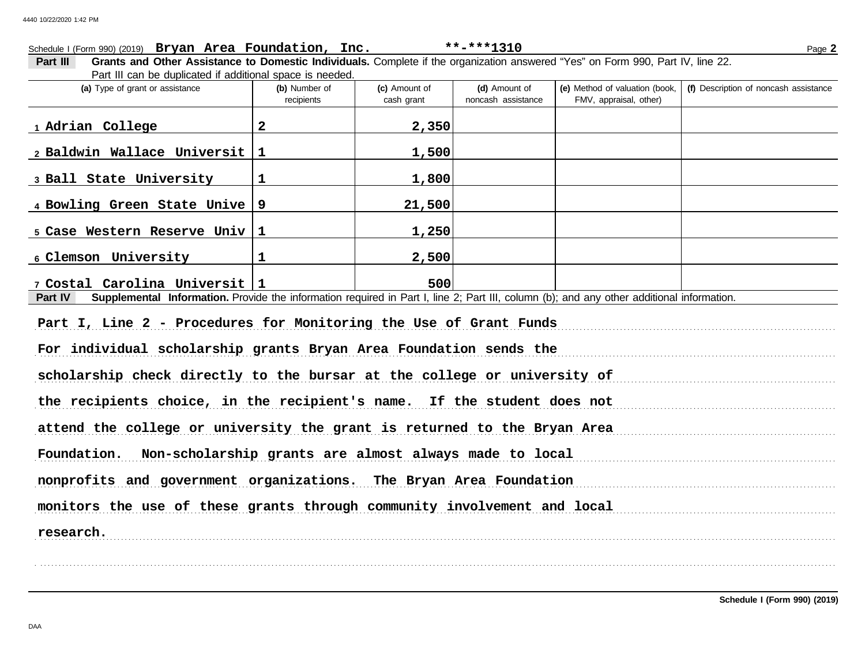## FMV, appraisal, other) **(d)** Amount of **(e)** Method of valuation (book, cash grant **(a)** Type of grant or assistance **(b)** Number of **(c)** Amount of **Part III Grants and Other Assistance to Domestic Individuals.** Complete if the organization answered "Yes" on Form 990, Part IV, line 22. Part III can be duplicated if additional space is needed. Schedule I (Form 990) (2019) Page **2 Bryan Area Foundation, Inc. \*\*-\*\*\*1310** recipients and noncash assistance **(f)** Description of noncash assistance **Part IV** Supplemental Information. Provide the information required in Part I, line 2; Part III, column (b); and any other additional information. Part I, Line 2 - Procedures for Monitoring the Use of Grant Funds For individual scholarship grants Bryan Area Foundation sends the measurement control of the sense of the sense scholarship check directly to the bursar at the college or university of the recipients choice, in the recipient's name. If the student does not attend the college or university the grant is returned to the Bryan Area Foundation. Non-scholarship grants are almost always made to local measurements are not always and the state of **1 Adrian College 2 2,350 2 Baldwin Wallace Universit 1 1,500 3 Ball State University 1 1,800 4 Bowling Green State Unive 9 21,500 5 Case Western Reserve Univ 1 1,250 6 Clemson University 1 2,500 7 Costal Carolina Universit 1 500**

nonprofits and government organizations. The Bryan Area Foundation

. . . . . . . . . . . . . . . . . . . . . . . . . . . . . . . . . . . . . . . . . . . . . . . . . . . . . . . . . . . . . . . . . . . . . . . . . . . . . . . . . . . . . . . . . . . . . . . . . . . . . . . . . . . . . . . . . . . . . . . . . . . . . . . . . . . . . . . . . . . . . . . . . . . . . . . . . . . . . . . . . . . . . . . . . . . . . . . . . . . . . . . . . . . . . . . . . . . . . . . . . . . . . . . . . . . . . . . . . .

monitors the use of these grants through community involvement and local

. . . . . . . . . . . . . . . . . . . . . . . . . . . . . . . . . . . . . . . . . . . . . . . . . . . . . . . . . . . . . . . . . . . . . . . . . . . . . . . . . . . . . . . . . . . . . . . . . . . . . . . . . . . . . . . . . . . . . . . . . . . . . . . . . . . . . . . . . . . . . . . . . . . . . . . . . . . . . . . . . . . . . . . . . . . . . . . . . . . . . . . . . . . . . . . . . . . . . . . . . . . . . . . . . . . . . . . . . . **research.**

**Schedule I (Form 990) (2019)**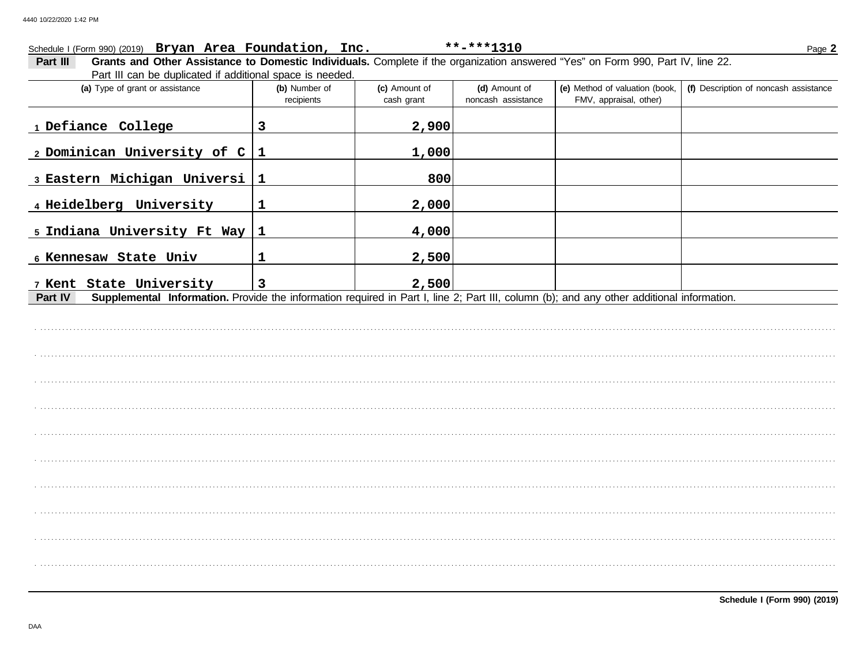## Schedule I (Form 990) (2019) Bryan Area Foundation, Inc.

Part III Grants and Other Assistance to Domestic Individuals. Complete if the organization answered "Yes" on Form 990, Part IV, line 22. Part III can be duplicated if additional space is needed.

| (a) Type of grant or assistance                                                                                                                      | (b) Number of<br>recipients | (c) Amount of<br>cash grant | (d) Amount of<br>noncash assistance | (e) Method of valuation (book,<br>FMV, appraisal, other) | (f) Description of noncash assistance |
|------------------------------------------------------------------------------------------------------------------------------------------------------|-----------------------------|-----------------------------|-------------------------------------|----------------------------------------------------------|---------------------------------------|
| 1 Defiance College                                                                                                                                   | 3                           | 2,900                       |                                     |                                                          |                                       |
| 2 Dominican University of $C 1$                                                                                                                      |                             | 1,000                       |                                     |                                                          |                                       |
| 3 Eastern Michigan Universi                                                                                                                          | $\mathbf 1$                 | 800                         |                                     |                                                          |                                       |
| 4 Heidelberg University                                                                                                                              | 1                           | 2,000                       |                                     |                                                          |                                       |
| 5 Indiana University Ft Way                                                                                                                          | $\vert$ 1                   | 4,000                       |                                     |                                                          |                                       |
| 6 Kennesaw State Univ                                                                                                                                | $\mathbf 1$                 | 2,500                       |                                     |                                                          |                                       |
| 7 Kent State University                                                                                                                              | $\overline{\mathbf{3}}$     | 2,500                       |                                     |                                                          |                                       |
| Supplemental Information. Provide the information required in Part I, line 2; Part III, column (b); and any other additional information.<br>Part IV |                             |                             |                                     |                                                          |                                       |
|                                                                                                                                                      |                             |                             |                                     |                                                          |                                       |
|                                                                                                                                                      |                             |                             |                                     |                                                          |                                       |
|                                                                                                                                                      |                             |                             |                                     |                                                          |                                       |
|                                                                                                                                                      |                             |                             |                                     |                                                          |                                       |
|                                                                                                                                                      |                             |                             |                                     |                                                          |                                       |
|                                                                                                                                                      |                             |                             |                                     |                                                          |                                       |
|                                                                                                                                                      |                             |                             |                                     |                                                          |                                       |
|                                                                                                                                                      |                             |                             |                                     |                                                          |                                       |
|                                                                                                                                                      |                             |                             |                                     |                                                          |                                       |
|                                                                                                                                                      |                             |                             |                                     |                                                          |                                       |
|                                                                                                                                                      |                             |                             |                                     |                                                          |                                       |

\*\*-\*\*\*1310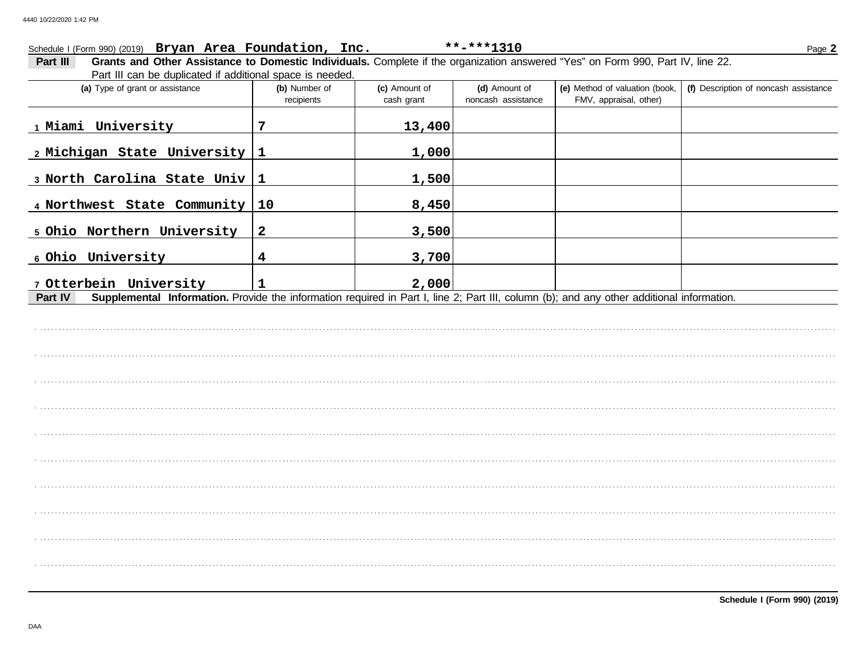## Schedule I (Form 990) (2019) Bryan Area Foundation, Inc.  $***$ -\*\*\*1310 Page 2 Grants and Other Assistance to Domestic Individuals. Complete if the organization answered "Yes" on Form 990, Part IV, line 22. Part III Part III can be duplicated if additional space is needed. (a) Type of grant or assistance (e) Method of valuation (book, (f) Description of noncash assistance (b) Number of (c) Amount of (d) Amount of noncash assistance FMV, appraisal, other) recipients cash grant 1 Miami University 7 13,400 2 Michigan State University  $\mathbf{1}$ 1,000 3 North Carolina State Univ  $\mathbf{1}$ 1,500 4 Northwest State Community  $10$ 8,450 5 Ohio Northern University  $\overline{2}$ 3,500 6 Ohio University  $\overline{\mathbf{4}}$ 3,700 7 Otterbein University 2,000  $\mathbf{1}$ Supplemental Information. Provide the information required in Part I, line 2; Part III, column (b); and any other additional information. Part IV

Schedule I (Form 990) (2019)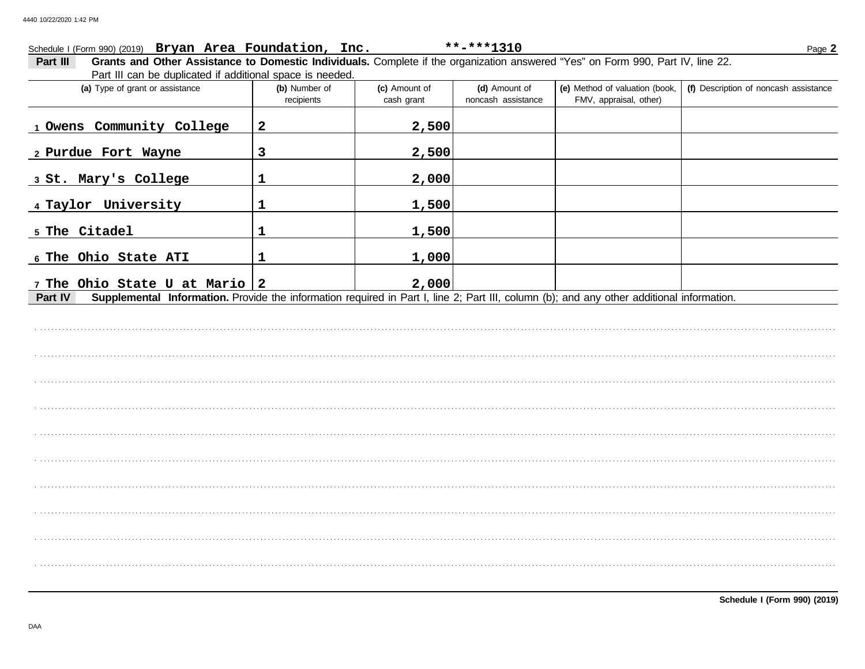## Schedule I (Form 990) (2019) Bryan Area Foundation, Inc.

Part III Grants and Other Assistance to Domestic Individuals. Complete if the organization answered "Yes" on Form 990, Part IV, line 22. Part III can be duplicated if additional space is needed.

| r art in oan bo aaphoatoa ir aadhionar opaoo io noodoa.<br>(a) Type of grant or assistance                                                           | (b) Number of<br>recipients | (c) Amount of<br>cash grant | (d) Amount of<br>noncash assistance | (e) Method of valuation (book,<br>FMV, appraisal, other) | (f) Description of noncash assistance |
|------------------------------------------------------------------------------------------------------------------------------------------------------|-----------------------------|-----------------------------|-------------------------------------|----------------------------------------------------------|---------------------------------------|
| 1 Owens Community College                                                                                                                            | $\boldsymbol{2}$            | 2,500                       |                                     |                                                          |                                       |
| 2 Purdue Fort Wayne                                                                                                                                  | $\mathbf{3}$                | 2,500                       |                                     |                                                          |                                       |
| 3 St. Mary's College                                                                                                                                 | 1                           | 2,000                       |                                     |                                                          |                                       |
| 4 Taylor University                                                                                                                                  | 1                           | 1,500                       |                                     |                                                          |                                       |
| 5 The Citadel                                                                                                                                        | 1                           | 1,500                       |                                     |                                                          |                                       |
| 6 The Ohio State ATI                                                                                                                                 | 1                           | 1,000                       |                                     |                                                          |                                       |
| 7 The Ohio State U at Mario                                                                                                                          | $\overline{\mathbf{2}}$     | 2,000                       |                                     |                                                          |                                       |
| Supplemental Information. Provide the information required in Part I, line 2; Part III, column (b); and any other additional information.<br>Part IV |                             |                             |                                     |                                                          |                                       |
|                                                                                                                                                      |                             |                             |                                     |                                                          |                                       |
|                                                                                                                                                      |                             |                             |                                     |                                                          |                                       |
|                                                                                                                                                      |                             |                             |                                     |                                                          |                                       |
|                                                                                                                                                      |                             |                             |                                     |                                                          |                                       |
|                                                                                                                                                      |                             |                             |                                     |                                                          |                                       |
|                                                                                                                                                      |                             |                             |                                     |                                                          |                                       |
|                                                                                                                                                      |                             |                             |                                     |                                                          |                                       |
|                                                                                                                                                      |                             |                             |                                     |                                                          |                                       |
|                                                                                                                                                      |                             |                             |                                     |                                                          |                                       |

\*\*-\*\*\*1310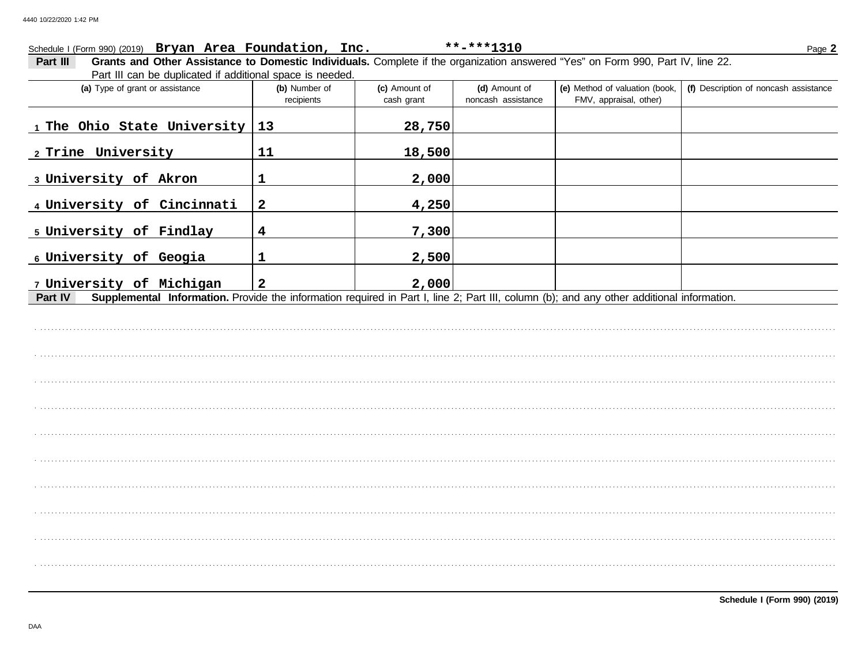## Schedule I (Form 990) (2019) Bryan Area Foundation, Inc.  $***$ -\*\*\*1310 Page 2 Grants and Other Assistance to Domestic Individuals. Complete if the organization answered "Yes" on Form 990, Part IV, line 22. Part III Part III can be duplicated if additional space is needed. (a) Type of grant or assistance (e) Method of valuation (book, (f) Description of noncash assistance (b) Number of (c) Amount of (d) Amount of noncash assistance FMV, appraisal, other) recipients cash grant 1 The Ohio State University 13 28,750 2 Trine University  $11$ 18,500 3 University of Akron  $\mathbf{1}$ 2,000 4 University of Cincinnati  $\overline{\mathbf{2}}$ 4,250 5 University of Findlay  $\overline{\mathbf{4}}$ 7,300 6 University of Geogia  $\mathbf{1}$ 2,500 7 University of Michigan  $\overline{2}$ 2,000 Supplemental Information. Provide the information required in Part I, line 2; Part III, column (b); and any other additional information. Part IV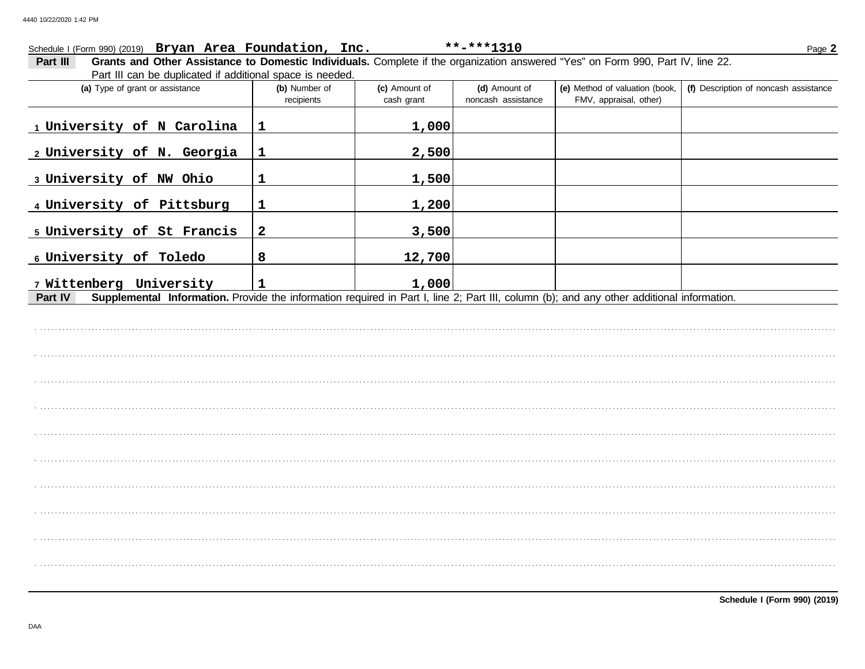## Schedule I (Form 990) (2019) Bryan Area Foundation, Inc.  $***$ -\*\*\*1310 Page 2 Grants and Other Assistance to Domestic Individuals. Complete if the organization answered "Yes" on Form 990, Part IV, line 22. Part III Part III can be duplicated if additional space is needed. (a) Type of grant or assistance (b) Number of (e) Method of valuation (book, (f) Description of noncash assistance (c) Amount of (d) Amount of noncash assistance FMV, appraisal, other) recipients cash grant 1 University of N Carolina 1,000  $\mathbf{1}$ 2 University of N. Georgia  $\mathbf{1}$ 2,500 3 University of NW Ohio  $\mathbf{1}$ 1,500 1,200 4 University of Pittsburg  $\mathbf{1}$ 5 University of St Francis  $\overline{2}$ 3,500 6 University of Toledo 8 12,700 7 Wittenberg University 1,000  $\mathbf{1}$ Supplemental Information. Provide the information required in Part I, line 2; Part III, column (b); and any other additional information. Part IV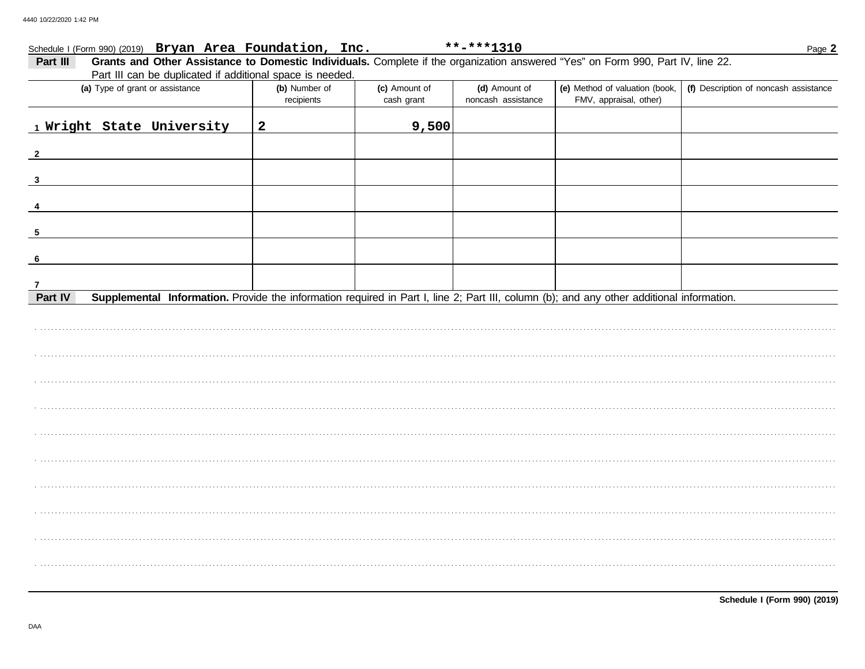| Schedule I (Form 990) (2019) Bryan Area Foundation, Inc.                                                                                             |                             |                             | **-***1310                          |                                                          | Page 2                                |
|------------------------------------------------------------------------------------------------------------------------------------------------------|-----------------------------|-----------------------------|-------------------------------------|----------------------------------------------------------|---------------------------------------|
| Grants and Other Assistance to Domestic Individuals. Complete if the organization answered "Yes" on Form 990, Part IV, line 22.<br>Part III          |                             |                             |                                     |                                                          |                                       |
| Part III can be duplicated if additional space is needed.                                                                                            |                             |                             |                                     |                                                          |                                       |
| (a) Type of grant or assistance                                                                                                                      | (b) Number of<br>recipients | (c) Amount of<br>cash grant | (d) Amount of<br>noncash assistance | (e) Method of valuation (book,<br>FMV, appraisal, other) | (f) Description of noncash assistance |
|                                                                                                                                                      |                             |                             |                                     |                                                          |                                       |
| 1 Wright State University                                                                                                                            | $\mathbf{2}$                | 9,500                       |                                     |                                                          |                                       |
| $\mathbf{2}$                                                                                                                                         |                             |                             |                                     |                                                          |                                       |
| $\overline{\mathbf{3}}$                                                                                                                              |                             |                             |                                     |                                                          |                                       |
|                                                                                                                                                      |                             |                             |                                     |                                                          |                                       |
| 5                                                                                                                                                    |                             |                             |                                     |                                                          |                                       |
| 6                                                                                                                                                    |                             |                             |                                     |                                                          |                                       |
| $\overline{7}$                                                                                                                                       |                             |                             |                                     |                                                          |                                       |
| Supplemental Information. Provide the information required in Part I, line 2; Part III, column (b); and any other additional information.<br>Part IV |                             |                             |                                     |                                                          |                                       |
|                                                                                                                                                      |                             |                             |                                     |                                                          |                                       |
|                                                                                                                                                      |                             |                             |                                     |                                                          |                                       |
|                                                                                                                                                      |                             |                             |                                     |                                                          |                                       |
|                                                                                                                                                      |                             |                             |                                     |                                                          |                                       |
|                                                                                                                                                      |                             |                             |                                     |                                                          |                                       |
|                                                                                                                                                      |                             |                             |                                     |                                                          |                                       |
|                                                                                                                                                      |                             |                             |                                     |                                                          |                                       |
|                                                                                                                                                      |                             |                             |                                     |                                                          |                                       |
|                                                                                                                                                      |                             |                             |                                     |                                                          |                                       |
|                                                                                                                                                      |                             |                             |                                     |                                                          |                                       |
|                                                                                                                                                      |                             |                             |                                     |                                                          |                                       |
|                                                                                                                                                      |                             |                             |                                     |                                                          |                                       |
|                                                                                                                                                      |                             |                             |                                     |                                                          |                                       |
|                                                                                                                                                      |                             |                             |                                     |                                                          |                                       |
|                                                                                                                                                      |                             |                             |                                     |                                                          |                                       |
|                                                                                                                                                      |                             |                             |                                     |                                                          |                                       |
|                                                                                                                                                      |                             |                             |                                     |                                                          |                                       |
|                                                                                                                                                      |                             |                             |                                     |                                                          |                                       |
|                                                                                                                                                      |                             |                             |                                     |                                                          |                                       |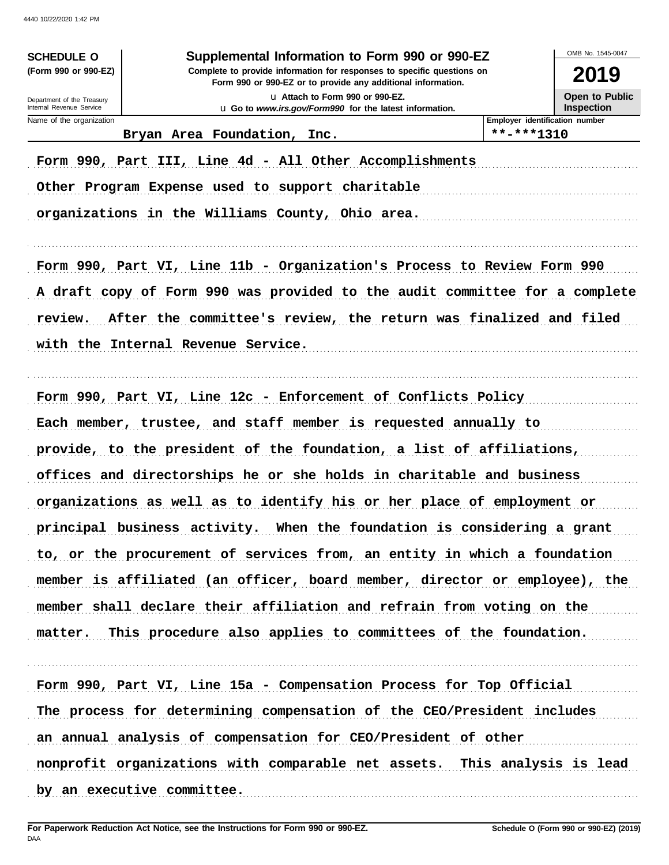| OMB No. 1545-0047                                                           |
|-----------------------------------------------------------------------------|
| 2019                                                                        |
| Open to Public                                                              |
| <b>Inspection</b><br>Employer identification number                         |
|                                                                             |
|                                                                             |
|                                                                             |
|                                                                             |
|                                                                             |
| Form 990, Part VI, Line 11b - Organization's Process to Review Form 990     |
| A draft copy of Form 990 was provided to the audit committee for a complete |
| After the committee's review, the return was finalized and filed            |
|                                                                             |
|                                                                             |
|                                                                             |
|                                                                             |
| provide, to the president of the foundation, a list of affiliations,        |
| offices and directorships he or she holds in charitable and business        |
| organizations as well as to identify his or her place of employment or      |
| principal business activity. When the foundation is considering a grant     |
| to, or the procurement of services from, an entity in which a foundation    |
| member is affiliated (an officer, board member, director or employee), the  |
| member shall declare their affiliation and refrain from voting on the       |
| matter. This procedure also applies to committees of the foundation.        |
|                                                                             |
| Form 990, Part VI, Line 15a - Compensation Process for Top Official         |
| The process for determining compensation of the CEO/President includes      |
|                                                                             |
| nonprofit organizations with comparable net assets. This analysis is lead   |
|                                                                             |
|                                                                             |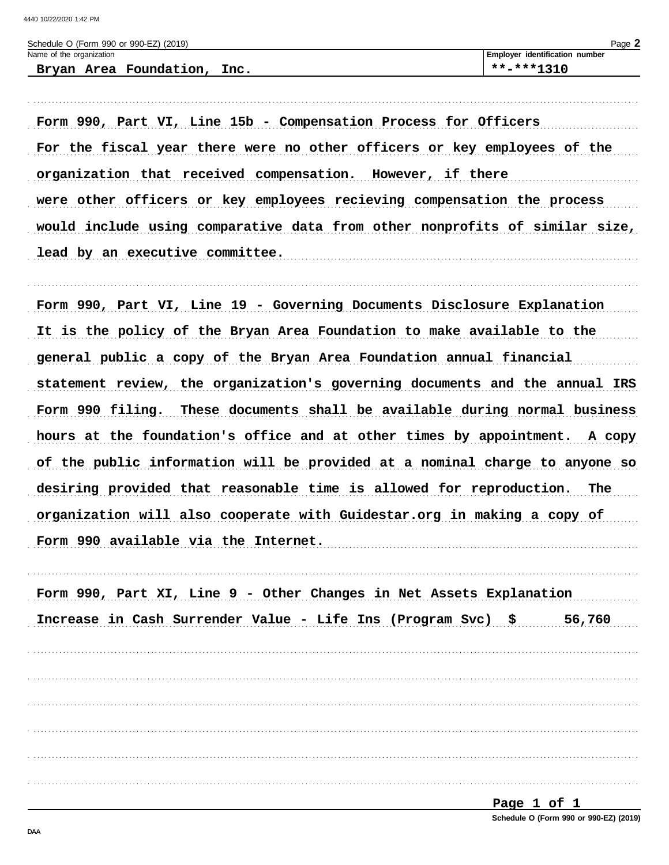| Schedule O (Form 990 or 990-EZ) (2019) | $Page$ $\angle$                |
|----------------------------------------|--------------------------------|
| Name of the organization               | Employer identification number |
| Bryan Area Foundation, Inc.            | **-***1310                     |
|                                        |                                |

Form 990, Part VI, Line 15b - Compensation Process for Officers For the fiscal year there were no other officers or key employees of the organization that received compensation. However, if there were other officers or key employees recieving compensation the process would include using comparative data from other nonprofits of similar size, lead by an executive committee.

Form 990, Part VI, Line 19 - Governing Documents Disclosure Explanation It is the policy of the Bryan Area Foundation to make available to the general public a copy of the Bryan Area Foundation annual financial statement review, the organization's governing documents and the annual IRS Form 990 filing. These documents shall be available during normal business hours at the foundation's office and at other times by appointment. A copy of the public information will be provided at a nominal charge to anyone so desiring provided that reasonable time is allowed for reproduction. The organization will also cooperate with Guidestar.org in making a copy of Form 990 available via the Internet.

| Form 990, Part XI, Line 9 - Other Changes in Net Assets Explanation |        |
|---------------------------------------------------------------------|--------|
| Increase in Cash Surrender Value - Life Ins (Program Svc) \$        | 56,760 |
|                                                                     |        |
|                                                                     |        |
|                                                                     |        |
|                                                                     |        |
|                                                                     |        |
|                                                                     |        |



DAA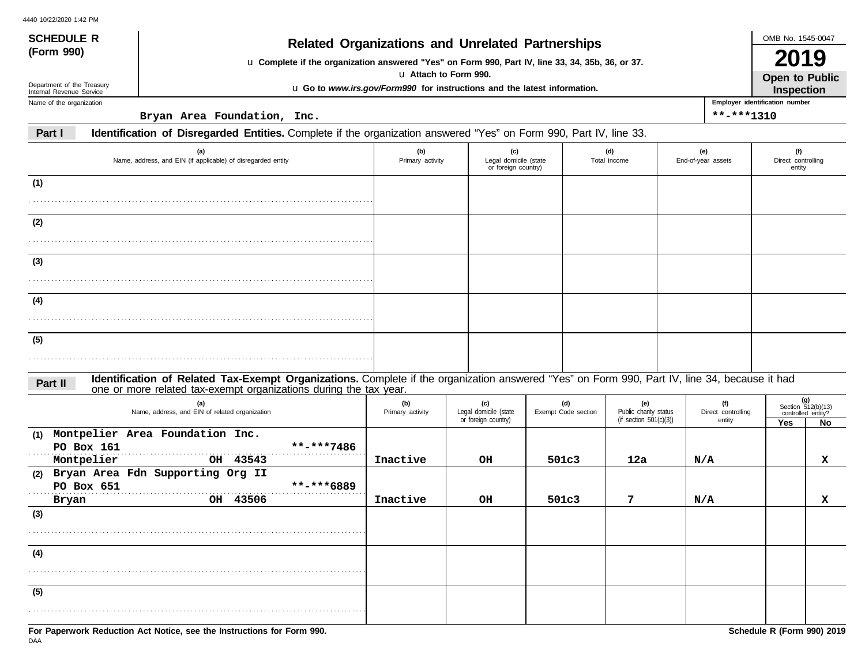| <b>SCHEDULE R</b>                                      |                                                                                                                                                                                                                    |                                                                                                                                                             |                                                                          |                            |                                                           |                                     | OMB No. 1545-0047                                                  |    |
|--------------------------------------------------------|--------------------------------------------------------------------------------------------------------------------------------------------------------------------------------------------------------------------|-------------------------------------------------------------------------------------------------------------------------------------------------------------|--------------------------------------------------------------------------|----------------------------|-----------------------------------------------------------|-------------------------------------|--------------------------------------------------------------------|----|
| (Form 990)                                             |                                                                                                                                                                                                                    | <b>Related Organizations and Unrelated Partnerships</b><br>u Complete if the organization answered "Yes" on Form 990, Part IV, line 33, 34, 35b, 36, or 37. |                                                                          |                            |                                                           |                                     |                                                                    |    |
|                                                        |                                                                                                                                                                                                                    |                                                                                                                                                             | u Attach to Form 990.                                                    |                            |                                                           |                                     | 2019<br>Open to Public                                             |    |
| Department of the Treasury<br>Internal Revenue Service |                                                                                                                                                                                                                    |                                                                                                                                                             | u Go to www.irs.gov/Form990 for instructions and the latest information. |                            |                                                           |                                     | Inspection                                                         |    |
| Name of the organization                               |                                                                                                                                                                                                                    |                                                                                                                                                             |                                                                          |                            |                                                           |                                     | Employer identification number                                     |    |
|                                                        | Bryan Area Foundation, Inc.                                                                                                                                                                                        |                                                                                                                                                             |                                                                          |                            |                                                           | **-***1310                          |                                                                    |    |
| Part I                                                 | Identification of Disregarded Entities. Complete if the organization answered "Yes" on Form 990, Part IV, line 33.                                                                                                 |                                                                                                                                                             |                                                                          |                            |                                                           |                                     |                                                                    |    |
|                                                        | (a)<br>Name, address, and EIN (if applicable) of disregarded entity                                                                                                                                                | (b)<br>Primary activity                                                                                                                                     | (c)<br>Legal domicile (state<br>or foreign country)                      |                            | (d)<br>Total income                                       | (e)<br>End-of-year assets           | (f)<br>Direct controlling<br>entity                                |    |
| (1)                                                    |                                                                                                                                                                                                                    |                                                                                                                                                             |                                                                          |                            |                                                           |                                     |                                                                    |    |
|                                                        |                                                                                                                                                                                                                    |                                                                                                                                                             |                                                                          |                            |                                                           |                                     |                                                                    |    |
| (2)                                                    |                                                                                                                                                                                                                    |                                                                                                                                                             |                                                                          |                            |                                                           |                                     |                                                                    |    |
|                                                        |                                                                                                                                                                                                                    |                                                                                                                                                             |                                                                          |                            |                                                           |                                     |                                                                    |    |
|                                                        |                                                                                                                                                                                                                    |                                                                                                                                                             |                                                                          |                            |                                                           |                                     |                                                                    |    |
| (3)                                                    |                                                                                                                                                                                                                    |                                                                                                                                                             |                                                                          |                            |                                                           |                                     |                                                                    |    |
|                                                        |                                                                                                                                                                                                                    |                                                                                                                                                             |                                                                          |                            |                                                           |                                     |                                                                    |    |
| (4)                                                    |                                                                                                                                                                                                                    |                                                                                                                                                             |                                                                          |                            |                                                           |                                     |                                                                    |    |
|                                                        |                                                                                                                                                                                                                    |                                                                                                                                                             |                                                                          |                            |                                                           |                                     |                                                                    |    |
|                                                        |                                                                                                                                                                                                                    |                                                                                                                                                             |                                                                          |                            |                                                           |                                     |                                                                    |    |
| (5)                                                    |                                                                                                                                                                                                                    |                                                                                                                                                             |                                                                          |                            |                                                           |                                     |                                                                    |    |
|                                                        |                                                                                                                                                                                                                    |                                                                                                                                                             |                                                                          |                            |                                                           |                                     |                                                                    |    |
| Part II                                                | Identification of Related Tax-Exempt Organizations. Complete if the organization answered "Yes" on Form 990, Part IV, line 34, because it had<br>one or more related tax-exempt organizations during the tax year. |                                                                                                                                                             |                                                                          |                            |                                                           |                                     |                                                                    |    |
|                                                        | (a)<br>Name, address, and EIN of related organization                                                                                                                                                              | (b)<br>Primary activity                                                                                                                                     | (c)<br>Legal domicile (state<br>or foreign country)                      | (d)<br>Exempt Code section | (e)<br>Public charity status<br>(if section $501(c)(3)$ ) | (f)<br>Direct controlling<br>entity | (g)<br>Section $\frac{512(b)(13)}{2}$<br>controlled entity?<br>Yes | No |
| (1)                                                    | Montpelier Area Foundation Inc.                                                                                                                                                                                    |                                                                                                                                                             |                                                                          |                            |                                                           |                                     |                                                                    |    |
| PO Box 161<br>Montpelier                               | **-***7486<br>OH 43543                                                                                                                                                                                             | Inactive                                                                                                                                                    | OН                                                                       | 501c3                      | 12a                                                       | N/A                                 |                                                                    |    |
| (2)                                                    | Bryan Area Fdn Supporting Org II                                                                                                                                                                                   |                                                                                                                                                             |                                                                          |                            |                                                           |                                     |                                                                    | x  |
| PO Box 651                                             | **-***6889                                                                                                                                                                                                         |                                                                                                                                                             |                                                                          |                            |                                                           |                                     |                                                                    |    |
| Bryan                                                  | OH 43506                                                                                                                                                                                                           | Inactive                                                                                                                                                    | OH                                                                       | 501c3                      | 7                                                         | N/A                                 |                                                                    | x  |
| (3)                                                    |                                                                                                                                                                                                                    |                                                                                                                                                             |                                                                          |                            |                                                           |                                     |                                                                    |    |
|                                                        |                                                                                                                                                                                                                    |                                                                                                                                                             |                                                                          |                            |                                                           |                                     |                                                                    |    |

**(5)**

. . . . . . . . . . . . . . . . . . . . . . . . . . . . . . . . . . . . . . . . . . . . . . . . . . . . . . . . . . . . . . . . . . . . . . . . . . . . . . . . . . . . . . . . . . . .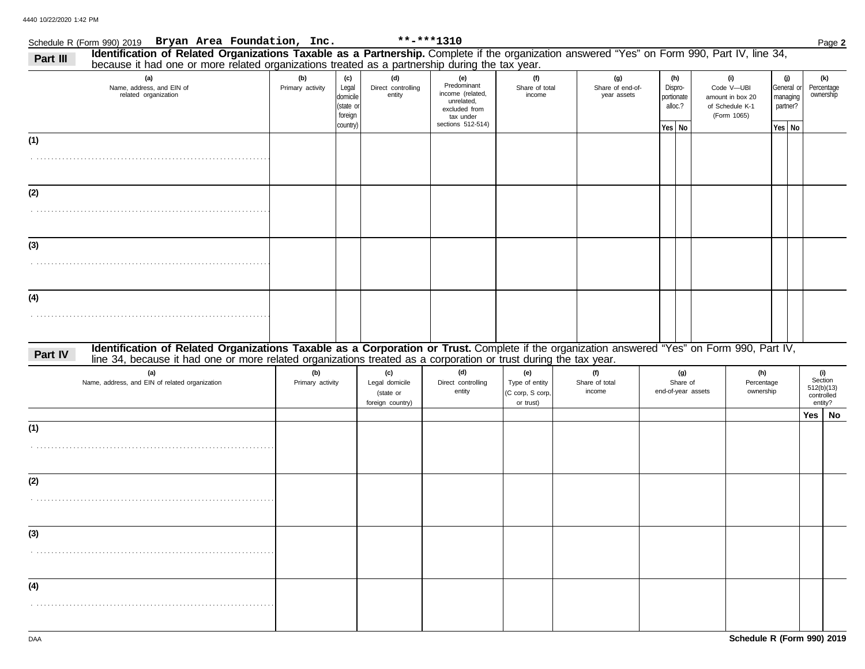## Schedule R (Form 990) 2019 Page **2 Bryan Area Foundation, Inc. \*\*-\*\*\*1310**

| Identification of Related Organizations Taxable as a Partnership. Complete if the organization answered "Yes" on Form 990, Part IV, line 34,<br>Part III<br>because it had one or more related organizations treated as a partnership during the tax year.                  |                         |                                                              |                                                        |                                                                                                         |                                                        |                                 |                                        |                                                   |                                                                         |                                                     |                                                       |  |
|-----------------------------------------------------------------------------------------------------------------------------------------------------------------------------------------------------------------------------------------------------------------------------|-------------------------|--------------------------------------------------------------|--------------------------------------------------------|---------------------------------------------------------------------------------------------------------|--------------------------------------------------------|---------------------------------|----------------------------------------|---------------------------------------------------|-------------------------------------------------------------------------|-----------------------------------------------------|-------------------------------------------------------|--|
| (a)<br>Name, address, and EIN of<br>related organization                                                                                                                                                                                                                    | (b)<br>Primary activity | (c)<br>Legal<br>domicile<br>(state or<br>foreign<br>country) | (d)<br>Direct controlling<br>entity                    | (e)<br>Predominant<br>income (related,<br>unrelated,<br>excluded from<br>tax under<br>sections 512-514) | (f)<br>Share of total<br>income                        |                                 | (g)<br>Share of end-of-<br>year assets | (h)<br>Dispro-<br>portionate<br>alloc.?<br>Yes No | (i)<br>Code V-UBI<br>amount in box 20<br>of Schedule K-1<br>(Form 1065) | (j)<br>General or<br>managing<br>partner?<br>Yes No | (k)<br>Percentage<br>ownership                        |  |
| (1)                                                                                                                                                                                                                                                                         |                         |                                                              |                                                        |                                                                                                         |                                                        |                                 |                                        |                                                   |                                                                         |                                                     |                                                       |  |
| (2)                                                                                                                                                                                                                                                                         |                         |                                                              |                                                        |                                                                                                         |                                                        |                                 |                                        |                                                   |                                                                         |                                                     |                                                       |  |
| (3)                                                                                                                                                                                                                                                                         |                         |                                                              |                                                        |                                                                                                         |                                                        |                                 |                                        |                                                   |                                                                         |                                                     |                                                       |  |
| (4)                                                                                                                                                                                                                                                                         |                         |                                                              |                                                        |                                                                                                         |                                                        |                                 |                                        |                                                   |                                                                         |                                                     |                                                       |  |
| Identification of Related Organizations Taxable as a Corporation or Trust. Complete if the organization answered "Yes" on Form 990, Part IV,<br>Part IV<br>line 34, because it had one or more related organizations treated as a corporation or trust during the tax year. |                         |                                                              |                                                        |                                                                                                         |                                                        |                                 |                                        |                                                   |                                                                         |                                                     |                                                       |  |
| (a)<br>Name, address, and EIN of related organization                                                                                                                                                                                                                       | (b)<br>Primary activity |                                                              | (c)<br>Legal domicile<br>(state or<br>foreign country) | (d)<br>Direct controlling<br>entity                                                                     | (e)<br>Type of entity<br>(C corp, S corp,<br>or trust) | (f)<br>Share of total<br>income |                                        | (g)<br>Share of<br>end-of-year assets             | (h)<br>Percentage<br>ownership                                          |                                                     | (i)<br>Section<br>512(b)(13)<br>controlled<br>entity? |  |
| (1)                                                                                                                                                                                                                                                                         |                         |                                                              |                                                        |                                                                                                         |                                                        |                                 |                                        |                                                   |                                                                         |                                                     | Yes $ $<br>No                                         |  |
|                                                                                                                                                                                                                                                                             |                         |                                                              |                                                        |                                                                                                         |                                                        |                                 |                                        |                                                   |                                                                         |                                                     |                                                       |  |
| (2)                                                                                                                                                                                                                                                                         |                         |                                                              |                                                        |                                                                                                         |                                                        |                                 |                                        |                                                   |                                                                         |                                                     |                                                       |  |
| (3)                                                                                                                                                                                                                                                                         |                         |                                                              |                                                        |                                                                                                         |                                                        |                                 |                                        |                                                   |                                                                         |                                                     |                                                       |  |
| (4)                                                                                                                                                                                                                                                                         |                         |                                                              |                                                        |                                                                                                         |                                                        |                                 |                                        |                                                   |                                                                         |                                                     |                                                       |  |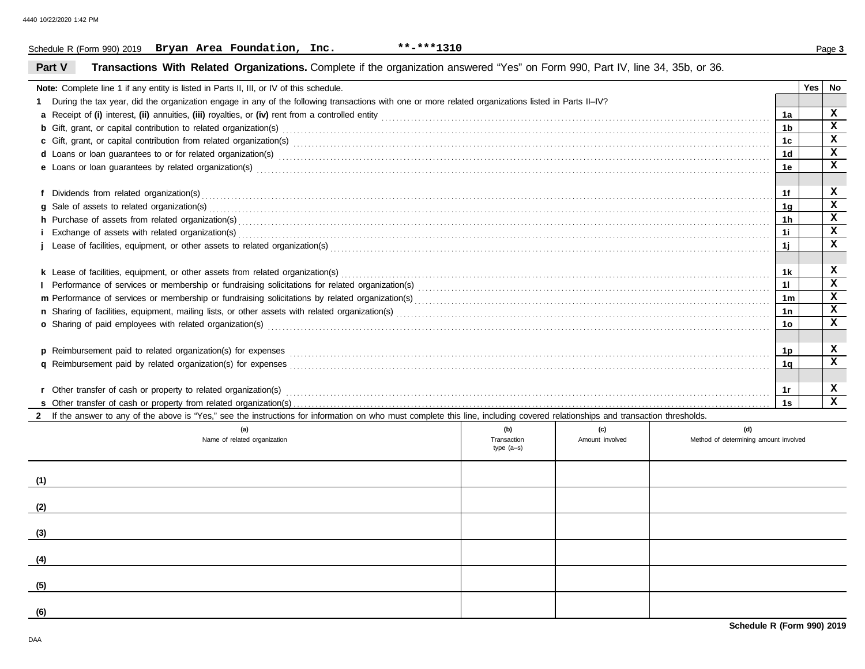## Schedule R (Form 990) 2019 Page **3 Bryan Area Foundation, Inc. \*\*-\*\*\*1310**

## **Part V Transactions With Related Organizations.** Complete if the organization answered "Yes" on Form 990, Part IV, line 34, 35b, or 36.

| Note: Complete line 1 if any entity is listed in Parts II, III, or IV of this schedule.                                                                                                                                        |              |                 |                                       |                | Yes | No           |  |
|--------------------------------------------------------------------------------------------------------------------------------------------------------------------------------------------------------------------------------|--------------|-----------------|---------------------------------------|----------------|-----|--------------|--|
| During the tax year, did the organization engage in any of the following transactions with one or more related organizations listed in Parts II–IV?                                                                            |              |                 |                                       |                |     |              |  |
|                                                                                                                                                                                                                                |              |                 |                                       | 1a             |     | X            |  |
|                                                                                                                                                                                                                                |              |                 |                                       | 1 <sub>b</sub> |     | $\mathbf x$  |  |
|                                                                                                                                                                                                                                |              |                 |                                       | 1c             |     | x            |  |
| d Loans or loan guarantees to or for related organization(s) encourance contained and contained a contained and contained a contained a contained and contained a contact or for related organization(s) encourance and contac |              |                 |                                       | 1 <sub>d</sub> |     | X            |  |
|                                                                                                                                                                                                                                |              |                 |                                       | 1e             |     | X            |  |
|                                                                                                                                                                                                                                |              |                 |                                       |                |     |              |  |
|                                                                                                                                                                                                                                |              |                 |                                       | 1f             |     | x            |  |
|                                                                                                                                                                                                                                |              |                 |                                       |                |     |              |  |
| h Purchase of assets from related organization(s) encourance contains and contains a container and container and container and container and container and container and container and container and container and container a |              |                 |                                       | 1h             |     | x            |  |
|                                                                                                                                                                                                                                |              |                 |                                       | 1i             |     | X            |  |
|                                                                                                                                                                                                                                |              |                 |                                       |                |     |              |  |
|                                                                                                                                                                                                                                |              |                 |                                       | 1j             |     |              |  |
| <b>k</b> Lease of facilities, equipment, or other assets from related organization(s)                                                                                                                                          |              |                 |                                       | 1k             |     | x            |  |
|                                                                                                                                                                                                                                |              |                 |                                       | 11             |     | x            |  |
|                                                                                                                                                                                                                                |              |                 |                                       | 1m             |     | X            |  |
|                                                                                                                                                                                                                                |              |                 |                                       | 1n             |     | x            |  |
| o Sharing of paid employees with related organization(s) encourance contains an account of the state of paid employees with related organization(s)                                                                            |              |                 |                                       | <b>10</b>      |     | $\mathbf x$  |  |
|                                                                                                                                                                                                                                |              |                 |                                       |                |     |              |  |
|                                                                                                                                                                                                                                |              |                 |                                       | 1p             |     | x            |  |
|                                                                                                                                                                                                                                |              |                 |                                       | 1a             |     | $\mathbf x$  |  |
|                                                                                                                                                                                                                                |              |                 |                                       |                |     |              |  |
|                                                                                                                                                                                                                                |              |                 |                                       | 1r             |     | x            |  |
|                                                                                                                                                                                                                                |              |                 |                                       | 1s             |     | $\mathbf{x}$ |  |
| 2 If the answer to any of the above is "Yes," see the instructions for information on who must complete this line, including covered relationships and transaction thresholds.                                                 |              |                 |                                       |                |     |              |  |
| (a)                                                                                                                                                                                                                            | (b)          | (c)             | (d)                                   |                |     |              |  |
| Name of related organization                                                                                                                                                                                                   | Transaction  | Amount involved | Method of determining amount involved |                |     |              |  |
|                                                                                                                                                                                                                                | type $(a-s)$ |                 |                                       |                |     |              |  |

|     | .<br>Name of related organization | $\sim$ $\sim$<br>Transaction<br>type (a-s) | Amount involved | Method of determining amount involved |
|-----|-----------------------------------|--------------------------------------------|-----------------|---------------------------------------|
| (1) |                                   |                                            |                 |                                       |
| (2) |                                   |                                            |                 |                                       |
| (3) |                                   |                                            |                 |                                       |
| (4) |                                   |                                            |                 |                                       |
| (5) |                                   |                                            |                 |                                       |
| (6) |                                   |                                            |                 |                                       |
|     |                                   |                                            |                 | .<br>.                                |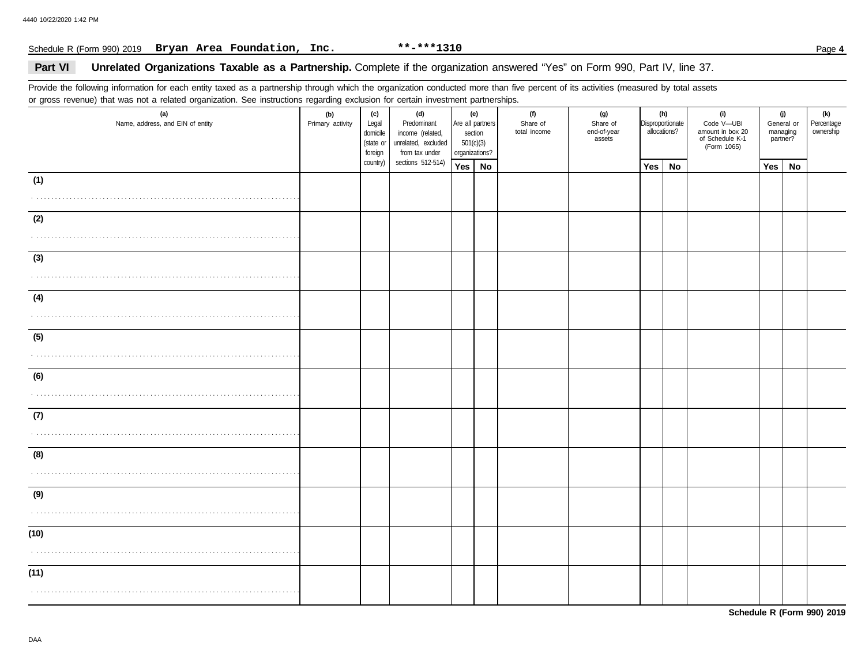## Schedule R (Form 990) 2019 Page **4 Bryan Area Foundation, Inc. \*\*-\*\*\*1310**

## Part VI Unrelated Organizations Taxable as a Partnership. Complete if the organization answered "Yes" on Form 990, Part IV, line 37.

Provide the following information for each entity taxed as a partnership through which the organization conducted more than five percent of its activities (measured by total assets or gross revenue) that was not a related organization. See instructions regarding exclusion for certain investment partnerships.

| $\tilde{\phantom{a}}$<br>(a)<br>Name, address, and EIN of entity | ັ<br>(b)<br>Primary activity | (c)<br>Legal<br>domicile<br>(state or<br>foreign | (d)<br>Predominant<br>income (related,<br>unrelated, excluded<br>from tax under | (e)<br>Are all partners<br>section<br>501(c)(3)<br>organizations? | (f)<br>Share of<br>total income | (g)<br>Share of<br>end-of-year<br>assets |     | (h)<br>Disproportionate<br>allocations? | (i)<br>Code V-UBI<br>amount in box 20<br>of Schedule K-1<br>(Form 1065) | (j)<br>managing<br>partner? | General or | (k)<br>Percentage<br>ownership |
|------------------------------------------------------------------|------------------------------|--------------------------------------------------|---------------------------------------------------------------------------------|-------------------------------------------------------------------|---------------------------------|------------------------------------------|-----|-----------------------------------------|-------------------------------------------------------------------------|-----------------------------|------------|--------------------------------|
|                                                                  |                              | country)                                         | sections 512-514)                                                               | Yes   No                                                          |                                 |                                          | Yes | No                                      |                                                                         | Yes                         | No         |                                |
| (1)                                                              |                              |                                                  |                                                                                 |                                                                   |                                 |                                          |     |                                         |                                                                         |                             |            |                                |
| (2)                                                              |                              |                                                  |                                                                                 |                                                                   |                                 |                                          |     |                                         |                                                                         |                             |            |                                |
| (3)                                                              |                              |                                                  |                                                                                 |                                                                   |                                 |                                          |     |                                         |                                                                         |                             |            |                                |
| (4)                                                              |                              |                                                  |                                                                                 |                                                                   |                                 |                                          |     |                                         |                                                                         |                             |            |                                |
| (5)                                                              |                              |                                                  |                                                                                 |                                                                   |                                 |                                          |     |                                         |                                                                         |                             |            |                                |
| (6)                                                              |                              |                                                  |                                                                                 |                                                                   |                                 |                                          |     |                                         |                                                                         |                             |            |                                |
| (7)                                                              |                              |                                                  |                                                                                 |                                                                   |                                 |                                          |     |                                         |                                                                         |                             |            |                                |
| (8)                                                              |                              |                                                  |                                                                                 |                                                                   |                                 |                                          |     |                                         |                                                                         |                             |            |                                |
| (9)                                                              |                              |                                                  |                                                                                 |                                                                   |                                 |                                          |     |                                         |                                                                         |                             |            |                                |
| (10)                                                             |                              |                                                  |                                                                                 |                                                                   |                                 |                                          |     |                                         |                                                                         |                             |            |                                |
| (11)                                                             |                              |                                                  |                                                                                 |                                                                   |                                 |                                          |     |                                         |                                                                         |                             |            |                                |

**Schedule R (Form 990) 2019**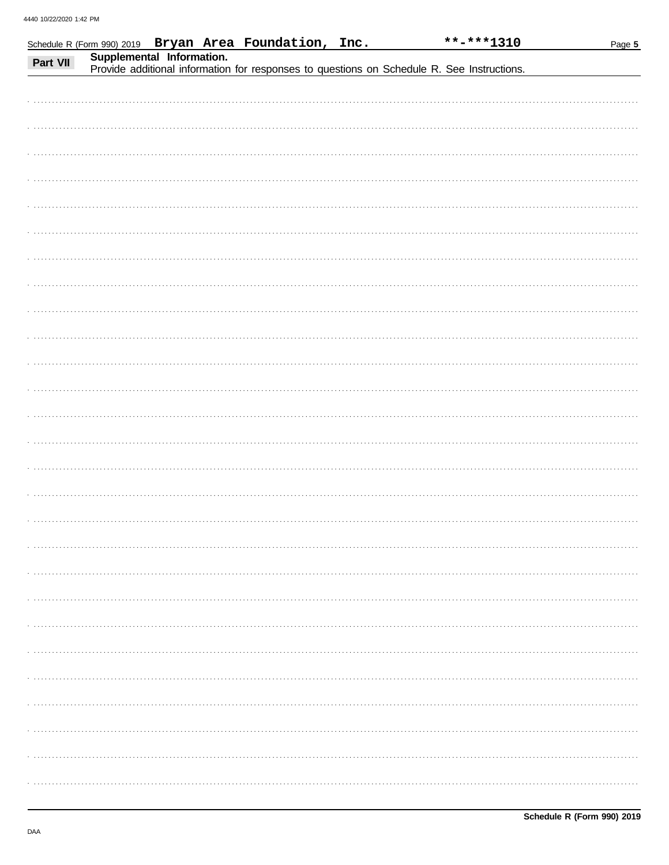|          |                           | Schedule R (Form 990) 2019 Bryan Area Foundation, Inc. | **-***1310                                                                                 | Page 5 |
|----------|---------------------------|--------------------------------------------------------|--------------------------------------------------------------------------------------------|--------|
| Part VII | Supplemental Information. |                                                        | Provide additional information for responses to questions on Schedule R. See Instructions. |        |
|          |                           |                                                        |                                                                                            |        |
|          |                           |                                                        |                                                                                            |        |
|          |                           |                                                        |                                                                                            |        |
|          |                           |                                                        |                                                                                            |        |
|          |                           |                                                        |                                                                                            |        |
|          |                           |                                                        |                                                                                            |        |
|          |                           |                                                        |                                                                                            |        |
|          |                           |                                                        |                                                                                            |        |
|          |                           |                                                        |                                                                                            |        |
|          |                           |                                                        |                                                                                            |        |
|          |                           |                                                        |                                                                                            |        |
|          |                           |                                                        |                                                                                            |        |
|          |                           |                                                        |                                                                                            |        |
|          |                           |                                                        |                                                                                            |        |
|          |                           |                                                        |                                                                                            |        |
|          |                           |                                                        |                                                                                            |        |
|          |                           |                                                        |                                                                                            |        |
|          |                           |                                                        |                                                                                            |        |
|          |                           |                                                        |                                                                                            |        |
|          |                           |                                                        |                                                                                            |        |
|          |                           |                                                        |                                                                                            |        |
|          |                           |                                                        |                                                                                            |        |
|          |                           |                                                        |                                                                                            |        |
|          |                           |                                                        |                                                                                            |        |
|          |                           |                                                        |                                                                                            |        |
|          |                           |                                                        |                                                                                            |        |
|          |                           |                                                        |                                                                                            |        |
|          |                           |                                                        |                                                                                            |        |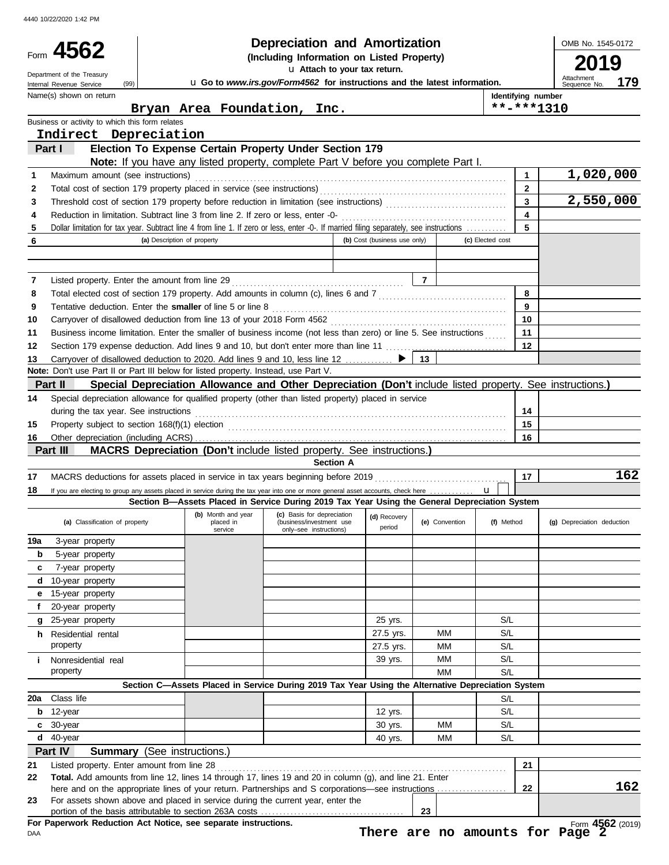|     | Form 4562                                                   | <b>Depreciation and Amortization</b><br>(Including Information on Listed Property)                                                           |                                                                                  |                              |                |                    |                            |  |  |
|-----|-------------------------------------------------------------|----------------------------------------------------------------------------------------------------------------------------------------------|----------------------------------------------------------------------------------|------------------------------|----------------|--------------------|----------------------------|--|--|
|     | Department of the Treasury                                  |                                                                                                                                              | u Attach to your tax return.                                                     |                              |                |                    | 9<br>Attachment            |  |  |
|     | (99)<br>Internal Revenue Service<br>Name(s) shown on return |                                                                                                                                              | u Go to www.irs.gov/Form4562 for instructions and the latest information.        |                              |                | Identifying number | 179<br>Sequence No.        |  |  |
|     |                                                             | Bryan Area Foundation, Inc.                                                                                                                  |                                                                                  |                              |                | $***$ -***1310     |                            |  |  |
|     | Business or activity to which this form relates             |                                                                                                                                              |                                                                                  |                              |                |                    |                            |  |  |
|     | Indirect Depreciation                                       |                                                                                                                                              |                                                                                  |                              |                |                    |                            |  |  |
|     | Part I                                                      | Election To Expense Certain Property Under Section 179<br>Note: If you have any listed property, complete Part V before you complete Part I. |                                                                                  |                              |                |                    |                            |  |  |
| 1   | Maximum amount (see instructions)                           |                                                                                                                                              |                                                                                  |                              |                | 1                  | 1,020,000                  |  |  |
| 2   |                                                             |                                                                                                                                              |                                                                                  |                              |                | $\mathbf{2}$       |                            |  |  |
| 3   |                                                             |                                                                                                                                              |                                                                                  |                              |                | $\mathbf{3}$       | 2,550,000                  |  |  |
| 4   |                                                             | Reduction in limitation. Subtract line 3 from line 2. If zero or less, enter -0-                                                             |                                                                                  |                              |                | 4                  |                            |  |  |
| 5   |                                                             | Dollar limitation for tax year. Subtract line 4 from line 1. If zero or less, enter -0-. If married filing separately, see instructions      |                                                                                  |                              |                | 5                  |                            |  |  |
| 6   |                                                             | (a) Description of property                                                                                                                  |                                                                                  | (b) Cost (business use only) |                | (c) Elected cost   |                            |  |  |
|     |                                                             |                                                                                                                                              |                                                                                  |                              |                |                    |                            |  |  |
| 7   | Listed property. Enter the amount from line 29              |                                                                                                                                              |                                                                                  |                              | $\overline{7}$ |                    |                            |  |  |
| 8   |                                                             |                                                                                                                                              |                                                                                  |                              |                | 8                  |                            |  |  |
| 9   |                                                             | Tentative deduction. Enter the smaller of line 5 or line 8                                                                                   |                                                                                  |                              |                | 9                  |                            |  |  |
| 10  |                                                             |                                                                                                                                              |                                                                                  |                              |                | 10                 |                            |  |  |
| 11  |                                                             | Business income limitation. Enter the smaller of business income (not less than zero) or line 5. See instructions                            |                                                                                  |                              |                | 11                 |                            |  |  |
| 12  |                                                             | Section 179 expense deduction. Add lines 9 and 10, but don't enter more than line 11                                                         |                                                                                  |                              |                | 12                 |                            |  |  |
| 13  |                                                             |                                                                                                                                              |                                                                                  |                              | 13             |                    |                            |  |  |
|     |                                                             | Note: Don't use Part II or Part III below for listed property. Instead, use Part V.                                                          |                                                                                  |                              |                |                    |                            |  |  |
|     | Part II                                                     | Special Depreciation Allowance and Other Depreciation (Don't include listed property. See instructions.)                                     |                                                                                  |                              |                |                    |                            |  |  |
| 14  |                                                             | Special depreciation allowance for qualified property (other than listed property) placed in service                                         |                                                                                  |                              |                |                    |                            |  |  |
|     | during the tax year. See instructions                       |                                                                                                                                              |                                                                                  |                              |                | 14                 |                            |  |  |
| 15  |                                                             | Property subject to section 168(f)(1) election <i>manufacture content content and the section</i> 168(f)(1) election                         |                                                                                  |                              |                | 15                 |                            |  |  |
| 16  | Part III                                                    | MACRS Depreciation (Don't include listed property. See instructions.)                                                                        |                                                                                  |                              |                | 16                 |                            |  |  |
|     |                                                             |                                                                                                                                              | <b>Section A</b>                                                                 |                              |                |                    |                            |  |  |
| 17  |                                                             |                                                                                                                                              |                                                                                  |                              |                | 17                 | 162                        |  |  |
| 18  |                                                             | If you are electing to group any assets placed in service during the tax year into one or more general asset accounts, check here            |                                                                                  |                              |                | $\mathbf{u}$       |                            |  |  |
|     |                                                             | Section B-Assets Placed in Service During 2019 Tax Year Using the General Depreciation System                                                |                                                                                  |                              |                |                    |                            |  |  |
|     | (a) Classification of property                              | (b) Month and year<br>placed in<br>service                                                                                                   | (c) Basis for depreciation<br>(business/investment use<br>only-see instructions) | (d) Recovery<br>period       | (e) Convention | (f) Method         | (g) Depreciation deduction |  |  |
| 19a | 3-year property                                             |                                                                                                                                              |                                                                                  |                              |                |                    |                            |  |  |
| b   | 5-year property                                             |                                                                                                                                              |                                                                                  |                              |                |                    |                            |  |  |
| c   | 7-year property                                             |                                                                                                                                              |                                                                                  |                              |                |                    |                            |  |  |
| d   | 10-year property                                            |                                                                                                                                              |                                                                                  |                              |                |                    |                            |  |  |
| е   | 15-year property                                            |                                                                                                                                              |                                                                                  |                              |                |                    |                            |  |  |
| f   | 20-year property<br>25-year property                        |                                                                                                                                              |                                                                                  |                              |                |                    |                            |  |  |
|     |                                                             |                                                                                                                                              |                                                                                  |                              |                |                    |                            |  |  |
| g   |                                                             |                                                                                                                                              |                                                                                  | 25 yrs.                      |                | S/L                |                            |  |  |
|     | <b>h</b> Residential rental                                 |                                                                                                                                              |                                                                                  | 27.5 yrs.                    | МM             | S/L                |                            |  |  |
|     | property                                                    |                                                                                                                                              |                                                                                  | 27.5 yrs.                    | МM<br>MМ       | S/L                |                            |  |  |
| i.  | Nonresidential real<br>property                             |                                                                                                                                              |                                                                                  | 39 yrs.                      | <b>MM</b>      | S/L<br>S/L         |                            |  |  |
|     |                                                             | Section C-Assets Placed in Service During 2019 Tax Year Using the Alternative Depreciation System                                            |                                                                                  |                              |                |                    |                            |  |  |
| 20a | Class life                                                  |                                                                                                                                              |                                                                                  |                              |                | S/L                |                            |  |  |
| b   | 12-year                                                     |                                                                                                                                              |                                                                                  | 12 yrs.                      |                | S/L                |                            |  |  |
| C   | 30-year                                                     |                                                                                                                                              |                                                                                  | 30 yrs.                      | MМ             | S/L                |                            |  |  |
| d   | 40-year                                                     |                                                                                                                                              |                                                                                  | 40 yrs.                      | MМ             | S/L                |                            |  |  |
|     | Part IV                                                     | <b>Summary</b> (See instructions.)                                                                                                           |                                                                                  |                              |                |                    |                            |  |  |
| 21  | Listed property. Enter amount from line 28                  |                                                                                                                                              |                                                                                  |                              |                | 21                 |                            |  |  |
| 22  |                                                             | Total. Add amounts from line 12, lines 14 through 17, lines 19 and 20 in column (g), and line 21. Enter                                      |                                                                                  |                              |                |                    |                            |  |  |
| 23  |                                                             | here and on the appropriate lines of your return. Partnerships and S corporations—see instructions                                           |                                                                                  |                              |                | 22                 | 162                        |  |  |
|     |                                                             | For assets shown above and placed in service during the current year, enter the                                                              |                                                                                  |                              | 23             |                    |                            |  |  |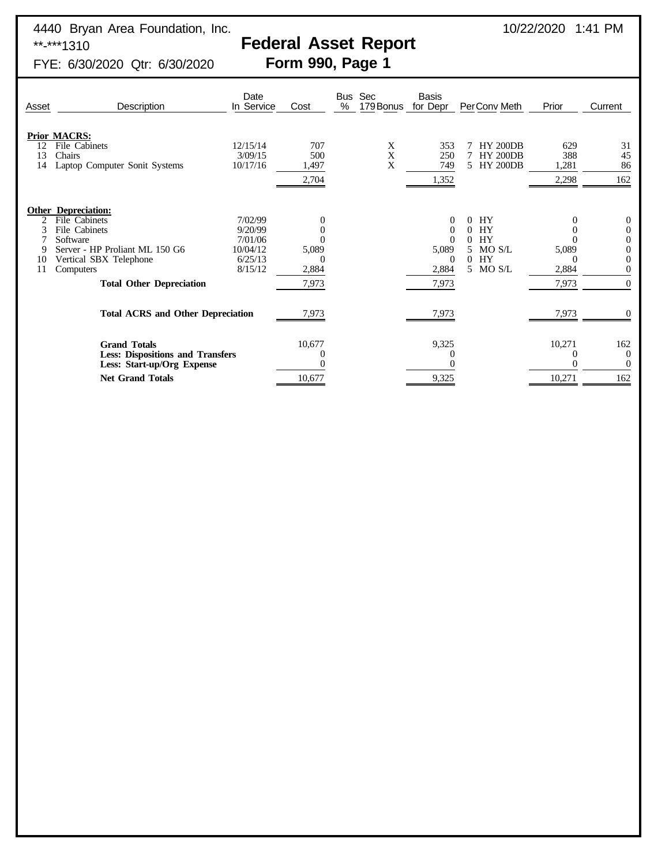# **Federal Asset Report**<br>Form 990, Page 1

FYE: 6/30/2020 Qtr: 6/30/2020

| Description                                                                  | Date<br>In Service                                                                                              | Cost                                                                                | %      | Sec<br>179 Bonus | Basis<br>for Depr                         | PerConv Meth                                               | Prior                        | Current                                     |
|------------------------------------------------------------------------------|-----------------------------------------------------------------------------------------------------------------|-------------------------------------------------------------------------------------|--------|------------------|-------------------------------------------|------------------------------------------------------------|------------------------------|---------------------------------------------|
| File Cabinets<br>Chairs<br>Laptop Computer Sonit Systems                     | 12/15/14<br>3/09/15<br>10/17/16                                                                                 | 707<br>500<br>1,497<br>2,704                                                        |        | X<br>X<br>X      | 353<br>250<br>749<br>1,352                | <b>HY 200DB</b><br><b>HY 200DB</b><br>5<br><b>HY 200DB</b> | 629<br>388<br>1,281<br>2,298 | 31<br>45<br>86<br>162                       |
| File Cabinets<br>File Cabinets<br>Software<br>Server - HP Proliant ML 150 G6 | 7/02/99<br>9/20/99<br>7/01/06<br>10/04/12<br>6/25/13                                                            | 5,089                                                                               |        |                  | $\theta$<br>$\Omega$<br>5,089<br>$\theta$ | HY<br>0<br>HY<br>0<br>HY<br>0<br>MO S/L<br>5.<br>HY<br>0   | 5,089                        | $\theta$<br>$\theta$<br>0<br>$\overline{0}$ |
| Computers<br><b>Total Other Depreciation</b>                                 | 8/15/12                                                                                                         | 2,884<br>7,973                                                                      |        |                  | 2,884<br>7,973                            | 5 MO S/L                                                   | 2,884<br>7,973               | 0<br>$\theta$                               |
|                                                                              |                                                                                                                 | 7,973                                                                               |        |                  | 7,973                                     |                                                            | 7,973                        |                                             |
| <b>Grand Totals</b><br>Less: Start-up/Org Expense                            |                                                                                                                 | 10,677                                                                              |        |                  | 9,325                                     |                                                            | 10,271                       | 162<br>$\overline{0}$<br>$\Omega$<br>162    |
|                                                                              | Asset<br><b>Prior MACRS:</b><br><b>Other Depreciation:</b><br>Vertical SBX Telephone<br><b>Net Grand Totals</b> | <b>Total ACRS and Other Depreciation</b><br><b>Less: Dispositions and Transfers</b> | 10,677 |                  | <b>Bus</b>                                | 9,325                                                      |                              | 10,271                                      |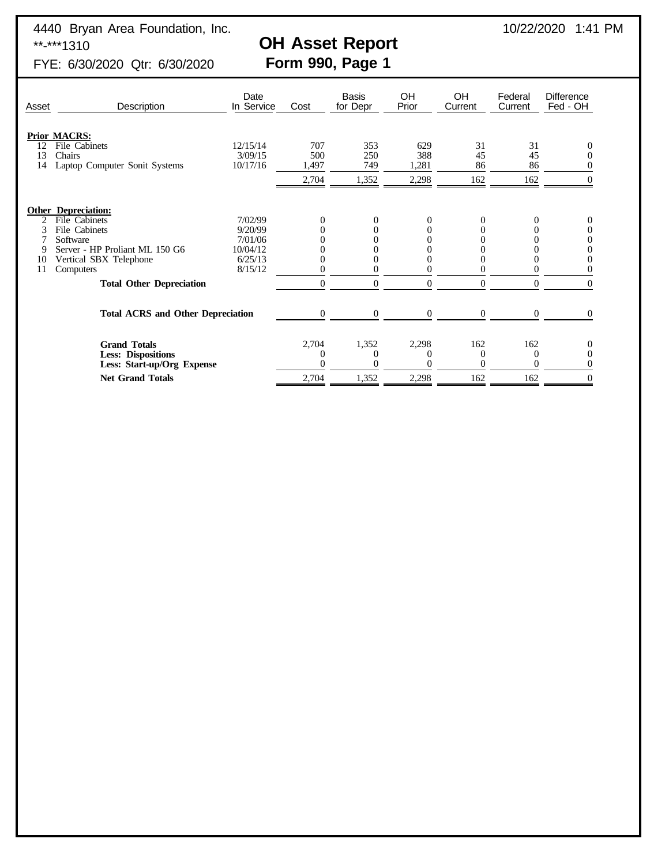4440 Bryan Area Foundation, Inc.<br> **CH Asset Report** 10/22/2020 1:41 PM<br> **CH Asset Report** 

# OH Asset Report<br>Form 990, Page 1

FYE: 6/30/2020 Qtr: 6/30/2020

| Asset                      | Description                                             | Date<br>In Service | Cost     | <b>Basis</b><br>for Depr | <b>OH</b><br>Prior | OH<br>Current  | Federal<br>Current | <b>Difference</b><br>Fed - OH |
|----------------------------|---------------------------------------------------------|--------------------|----------|--------------------------|--------------------|----------------|--------------------|-------------------------------|
|                            | <b>Prior MACRS:</b>                                     | 12/15/14           | 707      |                          |                    | 31             | 31                 |                               |
| 12<br>13                   | File Cabinets<br>Chairs                                 | 3/09/15            | 500      | 353<br>250               | 629<br>388         | 45             | 45                 | $\theta$                      |
| 14                         | Laptop Computer Sonit Systems                           | 10/17/16           | 1,497    | 749                      | 1,281              | 86             | 86                 |                               |
|                            |                                                         |                    | 2,704    | 1,352                    | 2,298              | 162            | 162                | $\Omega$                      |
| <b>Other Depreciation:</b> |                                                         |                    |          |                          |                    |                |                    |                               |
| $\mathfrak{D}$             | File Cabinets                                           | 7/02/99            | 0        | $\Omega$                 | 0                  | $\overline{0}$ | $\theta$           | $\theta$                      |
| 3                          | File Cabinets                                           | 9/20/99            |          |                          |                    | 0              |                    | $\Omega$                      |
|                            | Software                                                | 7/01/06            |          |                          |                    |                |                    | $\Omega$                      |
| 9                          | Server - HP Proliant ML 150 G6                          | 10/04/12           |          |                          |                    |                |                    |                               |
| 10                         | Vertical SBX Telephone                                  | 6/25/13            |          |                          |                    |                |                    | $\Omega$                      |
| 11                         | Computers                                               | 8/15/12            |          |                          |                    |                |                    |                               |
|                            | <b>Total Other Depreciation</b>                         |                    | $\Omega$ | $\Omega$                 | $\Omega$           | $\theta$       | $\Omega$           | $\Omega$                      |
|                            | <b>Total ACRS and Other Depreciation</b>                |                    | 0        |                          | 0                  | $\Omega$       |                    |                               |
|                            | <b>Grand Totals</b>                                     |                    | 2,704    | 1,352                    | 2,298              | 162            | 162                | $\Omega$                      |
|                            | <b>Less: Dispositions</b><br>Less: Start-up/Org Expense |                    |          | 0                        |                    | $\Omega$<br>0  | $\theta$<br>0      | $\theta$                      |
|                            | <b>Net Grand Totals</b>                                 |                    | 2,704    | 1,352                    | 2,298              | 162            | 162                |                               |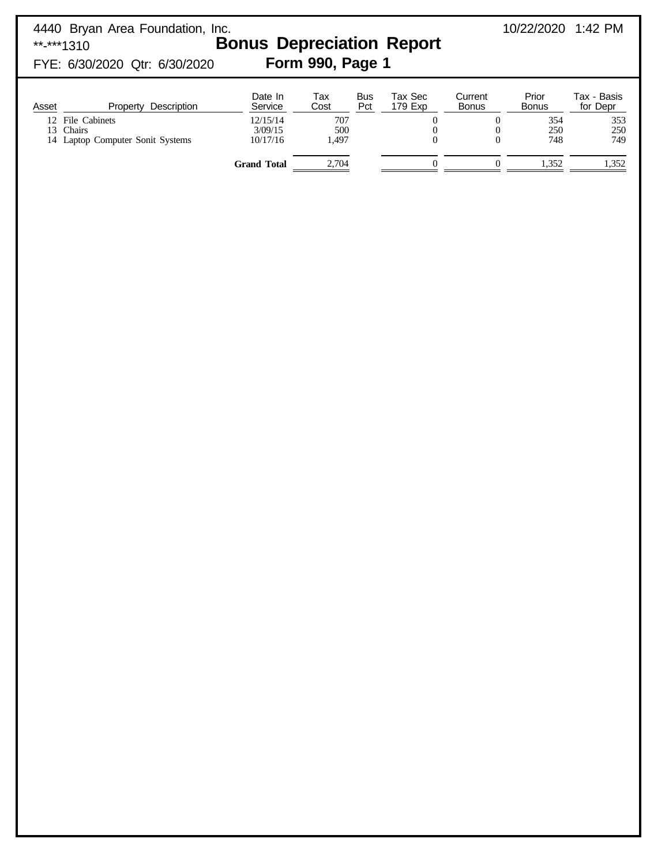| **-***1310                     | 4440 Bryan Area Foundation, Inc.<br>FYE: 6/30/2020 Qtr: 6/30/2020                   | <b>Bonus Depreciation Report</b><br>Form 990, Page 1                        |                                             | 10/22/2020 1:42 PM |                                |                              |                                              |                                                       |
|--------------------------------|-------------------------------------------------------------------------------------|-----------------------------------------------------------------------------|---------------------------------------------|--------------------|--------------------------------|------------------------------|----------------------------------------------|-------------------------------------------------------|
| Asset<br>12 <sub>1</sub><br>13 | Property Description<br>File Cabinets<br>Chairs<br>14 Laptop Computer Sonit Systems | Date In<br>Service<br>12/15/14<br>3/09/15<br>10/17/16<br><b>Grand Total</b> | Tax<br>Cost<br>707<br>500<br>1.497<br>2,704 | <b>Bus</b><br>Pct  | Tax Sec<br>179 Exp<br>$\theta$ | Current<br><b>Bonus</b><br>0 | Prior<br>Bonus<br>354<br>250<br>748<br>1,352 | Tax - Basis<br>for Depr<br>353<br>250<br>749<br>1,352 |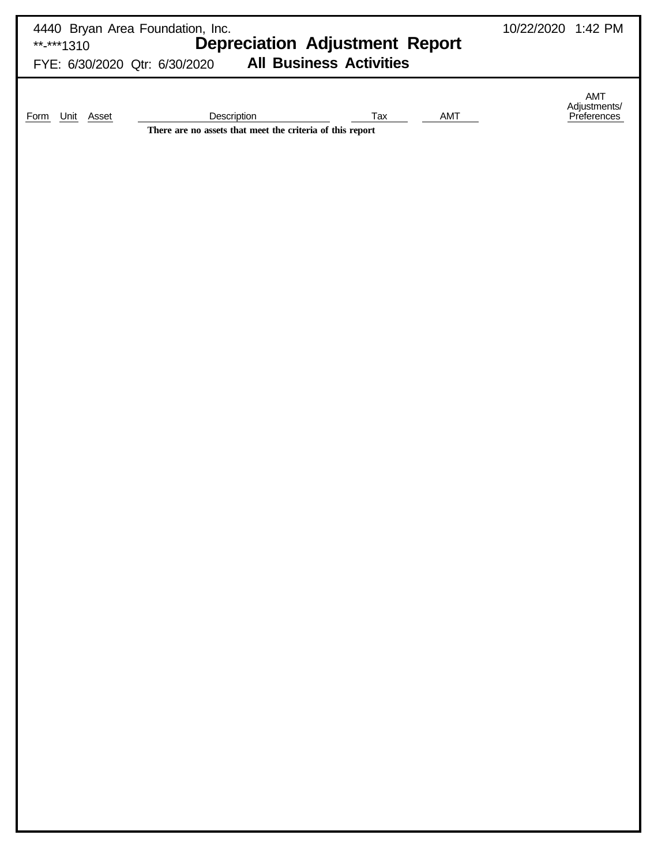| 4440 Bryan Area Foundation, Inc.<br>10/22/2020 1:42 PM<br><b>Depreciation Adjustment Report</b><br>**-***1310<br><b>All Business Activities</b><br>FYE: 6/30/2020 Qtr: 6/30/2020 |                                               |  |  |  |  |  |  |  |  |  |
|----------------------------------------------------------------------------------------------------------------------------------------------------------------------------------|-----------------------------------------------|--|--|--|--|--|--|--|--|--|
| Description<br>AMT<br>Unit Asset<br>Tax<br><b>Form</b><br>There are no assets that meet the criteria of this report                                                              | $\mathsf{AMT}$<br>Adjustments/<br>Preferences |  |  |  |  |  |  |  |  |  |
|                                                                                                                                                                                  |                                               |  |  |  |  |  |  |  |  |  |
|                                                                                                                                                                                  |                                               |  |  |  |  |  |  |  |  |  |
|                                                                                                                                                                                  |                                               |  |  |  |  |  |  |  |  |  |
|                                                                                                                                                                                  |                                               |  |  |  |  |  |  |  |  |  |
|                                                                                                                                                                                  |                                               |  |  |  |  |  |  |  |  |  |
|                                                                                                                                                                                  |                                               |  |  |  |  |  |  |  |  |  |
|                                                                                                                                                                                  |                                               |  |  |  |  |  |  |  |  |  |
|                                                                                                                                                                                  |                                               |  |  |  |  |  |  |  |  |  |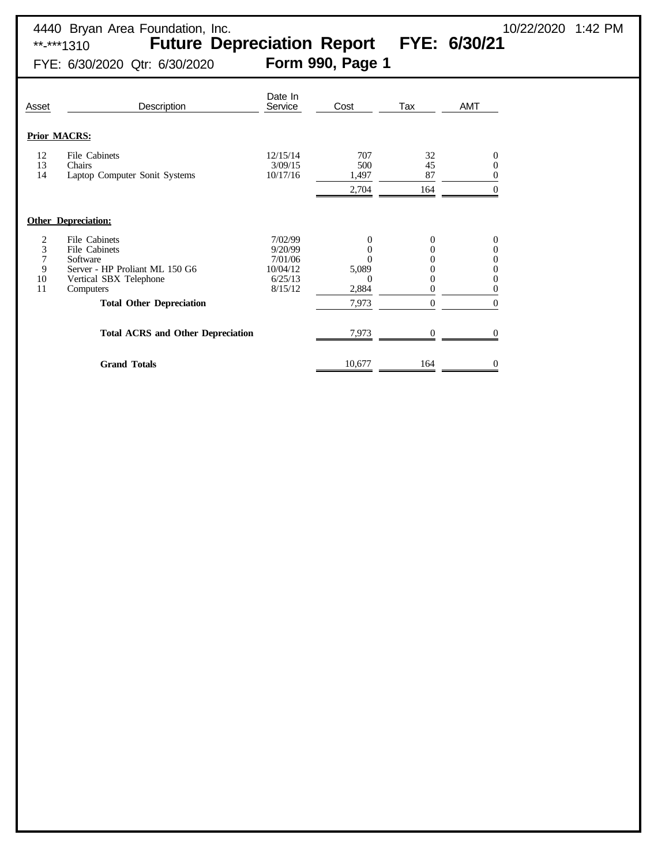\*\*-\*\*\*1310 **Future Depreciation Report FYE: 6/30/21**

FYE: 6/30/2020 Qtr: 6/30/2020 **Form 990, Page 1**

| Asset                        | Description                                                                                                                                                                                        | Date In<br>Service                                              | Cost                                                                 | Tax                          | AMT                                    |
|------------------------------|----------------------------------------------------------------------------------------------------------------------------------------------------------------------------------------------------|-----------------------------------------------------------------|----------------------------------------------------------------------|------------------------------|----------------------------------------|
|                              | <b>Prior MACRS:</b>                                                                                                                                                                                |                                                                 |                                                                      |                              |                                        |
| 12<br>13<br>14               | File Cabinets<br>Chairs<br>Laptop Computer Sonit Systems                                                                                                                                           | 12/15/14<br>3/09/15<br>10/17/16                                 | 707<br>500<br>1,497<br>2,704                                         | 32<br>45<br>87<br>164        | 0<br>0<br>0<br>$\theta$                |
|                              | <b>Other Depreciation:</b>                                                                                                                                                                         |                                                                 |                                                                      |                              |                                        |
| 2<br>3<br>7<br>9<br>10<br>11 | File Cabinets<br>File Cabinets<br>Software<br>Server - HP Proliant ML 150 G6<br>Vertical SBX Telephone<br>Computers<br><b>Total Other Depreciation</b><br><b>Total ACRS and Other Depreciation</b> | 7/02/99<br>9/20/99<br>7/01/06<br>10/04/12<br>6/25/13<br>8/15/12 | $\theta$<br>$\theta$<br>5,089<br>$\Omega$<br>2,884<br>7,973<br>7,973 | 0<br>0<br>0<br>0<br>$\theta$ | 0<br>0<br>0<br>0<br>0<br>0<br>$\Omega$ |
|                              | <b>Grand Totals</b>                                                                                                                                                                                |                                                                 | 10,677                                                               | 164                          | 0                                      |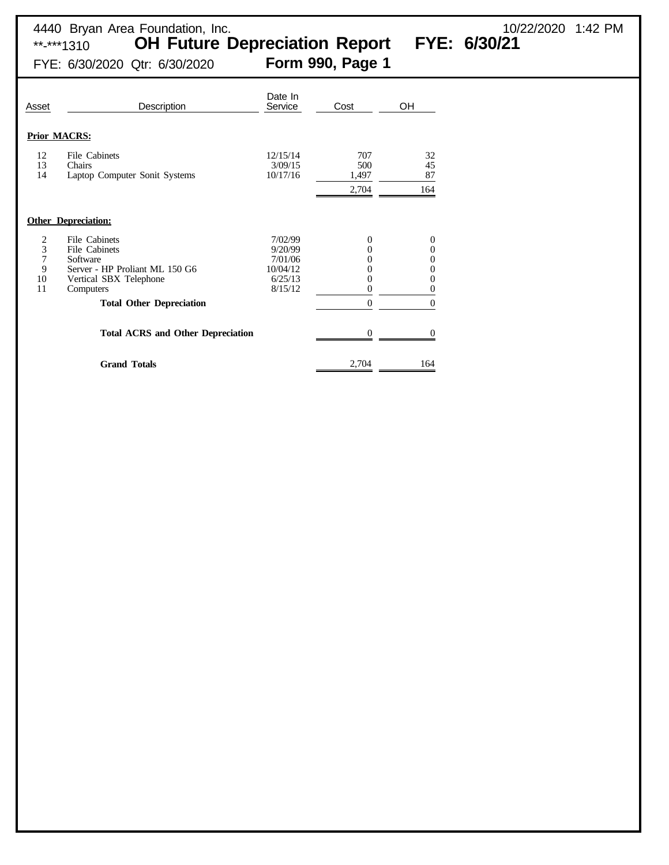\*\*-\*\*\*1310 **OH Future Depreciation Report FYE: 6/30/21**

4440 Bryan Area Foundation, Inc. 10/22/2020 1:42 PM

FYE: 6/30/2020 Qtr: 6/30/2020 **Form 990, Page 1**

| Asset                                            | Description                                                                                                                                            | Date In<br>Service                                              | Cost                                                             | OH                                                        |
|--------------------------------------------------|--------------------------------------------------------------------------------------------------------------------------------------------------------|-----------------------------------------------------------------|------------------------------------------------------------------|-----------------------------------------------------------|
|                                                  | <b>Prior MACRS:</b>                                                                                                                                    |                                                                 |                                                                  |                                                           |
| 12<br>13<br>14                                   | File Cabinets<br>Chairs<br>Laptop Computer Sonit Systems                                                                                               | 12/15/14<br>3/09/15<br>10/17/16                                 | 707<br>500<br>1,497<br>2,704                                     | 32<br>45<br>87<br>164                                     |
|                                                  | <b>Other Depreciation:</b>                                                                                                                             |                                                                 |                                                                  |                                                           |
| $\frac{2}{3}$<br>$\overline{7}$<br>9<br>10<br>11 | File Cabinets<br>File Cabinets<br>Software<br>Server - HP Proliant ML 150 G6<br>Vertical SBX Telephone<br>Computers<br><b>Total Other Depreciation</b> | 7/02/99<br>9/20/99<br>7/01/06<br>10/04/12<br>6/25/13<br>8/15/12 | $\Omega$<br>0<br>0<br>0<br>0<br>$\overline{0}$<br>$\overline{0}$ | $\overline{0}$<br>0<br>0<br>0<br>0<br>0<br>$\overline{0}$ |
|                                                  | <b>Total ACRS and Other Depreciation</b>                                                                                                               |                                                                 | 0                                                                | $\theta$                                                  |
|                                                  | <b>Grand Totals</b>                                                                                                                                    |                                                                 | 2,704                                                            | 164                                                       |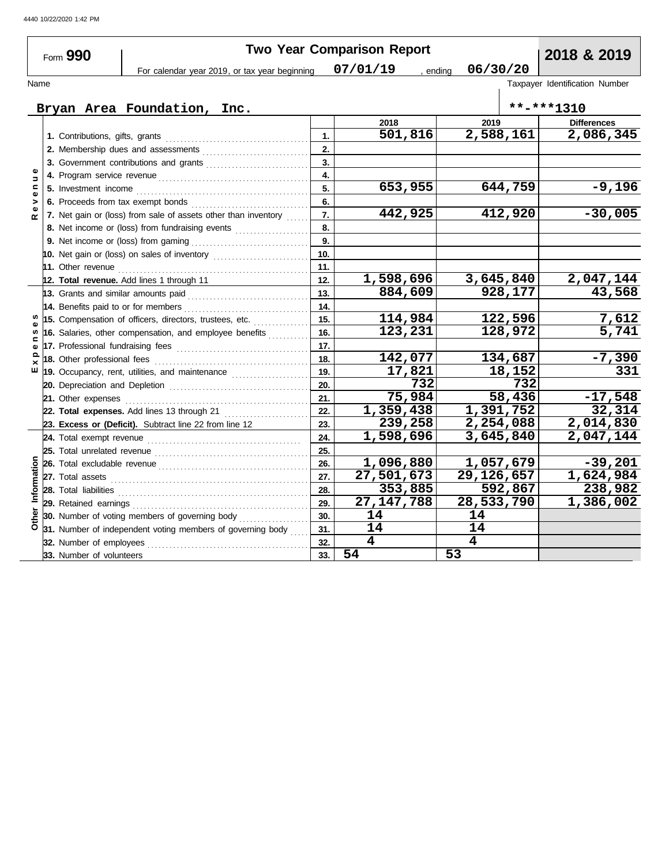|               | Form 990                    |                                                                                                                                                                                                                                     |                  | <b>Two Year Comparison Report</b> |                         | 2018 & 2019                    |
|---------------|-----------------------------|-------------------------------------------------------------------------------------------------------------------------------------------------------------------------------------------------------------------------------------|------------------|-----------------------------------|-------------------------|--------------------------------|
|               |                             | For calendar year 2019, or tax year beginning                                                                                                                                                                                       |                  | 07/01/19                          | 06/30/20<br>, ending    |                                |
| Name          |                             |                                                                                                                                                                                                                                     |                  |                                   |                         | Taxpayer Identification Number |
|               |                             |                                                                                                                                                                                                                                     |                  |                                   |                         |                                |
|               |                             | Bryan Area Foundation, Inc.                                                                                                                                                                                                         |                  |                                   |                         | $***$ -***1310                 |
|               |                             |                                                                                                                                                                                                                                     |                  | 2018                              | 2019                    | <b>Differences</b>             |
|               |                             |                                                                                                                                                                                                                                     | 1.               | $\overline{501}$ , 816            | 2,588,161               | 2,086,345                      |
|               |                             |                                                                                                                                                                                                                                     | 2.               |                                   |                         |                                |
|               |                             | 3. Government contributions and grants                                                                                                                                                                                              | $\overline{3}$ . |                                   |                         |                                |
| $\Rightarrow$ |                             |                                                                                                                                                                                                                                     | 4.               |                                   |                         |                                |
| $\mathbf{C}$  |                             |                                                                                                                                                                                                                                     | 5.               | 653,955                           | 644,759                 | $-9,196$                       |
|               |                             |                                                                                                                                                                                                                                     | 6.               |                                   |                         |                                |
| œ             |                             | 7. Net gain or (loss) from sale of assets other than inventory                                                                                                                                                                      | $\overline{7}$ . | 442,925                           | 412,920                 | $-30,005$                      |
|               |                             | 8. Net income or (loss) from fundraising events                                                                                                                                                                                     | 8.               |                                   |                         |                                |
|               |                             |                                                                                                                                                                                                                                     | 9.               |                                   |                         |                                |
|               |                             |                                                                                                                                                                                                                                     | 10.              |                                   |                         |                                |
|               |                             | 11. Other revenue <b>11. Institute of the Contract of America</b> Contract of the Contract of the Contract of the Contract of the Contract of the Contract of the Contract of the Contract of the Contract of the Contract of the C | 11.              |                                   |                         |                                |
|               |                             | 12. Total revenue. Add lines 1 through 11                                                                                                                                                                                           | 12.              | 1,598,696                         | 3,645,840               | 2,047,144                      |
|               |                             |                                                                                                                                                                                                                                     | 13.              | 884,609                           | 928,177                 | 43,568                         |
|               |                             | 14. Benefits paid to or for members                                                                                                                                                                                                 | 14.              |                                   |                         |                                |
|               |                             | 15. Compensation of officers, directors, trustees, etc.                                                                                                                                                                             | 15.              | 114,984                           | 122,596                 | 7,612                          |
|               |                             | 16. Salaries, other compensation, and employee benefits                                                                                                                                                                             | 16.              | 123,231                           | 128,972                 | $\overline{5,741}$             |
| $\mathbf{r}$  |                             | 17. Professional fundraising fees                                                                                                                                                                                                   | 17.              |                                   |                         |                                |
|               | 18. Other professional fees |                                                                                                                                                                                                                                     | 18.              | 142,077                           | 134,687                 | $-7,390$                       |
| ш             |                             | 19. Occupancy, rent, utilities, and maintenance <i>[19. Occupancy, rent</i> ,                                                                                                                                                       | 19.              | 17,821                            | 18, 152                 | $\overline{331}$               |
|               |                             |                                                                                                                                                                                                                                     | 20.              | 732                               | 732                     |                                |
|               | 21. Other expenses          |                                                                                                                                                                                                                                     | 21.              | 75,984                            | 58,436                  | $-17,548$                      |
|               |                             | 22. Total expenses. Add lines 13 through 21                                                                                                                                                                                         | 22.              | $\overline{1,359,438}$            | 1,391,752               | 32,314                         |
|               |                             | 23. Excess or (Deficit). Subtract line 22 from line 12                                                                                                                                                                              | 23.              | 239,258                           | 2,254,088               | 2,014,830                      |
|               |                             |                                                                                                                                                                                                                                     | 24.              | 1,598,696                         | 3,645,840               | 2,047,144                      |
|               |                             |                                                                                                                                                                                                                                     | 25.              |                                   |                         |                                |
|               |                             |                                                                                                                                                                                                                                     | 26.              | 1,096,880                         | 1,057,679               | $-39,201$                      |
|               |                             |                                                                                                                                                                                                                                     | 27.              | $\overline{27,501,673}$           | $\overline{29,126,657}$ | 1,624,984                      |
| Information   |                             |                                                                                                                                                                                                                                     | 28.              | 353,885                           | 592,867                 | 238,982                        |
|               | 29. Retained earnings       |                                                                                                                                                                                                                                     | 29.              | 27, 147, 788                      | 28,533,790              | 1,386,002                      |
| Other         |                             | 30. Number of voting members of governing body                                                                                                                                                                                      | 30.              | 14                                | 14                      |                                |
|               |                             | 31. Number of independent voting members of governing body                                                                                                                                                                          | 31.              | 14                                | 14                      |                                |
|               | 32. Number of employees     |                                                                                                                                                                                                                                     | 32.              | $\overline{\mathbf{4}}$           | $\overline{\mathbf{4}}$ |                                |
|               | 33. Number of volunteers    |                                                                                                                                                                                                                                     | 33.              | 54                                | 53                      |                                |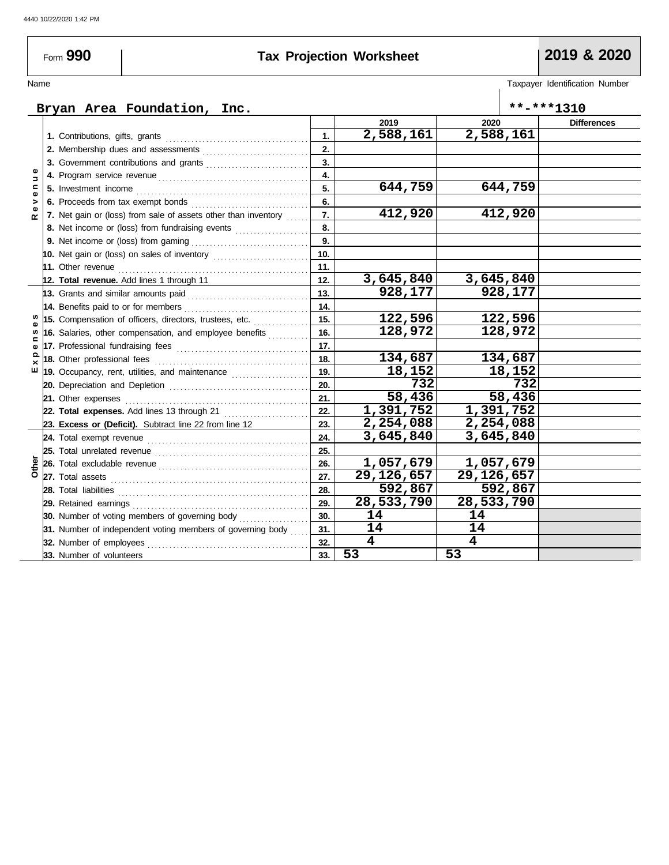Form **990**

## **Tax Projection Worksheet 2019 & 2020**

## Name Taxpayer Identification Number

### **Bryan Area Foundation, Inc. \*\*-\*\*\*1310 2019 2020 Differences 2,588,161 2,588,161 1.** Contributions, gifts, grants . . . . . . . . . . . . . . . . . . . . . . . . . . . . . . . . . . . . . . . **1. 2.** Membership dues and assessments . . . . . . . . . . . . . . . . . . . . . . . . . . . . . **2. 3. 3.** Government contributions and grants *.........................***...** Revenue **E x p e n s e s R e v e n u e 4.** Program service revenue . . . . . . . . . . . . . . . . . . . . . . . . . . . . . . . . . . . . . . . . . **4. 644,759 644,759 5.** Investment income . . . . . . . . . . . . . . . . . . . . . . . . . . . . . . . . . . . . . . . . . . . . . . . **5. 6.** Proceeds from tax exempt bonds . . . . . . . . . . . . . . . . . . . . . . . . . . . . . . . . **6. 412,920 412,920 7. 7.** Net gain or (loss) from sale of assets other than inventory  $\ldots$ **8. 8.** Net income or (loss) from fundraising events .................... **9. 9.** Net income or (loss) from gaming . . . . . . . . . . . . . . . . . . . . . . . . . . . . . . . . **10. 10.** Net gain or (loss) on sales of inventory ............................ **11. 11.** Other revenue . . . . . . . . . . . . . . . . . . . . . . . . . . . . . . . . . . . . . . . . . . . . . . . . . . . . **3,645,840 3,645,840 12. 12. Total revenue.** Add lines 1 through 11 **928,177 928,177 13. 13.** Grants and similar amounts paid . . . . . . . . . . . . . . . . . . . . . . . . . . . . . . . . . **14.** Benefits paid to or for members . . . . . . . . . . . . . . . . . . . . . . . . . . . . . . . . . . **14.** S **122,596 122,596 15. 15.** Compensation of officers, directors, trustees, etc. . . . . . . . . . . . . . . . **128,972 128,972 16.** n **16.** Salaries, other compensation, and employee benefits *.........*... pen **17.** Professional fundraising fees . . . . . . . . . . . . . . . . . . . . . . . . . . . . . . . . . . . . **17. 134,687 134,687 18.** Other professional fees . . . . . . . . . . . . . . . . . . . . . . . . . . . . . . . . . . . . . . . . . . **18.**  $E \times$ **18,152 18,152 19.** Occupancy, rent, utilities, and maintenance . . . . . . . . . . . . . . . . . . . . . **19. 732 732 20.** Depreciation and Depletion . . . . . . . . . . . . . . . . . . . . . . . . . . . . . . . . . . . . . . . **20. 58,436 58,436 21.** Other expenses . . . . . . . . . . . . . . . . . . . . . . . . . . . . . . . . . . . . . . . . . . . . . . . . . . **21. 1,391,752 1,391,752 22. 22. Total expenses.** Add lines 13 through 21 . . . . . . . . . . . . . . . . . . . . . . . **23. 2,254,088 2,254,088 23. Excess or (Deficit).** Subtract line 22 from line 12 **24. 3,645,840 3,645,840** Total exempt revenue . . . . . . . . . . . . . . . . . . . . . . . . . . . . . . . . . . . . . . . . . . . . **24.** Total unrelated revenue . . . . . . . . . . . . . . . . . . . . . . . . . . . . . . . . . . . . . . . . . . **25. 25. Other 1,057,679 1,057,679 26. 26.** Total excludable revenue . . . . . . . . . . . . . . . . . . . . . . . . . . . . . . . . . . . . . . . . . **27.** Total assets **29,126,657 29,126,657 27. 592,867 592,867 28. 28.** Total liabilities . . . . . . . . . . . . . . . . . . . . . . . . . . . . . . . . . . . . . . . . . . . . . . . . . . . . **28,533,790 28,533,790 29. 29.** Retained earnings . . . . . . . . . . . . . . . . . . . . . . . . . . . . . . . . . . . . . . . . . . . . . . . . **30. 14 14 30.** Number of voting members of governing body *.................*... **31. 14 14 31.** Number of independent voting members of governing body **4 4 32.** Number of employees . . . . . . . . . . . . . . . . . . . . . . . . . . . . . . . . . . . . . . . . . . . . **32. 53 53 33.** Number of volunteers **33.**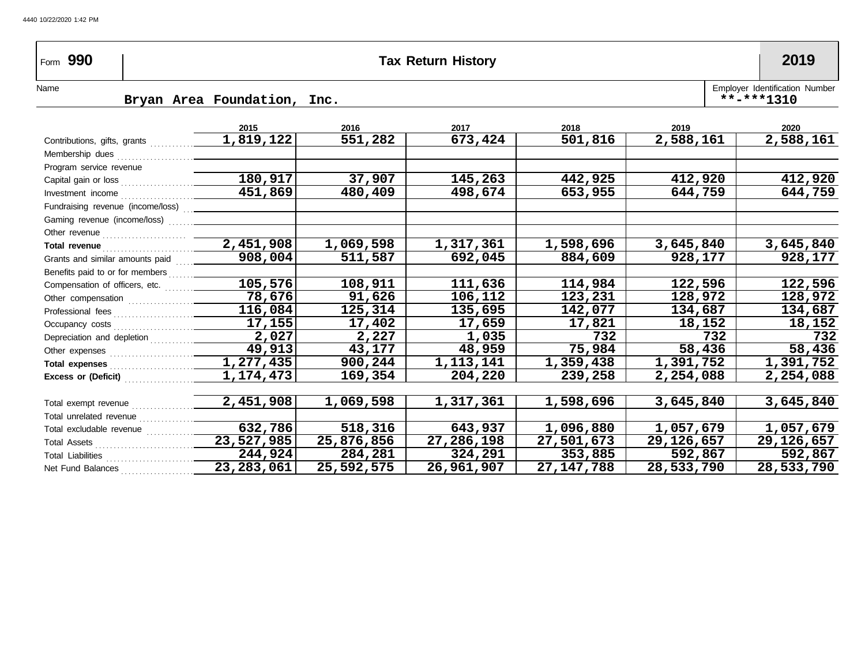| Form 990                                                                                                                                                                                                                             |                             |            | <b>Tax Return History</b> |              |                        | 2019                                             |
|--------------------------------------------------------------------------------------------------------------------------------------------------------------------------------------------------------------------------------------|-----------------------------|------------|---------------------------|--------------|------------------------|--------------------------------------------------|
| Name                                                                                                                                                                                                                                 | Bryan Area Foundation, Inc. |            |                           |              |                        | Employer Identification Number<br>$***$ -***1310 |
|                                                                                                                                                                                                                                      | 2015                        | 2016       | 2017                      | 2018         | 2019                   | 2020                                             |
|                                                                                                                                                                                                                                      |                             | 551,282    | 673,424                   | 501,816      | $\overline{2,588,161}$ | 2,588,161                                        |
|                                                                                                                                                                                                                                      |                             |            |                           |              |                        |                                                  |
| Program service revenue                                                                                                                                                                                                              |                             |            |                           |              |                        |                                                  |
|                                                                                                                                                                                                                                      | 180, 917                    | 37,907     | 145,263                   | 442,925      | 412,920                | 412,920                                          |
|                                                                                                                                                                                                                                      |                             | 480,409    | 498,674                   | 653,955      | 644,759                | 644,759                                          |
| Fundraising revenue (income/loss)                                                                                                                                                                                                    |                             |            |                           |              |                        |                                                  |
|                                                                                                                                                                                                                                      |                             |            |                           |              |                        |                                                  |
|                                                                                                                                                                                                                                      |                             |            |                           |              |                        |                                                  |
| Total revenue <b>contract and the contract of the contract of the contract of the contract of the contract of the contract of the contract of the contract of the contract of the contract of the contract of the contract of th</b> | 2,451,908                   | 1,069,598  | 1,317,361                 | 1,598,696    | 3,645,840              | 3,645,840                                        |
| Grants and similar amounts paid                                                                                                                                                                                                      | $\sqrt{908,004}$            | 511,587    | 692,045                   | 884,609      | 928,177                | 928,177                                          |
|                                                                                                                                                                                                                                      |                             |            |                           |              |                        |                                                  |
| Compensation of officers, etc.                                                                                                                                                                                                       | 105,576                     | 108,911    | 111,636                   | 114,984      | 122,596                | 122,596                                          |
|                                                                                                                                                                                                                                      | 78,676                      | 91,626     | 106,112                   | 123,231      | 128,972                | 128,972                                          |
|                                                                                                                                                                                                                                      | 116,084                     | 125,314    | 135,695                   | 142,077      | 134,687                | 134,687                                          |
|                                                                                                                                                                                                                                      | $\overline{17,155}$         | 17,402     | 17,659                    | 17,821       | 18,152                 | 18,152                                           |
|                                                                                                                                                                                                                                      | 2,027                       | 2,227      | 1,035                     | 732          | 732                    | 732                                              |
|                                                                                                                                                                                                                                      | 49,913                      | 43,177     | 48,959                    | 75,984       | 58,436                 | 58,436                                           |
|                                                                                                                                                                                                                                      | $\overline{1,277,435}$      | 900,244    | 1, 113, 141               | 1,359,438    | 1,391,752              | 1,391,752                                        |
|                                                                                                                                                                                                                                      | 1,174,473                   | 169,354    | 204,220                   | 239,258      | 2,254,088              | 2,254,088                                        |
| Total exempt revenue                                                                                                                                                                                                                 | 2,451,908                   | 1,069,598  | 1,317,361                 | 1,598,696    | 3,645,840              | 3,645,840                                        |
|                                                                                                                                                                                                                                      |                             |            |                           |              |                        |                                                  |
|                                                                                                                                                                                                                                      | 632,786                     | 518,316    | 643,937                   | 1,096,880    | 1,057,679              | 1,057,679                                        |
|                                                                                                                                                                                                                                      | $\overline{23,527,985}$     | 25,876,856 | 27,286,198                | 27,501,673   | 29, 126, 657           | 29, 126, 657                                     |
|                                                                                                                                                                                                                                      | $\sqrt{244,924}$            | 284,281    | 324,291                   | 353,885      | 592,867                | 592,867                                          |
| Net Fund Balances                                                                                                                                                                                                                    | $\overline{23,283,061}$     | 25,592,575 | 26,961,907                | 27, 147, 788 | 28,533,790             | 28,533,790                                       |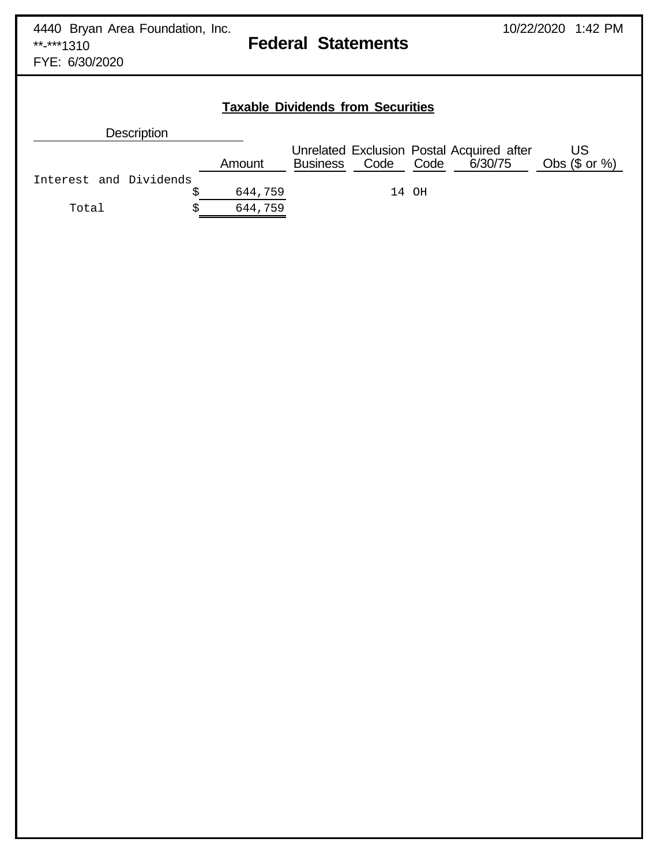# **Federal Statements**

FYE: 6/30/2020

# **Taxable Dividends from Securities**

| <b>Description</b>     |         |                 |           |       |                                                      |                         |
|------------------------|---------|-----------------|-----------|-------|------------------------------------------------------|-------------------------|
|                        | Amount  | <b>Business</b> | Code Code |       | Unrelated Exclusion Postal Acquired after<br>6/30/75 | US.<br>Obs $(\$$ or $%$ |
| Interest and Dividends |         |                 |           |       |                                                      |                         |
|                        | 644,759 |                 |           | 14 OH |                                                      |                         |
| Total                  | 644,759 |                 |           |       |                                                      |                         |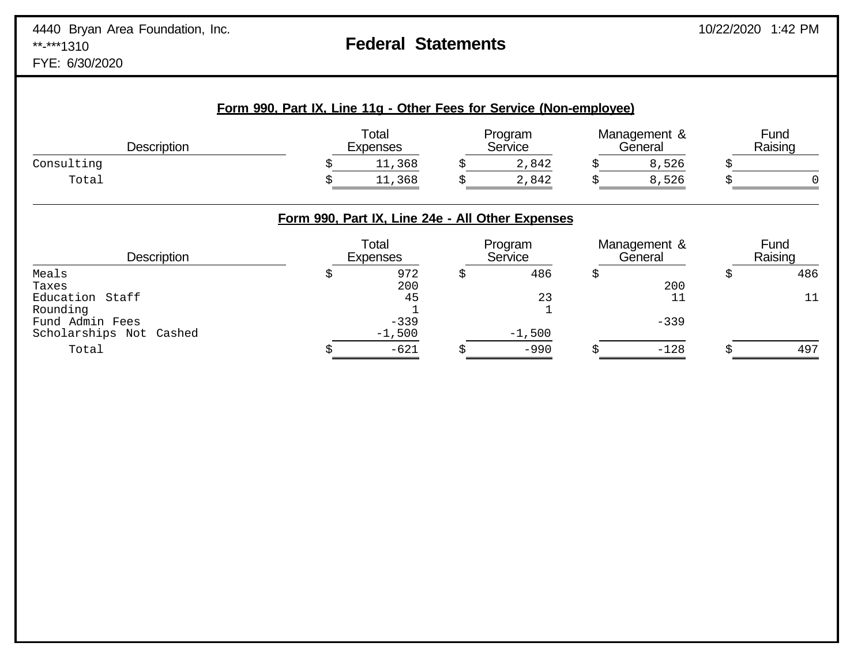FYE: 6/30/2020

| <b>Description</b> | Total<br><b>Expenses</b> | Program<br>Service | Management &<br>General | Fund<br>Raising |
|--------------------|--------------------------|--------------------|-------------------------|-----------------|
| Consulting         | 11,368                   | 2,842              | 8,526                   |                 |
| Total              | 11,368                   | 2,842              | 8,526                   |                 |

## **Form 990, Part IX, Line 24e - All Other Expenses**

| <b>Description</b>      | Total<br><b>Expenses</b> | Program<br>Service | Management &<br>General | Fund<br>Raising |
|-------------------------|--------------------------|--------------------|-------------------------|-----------------|
| Meals                   | 972                      | 486                |                         | 486             |
| Taxes                   | 200                      |                    | 200                     |                 |
| Education Staff         | 45                       | 23                 |                         |                 |
| Rounding                |                          |                    |                         |                 |
| Fund Admin Fees         | $-339$                   |                    | $-339$                  |                 |
| Scholarships Not Cashed | $-1,500$                 | $-1,500$           |                         |                 |
| Total                   | $-621$                   | $-990$             | $-128$                  | 497             |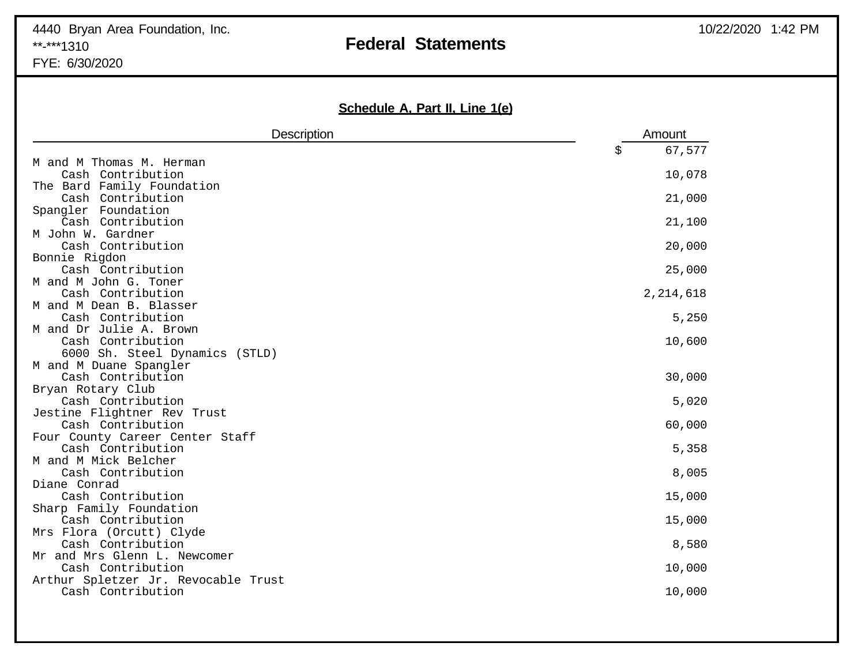## 4440 Bryan Area Foundation, Inc. 10/22/2020 1:42 PM \*\*-\*\*\*1310 **Federal Statements** FYE: 6/30/2020

**Schedule A, Part II, Line 1(e)**

| 67,577<br>\$<br>M and M Thomas M. Herman<br>10,078<br>Cash Contribution<br>The Bard Family Foundation<br>Cash Contribution<br>21,000<br>Spangler Foundation<br>Cash Contribution<br>21,100<br>M John W. Gardner<br>Cash Contribution<br>20,000<br>Bonnie Rigdon<br>Cash Contribution<br>25,000<br>M and M John G. Toner<br>2, 214, 618<br>Cash Contribution<br>M and M Dean B. Blasser<br>Cash Contribution<br>5,250<br>M and Dr Julie A. Brown<br>Cash Contribution<br>10,600<br>6000 Sh. Steel Dynamics (STLD)<br>M and M Duane Spangler<br>Cash Contribution<br>30,000 |
|---------------------------------------------------------------------------------------------------------------------------------------------------------------------------------------------------------------------------------------------------------------------------------------------------------------------------------------------------------------------------------------------------------------------------------------------------------------------------------------------------------------------------------------------------------------------------|
|                                                                                                                                                                                                                                                                                                                                                                                                                                                                                                                                                                           |
|                                                                                                                                                                                                                                                                                                                                                                                                                                                                                                                                                                           |
|                                                                                                                                                                                                                                                                                                                                                                                                                                                                                                                                                                           |
|                                                                                                                                                                                                                                                                                                                                                                                                                                                                                                                                                                           |
|                                                                                                                                                                                                                                                                                                                                                                                                                                                                                                                                                                           |
|                                                                                                                                                                                                                                                                                                                                                                                                                                                                                                                                                                           |
|                                                                                                                                                                                                                                                                                                                                                                                                                                                                                                                                                                           |
|                                                                                                                                                                                                                                                                                                                                                                                                                                                                                                                                                                           |
|                                                                                                                                                                                                                                                                                                                                                                                                                                                                                                                                                                           |
|                                                                                                                                                                                                                                                                                                                                                                                                                                                                                                                                                                           |
|                                                                                                                                                                                                                                                                                                                                                                                                                                                                                                                                                                           |
|                                                                                                                                                                                                                                                                                                                                                                                                                                                                                                                                                                           |
|                                                                                                                                                                                                                                                                                                                                                                                                                                                                                                                                                                           |
|                                                                                                                                                                                                                                                                                                                                                                                                                                                                                                                                                                           |
|                                                                                                                                                                                                                                                                                                                                                                                                                                                                                                                                                                           |
|                                                                                                                                                                                                                                                                                                                                                                                                                                                                                                                                                                           |
|                                                                                                                                                                                                                                                                                                                                                                                                                                                                                                                                                                           |
|                                                                                                                                                                                                                                                                                                                                                                                                                                                                                                                                                                           |
|                                                                                                                                                                                                                                                                                                                                                                                                                                                                                                                                                                           |
| Bryan Rotary Club                                                                                                                                                                                                                                                                                                                                                                                                                                                                                                                                                         |
| 5,020<br>Cash Contribution                                                                                                                                                                                                                                                                                                                                                                                                                                                                                                                                                |
| Jestine Flightner Rev Trust                                                                                                                                                                                                                                                                                                                                                                                                                                                                                                                                               |
| 60,000<br>Cash Contribution                                                                                                                                                                                                                                                                                                                                                                                                                                                                                                                                               |
| Four County Career Center Staff                                                                                                                                                                                                                                                                                                                                                                                                                                                                                                                                           |
| Cash Contribution<br>5,358                                                                                                                                                                                                                                                                                                                                                                                                                                                                                                                                                |
| M and M Mick Belcher                                                                                                                                                                                                                                                                                                                                                                                                                                                                                                                                                      |
| Cash Contribution<br>8,005                                                                                                                                                                                                                                                                                                                                                                                                                                                                                                                                                |
| Diane Conrad                                                                                                                                                                                                                                                                                                                                                                                                                                                                                                                                                              |
| Cash Contribution<br>15,000                                                                                                                                                                                                                                                                                                                                                                                                                                                                                                                                               |
| Sharp Family Foundation                                                                                                                                                                                                                                                                                                                                                                                                                                                                                                                                                   |
| Cash Contribution<br>15,000<br>Mrs Flora (Orcutt) Clyde                                                                                                                                                                                                                                                                                                                                                                                                                                                                                                                   |
| Cash Contribution<br>8,580                                                                                                                                                                                                                                                                                                                                                                                                                                                                                                                                                |
| Mr and Mrs Glenn L. Newcomer                                                                                                                                                                                                                                                                                                                                                                                                                                                                                                                                              |
| Cash Contribution<br>10,000                                                                                                                                                                                                                                                                                                                                                                                                                                                                                                                                               |
| Arthur Spletzer Jr. Revocable Trust                                                                                                                                                                                                                                                                                                                                                                                                                                                                                                                                       |
| Cash Contribution<br>10,000                                                                                                                                                                                                                                                                                                                                                                                                                                                                                                                                               |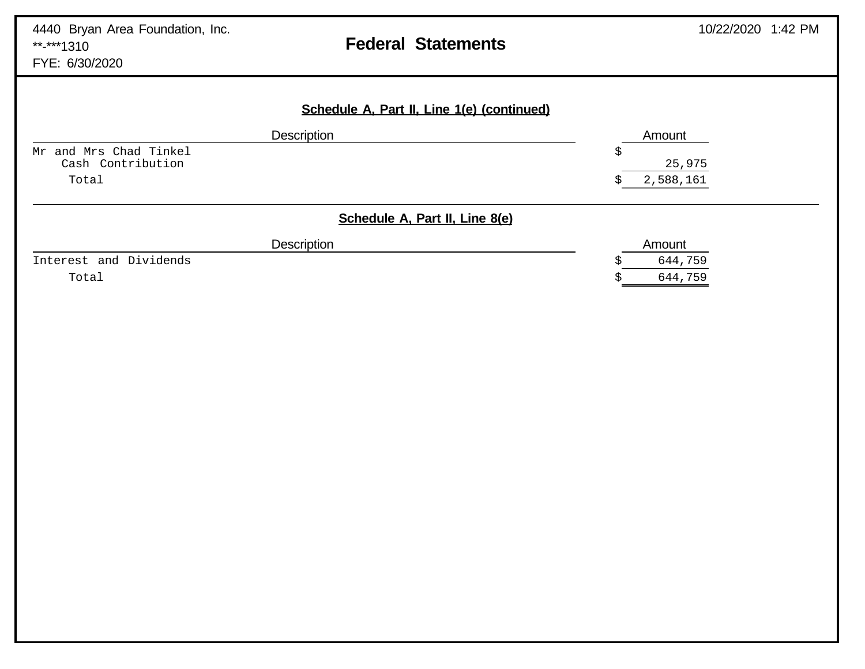## **Federal Statements**

FYE: 6/30/2020

| Description               | Amount                         |
|---------------------------|--------------------------------|
| and Mrs Chad Tinkel<br>Mr | Ş                              |
| Cash Contribution         | 25,975                         |
| Total                     | 2,588,161                      |
|                           | Schedule A, Part II, Line 8(e) |
|                           |                                |
| Description               | Amount                         |
| Interest and Dividends    | 644,759                        |